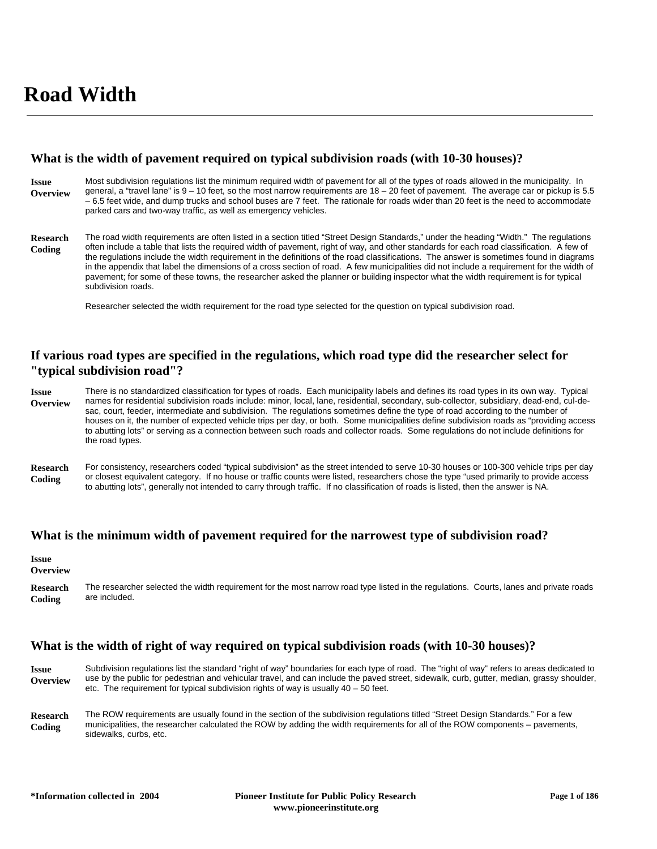# **What is the width of pavement required on typical subdivision roads (with 10-30 houses)?**

Most subdivision regulations list the minimum required width of pavement for all of the types of roads allowed in the municipality. In general, a "travel lane" is 9 – 10 feet, so the most narrow requirements are 18 – 20 feet of pavement. The average car or pickup is 5.5 – 6.5 feet wide, and dump trucks and school buses are 7 feet. The rationale for roads wider than 20 feet is the need to accommodate parked cars and two-way traffic, as well as emergency vehicles. **Issue Overview**

The road width requirements are often listed in a section titled "Street Design Standards," under the heading "Width." The regulations often include a table that lists the required width of pavement, right of way, and other standards for each road classification. A few of the regulations include the width requirement in the definitions of the road classifications. The answer is sometimes found in diagrams in the appendix that label the dimensions of a cross section of road. A few municipalities did not include a requirement for the width of pavement; for some of these towns, the researcher asked the planner or building inspector what the width requirement is for typical subdivision roads. **Research Coding**

Researcher selected the width requirement for the road type selected for the question on typical subdivision road.

# **If various road types are specified in the regulations, which road type did the researcher select for "typical subdivision road"?**

There is no standardized classification for types of roads. Each municipality labels and defines its road types in its own way. Typical names for residential subdivision roads include: minor, local, lane, residential, secondary, sub-collector, subsidiary, dead-end, cul-desac, court, feeder, intermediate and subdivision. The regulations sometimes define the type of road according to the number of houses on it, the number of expected vehicle trips per day, or both. Some municipalities define subdivision roads as "providing access to abutting lots" or serving as a connection between such roads and collector roads. Some regulations do not include definitions for the road types. **Issue Overview**

For consistency, researchers coded "typical subdivision" as the street intended to serve 10-30 houses or 100-300 vehicle trips per day or closest equivalent category. If no house or traffic counts were listed, researchers chose the type "used primarily to provide access to abutting lots", generally not intended to carry through traffic. If no classification of roads is listed, then the answer is NA. **Research Coding**

# **What is the minimum width of pavement required for the narrowest type of subdivision road?**

#### **Issue Overview**

The researcher selected the width requirement for the most narrow road type listed in the regulations. Courts, lanes and private roads are included. **Research Coding**

# **What is the width of right of way required on typical subdivision roads (with 10-30 houses)?**

| <b>Issue</b> | Subdivision regulations list the standard "right of way" boundaries for each type of road. The "right of way" refers to areas dedicated to |
|--------------|--------------------------------------------------------------------------------------------------------------------------------------------|
| Overview     | use by the public for pedestrian and vehicular travel, and can include the paved street, sidewalk, curb, gutter, median, grassy shoulder,  |
|              | etc. The requirement for typical subdivision rights of way is usually $40 - 50$ feet.                                                      |

The ROW requirements are usually found in the section of the subdivision regulations titled "Street Design Standards." For a few municipalities, the researcher calculated the ROW by adding the width requirements for all of the ROW components – pavements, sidewalks, curbs, etc. **Research Coding**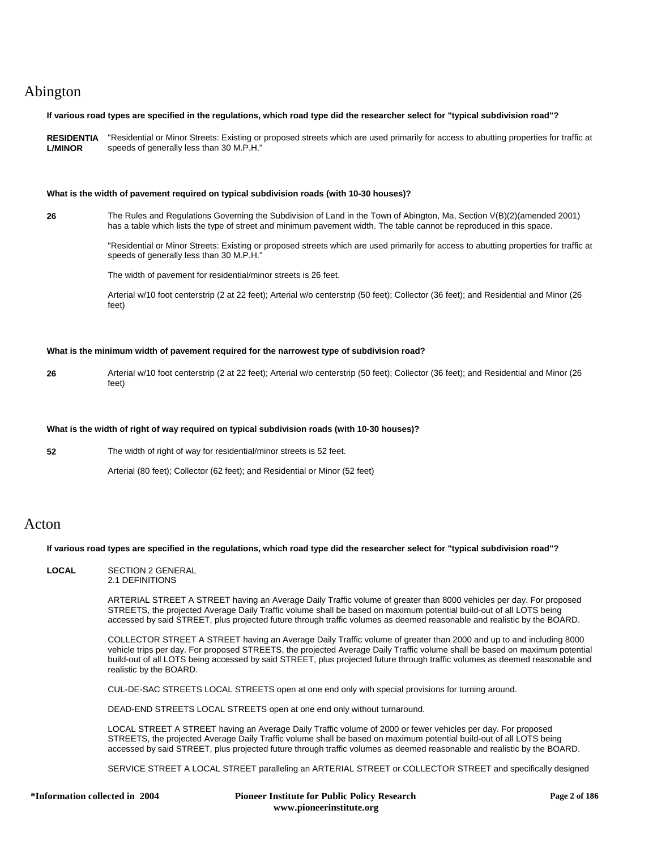# Abington

### **If various road types are specified in the regulations, which road type did the researcher select for "typical subdivision road"?**

**RESIDENTIA** "Residential or Minor Streets: Existing or proposed streets which are used primarily for access to abutting properties for traffic at **L/MINOR** speeds of generally less than 30 M.P.H."

#### **What is the width of pavement required on typical subdivision roads (with 10-30 houses)?**

**26** The Rules and Regulations Governing the Subdivision of Land in the Town of Abington, Ma, Section V(B)(2)(amended 2001) has a table which lists the type of street and minimum pavement width. The table cannot be reproduced in this space.

> "Residential or Minor Streets: Existing or proposed streets which are used primarily for access to abutting properties for traffic at speeds of generally less than 30 M.P.H."

The width of pavement for residential/minor streets is 26 feet.

Arterial w/10 foot centerstrip (2 at 22 feet); Arterial w/o centerstrip (50 feet); Collector (36 feet); and Residential and Minor (26 feet)

### **What is the minimum width of pavement required for the narrowest type of subdivision road?**

**26** Arterial w/10 foot centerstrip (2 at 22 feet); Arterial w/o centerstrip (50 feet); Collector (36 feet); and Residential and Minor (26 feet)

### **What is the width of right of way required on typical subdivision roads (with 10-30 houses)?**

**52** The width of right of way for residential/minor streets is 52 feet.

Arterial (80 feet); Collector (62 feet); and Residential or Minor (52 feet)

# Acton

### **If various road types are specified in the regulations, which road type did the researcher select for "typical subdivision road"?**

**LOCAL** SECTION 2 GENERAL 2.1 DEFINITIONS

> ARTERIAL STREET A STREET having an Average Daily Traffic volume of greater than 8000 vehicles per day. For proposed STREETS, the projected Average Daily Traffic volume shall be based on maximum potential build-out of all LOTS being accessed by said STREET, plus projected future through traffic volumes as deemed reasonable and realistic by the BOARD.

COLLECTOR STREET A STREET having an Average Daily Traffic volume of greater than 2000 and up to and including 8000 vehicle trips per day. For proposed STREETS, the projected Average Daily Traffic volume shall be based on maximum potential build-out of all LOTS being accessed by said STREET, plus projected future through traffic volumes as deemed reasonable and realistic by the BOARD.

CUL-DE-SAC STREETS LOCAL STREETS open at one end only with special provisions for turning around.

DEAD-END STREETS LOCAL STREETS open at one end only without turnaround.

LOCAL STREET A STREET having an Average Daily Traffic volume of 2000 or fewer vehicles per day. For proposed STREETS, the projected Average Daily Traffic volume shall be based on maximum potential build-out of all LOTS being accessed by said STREET, plus projected future through traffic volumes as deemed reasonable and realistic by the BOARD.

SERVICE STREET A LOCAL STREET paralleling an ARTERIAL STREET or COLLECTOR STREET and specifically designed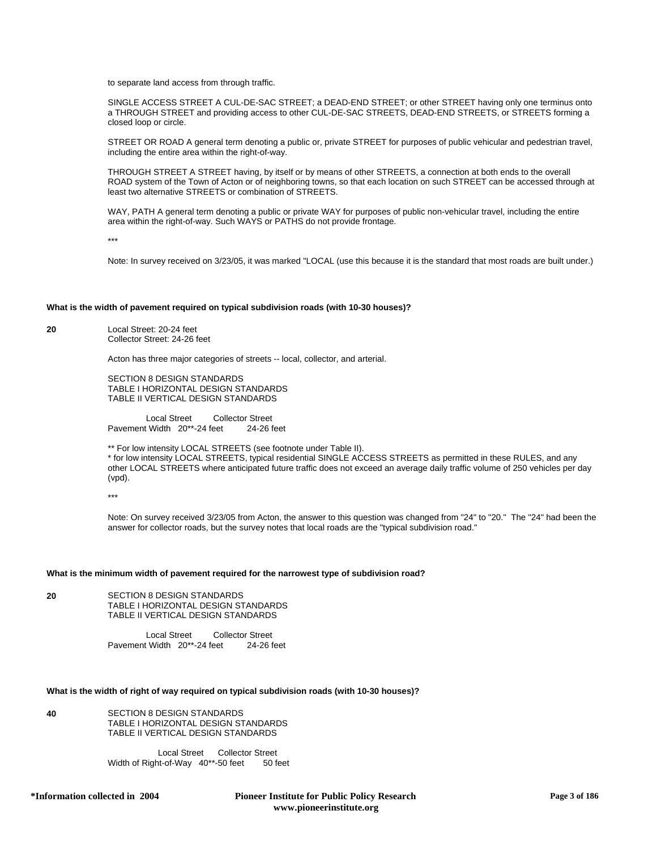to separate land access from through traffic.

SINGLE ACCESS STREET A CUL-DE-SAC STREET; a DEAD-END STREET; or other STREET having only one terminus onto a THROUGH STREET and providing access to other CUL-DE-SAC STREETS, DEAD-END STREETS, or STREETS forming a closed loop or circle.

STREET OR ROAD A general term denoting a public or, private STREET for purposes of public vehicular and pedestrian travel, including the entire area within the right-of-way.

THROUGH STREET A STREET having, by itself or by means of other STREETS, a connection at both ends to the overall ROAD system of the Town of Acton or of neighboring towns, so that each location on such STREET can be accessed through at least two alternative STREETS or combination of STREETS.

WAY, PATH A general term denoting a public or private WAY for purposes of public non-vehicular travel, including the entire area within the right-of-way. Such WAYS or PATHS do not provide frontage.

\*\*\*

Note: In survey received on 3/23/05, it was marked "LOCAL (use this because it is the standard that most roads are built under.)

### **What is the width of pavement required on typical subdivision roads (with 10-30 houses)?**

**20** Local Street: 20-24 feet Collector Street: 24-26 feet

Acton has three major categories of streets -- local, collector, and arterial.

SECTION 8 DESIGN STANDARDS TABLE I HORIZONTAL DESIGN STANDARDS TABLE II VERTICAL DESIGN STANDARDS

Local Street Collector Street Pavement Width 20\*\*-24 feet 24-26 feet

\*\* For low intensity LOCAL STREETS (see footnote under Table II). \* for low intensity LOCAL STREETS, typical residential SINGLE ACCESS STREETS as permitted in these RULES, and any other LOCAL STREETS where anticipated future traffic does not exceed an average daily traffic volume of 250 vehicles per day (vpd).

\*\*\*

Note: On survey received 3/23/05 from Acton, the answer to this question was changed from "24" to "20." The "24" had been the answer for collector roads, but the survey notes that local roads are the "typical subdivision road."

### **What is the minimum width of pavement required for the narrowest type of subdivision road?**

**20** SECTION 8 DESIGN STANDARDS TABLE I HORIZONTAL DESIGN STANDARDS TABLE II VERTICAL DESIGN STANDARDS

> Local Street Collector Street Pavement Width 20\*\*-24 feet 24-26 feet

# **What is the width of right of way required on typical subdivision roads (with 10-30 houses)?**

**40** SECTION 8 DESIGN STANDARDS TABLE I HORIZONTAL DESIGN STANDARDS TABLE II VERTICAL DESIGN STANDARDS

> Local Street Collector Street Width of Right-of-Way 40\*\*-50 feet 50 feet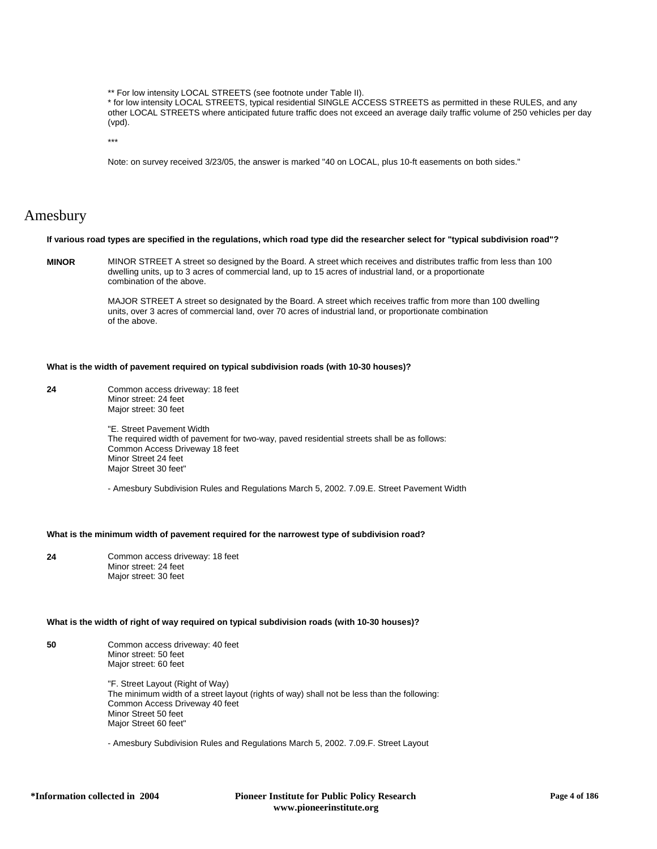\*\* For low intensity LOCAL STREETS (see footnote under Table II).

\* for low intensity LOCAL STREETS, typical residential SINGLE ACCESS STREETS as permitted in these RULES, and any other LOCAL STREETS where anticipated future traffic does not exceed an average daily traffic volume of 250 vehicles per day (vpd).

\*\*\*

Note: on survey received 3/23/05, the answer is marked "40 on LOCAL, plus 10-ft easements on both sides."

# Amesbury

#### **If various road types are specified in the regulations, which road type did the researcher select for "typical subdivision road"?**

**MINOR** MINOR STREET A street so designed by the Board. A street which receives and distributes traffic from less than 100 dwelling units, up to 3 acres of commercial land, up to 15 acres of industrial land, or a proportionate combination of the above.

> MAJOR STREET A street so designated by the Board. A street which receives traffic from more than 100 dwelling units, over 3 acres of commercial land, over 70 acres of industrial land, or proportionate combination of the above.

#### **What is the width of pavement required on typical subdivision roads (with 10-30 houses)?**

**24** Common access driveway: 18 feet Minor street: 24 feet Major street: 30 feet

> "E. Street Pavement Width The required width of pavement for two-way, paved residential streets shall be as follows: Common Access Driveway 18 feet Minor Street 24 feet Major Street 30 feet"

- Amesbury Subdivision Rules and Regulations March 5, 2002. 7.09.E. Street Pavement Width

# **What is the minimum width of pavement required for the narrowest type of subdivision road?**

**24** Common access driveway: 18 feet Minor street: 24 feet Major street: 30 feet

#### **What is the width of right of way required on typical subdivision roads (with 10-30 houses)?**

**50** Common access driveway: 40 feet Minor street: 50 feet Major street: 60 feet

> "F. Street Layout (Right of Way) The minimum width of a street layout (rights of way) shall not be less than the following: Common Access Driveway 40 feet Minor Street 50 feet Major Street 60 feet"

- Amesbury Subdivision Rules and Regulations March 5, 2002. 7.09.F. Street Layout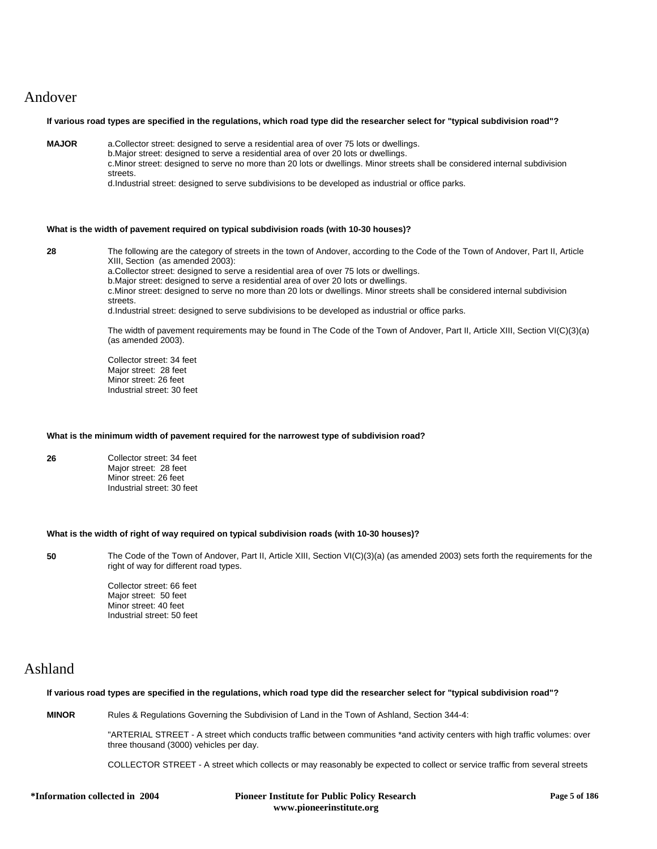# Andover

### **If various road types are specified in the regulations, which road type did the researcher select for "typical subdivision road"?**

**MAJOR** a.Collector street: designed to serve a residential area of over 75 lots or dwellings.

b.Major street: designed to serve a residential area of over 20 lots or dwellings. c.Minor street: designed to serve no more than 20 lots or dwellings. Minor streets shall be considered internal subdivision streets.

d.Industrial street: designed to serve subdivisions to be developed as industrial or office parks.

### **What is the width of pavement required on typical subdivision roads (with 10-30 houses)?**

**28** The following are the category of streets in the town of Andover, according to the Code of the Town of Andover, Part II, Article XIII, Section (as amended 2003): a.Collector street: designed to serve a residential area of over 75 lots or dwellings. b.Major street: designed to serve a residential area of over 20 lots or dwellings. c.Minor street: designed to serve no more than 20 lots or dwellings. Minor streets shall be considered internal subdivision streets. d.Industrial street: designed to serve subdivisions to be developed as industrial or office parks. The width of pavement requirements may be found in The Code of the Town of Andover, Part II, Article XIII, Section VI(C)(3)(a)

> Collector street: 34 feet Major street: 28 feet Minor street: 26 feet Industrial street: 30 feet

(as amended 2003).

### **What is the minimum width of pavement required for the narrowest type of subdivision road?**

**26** Collector street: 34 feet Major street: 28 feet Minor street: 26 feet Industrial street: 30 feet

#### **What is the width of right of way required on typical subdivision roads (with 10-30 houses)?**

**50** The Code of the Town of Andover, Part II, Article XIII, Section VI(C)(3)(a) (as amended 2003) sets forth the requirements for the right of way for different road types.

> Collector street: 66 feet Major street: 50 feet Minor street: 40 feet Industrial street: 50 feet

# Ashland

### **If various road types are specified in the regulations, which road type did the researcher select for "typical subdivision road"?**

**MINOR** Rules & Regulations Governing the Subdivision of Land in the Town of Ashland, Section 344-4:

"ARTERIAL STREET - A street which conducts traffic between communities \*and activity centers with high traffic volumes: over three thousand (3000) vehicles per day.

COLLECTOR STREET - A street which collects or may reasonably be expected to collect or service traffic from several streets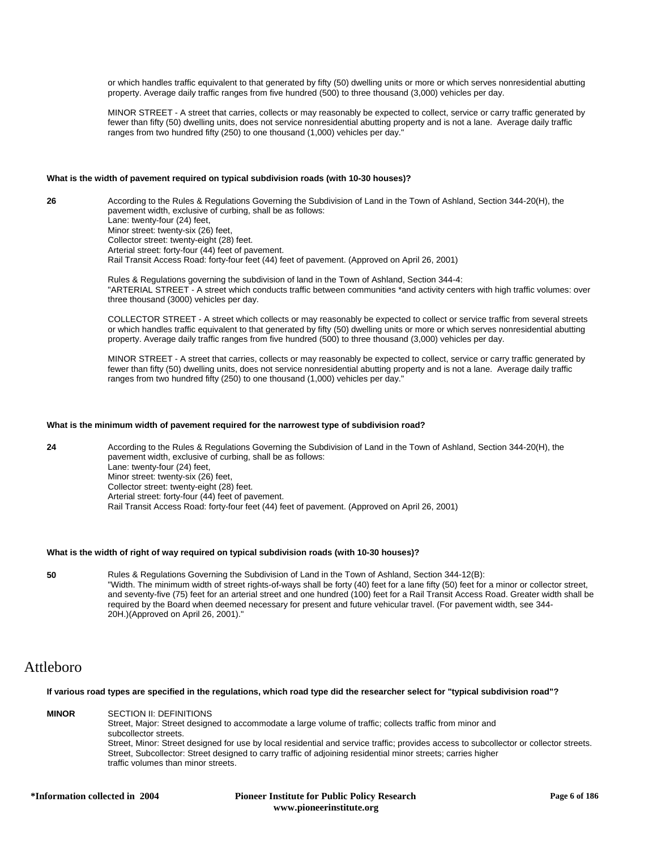or which handles traffic equivalent to that generated by fifty (50) dwelling units or more or which serves nonresidential abutting property. Average daily traffic ranges from five hundred (500) to three thousand (3,000) vehicles per day.

MINOR STREET - A street that carries, collects or may reasonably be expected to collect, service or carry traffic generated by fewer than fifty (50) dwelling units, does not service nonresidential abutting property and is not a lane. Average daily traffic ranges from two hundred fifty (250) to one thousand (1,000) vehicles per day."

### **What is the width of pavement required on typical subdivision roads (with 10-30 houses)?**

**26** According to the Rules & Regulations Governing the Subdivision of Land in the Town of Ashland, Section 344-20(H), the pavement width, exclusive of curbing, shall be as follows: Lane: twenty-four (24) feet, Minor street: twenty-six (26) feet, Collector street: twenty-eight (28) feet. Arterial street: forty-four (44) feet of pavement. Rail Transit Access Road: forty-four feet (44) feet of pavement. (Approved on April 26, 2001)

> Rules & Regulations governing the subdivision of land in the Town of Ashland, Section 344-4: "ARTERIAL STREET - A street which conducts traffic between communities \*and activity centers with high traffic volumes: over three thousand (3000) vehicles per day.

> COLLECTOR STREET - A street which collects or may reasonably be expected to collect or service traffic from several streets or which handles traffic equivalent to that generated by fifty (50) dwelling units or more or which serves nonresidential abutting property. Average daily traffic ranges from five hundred (500) to three thousand (3,000) vehicles per day.

> MINOR STREET - A street that carries, collects or may reasonably be expected to collect, service or carry traffic generated by fewer than fifty (50) dwelling units, does not service nonresidential abutting property and is not a lane. Average daily traffic ranges from two hundred fifty (250) to one thousand (1,000) vehicles per day."

### **What is the minimum width of pavement required for the narrowest type of subdivision road?**

**24** According to the Rules & Regulations Governing the Subdivision of Land in the Town of Ashland, Section 344-20(H), the pavement width, exclusive of curbing, shall be as follows: Lane: twenty-four (24) feet, Minor street: twenty-six (26) feet, Collector street: twenty-eight (28) feet. Arterial street: forty-four (44) feet of pavement. Rail Transit Access Road: forty-four feet (44) feet of pavement. (Approved on April 26, 2001)

#### **What is the width of right of way required on typical subdivision roads (with 10-30 houses)?**

**50** Rules & Regulations Governing the Subdivision of Land in the Town of Ashland, Section 344-12(B): "Width. The minimum width of street rights-of-ways shall be forty (40) feet for a lane fifty (50) feet for a minor or collector street, and seventy-five (75) feet for an arterial street and one hundred (100) feet for a Rail Transit Access Road. Greater width shall be required by the Board when deemed necessary for present and future vehicular travel. (For pavement width, see 344- 20H.)(Approved on April 26, 2001)."

# Attleboro

**If various road types are specified in the regulations, which road type did the researcher select for "typical subdivision road"?**

**MINOR** SECTION II: DEFINITIONS Street, Major: Street designed to accommodate a large volume of traffic; collects traffic from minor and subcollector streets. Street, Minor: Street designed for use by local residential and service traffic; provides access to subcollector or collector streets. Street, Subcollector: Street designed to carry traffic of adjoining residential minor streets; carries higher traffic volumes than minor streets.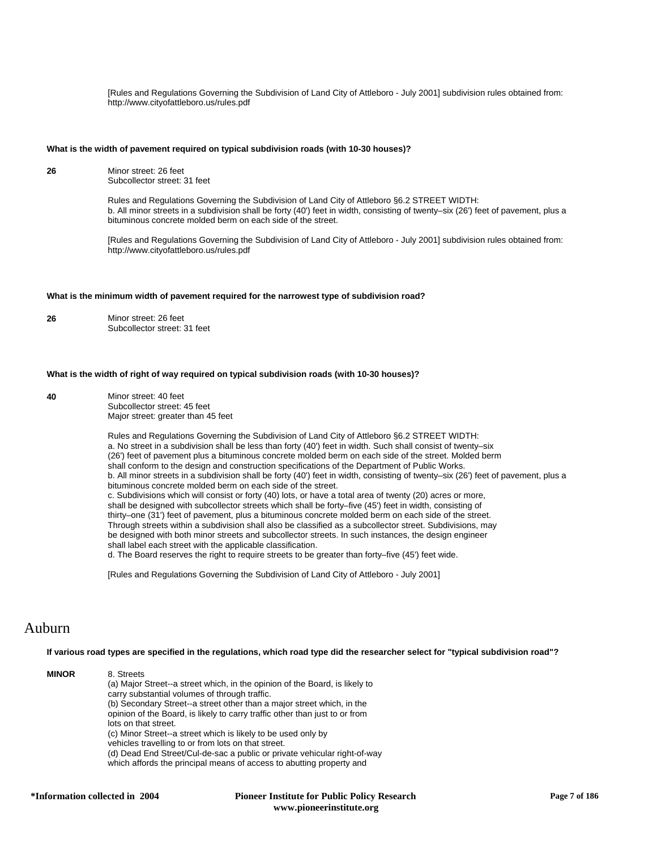[Rules and Regulations Governing the Subdivision of Land City of Attleboro - July 2001] subdivision rules obtained from: http://www.cityofattleboro.us/rules.pdf

#### **What is the width of pavement required on typical subdivision roads (with 10-30 houses)?**

**26** Minor street: 26 feet Subcollector street: 31 feet

> Rules and Regulations Governing the Subdivision of Land City of Attleboro §6.2 STREET WIDTH: b. All minor streets in a subdivision shall be forty (40') feet in width, consisting of twenty–six (26') feet of pavement, plus a bituminous concrete molded berm on each side of the street.

> [Rules and Regulations Governing the Subdivision of Land City of Attleboro - July 2001] subdivision rules obtained from: http://www.cityofattleboro.us/rules.pdf

### **What is the minimum width of pavement required for the narrowest type of subdivision road?**

**26** Minor street: 26 feet Subcollector street: 31 feet

#### **What is the width of right of way required on typical subdivision roads (with 10-30 houses)?**

**40** Minor street: 40 feet Subcollector street: 45 feet Major street: greater than 45 feet

> Rules and Regulations Governing the Subdivision of Land City of Attleboro §6.2 STREET WIDTH: a. No street in a subdivision shall be less than forty (40') feet in width. Such shall consist of twenty–six (26') feet of pavement plus a bituminous concrete molded berm on each side of the street. Molded berm shall conform to the design and construction specifications of the Department of Public Works. b. All minor streets in a subdivision shall be forty (40') feet in width, consisting of twenty–six (26') feet of pavement, plus a bituminous concrete molded berm on each side of the street. c. Subdivisions which will consist or forty (40) lots, or have a total area of twenty (20) acres or more, shall be designed with subcollector streets which shall be forty–five (45') feet in width, consisting of thirty–one (31') feet of pavement, plus a bituminous concrete molded berm on each side of the street. Through streets within a subdivision shall also be classified as a subcollector street. Subdivisions, may be designed with both minor streets and subcollector streets. In such instances, the design engineer shall label each street with the applicable classification. d. The Board reserves the right to require streets to be greater than forty–five (45') feet wide.

[Rules and Regulations Governing the Subdivision of Land City of Attleboro - July 2001]

# Auburn

### **If various road types are specified in the regulations, which road type did the researcher select for "typical subdivision road"?**

**MINOR** 8. Streets (a) Major Street--a street which, in the opinion of the Board, is likely to carry substantial volumes of through traffic. (b) Secondary Street--a street other than a major street which, in the opinion of the Board, is likely to carry traffic other than just to or from lots on that street. (c) Minor Street--a street which is likely to be used only by vehicles travelling to or from lots on that street. (d) Dead End Street/Cul-de-sac a public or private vehicular right-of-way which affords the principal means of access to abutting property and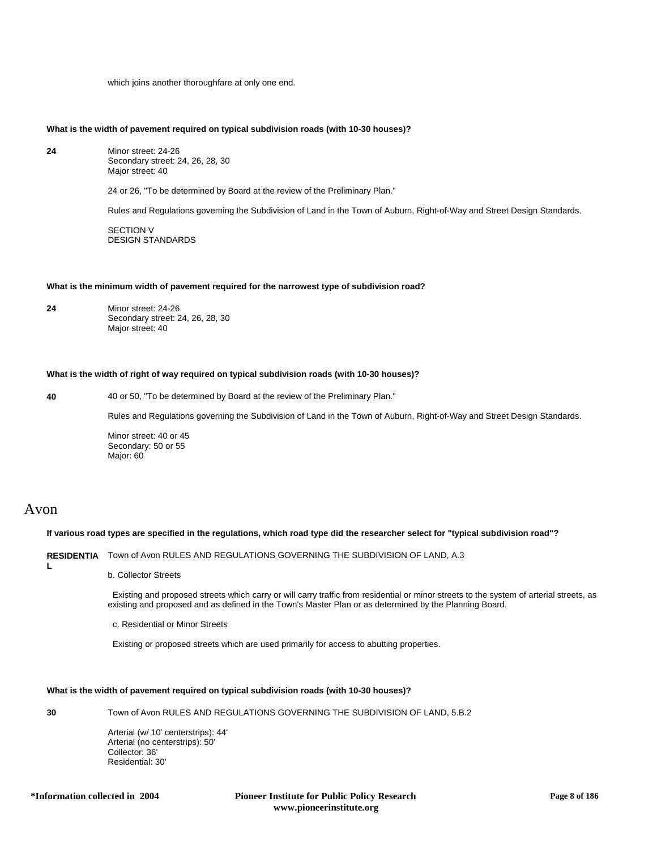which joins another thoroughfare at only one end.

### **What is the width of pavement required on typical subdivision roads (with 10-30 houses)?**

**24** Minor street: 24-26 Secondary street: 24, 26, 28, 30 Major street: 40

24 or 26, "To be determined by Board at the review of the Preliminary Plan."

Rules and Regulations governing the Subdivision of Land in the Town of Auburn, Right-of-Way and Street Design Standards.

SECTION V DESIGN STANDARDS

#### **What is the minimum width of pavement required for the narrowest type of subdivision road?**

**24** Minor street: 24-26 Secondary street: 24, 26, 28, 30 Major street: 40

### **What is the width of right of way required on typical subdivision roads (with 10-30 houses)?**

**40** 40 or 50, "To be determined by Board at the review of the Preliminary Plan."

Rules and Regulations governing the Subdivision of Land in the Town of Auburn, Right-of-Way and Street Design Standards.

Minor street: 40 or 45 Secondary: 50 or 55 Major: 60

# Avon

**L**

**If various road types are specified in the regulations, which road type did the researcher select for "typical subdivision road"?**

### **RESIDENTIA** Town of Avon RULES AND REGULATIONS GOVERNING THE SUBDIVISION OF LAND, A.3

#### b. Collector Streets

 Existing and proposed streets which carry or will carry traffic from residential or minor streets to the system of arterial streets, as existing and proposed and as defined in the Town's Master Plan or as determined by the Planning Board.

c. Residential or Minor Streets

Existing or proposed streets which are used primarily for access to abutting properties.

### **What is the width of pavement required on typical subdivision roads (with 10-30 houses)?**

**30** Town of Avon RULES AND REGULATIONS GOVERNING THE SUBDIVISION OF LAND, 5.B.2

Arterial (w/ 10' centerstrips): 44' Arterial (no centerstrips): 50' Collector: 36' Residential: 30'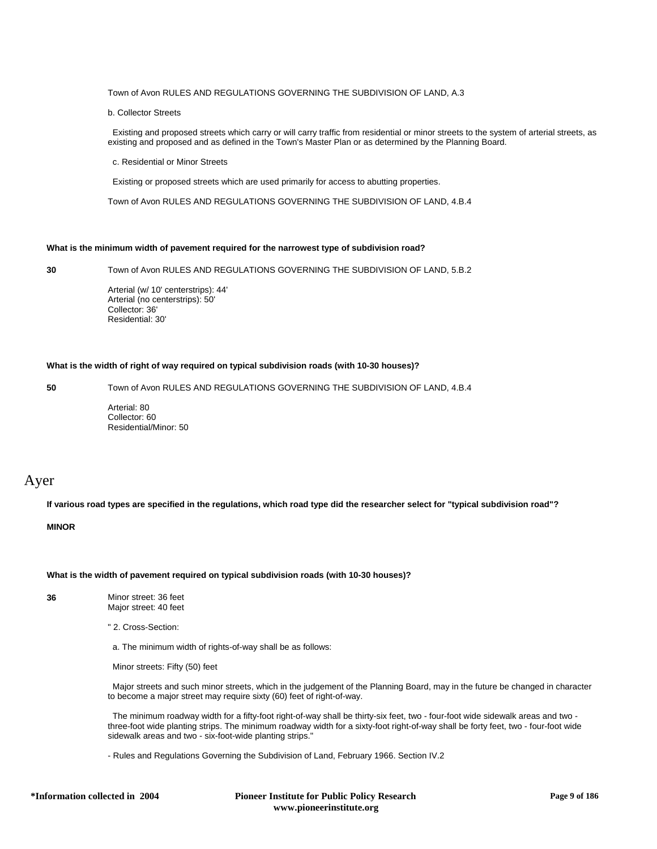### Town of Avon RULES AND REGULATIONS GOVERNING THE SUBDIVISION OF LAND, A.3

#### b. Collector Streets

 Existing and proposed streets which carry or will carry traffic from residential or minor streets to the system of arterial streets, as existing and proposed and as defined in the Town's Master Plan or as determined by the Planning Board.

c. Residential or Minor Streets

Existing or proposed streets which are used primarily for access to abutting properties.

Town of Avon RULES AND REGULATIONS GOVERNING THE SUBDIVISION OF LAND, 4.B.4

### **What is the minimum width of pavement required for the narrowest type of subdivision road?**

**30** Town of Avon RULES AND REGULATIONS GOVERNING THE SUBDIVISION OF LAND, 5.B.2

Arterial (w/ 10' centerstrips): 44' Arterial (no centerstrips): 50' Collector: 36' Residential: 30'

### **What is the width of right of way required on typical subdivision roads (with 10-30 houses)?**

**50** Town of Avon RULES AND REGULATIONS GOVERNING THE SUBDIVISION OF LAND, 4.B.4

Arterial: 80 Collector: 60 Residential/Minor: 50

# Ayer

**If various road types are specified in the regulations, which road type did the researcher select for "typical subdivision road"?**

### **MINOR**

**What is the width of pavement required on typical subdivision roads (with 10-30 houses)?**

**36** Minor street: 36 feet Major street: 40 feet

" 2. Cross-Section:

a. The minimum width of rights-of-way shall be as follows:

Minor streets: Fifty (50) feet

 Major streets and such minor streets, which in the judgement of the Planning Board, may in the future be changed in character to become a major street may require sixty (60) feet of right-of-way.

 The minimum roadway width for a fifty-foot right-of-way shall be thirty-six feet, two - four-foot wide sidewalk areas and two three-foot wide planting strips. The minimum roadway width for a sixty-foot right-of-way shall be forty feet, two - four-foot wide sidewalk areas and two - six-foot-wide planting strips."

- Rules and Regulations Governing the Subdivision of Land, February 1966. Section IV.2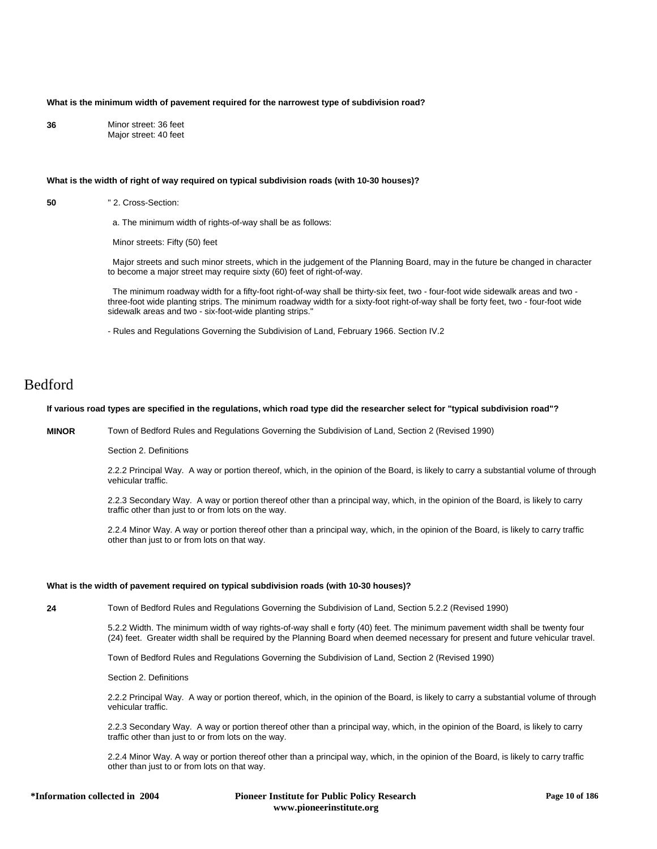### **What is the minimum width of pavement required for the narrowest type of subdivision road?**

**36** Minor street: 36 feet Major street: 40 feet

#### **What is the width of right of way required on typical subdivision roads (with 10-30 houses)?**

**50** " 2. Cross-Section:

a. The minimum width of rights-of-way shall be as follows:

Minor streets: Fifty (50) feet

 Major streets and such minor streets, which in the judgement of the Planning Board, may in the future be changed in character to become a major street may require sixty (60) feet of right-of-way.

 The minimum roadway width for a fifty-foot right-of-way shall be thirty-six feet, two - four-foot wide sidewalk areas and two three-foot wide planting strips. The minimum roadway width for a sixty-foot right-of-way shall be forty feet, two - four-foot wide sidewalk areas and two - six-foot-wide planting strips."

- Rules and Regulations Governing the Subdivision of Land, February 1966. Section IV.2

# Bedford

### **If various road types are specified in the regulations, which road type did the researcher select for "typical subdivision road"?**

**MINOR** Town of Bedford Rules and Regulations Governing the Subdivision of Land, Section 2 (Revised 1990)

Section 2. Definitions

2.2.2 Principal Way. A way or portion thereof, which, in the opinion of the Board, is likely to carry a substantial volume of through vehicular traffic.

2.2.3 Secondary Way. A way or portion thereof other than a principal way, which, in the opinion of the Board, is likely to carry traffic other than just to or from lots on the way.

2.2.4 Minor Way. A way or portion thereof other than a principal way, which, in the opinion of the Board, is likely to carry traffic other than just to or from lots on that way.

#### **What is the width of pavement required on typical subdivision roads (with 10-30 houses)?**

**24** Town of Bedford Rules and Regulations Governing the Subdivision of Land, Section 5.2.2 (Revised 1990)

5.2.2 Width. The minimum width of way rights-of-way shall e forty (40) feet. The minimum pavement width shall be twenty four (24) feet. Greater width shall be required by the Planning Board when deemed necessary for present and future vehicular travel.

Town of Bedford Rules and Regulations Governing the Subdivision of Land, Section 2 (Revised 1990)

Section 2. Definitions

2.2.2 Principal Way. A way or portion thereof, which, in the opinion of the Board, is likely to carry a substantial volume of through vehicular traffic.

2.2.3 Secondary Way. A way or portion thereof other than a principal way, which, in the opinion of the Board, is likely to carry traffic other than just to or from lots on the way.

2.2.4 Minor Way. A way or portion thereof other than a principal way, which, in the opinion of the Board, is likely to carry traffic other than just to or from lots on that way.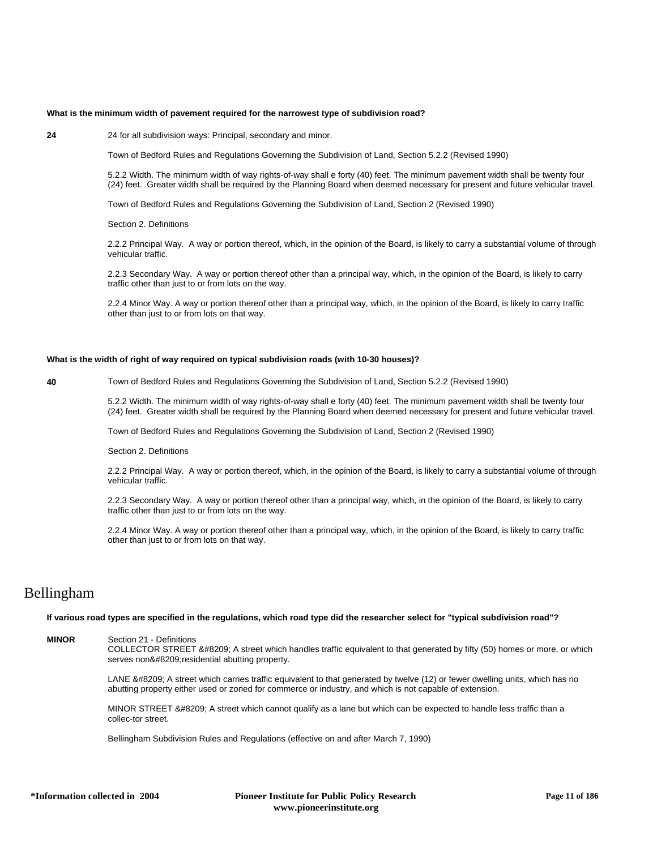#### **What is the minimum width of pavement required for the narrowest type of subdivision road?**

**24** 24 for all subdivision ways: Principal, secondary and minor.

Town of Bedford Rules and Regulations Governing the Subdivision of Land, Section 5.2.2 (Revised 1990)

5.2.2 Width. The minimum width of way rights-of-way shall e forty (40) feet. The minimum pavement width shall be twenty four (24) feet. Greater width shall be required by the Planning Board when deemed necessary for present and future vehicular travel.

Town of Bedford Rules and Regulations Governing the Subdivision of Land, Section 2 (Revised 1990)

Section 2. Definitions

2.2.2 Principal Way. A way or portion thereof, which, in the opinion of the Board, is likely to carry a substantial volume of through vehicular traffic.

2.2.3 Secondary Way. A way or portion thereof other than a principal way, which, in the opinion of the Board, is likely to carry traffic other than just to or from lots on the way.

2.2.4 Minor Way. A way or portion thereof other than a principal way, which, in the opinion of the Board, is likely to carry traffic other than just to or from lots on that way.

### **What is the width of right of way required on typical subdivision roads (with 10-30 houses)?**

**40** Town of Bedford Rules and Regulations Governing the Subdivision of Land, Section 5.2.2 (Revised 1990)

5.2.2 Width. The minimum width of way rights-of-way shall e forty (40) feet. The minimum pavement width shall be twenty four (24) feet. Greater width shall be required by the Planning Board when deemed necessary for present and future vehicular travel.

Town of Bedford Rules and Regulations Governing the Subdivision of Land, Section 2 (Revised 1990)

Section 2. Definitions

2.2.2 Principal Way. A way or portion thereof, which, in the opinion of the Board, is likely to carry a substantial volume of through vehicular traffic.

2.2.3 Secondary Way. A way or portion thereof other than a principal way, which, in the opinion of the Board, is likely to carry traffic other than just to or from lots on the way.

2.2.4 Minor Way. A way or portion thereof other than a principal way, which, in the opinion of the Board, is likely to carry traffic other than just to or from lots on that way.

# Bellingham

**If various road types are specified in the regulations, which road type did the researcher select for "typical subdivision road"?**

**MINOR** Section 21 - Definitions

COLLECTOR STREET ‑ A street which handles traffic equivalent to that generated by fifty (50) homes or more, or which serves non‑residential abutting property.

LANE ‑ A street which carries traffic equivalent to that generated by twelve (12) or fewer dwelling units, which has no abutting property either used or zoned for commerce or industry, and which is not capable of extension.

MINOR STREET ‑ A street which cannot qualify as a lane but which can be expected to handle less traffic than a collec-tor street.

Bellingham Subdivision Rules and Regulations (effective on and after March 7, 1990)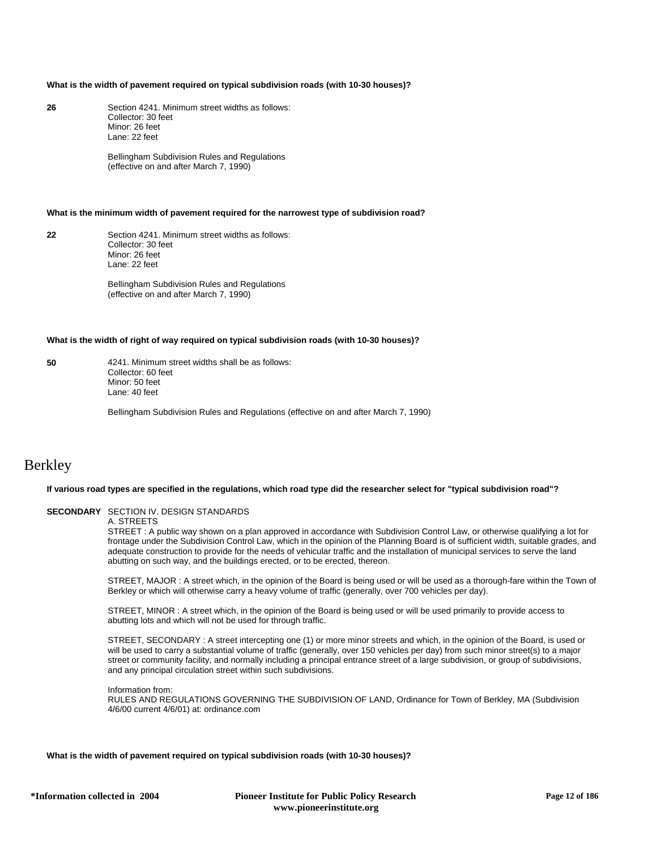#### **What is the width of pavement required on typical subdivision roads (with 10-30 houses)?**

**26** Section 4241. Minimum street widths as follows: Collector: 30 feet Minor: 26 feet Lane: 22 feet

> Bellingham Subdivision Rules and Regulations (effective on and after March 7, 1990)

### **What is the minimum width of pavement required for the narrowest type of subdivision road?**

**22** Section 4241. Minimum street widths as follows: Collector: 30 feet Minor: 26 feet Lane: 22 feet

> Bellingham Subdivision Rules and Regulations (effective on and after March 7, 1990)

#### **What is the width of right of way required on typical subdivision roads (with 10-30 houses)?**

**50** 4241. Minimum street widths shall be as follows: Collector: 60 feet Minor: 50 feet Lane: 40 feet

Bellingham Subdivision Rules and Regulations (effective on and after March 7, 1990)

# Berkley

#### **If various road types are specified in the regulations, which road type did the researcher select for "typical subdivision road"?**

### **SECONDARY** SECTION IV. DESIGN STANDARDS

### A. STREETS

STREET : A public way shown on a plan approved in accordance with Subdivision Control Law, or otherwise qualifying a lot for frontage under the Subdivision Control Law, which in the opinion of the Planning Board is of sufficient width, suitable grades, and adequate construction to provide for the needs of vehicular traffic and the installation of municipal services to serve the land abutting on such way, and the buildings erected, or to be erected, thereon.

STREET, MAJOR : A street which, in the opinion of the Board is being used or will be used as a thorough-fare within the Town of Berkley or which will otherwise carry a heavy volume of traffic (generally, over 700 vehicles per day).

STREET, MINOR : A street which, in the opinion of the Board is being used or will be used primarily to provide access to abutting lots and which will not be used for through traffic.

STREET, SECONDARY : A street intercepting one (1) or more minor streets and which, in the opinion of the Board, is used or will be used to carry a substantial volume of traffic (generally, over 150 vehicles per day) from such minor street(s) to a major street or community facility, and normally including a principal entrance street of a large subdivision, or group of subdivisions, and any principal circulation street within such subdivisions.

Information from: RULES AND REGULATIONS GOVERNING THE SUBDIVISION OF LAND, Ordinance for Town of Berkley, MA (Subdivision 4/6/00 current 4/6/01) at: ordinance.com

**What is the width of pavement required on typical subdivision roads (with 10-30 houses)?**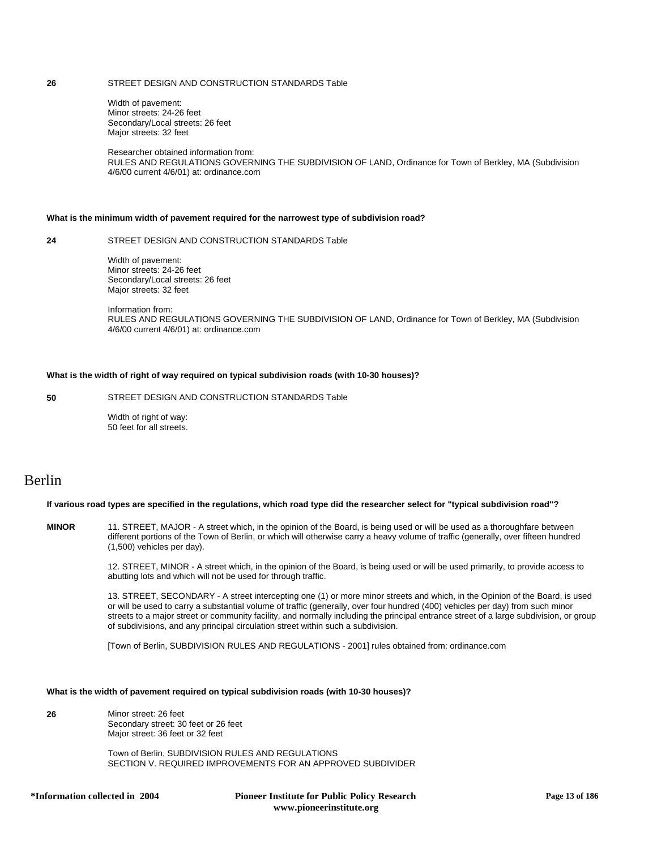### **26** STREET DESIGN AND CONSTRUCTION STANDARDS Table

Width of pavement: Minor streets: 24-26 feet Secondary/Local streets: 26 feet Major streets: 32 feet

Researcher obtained information from: RULES AND REGULATIONS GOVERNING THE SUBDIVISION OF LAND, Ordinance for Town of Berkley, MA (Subdivision 4/6/00 current 4/6/01) at: ordinance.com

### **What is the minimum width of pavement required for the narrowest type of subdivision road?**

**24** STREET DESIGN AND CONSTRUCTION STANDARDS Table

Width of pavement: Minor streets: 24-26 feet Secondary/Local streets: 26 feet Major streets: 32 feet

Information from: RULES AND REGULATIONS GOVERNING THE SUBDIVISION OF LAND, Ordinance for Town of Berkley, MA (Subdivision 4/6/00 current 4/6/01) at: ordinance.com

### **What is the width of right of way required on typical subdivision roads (with 10-30 houses)?**

### **50** STREET DESIGN AND CONSTRUCTION STANDARDS Table

Width of right of way: 50 feet for all streets.

# Berlin

### **If various road types are specified in the regulations, which road type did the researcher select for "typical subdivision road"?**

**MINOR** 11. STREET, MAJOR - A street which, in the opinion of the Board, is being used or will be used as a thoroughfare between different portions of the Town of Berlin, or which will otherwise carry a heavy volume of traffic (generally, over fifteen hundred (1,500) vehicles per day).

> 12. STREET, MINOR - A street which, in the opinion of the Board, is being used or will be used primarily, to provide access to abutting lots and which will not be used for through traffic.

13. STREET, SECONDARY - A street intercepting one (1) or more minor streets and which, in the Opinion of the Board, is used or will be used to carry a substantial volume of traffic (generally, over four hundred (400) vehicles per day) from such minor streets to a major street or community facility, and normally including the principal entrance street of a large subdivision, or group of subdivisions, and any principal circulation street within such a subdivision.

[Town of Berlin, SUBDIVISION RULES AND REGULATIONS - 2001] rules obtained from: ordinance.com

### **What is the width of pavement required on typical subdivision roads (with 10-30 houses)?**

**26** Minor street: 26 feet Secondary street: 30 feet or 26 feet Major street: 36 feet or 32 feet

> Town of Berlin, SUBDIVISION RULES AND REGULATIONS SECTION V. REQUIRED IMPROVEMENTS FOR AN APPROVED SUBDIVIDER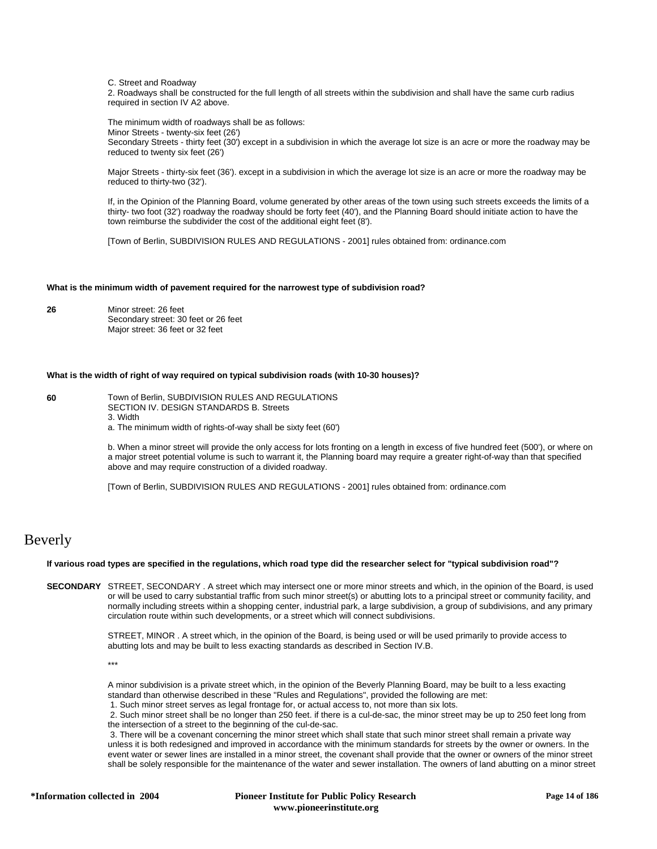C. Street and Roadway

2. Roadways shall be constructed for the full length of all streets within the subdivision and shall have the same curb radius required in section IV A2 above.

The minimum width of roadways shall be as follows: Minor Streets - twenty-six feet (26') Secondary Streets - thirty feet (30') except in a subdivision in which the average lot size is an acre or more the roadway may be reduced to twenty six feet (26')

Major Streets - thirty-six feet (36'). except in a subdivision in which the average lot size is an acre or more the roadway may be reduced to thirty-two (32').

If, in the Opinion of the Planning Board, volume generated by other areas of the town using such streets exceeds the limits of a thirty- two foot (32') roadway the roadway should be forty feet (40'), and the Planning Board should initiate action to have the town reimburse the subdivider the cost of the additional eight feet (8').

[Town of Berlin, SUBDIVISION RULES AND REGULATIONS - 2001] rules obtained from: ordinance.com

# **What is the minimum width of pavement required for the narrowest type of subdivision road?**

**26** Minor street: 26 feet Secondary street: 30 feet or 26 feet Major street: 36 feet or 32 feet

# **What is the width of right of way required on typical subdivision roads (with 10-30 houses)?**

**60** Town of Berlin, SUBDIVISION RULES AND REGULATIONS SECTION IV. DESIGN STANDARDS B. Streets

3. Width

a. The minimum width of rights-of-way shall be sixty feet (60')

b. When a minor street will provide the only access for lots fronting on a length in excess of five hundred feet (500'), or where on a major street potential volume is such to warrant it, the Planning board may require a greater right-of-way than that specified above and may require construction of a divided roadway.

[Town of Berlin, SUBDIVISION RULES AND REGULATIONS - 2001] rules obtained from: ordinance.com

# Beverly

### **If various road types are specified in the regulations, which road type did the researcher select for "typical subdivision road"?**

**SECONDARY** STREET, SECONDARY . A street which may intersect one or more minor streets and which, in the opinion of the Board, is used or will be used to carry substantial traffic from such minor street(s) or abutting lots to a principal street or community facility, and normally including streets within a shopping center, industrial park, a large subdivision, a group of subdivisions, and any primary circulation route within such developments, or a street which will connect subdivisions.

> STREET, MINOR . A street which, in the opinion of the Board, is being used or will be used primarily to provide access to abutting lots and may be built to less exacting standards as described in Section IV.B.

\*\*\*

A minor subdivision is a private street which, in the opinion of the Beverly Planning Board, may be built to a less exacting standard than otherwise described in these "Rules and Regulations", provided the following are met:

1. Such minor street serves as legal frontage for, or actual access to, not more than six lots.

 2. Such minor street shall be no longer than 250 feet. if there is a cul-de-sac, the minor street may be up to 250 feet long from the intersection of a street to the beginning of the cul-de-sac.

 3. There will be a covenant concerning the minor street which shall state that such minor street shall remain a private way unless it is both redesigned and improved in accordance with the minimum standards for streets by the owner or owners. In the event water or sewer lines are installed in a minor street, the covenant shall provide that the owner or owners of the minor street shall be solely responsible for the maintenance of the water and sewer installation. The owners of land abutting on a minor street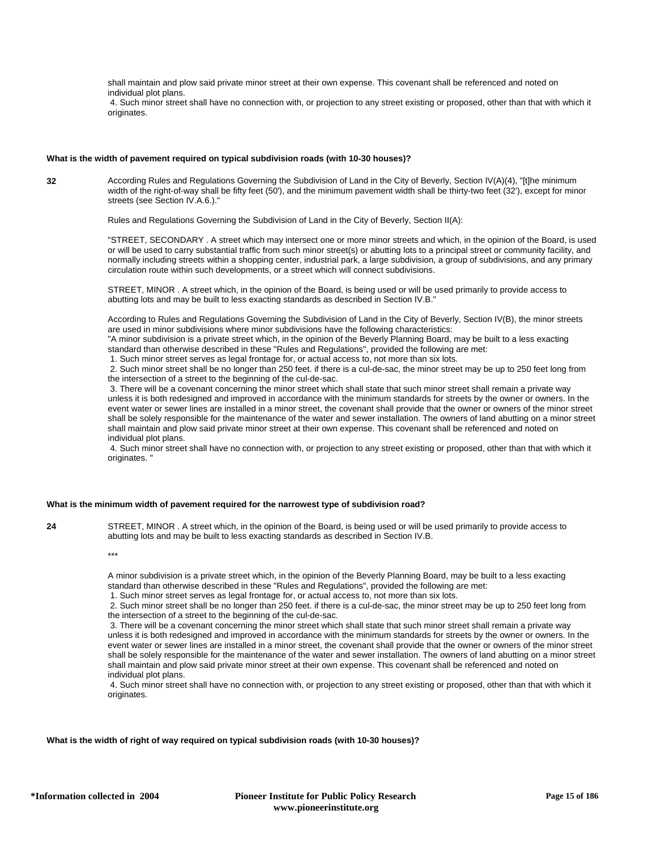shall maintain and plow said private minor street at their own expense. This covenant shall be referenced and noted on individual plot plans.

 4. Such minor street shall have no connection with, or projection to any street existing or proposed, other than that with which it originates.

### **What is the width of pavement required on typical subdivision roads (with 10-30 houses)?**

**32** According Rules and Regulations Governing the Subdivision of Land in the City of Beverly, Section IV(A)(4), "[t]he minimum width of the right-of-way shall be fifty feet (50'), and the minimum pavement width shall be thirty-two feet (32'), except for minor streets (see Section IV.A.6.)."

Rules and Regulations Governing the Subdivision of Land in the City of Beverly, Section II(A):

"STREET, SECONDARY . A street which may intersect one or more minor streets and which, in the opinion of the Board, is used or will be used to carry substantial traffic from such minor street(s) or abutting lots to a principal street or community facility, and normally including streets within a shopping center, industrial park, a large subdivision, a group of subdivisions, and any primary circulation route within such developments, or a street which will connect subdivisions.

STREET, MINOR . A street which, in the opinion of the Board, is being used or will be used primarily to provide access to abutting lots and may be built to less exacting standards as described in Section IV.B."

According to Rules and Regulations Governing the Subdivision of Land in the City of Beverly, Section IV(B), the minor streets are used in minor subdivisions where minor subdivisions have the following characteristics:

"A minor subdivision is a private street which, in the opinion of the Beverly Planning Board, may be built to a less exacting standard than otherwise described in these "Rules and Regulations", provided the following are met:

1. Such minor street serves as legal frontage for, or actual access to, not more than six lots.

 2. Such minor street shall be no longer than 250 feet. if there is a cul-de-sac, the minor street may be up to 250 feet long from the intersection of a street to the beginning of the cul-de-sac.

 3. There will be a covenant concerning the minor street which shall state that such minor street shall remain a private way unless it is both redesigned and improved in accordance with the minimum standards for streets by the owner or owners. In the event water or sewer lines are installed in a minor street, the covenant shall provide that the owner or owners of the minor street shall be solely responsible for the maintenance of the water and sewer installation. The owners of land abutting on a minor street shall maintain and plow said private minor street at their own expense. This covenant shall be referenced and noted on individual plot plans.

 4. Such minor street shall have no connection with, or projection to any street existing or proposed, other than that with which it originates. "

### **What is the minimum width of pavement required for the narrowest type of subdivision road?**

**24** STREET, MINOR . A street which, in the opinion of the Board, is being used or will be used primarily to provide access to abutting lots and may be built to less exacting standards as described in Section IV.B.

\*\*\*

A minor subdivision is a private street which, in the opinion of the Beverly Planning Board, may be built to a less exacting standard than otherwise described in these "Rules and Regulations", provided the following are met:

1. Such minor street serves as legal frontage for, or actual access to, not more than six lots.

 2. Such minor street shall be no longer than 250 feet. if there is a cul-de-sac, the minor street may be up to 250 feet long from the intersection of a street to the beginning of the cul-de-sac.

 3. There will be a covenant concerning the minor street which shall state that such minor street shall remain a private way unless it is both redesigned and improved in accordance with the minimum standards for streets by the owner or owners. In the event water or sewer lines are installed in a minor street, the covenant shall provide that the owner or owners of the minor street shall be solely responsible for the maintenance of the water and sewer installation. The owners of land abutting on a minor street shall maintain and plow said private minor street at their own expense. This covenant shall be referenced and noted on individual plot plans.

 4. Such minor street shall have no connection with, or projection to any street existing or proposed, other than that with which it originates.

### **What is the width of right of way required on typical subdivision roads (with 10-30 houses)?**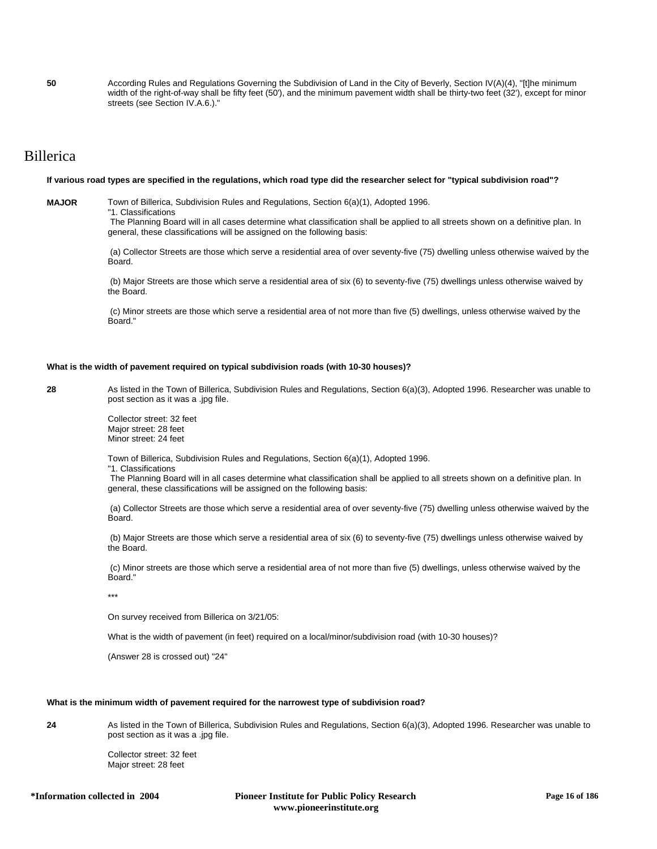**50** According Rules and Regulations Governing the Subdivision of Land in the City of Beverly, Section IV(A)(4), "[t]he minimum width of the right-of-way shall be fifty feet (50'), and the minimum pavement width shall be thirty-two feet (32'), except for minor streets (see Section IV.A.6.)."

# Billerica

### **If various road types are specified in the regulations, which road type did the researcher select for "typical subdivision road"?**

**MAJOR** Town of Billerica, Subdivision Rules and Regulations, Section 6(a)(1), Adopted 1996.

"1. Classifications

 The Planning Board will in all cases determine what classification shall be applied to all streets shown on a definitive plan. In general, these classifications will be assigned on the following basis:

 (a) Collector Streets are those which serve a residential area of over seventy-five (75) dwelling unless otherwise waived by the Board.

 (b) Major Streets are those which serve a residential area of six (6) to seventy-five (75) dwellings unless otherwise waived by the Board.

 (c) Minor streets are those which serve a residential area of not more than five (5) dwellings, unless otherwise waived by the Board."

### **What is the width of pavement required on typical subdivision roads (with 10-30 houses)?**

**28** As listed in the Town of Billerica, Subdivision Rules and Regulations, Section 6(a)(3), Adopted 1996. Researcher was unable to post section as it was a .jpg file.

> Collector street: 32 feet Major street: 28 feet Minor street: 24 feet

Town of Billerica, Subdivision Rules and Regulations, Section 6(a)(1), Adopted 1996. "1. Classifications

 The Planning Board will in all cases determine what classification shall be applied to all streets shown on a definitive plan. In general, these classifications will be assigned on the following basis:

 (a) Collector Streets are those which serve a residential area of over seventy-five (75) dwelling unless otherwise waived by the Board.

 (b) Major Streets are those which serve a residential area of six (6) to seventy-five (75) dwellings unless otherwise waived by the Board.

 (c) Minor streets are those which serve a residential area of not more than five (5) dwellings, unless otherwise waived by the Board."

\*\*\*

On survey received from Billerica on 3/21/05:

What is the width of pavement (in feet) required on a local/minor/subdivision road (with 10-30 houses)?

(Answer 28 is crossed out) "24"

### **What is the minimum width of pavement required for the narrowest type of subdivision road?**

**24** As listed in the Town of Billerica, Subdivision Rules and Regulations, Section 6(a)(3), Adopted 1996. Researcher was unable to post section as it was a .jpg file.

> Collector street: 32 feet Major street: 28 feet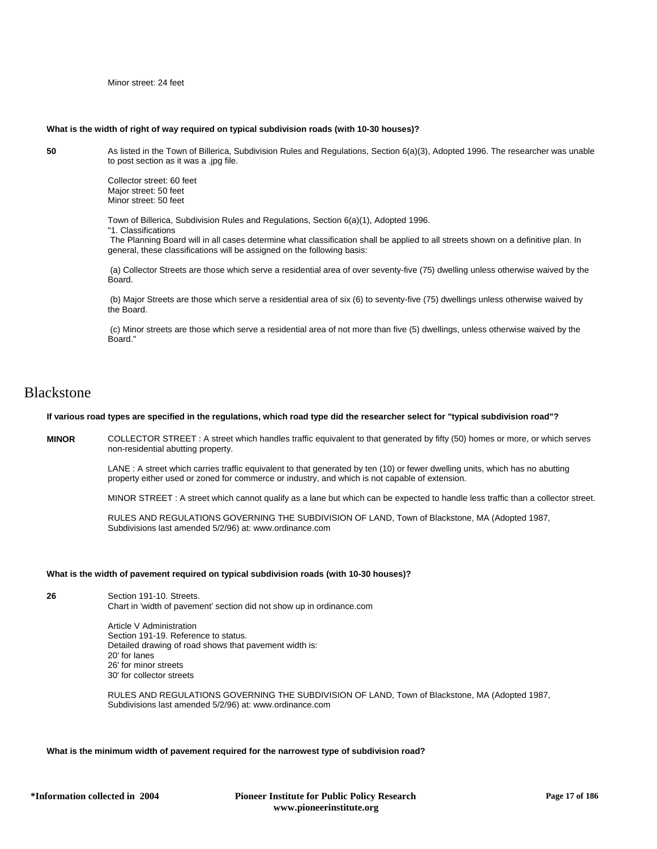Minor street: 24 feet

### **What is the width of right of way required on typical subdivision roads (with 10-30 houses)?**

**50** As listed in the Town of Billerica, Subdivision Rules and Regulations, Section 6(a)(3), Adopted 1996. The researcher was unable to post section as it was a .jpg file.

> Collector street: 60 feet Major street: 50 feet Minor street: 50 feet

Town of Billerica, Subdivision Rules and Regulations, Section 6(a)(1), Adopted 1996. "1. Classifications

 The Planning Board will in all cases determine what classification shall be applied to all streets shown on a definitive plan. In general, these classifications will be assigned on the following basis:

 (a) Collector Streets are those which serve a residential area of over seventy-five (75) dwelling unless otherwise waived by the Board.

 (b) Major Streets are those which serve a residential area of six (6) to seventy-five (75) dwellings unless otherwise waived by the Board.

 (c) Minor streets are those which serve a residential area of not more than five (5) dwellings, unless otherwise waived by the Board."

# **Blackstone**

### **If various road types are specified in the regulations, which road type did the researcher select for "typical subdivision road"?**

**MINOR** COLLECTOR STREET : A street which handles traffic equivalent to that generated by fifty (50) homes or more, or which serves non-residential abutting property.

> LANE : A street which carries traffic equivalent to that generated by ten (10) or fewer dwelling units, which has no abutting property either used or zoned for commerce or industry, and which is not capable of extension.

MINOR STREET : A street which cannot qualify as a lane but which can be expected to handle less traffic than a collector street.

RULES AND REGULATIONS GOVERNING THE SUBDIVISION OF LAND, Town of Blackstone, MA (Adopted 1987, Subdivisions last amended 5/2/96) at: www.ordinance.com

### **What is the width of pavement required on typical subdivision roads (with 10-30 houses)?**

**26** Section 191-10. Streets. Chart in 'width of pavement' section did not show up in ordinance.com

> Article V Administration Section 191-19. Reference to status. Detailed drawing of road shows that pavement width is: 20' for lanes 26' for minor streets 30' for collector streets

RULES AND REGULATIONS GOVERNING THE SUBDIVISION OF LAND, Town of Blackstone, MA (Adopted 1987, Subdivisions last amended 5/2/96) at: www.ordinance.com

### **What is the minimum width of pavement required for the narrowest type of subdivision road?**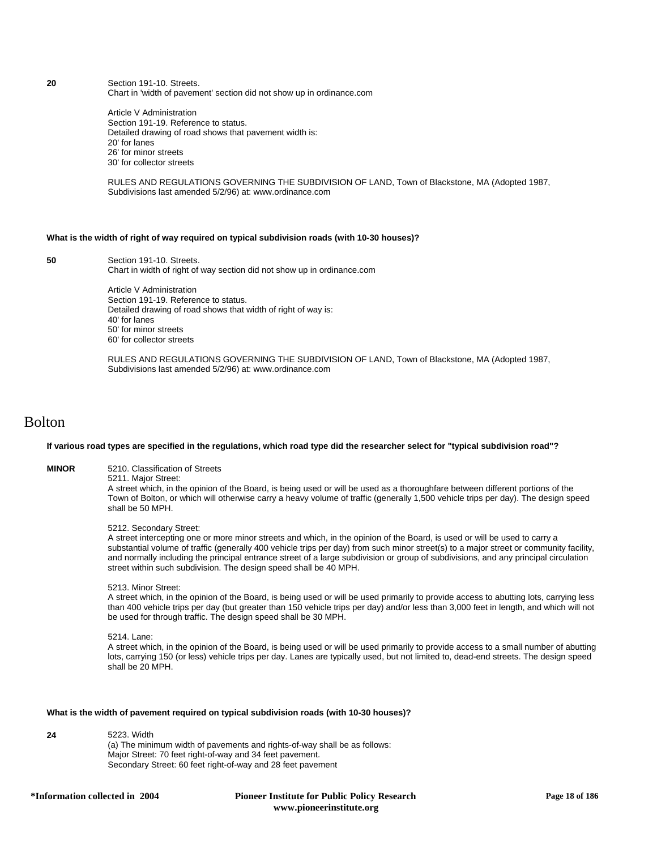**20** Section 191-10. Streets. Chart in 'width of pavement' section did not show up in ordinance.com

> Article V Administration Section 191-19. Reference to status. Detailed drawing of road shows that pavement width is: 20' for lanes 26' for minor streets 30' for collector streets

RULES AND REGULATIONS GOVERNING THE SUBDIVISION OF LAND, Town of Blackstone, MA (Adopted 1987, Subdivisions last amended 5/2/96) at: www.ordinance.com

# **What is the width of right of way required on typical subdivision roads (with 10-30 houses)?**

**50** Section 191-10. Streets. Chart in width of right of way section did not show up in ordinance.com

> Article V Administration Section 191-19. Reference to status. Detailed drawing of road shows that width of right of way is: 40' for lanes 50' for minor streets 60' for collector streets

RULES AND REGULATIONS GOVERNING THE SUBDIVISION OF LAND, Town of Blackstone, MA (Adopted 1987, Subdivisions last amended 5/2/96) at: www.ordinance.com

# Bolton

### **If various road types are specified in the regulations, which road type did the researcher select for "typical subdivision road"?**

**MINOR** 5210. Classification of Streets

5211. Major Street: A street which, in the opinion of the Board, is being used or will be used as a thoroughfare between different portions of the Town of Bolton, or which will otherwise carry a heavy volume of traffic (generally 1,500 vehicle trips per day). The design speed shall be 50 MPH.

### 5212. Secondary Street:

A street intercepting one or more minor streets and which, in the opinion of the Board, is used or will be used to carry a substantial volume of traffic (generally 400 vehicle trips per day) from such minor street(s) to a major street or community facility, and normally including the principal entrance street of a large subdivision or group of subdivisions, and any principal circulation street within such subdivision. The design speed shall be 40 MPH.

### 5213. Minor Street:

A street which, in the opinion of the Board, is being used or will be used primarily to provide access to abutting lots, carrying less than 400 vehicle trips per day (but greater than 150 vehicle trips per day) and/or less than 3,000 feet in length, and which will not be used for through traffic. The design speed shall be 30 MPH.

5214. Lane:

A street which, in the opinion of the Board, is being used or will be used primarily to provide access to a small number of abutting lots, carrying 150 (or less) vehicle trips per day. Lanes are typically used, but not limited to, dead-end streets. The design speed shall be 20 MPH.

### **What is the width of pavement required on typical subdivision roads (with 10-30 houses)?**

**24** 5223. Width (a) The minimum width of pavements and rights-of-way shall be as follows: Major Street: 70 feet right-of-way and 34 feet pavement. Secondary Street: 60 feet right-of-way and 28 feet pavement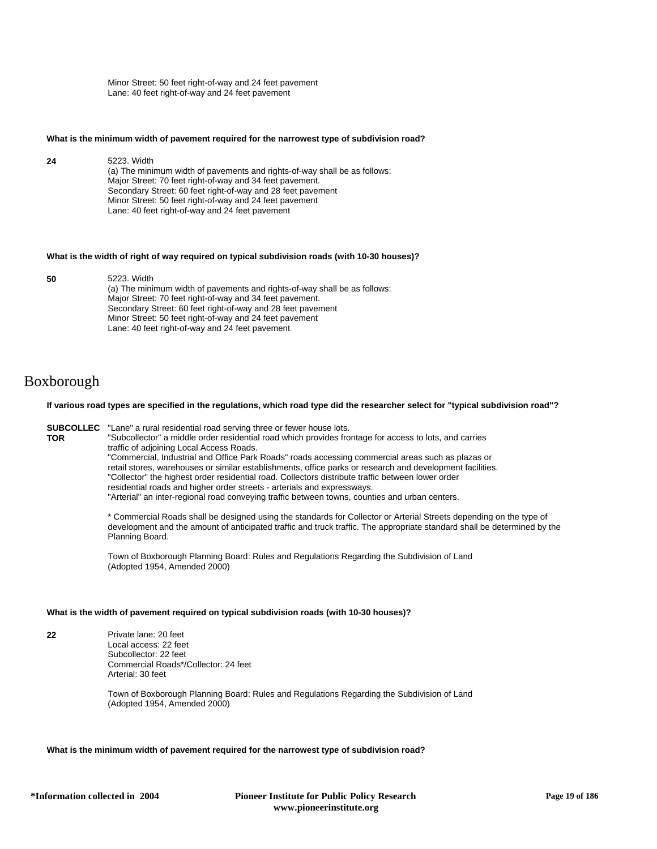Minor Street: 50 feet right-of-way and 24 feet pavement Lane: 40 feet right-of-way and 24 feet pavement

#### **What is the minimum width of pavement required for the narrowest type of subdivision road?**

**24** 5223. Width (a) The minimum width of pavements and rights-of-way shall be as follows: Major Street: 70 feet right-of-way and 34 feet pavement. Secondary Street: 60 feet right-of-way and 28 feet pavement Minor Street: 50 feet right-of-way and 24 feet pavement Lane: 40 feet right-of-way and 24 feet pavement

#### **What is the width of right of way required on typical subdivision roads (with 10-30 houses)?**

**50** 5223. Width

(a) The minimum width of pavements and rights-of-way shall be as follows: Major Street: 70 feet right-of-way and 34 feet pavement. Secondary Street: 60 feet right-of-way and 28 feet pavement Minor Street: 50 feet right-of-way and 24 feet pavement Lane: 40 feet right-of-way and 24 feet pavement

# Boxborough

**TOR**

### **If various road types are specified in the regulations, which road type did the researcher select for "typical subdivision road"?**

**SUBCOLLEC** "Lane" a rural residential road serving three or fewer house lots.

"Subcollector" a middle order residential road which provides frontage for access to lots, and carries traffic of adjoining Local Access Roads. "Commercial, Industrial and Office Park Roads" roads accessing commercial areas such as plazas or retail stores, warehouses or similar establishments, office parks or research and development facilities. "Collector" the highest order residential road. Collectors distribute traffic between lower order residential roads and higher order streets - arterials and expressways.

"Arterial" an inter-regional road conveying traffic between towns, counties and urban centers.

\* Commercial Roads shall be designed using the standards for Collector or Arterial Streets depending on the type of development and the amount of anticipated traffic and truck traffic. The appropriate standard shall be determined by the Planning Board.

Town of Boxborough Planning Board: Rules and Regulations Regarding the Subdivision of Land (Adopted 1954, Amended 2000)

### **What is the width of pavement required on typical subdivision roads (with 10-30 houses)?**

**22** Private lane: 20 feet Local access: 22 feet Subcollector: 22 feet Commercial Roads\*/Collector: 24 feet Arterial: 30 feet

> Town of Boxborough Planning Board: Rules and Regulations Regarding the Subdivision of Land (Adopted 1954, Amended 2000)

### **What is the minimum width of pavement required for the narrowest type of subdivision road?**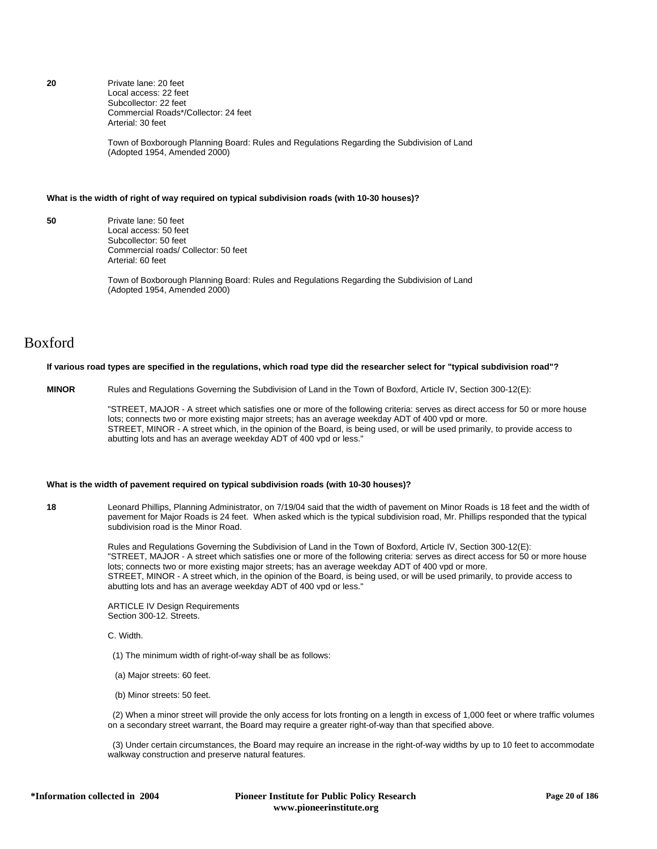**20** Private lane: 20 feet Local access: 22 feet Subcollector: 22 feet Commercial Roads\*/Collector: 24 feet Arterial: 30 feet

> Town of Boxborough Planning Board: Rules and Regulations Regarding the Subdivision of Land (Adopted 1954, Amended 2000)

### **What is the width of right of way required on typical subdivision roads (with 10-30 houses)?**

**50** Private lane: 50 feet Local access: 50 feet Subcollector: 50 feet Commercial roads/ Collector: 50 feet Arterial: 60 feet

> Town of Boxborough Planning Board: Rules and Regulations Regarding the Subdivision of Land (Adopted 1954, Amended 2000)

# Boxford

#### **If various road types are specified in the regulations, which road type did the researcher select for "typical subdivision road"?**

**MINOR** Rules and Regulations Governing the Subdivision of Land in the Town of Boxford, Article IV, Section 300-12(E):

"STREET, MAJOR - A street which satisfies one or more of the following criteria: serves as direct access for 50 or more house lots; connects two or more existing major streets; has an average weekday ADT of 400 vpd or more. STREET, MINOR - A street which, in the opinion of the Board, is being used, or will be used primarily, to provide access to abutting lots and has an average weekday ADT of 400 vpd or less."

### **What is the width of pavement required on typical subdivision roads (with 10-30 houses)?**

**18** Leonard Phillips, Planning Administrator, on 7/19/04 said that the width of pavement on Minor Roads is 18 feet and the width of pavement for Major Roads is 24 feet. When asked which is the typical subdivision road, Mr. Phillips responded that the typical subdivision road is the Minor Road.

> Rules and Regulations Governing the Subdivision of Land in the Town of Boxford, Article IV, Section 300-12(E): "STREET, MAJOR - A street which satisfies one or more of the following criteria: serves as direct access for 50 or more house lots; connects two or more existing major streets; has an average weekday ADT of 400 vpd or more. STREET, MINOR - A street which, in the opinion of the Board, is being used, or will be used primarily, to provide access to abutting lots and has an average weekday ADT of 400 vpd or less."

ARTICLE IV Design Requirements Section 300-12. Streets.

C. Width.

- (1) The minimum width of right-of-way shall be as follows:
- (a) Major streets: 60 feet.
- (b) Minor streets: 50 feet.

 (2) When a minor street will provide the only access for lots fronting on a length in excess of 1,000 feet or where traffic volumes on a secondary street warrant, the Board may require a greater right-of-way than that specified above.

 (3) Under certain circumstances, the Board may require an increase in the right-of-way widths by up to 10 feet to accommodate walkway construction and preserve natural features.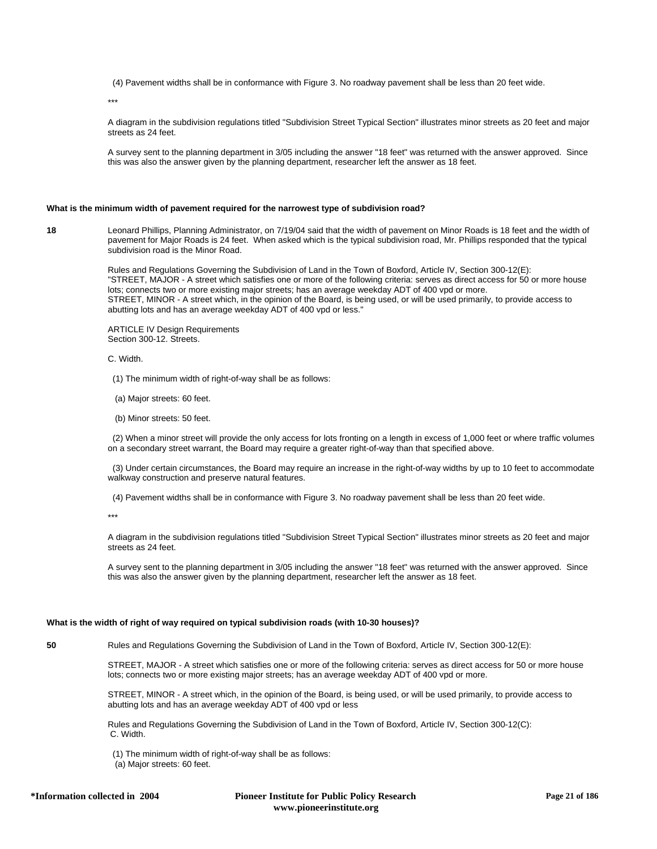(4) Pavement widths shall be in conformance with Figure 3. No roadway pavement shall be less than 20 feet wide.

\*\*\*

A diagram in the subdivision regulations titled "Subdivision Street Typical Section" illustrates minor streets as 20 feet and major streets as 24 feet.

A survey sent to the planning department in 3/05 including the answer "18 feet" was returned with the answer approved. Since this was also the answer given by the planning department, researcher left the answer as 18 feet.

#### **What is the minimum width of pavement required for the narrowest type of subdivision road?**

**18** Leonard Phillips, Planning Administrator, on 7/19/04 said that the width of pavement on Minor Roads is 18 feet and the width of pavement for Major Roads is 24 feet. When asked which is the typical subdivision road, Mr. Phillips responded that the typical subdivision road is the Minor Road.

> Rules and Regulations Governing the Subdivision of Land in the Town of Boxford, Article IV, Section 300-12(E): "STREET, MAJOR - A street which satisfies one or more of the following criteria: serves as direct access for 50 or more house lots; connects two or more existing major streets; has an average weekday ADT of 400 vpd or more. STREET, MINOR - A street which, in the opinion of the Board, is being used, or will be used primarily, to provide access to abutting lots and has an average weekday ADT of 400 vpd or less."

ARTICLE IV Design Requirements Section 300-12. Streets.

- C. Width.
- (1) The minimum width of right-of-way shall be as follows:
- (a) Major streets: 60 feet.
- (b) Minor streets: 50 feet.

 (2) When a minor street will provide the only access for lots fronting on a length in excess of 1,000 feet or where traffic volumes on a secondary street warrant, the Board may require a greater right-of-way than that specified above.

 (3) Under certain circumstances, the Board may require an increase in the right-of-way widths by up to 10 feet to accommodate walkway construction and preserve natural features.

(4) Pavement widths shall be in conformance with Figure 3. No roadway pavement shall be less than 20 feet wide.

\*\*\*

A diagram in the subdivision regulations titled "Subdivision Street Typical Section" illustrates minor streets as 20 feet and major streets as 24 feet.

A survey sent to the planning department in 3/05 including the answer "18 feet" was returned with the answer approved. Since this was also the answer given by the planning department, researcher left the answer as 18 feet.

### **What is the width of right of way required on typical subdivision roads (with 10-30 houses)?**

**50** Rules and Regulations Governing the Subdivision of Land in the Town of Boxford, Article IV, Section 300-12(E):

STREET, MAJOR - A street which satisfies one or more of the following criteria: serves as direct access for 50 or more house lots; connects two or more existing major streets; has an average weekday ADT of 400 vpd or more.

STREET, MINOR - A street which, in the opinion of the Board, is being used, or will be used primarily, to provide access to abutting lots and has an average weekday ADT of 400 vpd or less

Rules and Regulations Governing the Subdivision of Land in the Town of Boxford, Article IV, Section 300-12(C): C. Width.

(1) The minimum width of right-of-way shall be as follows:

(a) Major streets: 60 feet.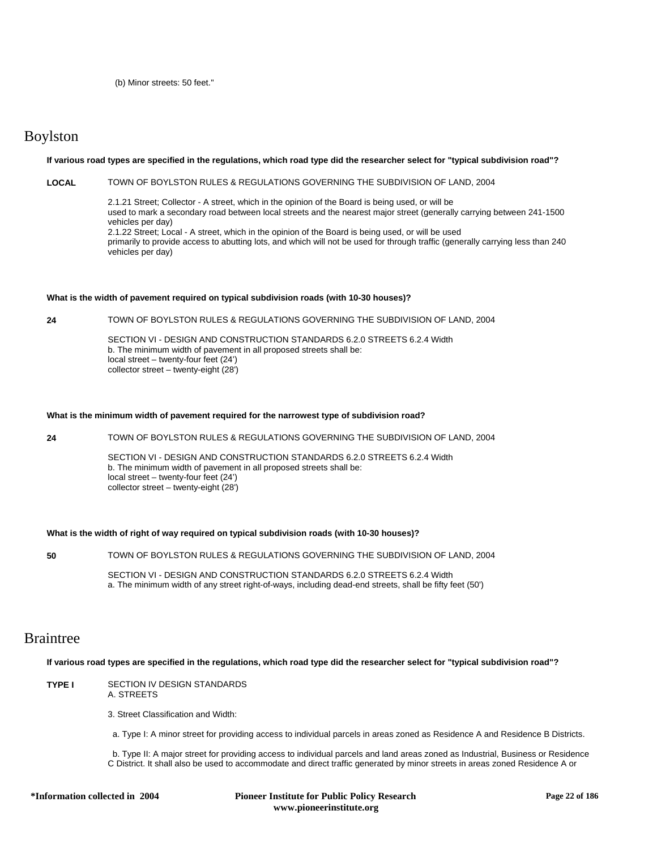(b) Minor streets: 50 feet."

# Boylston

### **If various road types are specified in the regulations, which road type did the researcher select for "typical subdivision road"?**

# **LOCAL** TOWN OF BOYLSTON RULES & REGULATIONS GOVERNING THE SUBDIVISION OF LAND, 2004

2.1.21 Street; Collector - A street, which in the opinion of the Board is being used, or will be used to mark a secondary road between local streets and the nearest major street (generally carrying between 241-1500 vehicles per day) 2.1.22 Street; Local - A street, which in the opinion of the Board is being used, or will be used primarily to provide access to abutting lots, and which will not be used for through traffic (generally carrying less than 240 vehicles per day)

### **What is the width of pavement required on typical subdivision roads (with 10-30 houses)?**

**24** TOWN OF BOYLSTON RULES & REGULATIONS GOVERNING THE SUBDIVISION OF LAND, 2004

SECTION VI - DESIGN AND CONSTRUCTION STANDARDS 6.2.0 STREETS 6.2.4 Width b. The minimum width of pavement in all proposed streets shall be: local street – twenty-four feet (24') collector street – twenty-eight (28')

### **What is the minimum width of pavement required for the narrowest type of subdivision road?**

**24** TOWN OF BOYLSTON RULES & REGULATIONS GOVERNING THE SUBDIVISION OF LAND, 2004

SECTION VI - DESIGN AND CONSTRUCTION STANDARDS 6.2.0 STREETS 6.2.4 Width b. The minimum width of pavement in all proposed streets shall be: local street – twenty-four feet  $(24')$ collector street – twenty-eight (28')

### **What is the width of right of way required on typical subdivision roads (with 10-30 houses)?**

**50** TOWN OF BOYLSTON RULES & REGULATIONS GOVERNING THE SUBDIVISION OF LAND, 2004

SECTION VI - DESIGN AND CONSTRUCTION STANDARDS 6.2.0 STREETS 6.2.4 Width a. The minimum width of any street right-of-ways, including dead-end streets, shall be fifty feet (50')

# Braintree

**If various road types are specified in the regulations, which road type did the researcher select for "typical subdivision road"?**

**TYPE I** SECTION IV DESIGN STANDARDS A. STREETS

3. Street Classification and Width:

a. Type I: A minor street for providing access to individual parcels in areas zoned as Residence A and Residence B Districts.

 b. Type II: A major street for providing access to individual parcels and land areas zoned as Industrial, Business or Residence C District. It shall also be used to accommodate and direct traffic generated by minor streets in areas zoned Residence A or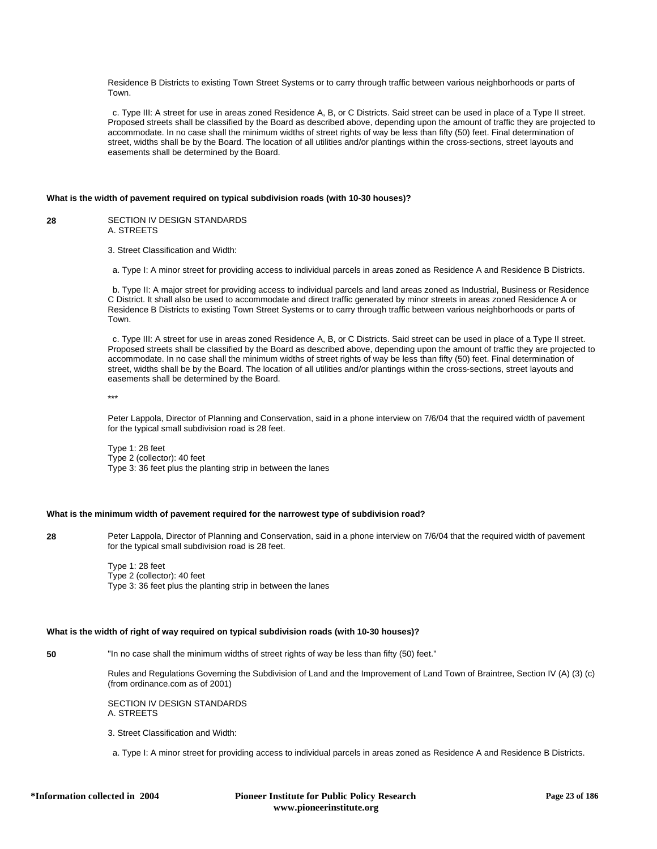Residence B Districts to existing Town Street Systems or to carry through traffic between various neighborhoods or parts of Town.

 c. Type III: A street for use in areas zoned Residence A, B, or C Districts. Said street can be used in place of a Type II street. Proposed streets shall be classified by the Board as described above, depending upon the amount of traffic they are projected to accommodate. In no case shall the minimum widths of street rights of way be less than fifty (50) feet. Final determination of street, widths shall be by the Board. The location of all utilities and/or plantings within the cross-sections, street layouts and easements shall be determined by the Board.

### **What is the width of pavement required on typical subdivision roads (with 10-30 houses)?**

**28** SECTION IV DESIGN STANDARDS A. STREETS

3. Street Classification and Width:

a. Type I: A minor street for providing access to individual parcels in areas zoned as Residence A and Residence B Districts.

 b. Type II: A major street for providing access to individual parcels and land areas zoned as Industrial, Business or Residence C District. It shall also be used to accommodate and direct traffic generated by minor streets in areas zoned Residence A or Residence B Districts to existing Town Street Systems or to carry through traffic between various neighborhoods or parts of Town.

 c. Type III: A street for use in areas zoned Residence A, B, or C Districts. Said street can be used in place of a Type II street. Proposed streets shall be classified by the Board as described above, depending upon the amount of traffic they are projected to accommodate. In no case shall the minimum widths of street rights of way be less than fifty (50) feet. Final determination of street, widths shall be by the Board. The location of all utilities and/or plantings within the cross-sections, street layouts and easements shall be determined by the Board.

\*\*\*

Peter Lappola, Director of Planning and Conservation, said in a phone interview on 7/6/04 that the required width of pavement for the typical small subdivision road is 28 feet.

Type 1: 28 feet Type 2 (collector): 40 feet Type 3: 36 feet plus the planting strip in between the lanes

### **What is the minimum width of pavement required for the narrowest type of subdivision road?**

**28** Peter Lappola, Director of Planning and Conservation, said in a phone interview on 7/6/04 that the required width of pavement for the typical small subdivision road is 28 feet.

> Type 1: 28 feet Type 2 (collector): 40 feet Type 3: 36 feet plus the planting strip in between the lanes

### **What is the width of right of way required on typical subdivision roads (with 10-30 houses)?**

**50** "In no case shall the minimum widths of street rights of way be less than fifty (50) feet."

Rules and Regulations Governing the Subdivision of Land and the Improvement of Land Town of Braintree, Section IV (A) (3) (c) (from ordinance.com as of 2001)

SECTION IV DESIGN STANDARDS A. STREETS

3. Street Classification and Width:

a. Type I: A minor street for providing access to individual parcels in areas zoned as Residence A and Residence B Districts.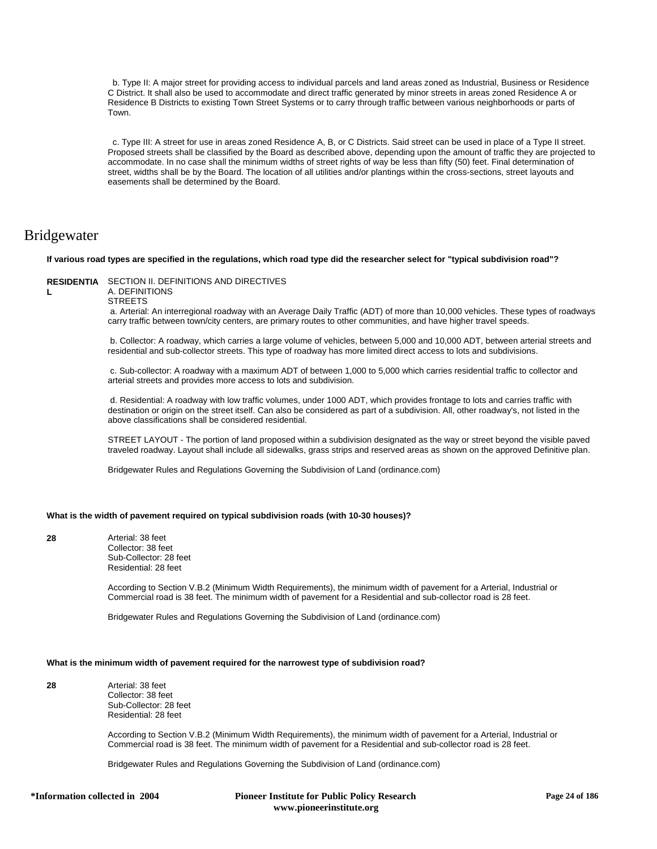b. Type II: A major street for providing access to individual parcels and land areas zoned as Industrial, Business or Residence C District. It shall also be used to accommodate and direct traffic generated by minor streets in areas zoned Residence A or Residence B Districts to existing Town Street Systems or to carry through traffic between various neighborhoods or parts of Town.

 c. Type III: A street for use in areas zoned Residence A, B, or C Districts. Said street can be used in place of a Type II street. Proposed streets shall be classified by the Board as described above, depending upon the amount of traffic they are projected to accommodate. In no case shall the minimum widths of street rights of way be less than fifty (50) feet. Final determination of street, widths shall be by the Board. The location of all utilities and/or plantings within the cross-sections, street layouts and easements shall be determined by the Board.

# Bridgewater

#### **If various road types are specified in the regulations, which road type did the researcher select for "typical subdivision road"?**

### **RESIDENTIA** SECTION II. DEFINITIONS AND DIRECTIVES

**L**

**STREETS** 

A. DEFINITIONS

 a. Arterial: An interregional roadway with an Average Daily Traffic (ADT) of more than 10,000 vehicles. These types of roadways carry traffic between town/city centers, are primary routes to other communities, and have higher travel speeds.

 b. Collector: A roadway, which carries a large volume of vehicles, between 5,000 and 10,000 ADT, between arterial streets and residential and sub-collector streets. This type of roadway has more limited direct access to lots and subdivisions.

 c. Sub-collector: A roadway with a maximum ADT of between 1,000 to 5,000 which carries residential traffic to collector and arterial streets and provides more access to lots and subdivision.

 d. Residential: A roadway with low traffic volumes, under 1000 ADT, which provides frontage to lots and carries traffic with destination or origin on the street itself. Can also be considered as part of a subdivision. All, other roadway's, not listed in the above classifications shall be considered residential.

STREET LAYOUT - The portion of land proposed within a subdivision designated as the way or street beyond the visible paved traveled roadway. Layout shall include all sidewalks, grass strips and reserved areas as shown on the approved Definitive plan.

Bridgewater Rules and Regulations Governing the Subdivision of Land (ordinance.com)

### **What is the width of pavement required on typical subdivision roads (with 10-30 houses)?**

**28** Arterial: 38 feet Collector: 38 feet Sub-Collector: 28 feet Residential: 28 feet

> According to Section V.B.2 (Minimum Width Requirements), the minimum width of pavement for a Arterial, Industrial or Commercial road is 38 feet. The minimum width of pavement for a Residential and sub-collector road is 28 feet.

Bridgewater Rules and Regulations Governing the Subdivision of Land (ordinance.com)

### **What is the minimum width of pavement required for the narrowest type of subdivision road?**

**28** Arterial: 38 feet Collector: 38 feet Sub-Collector: 28 feet Residential: 28 feet

> According to Section V.B.2 (Minimum Width Requirements), the minimum width of pavement for a Arterial, Industrial or Commercial road is 38 feet. The minimum width of pavement for a Residential and sub-collector road is 28 feet.

Bridgewater Rules and Regulations Governing the Subdivision of Land (ordinance.com)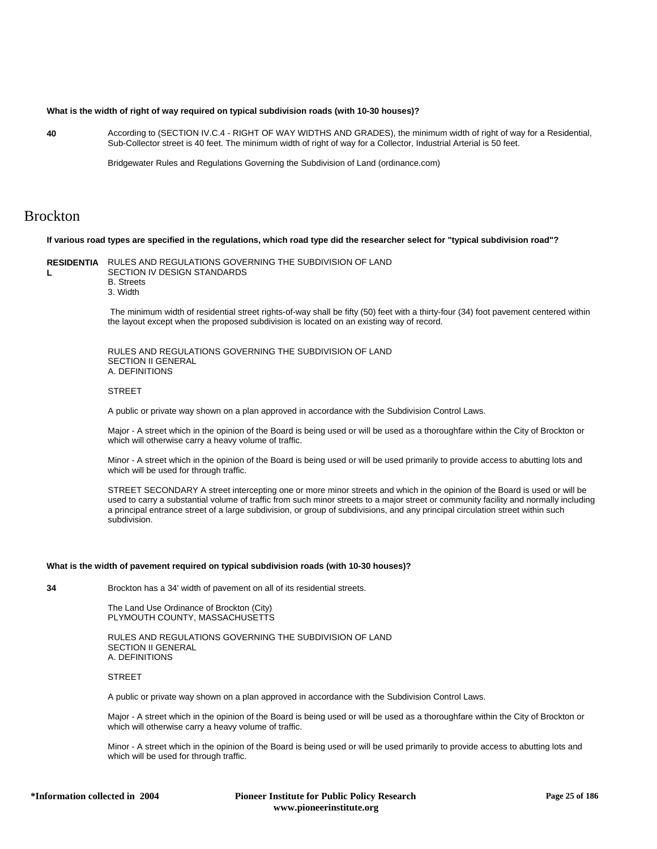### **What is the width of right of way required on typical subdivision roads (with 10-30 houses)?**

**40** According to (SECTION IV.C.4 - RIGHT OF WAY WIDTHS AND GRADES), the minimum width of right of way for a Residential, Sub-Collector street is 40 feet. The minimum width of right of way for a Collector, Industrial Arterial is 50 feet.

Bridgewater Rules and Regulations Governing the Subdivision of Land (ordinance.com)

# Brockton

### **If various road types are specified in the regulations, which road type did the researcher select for "typical subdivision road"?**

**RESIDENTIA** RULES AND REGULATIONS GOVERNING THE SUBDIVISION OF LAND **L** SECTION IV DESIGN STANDARDS B. Streets

3. Width

 The minimum width of residential street rights-of-way shall be fifty (50) feet with a thirty-four (34) foot pavement centered within the layout except when the proposed subdivision is located on an existing way of record.

RULES AND REGULATIONS GOVERNING THE SUBDIVISION OF LAND SECTION II GENERAL A. DEFINITIONS

#### **STREET**

A public or private way shown on a plan approved in accordance with the Subdivision Control Laws.

Major - A street which in the opinion of the Board is being used or will be used as a thoroughfare within the City of Brockton or which will otherwise carry a heavy volume of traffic.

Minor - A street which in the opinion of the Board is being used or will be used primarily to provide access to abutting lots and which will be used for through traffic.

STREET SECONDARY A street intercepting one or more minor streets and which in the opinion of the Board is used or will be used to carry a substantial volume of traffic from such minor streets to a major street or community facility and normally including a principal entrance street of a large subdivision, or group of subdivisions, and any principal circulation street within such subdivision.

### **What is the width of pavement required on typical subdivision roads (with 10-30 houses)?**

**34** Brockton has a 34' width of pavement on all of its residential streets.

The Land Use Ordinance of Brockton (City) PLYMOUTH COUNTY, MASSACHUSETTS

RULES AND REGULATIONS GOVERNING THE SUBDIVISION OF LAND SECTION II GENERAL A. DEFINITIONS

#### **STREET**

A public or private way shown on a plan approved in accordance with the Subdivision Control Laws.

Major - A street which in the opinion of the Board is being used or will be used as a thoroughfare within the City of Brockton or which will otherwise carry a heavy volume of traffic.

Minor - A street which in the opinion of the Board is being used or will be used primarily to provide access to abutting lots and which will be used for through traffic.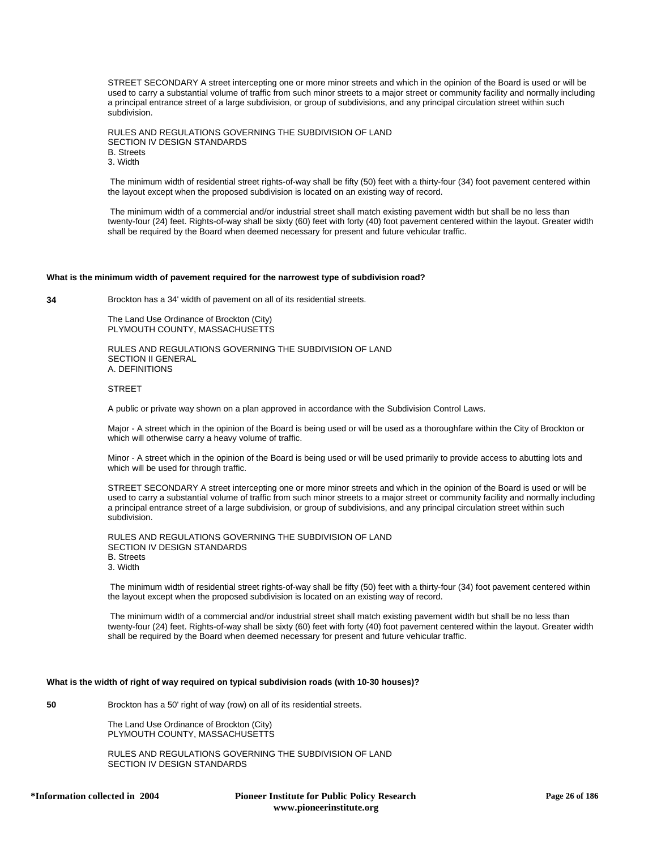STREET SECONDARY A street intercepting one or more minor streets and which in the opinion of the Board is used or will be used to carry a substantial volume of traffic from such minor streets to a major street or community facility and normally including a principal entrance street of a large subdivision, or group of subdivisions, and any principal circulation street within such subdivision.

RULES AND REGULATIONS GOVERNING THE SUBDIVISION OF LAND SECTION IV DESIGN STANDARDS B. Streets 3. Width

 The minimum width of residential street rights-of-way shall be fifty (50) feet with a thirty-four (34) foot pavement centered within the layout except when the proposed subdivision is located on an existing way of record.

 The minimum width of a commercial and/or industrial street shall match existing pavement width but shall be no less than twenty-four (24) feet. Rights-of-way shall be sixty (60) feet with forty (40) foot pavement centered within the layout. Greater width shall be required by the Board when deemed necessary for present and future vehicular traffic.

### **What is the minimum width of pavement required for the narrowest type of subdivision road?**

**34** Brockton has a 34' width of pavement on all of its residential streets.

The Land Use Ordinance of Brockton (City) PLYMOUTH COUNTY, MASSACHUSETTS

RULES AND REGULATIONS GOVERNING THE SUBDIVISION OF LAND SECTION II GENERAL A. DEFINITIONS

### **STREET**

A public or private way shown on a plan approved in accordance with the Subdivision Control Laws.

Major - A street which in the opinion of the Board is being used or will be used as a thoroughfare within the City of Brockton or which will otherwise carry a heavy volume of traffic.

Minor - A street which in the opinion of the Board is being used or will be used primarily to provide access to abutting lots and which will be used for through traffic.

STREET SECONDARY A street intercepting one or more minor streets and which in the opinion of the Board is used or will be used to carry a substantial volume of traffic from such minor streets to a major street or community facility and normally including a principal entrance street of a large subdivision, or group of subdivisions, and any principal circulation street within such subdivision.

RULES AND REGULATIONS GOVERNING THE SUBDIVISION OF LAND SECTION IV DESIGN STANDARDS B. Streets 3. Width

 The minimum width of residential street rights-of-way shall be fifty (50) feet with a thirty-four (34) foot pavement centered within the layout except when the proposed subdivision is located on an existing way of record.

 The minimum width of a commercial and/or industrial street shall match existing pavement width but shall be no less than twenty-four (24) feet. Rights-of-way shall be sixty (60) feet with forty (40) foot pavement centered within the layout. Greater width shall be required by the Board when deemed necessary for present and future vehicular traffic.

### **What is the width of right of way required on typical subdivision roads (with 10-30 houses)?**

**50** Brockton has a 50' right of way (row) on all of its residential streets.

The Land Use Ordinance of Brockton (City) PLYMOUTH COUNTY, MASSACHUSETTS

RULES AND REGULATIONS GOVERNING THE SUBDIVISION OF LAND SECTION IV DESIGN STANDARDS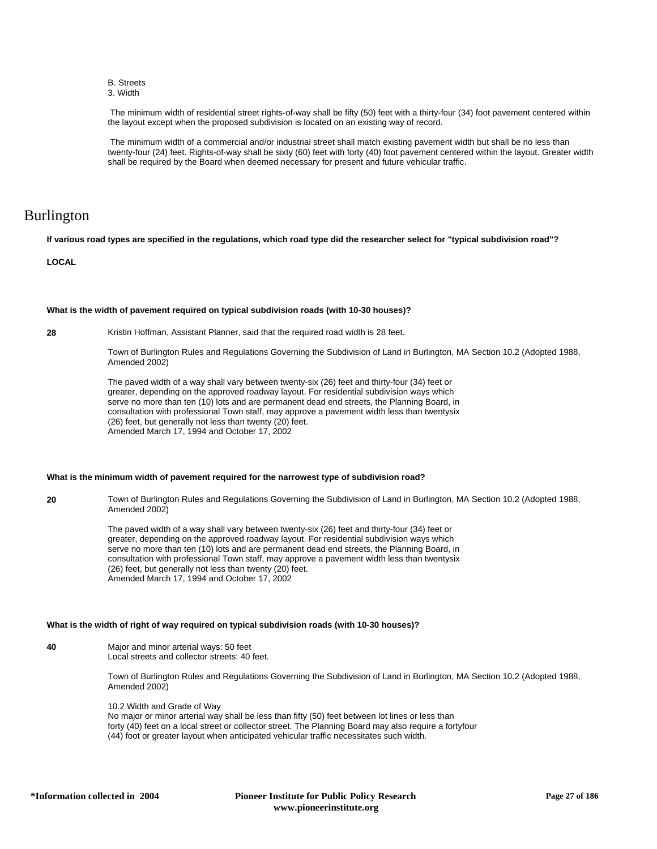- B. Streets
- 3. Width

 The minimum width of residential street rights-of-way shall be fifty (50) feet with a thirty-four (34) foot pavement centered within the layout except when the proposed subdivision is located on an existing way of record.

 The minimum width of a commercial and/or industrial street shall match existing pavement width but shall be no less than twenty-four (24) feet. Rights-of-way shall be sixty (60) feet with forty (40) foot pavement centered within the layout. Greater width shall be required by the Board when deemed necessary for present and future vehicular traffic.

# Burlington

**If various road types are specified in the regulations, which road type did the researcher select for "typical subdivision road"?**

### **LOCAL**

### **What is the width of pavement required on typical subdivision roads (with 10-30 houses)?**

**28** Kristin Hoffman, Assistant Planner, said that the required road width is 28 feet.

Town of Burlington Rules and Regulations Governing the Subdivision of Land in Burlington, MA Section 10.2 (Adopted 1988, Amended 2002)

The paved width of a way shall vary between twenty-six (26) feet and thirty-four (34) feet or greater, depending on the approved roadway layout. For residential subdivision ways which serve no more than ten (10) lots and are permanent dead end streets, the Planning Board, in consultation with professional Town staff, may approve a pavement width less than twentysix (26) feet, but generally not less than twenty (20) feet. Amended March 17, 1994 and October 17, 2002

### **What is the minimum width of pavement required for the narrowest type of subdivision road?**

**20** Town of Burlington Rules and Regulations Governing the Subdivision of Land in Burlington, MA Section 10.2 (Adopted 1988, Amended 2002)

> The paved width of a way shall vary between twenty-six (26) feet and thirty-four (34) feet or greater, depending on the approved roadway layout. For residential subdivision ways which serve no more than ten (10) lots and are permanent dead end streets, the Planning Board, in consultation with professional Town staff, may approve a pavement width less than twentysix (26) feet, but generally not less than twenty (20) feet. Amended March 17, 1994 and October 17, 2002

### **What is the width of right of way required on typical subdivision roads (with 10-30 houses)?**

**40** Major and minor arterial ways: 50 feet Local streets and collector streets: 40 feet.

> Town of Burlington Rules and Regulations Governing the Subdivision of Land in Burlington, MA Section 10.2 (Adopted 1988, Amended 2002)

10.2 Width and Grade of Way No major or minor arterial way shall be less than fifty (50) feet between lot lines or less than forty (40) feet on a local street or collector street. The Planning Board may also require a fortyfour (44) foot or greater layout when anticipated vehicular traffic necessitates such width.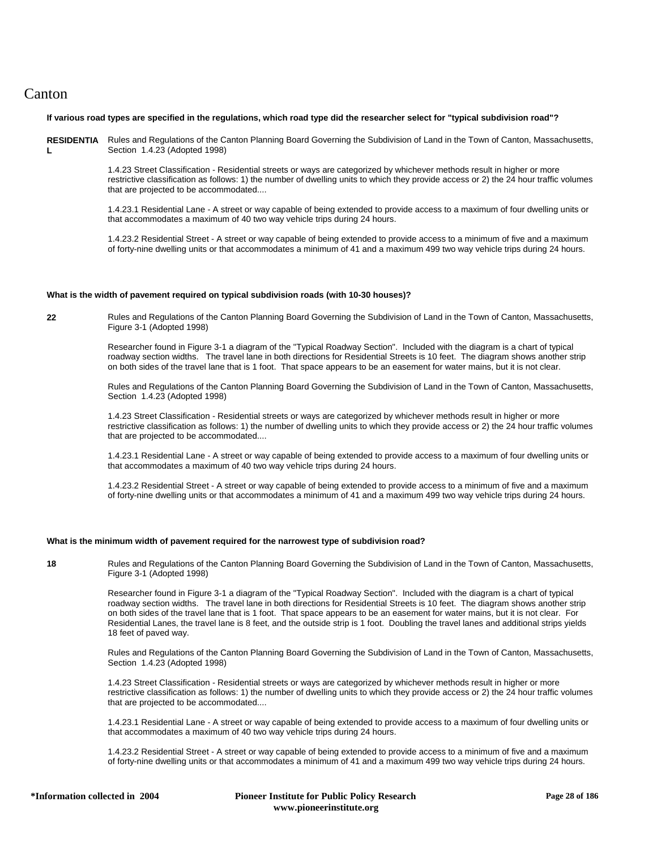# Canton

### **If various road types are specified in the regulations, which road type did the researcher select for "typical subdivision road"?**

RESIDENTIA Rules and Regulations of the Canton Planning Board Governing the Subdivision of Land in the Town of Canton, Massachusetts, **L** Section 1.4.23 (Adopted 1998)

> 1.4.23 Street Classification - Residential streets or ways are categorized by whichever methods result in higher or more restrictive classification as follows: 1) the number of dwelling units to which they provide access or 2) the 24 hour traffic volumes that are projected to be accommodated....

> 1.4.23.1 Residential Lane - A street or way capable of being extended to provide access to a maximum of four dwelling units or that accommodates a maximum of 40 two way vehicle trips during 24 hours.

> 1.4.23.2 Residential Street - A street or way capable of being extended to provide access to a minimum of five and a maximum of forty-nine dwelling units or that accommodates a minimum of 41 and a maximum 499 two way vehicle trips during 24 hours.

### **What is the width of pavement required on typical subdivision roads (with 10-30 houses)?**

**22** Rules and Regulations of the Canton Planning Board Governing the Subdivision of Land in the Town of Canton, Massachusetts, Figure 3-1 (Adopted 1998)

> Researcher found in Figure 3-1 a diagram of the "Typical Roadway Section". Included with the diagram is a chart of typical roadway section widths. The travel lane in both directions for Residential Streets is 10 feet. The diagram shows another strip on both sides of the travel lane that is 1 foot. That space appears to be an easement for water mains, but it is not clear.

Rules and Regulations of the Canton Planning Board Governing the Subdivision of Land in the Town of Canton, Massachusetts, Section 1.4.23 (Adopted 1998)

1.4.23 Street Classification - Residential streets or ways are categorized by whichever methods result in higher or more restrictive classification as follows: 1) the number of dwelling units to which they provide access or 2) the 24 hour traffic volumes that are projected to be accommodated....

1.4.23.1 Residential Lane - A street or way capable of being extended to provide access to a maximum of four dwelling units or that accommodates a maximum of 40 two way vehicle trips during 24 hours.

1.4.23.2 Residential Street - A street or way capable of being extended to provide access to a minimum of five and a maximum of forty-nine dwelling units or that accommodates a minimum of 41 and a maximum 499 two way vehicle trips during 24 hours.

### **What is the minimum width of pavement required for the narrowest type of subdivision road?**

**18** Rules and Regulations of the Canton Planning Board Governing the Subdivision of Land in the Town of Canton, Massachusetts, Figure 3-1 (Adopted 1998)

> Researcher found in Figure 3-1 a diagram of the "Typical Roadway Section". Included with the diagram is a chart of typical roadway section widths. The travel lane in both directions for Residential Streets is 10 feet. The diagram shows another strip on both sides of the travel lane that is 1 foot. That space appears to be an easement for water mains, but it is not clear. For Residential Lanes, the travel lane is 8 feet, and the outside strip is 1 foot. Doubling the travel lanes and additional strips yields 18 feet of paved way.

Rules and Regulations of the Canton Planning Board Governing the Subdivision of Land in the Town of Canton, Massachusetts, Section 1.4.23 (Adopted 1998)

1.4.23 Street Classification - Residential streets or ways are categorized by whichever methods result in higher or more restrictive classification as follows: 1) the number of dwelling units to which they provide access or 2) the 24 hour traffic volumes that are projected to be accommodated....

1.4.23.1 Residential Lane - A street or way capable of being extended to provide access to a maximum of four dwelling units or that accommodates a maximum of 40 two way vehicle trips during 24 hours.

1.4.23.2 Residential Street - A street or way capable of being extended to provide access to a minimum of five and a maximum of forty-nine dwelling units or that accommodates a minimum of 41 and a maximum 499 two way vehicle trips during 24 hours.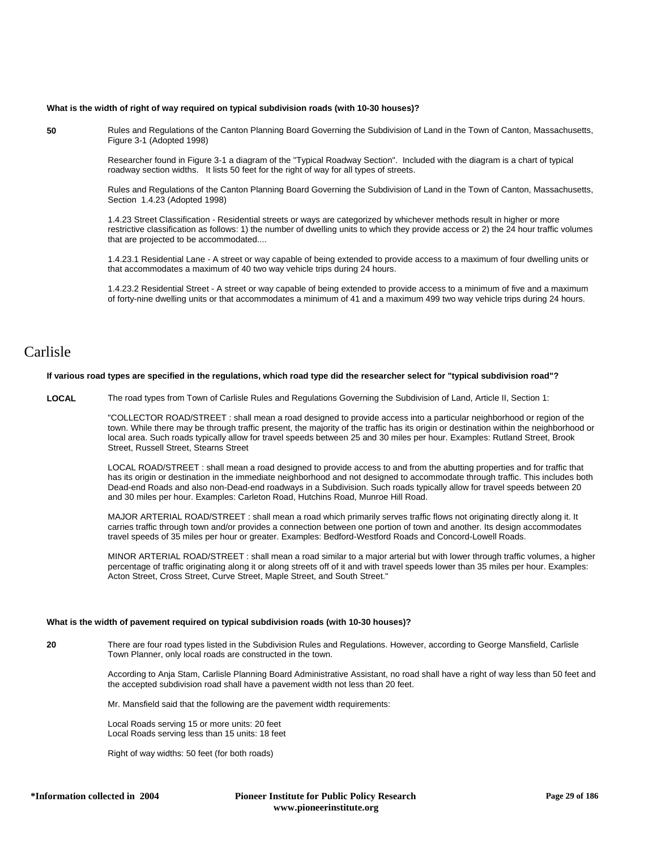#### **What is the width of right of way required on typical subdivision roads (with 10-30 houses)?**

**50** Rules and Regulations of the Canton Planning Board Governing the Subdivision of Land in the Town of Canton, Massachusetts, Figure 3-1 (Adopted 1998)

> Researcher found in Figure 3-1 a diagram of the "Typical Roadway Section". Included with the diagram is a chart of typical roadway section widths. It lists 50 feet for the right of way for all types of streets.

Rules and Regulations of the Canton Planning Board Governing the Subdivision of Land in the Town of Canton, Massachusetts, Section 1.4.23 (Adopted 1998)

1.4.23 Street Classification - Residential streets or ways are categorized by whichever methods result in higher or more restrictive classification as follows: 1) the number of dwelling units to which they provide access or 2) the 24 hour traffic volumes that are projected to be accommodated....

1.4.23.1 Residential Lane - A street or way capable of being extended to provide access to a maximum of four dwelling units or that accommodates a maximum of 40 two way vehicle trips during 24 hours.

1.4.23.2 Residential Street - A street or way capable of being extended to provide access to a minimum of five and a maximum of forty-nine dwelling units or that accommodates a minimum of 41 and a maximum 499 two way vehicle trips during 24 hours.

# Carlisle

### **If various road types are specified in the regulations, which road type did the researcher select for "typical subdivision road"?**

**LOCAL** The road types from Town of Carlisle Rules and Regulations Governing the Subdivision of Land, Article II, Section 1:

"COLLECTOR ROAD/STREET : shall mean a road designed to provide access into a particular neighborhood or region of the town. While there may be through traffic present, the majority of the traffic has its origin or destination within the neighborhood or local area. Such roads typically allow for travel speeds between 25 and 30 miles per hour. Examples: Rutland Street, Brook Street, Russell Street, Stearns Street

LOCAL ROAD/STREET : shall mean a road designed to provide access to and from the abutting properties and for traffic that has its origin or destination in the immediate neighborhood and not designed to accommodate through traffic. This includes both Dead-end Roads and also non-Dead-end roadways in a Subdivision. Such roads typically allow for travel speeds between 20 and 30 miles per hour. Examples: Carleton Road, Hutchins Road, Munroe Hill Road.

MAJOR ARTERIAL ROAD/STREET : shall mean a road which primarily serves traffic flows not originating directly along it. It carries traffic through town and/or provides a connection between one portion of town and another. Its design accommodates travel speeds of 35 miles per hour or greater. Examples: Bedford-Westford Roads and Concord-Lowell Roads.

MINOR ARTERIAL ROAD/STREET : shall mean a road similar to a major arterial but with lower through traffic volumes, a higher percentage of traffic originating along it or along streets off of it and with travel speeds lower than 35 miles per hour. Examples: Acton Street, Cross Street, Curve Street, Maple Street, and South Street."

### **What is the width of pavement required on typical subdivision roads (with 10-30 houses)?**

**20** There are four road types listed in the Subdivision Rules and Regulations. However, according to George Mansfield, Carlisle Town Planner, only local roads are constructed in the town.

> According to Anja Stam, Carlisle Planning Board Administrative Assistant, no road shall have a right of way less than 50 feet and the accepted subdivision road shall have a pavement width not less than 20 feet.

Mr. Mansfield said that the following are the pavement width requirements:

Local Roads serving 15 or more units: 20 feet Local Roads serving less than 15 units: 18 feet

Right of way widths: 50 feet (for both roads)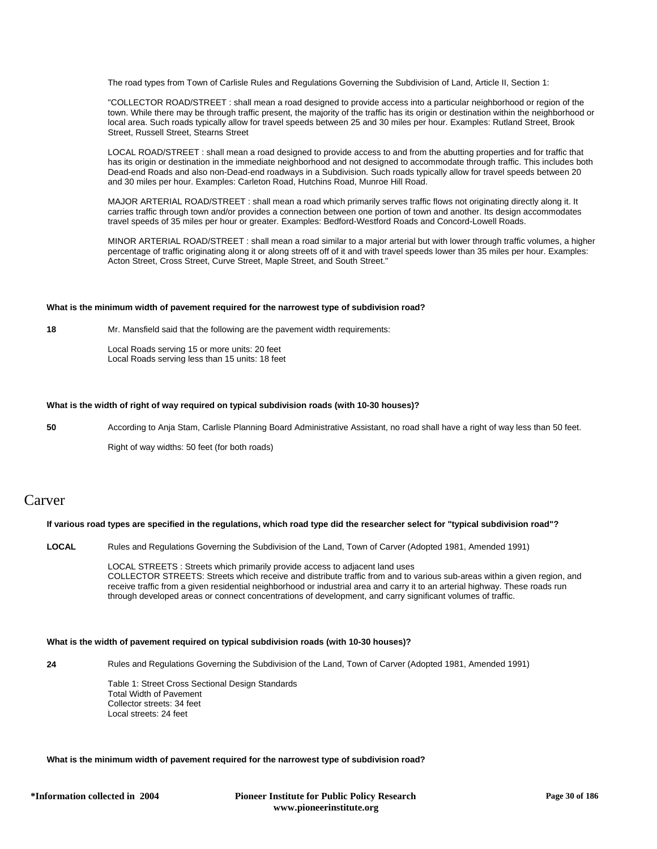The road types from Town of Carlisle Rules and Regulations Governing the Subdivision of Land, Article II, Section 1:

"COLLECTOR ROAD/STREET : shall mean a road designed to provide access into a particular neighborhood or region of the town. While there may be through traffic present, the majority of the traffic has its origin or destination within the neighborhood or local area. Such roads typically allow for travel speeds between 25 and 30 miles per hour. Examples: Rutland Street, Brook Street, Russell Street, Stearns Street

LOCAL ROAD/STREET : shall mean a road designed to provide access to and from the abutting properties and for traffic that has its origin or destination in the immediate neighborhood and not designed to accommodate through traffic. This includes both Dead-end Roads and also non-Dead-end roadways in a Subdivision. Such roads typically allow for travel speeds between 20 and 30 miles per hour. Examples: Carleton Road, Hutchins Road, Munroe Hill Road.

MAJOR ARTERIAL ROAD/STREET : shall mean a road which primarily serves traffic flows not originating directly along it. It carries traffic through town and/or provides a connection between one portion of town and another. Its design accommodates travel speeds of 35 miles per hour or greater. Examples: Bedford-Westford Roads and Concord-Lowell Roads.

MINOR ARTERIAL ROAD/STREET : shall mean a road similar to a major arterial but with lower through traffic volumes, a higher percentage of traffic originating along it or along streets off of it and with travel speeds lower than 35 miles per hour. Examples: Acton Street, Cross Street, Curve Street, Maple Street, and South Street."

### **What is the minimum width of pavement required for the narrowest type of subdivision road?**

**18** Mr. Mansfield said that the following are the pavement width requirements:

Local Roads serving 15 or more units: 20 feet Local Roads serving less than 15 units: 18 feet

### **What is the width of right of way required on typical subdivision roads (with 10-30 houses)?**

**50** According to Anja Stam, Carlisle Planning Board Administrative Assistant, no road shall have a right of way less than 50 feet.

Right of way widths: 50 feet (for both roads)

# Carver

### **If various road types are specified in the regulations, which road type did the researcher select for "typical subdivision road"?**

**LOCAL** Rules and Regulations Governing the Subdivision of the Land, Town of Carver (Adopted 1981, Amended 1991)

LOCAL STREETS : Streets which primarily provide access to adjacent land uses COLLECTOR STREETS: Streets which receive and distribute traffic from and to various sub-areas within a given region, and receive traffic from a given residential neighborhood or industrial area and carry it to an arterial highway. These roads run through developed areas or connect concentrations of development, and carry significant volumes of traffic.

### **What is the width of pavement required on typical subdivision roads (with 10-30 houses)?**

**24** Rules and Regulations Governing the Subdivision of the Land, Town of Carver (Adopted 1981, Amended 1991)

Table 1: Street Cross Sectional Design Standards Total Width of Pavement Collector streets: 34 feet Local streets: 24 feet

### **What is the minimum width of pavement required for the narrowest type of subdivision road?**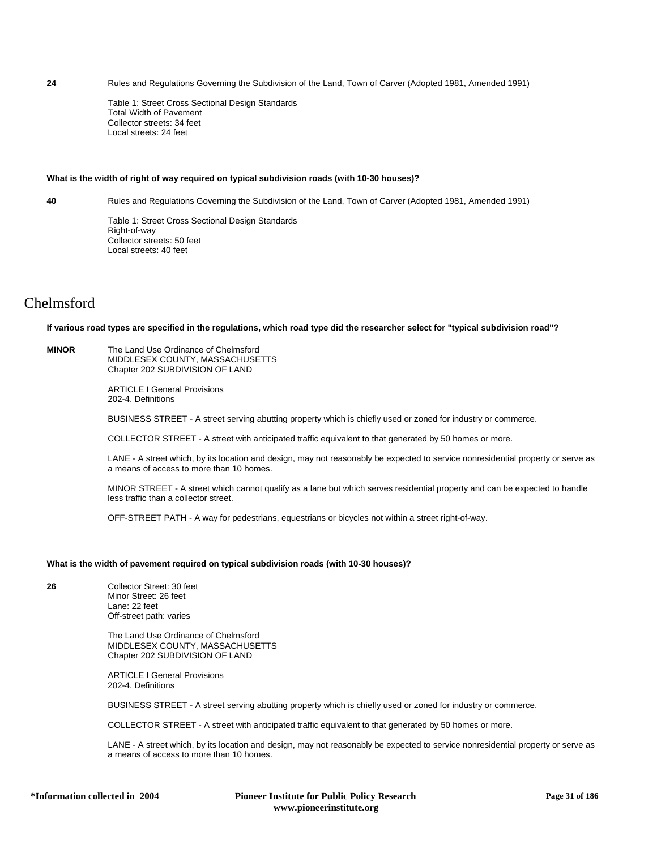**24** Rules and Regulations Governing the Subdivision of the Land, Town of Carver (Adopted 1981, Amended 1991)

Table 1: Street Cross Sectional Design Standards Total Width of Pavement Collector streets: 34 feet Local streets: 24 feet

### **What is the width of right of way required on typical subdivision roads (with 10-30 houses)?**

**40** Rules and Regulations Governing the Subdivision of the Land, Town of Carver (Adopted 1981, Amended 1991)

Table 1: Street Cross Sectional Design Standards Right-of-way Collector streets: 50 feet Local streets: 40 feet

# Chelmsford

#### **If various road types are specified in the regulations, which road type did the researcher select for "typical subdivision road"?**

**MINOR** The Land Use Ordinance of Chelmsford MIDDLESEX COUNTY, MASSACHUSETTS Chapter 202 SUBDIVISION OF LAND

> ARTICLE I General Provisions 202-4. Definitions

BUSINESS STREET - A street serving abutting property which is chiefly used or zoned for industry or commerce.

COLLECTOR STREET - A street with anticipated traffic equivalent to that generated by 50 homes or more.

LANE - A street which, by its location and design, may not reasonably be expected to service nonresidential property or serve as a means of access to more than 10 homes.

MINOR STREET - A street which cannot qualify as a lane but which serves residential property and can be expected to handle less traffic than a collector street.

OFF-STREET PATH - A way for pedestrians, equestrians or bicycles not within a street right-of-way.

#### **What is the width of pavement required on typical subdivision roads (with 10-30 houses)?**

**26** Collector Street: 30 feet Minor Street: 26 feet

Lane: 22 feet Off-street path: varies

The Land Use Ordinance of Chelmsford MIDDLESEX COUNTY, MASSACHUSETTS Chapter 202 SUBDIVISION OF LAND

ARTICLE I General Provisions 202-4. Definitions

BUSINESS STREET - A street serving abutting property which is chiefly used or zoned for industry or commerce.

COLLECTOR STREET - A street with anticipated traffic equivalent to that generated by 50 homes or more.

LANE - A street which, by its location and design, may not reasonably be expected to service nonresidential property or serve as a means of access to more than 10 homes.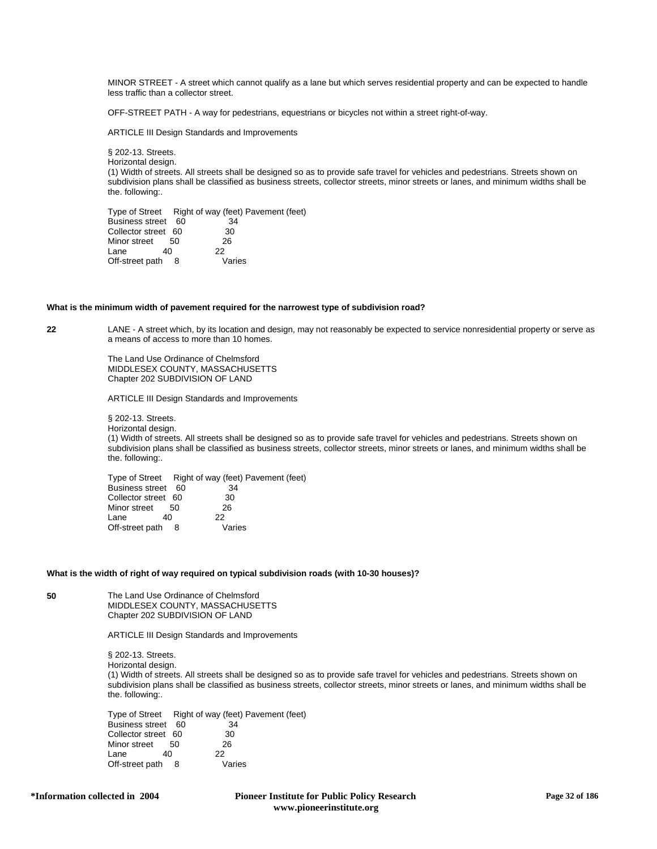MINOR STREET - A street which cannot qualify as a lane but which serves residential property and can be expected to handle less traffic than a collector street.

OFF-STREET PATH - A way for pedestrians, equestrians or bicycles not within a street right-of-way.

ARTICLE III Design Standards and Improvements

§ 202-13. Streets. Horizontal design. (1) Width of streets. All streets shall be designed so as to provide safe travel for vehicles and pedestrians. Streets shown on subdivision plans shall be classified as business streets, collector streets, minor streets or lanes, and minimum widths shall be the. following:.

Type of Street Right of way (feet) Pavement (feet)<br>Business street 60 34 Business street 60 Collector street 60 30<br>Minor street 50 26 Minor street 50 2<br>
Lane 40 22  $L$ ane Off-street path 8 Varies

#### **What is the minimum width of pavement required for the narrowest type of subdivision road?**

**22** LANE - A street which, by its location and design, may not reasonably be expected to service nonresidential property or serve as a means of access to more than 10 homes.

> The Land Use Ordinance of Chelmsford MIDDLESEX COUNTY, MASSACHUSETTS Chapter 202 SUBDIVISION OF LAND

ARTICLE III Design Standards and Improvements

§ 202-13. Streets. Horizontal design.

(1) Width of streets. All streets shall be designed so as to provide safe travel for vehicles and pedestrians. Streets shown on subdivision plans shall be classified as business streets, collector streets, minor streets or lanes, and minimum widths shall be the. following:.

Type of Street Right of way (feet) Pavement (feet)<br>Business street 60 34 Business street 60 Collector street 60 30<br>Minor street 50 26 Minor street Lane 40 22 Off-street path 8 Varies

#### **What is the width of right of way required on typical subdivision roads (with 10-30 houses)?**

**50** The Land Use Ordinance of Chelmsford MIDDLESEX COUNTY, MASSACHUSETTS Chapter 202 SUBDIVISION OF LAND

ARTICLE III Design Standards and Improvements

§ 202-13. Streets. Horizontal design. (1) Width of streets. All streets shall be designed so as to provide safe travel for vehicles and pedestrians. Streets shown on subdivision plans shall be classified as business streets, collector streets, minor streets or lanes, and minimum widths shall be the. following:.

Type of Street Right of way (feet) Pavement (feet)<br>Business street 60 34 Business street 60 Collector street 60 30<br>Minor street 50 26 Minor street 50 2<br>Lane 40 22  $Lane$  40 Off-street path 8 Varies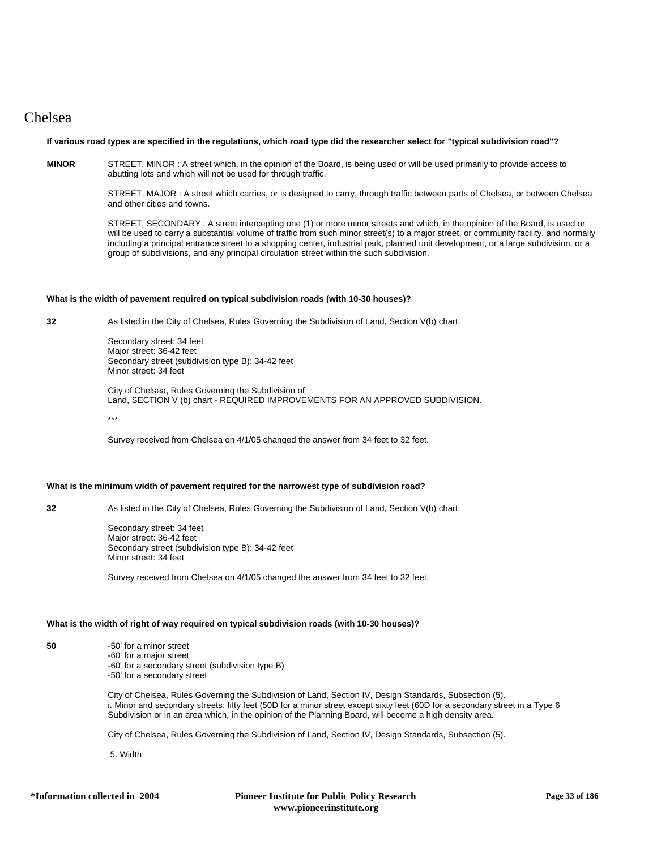# Chelsea

### **If various road types are specified in the regulations, which road type did the researcher select for "typical subdivision road"?**

**MINOR** STREET, MINOR : A street which, in the opinion of the Board, is being used or will be used primarily to provide access to abutting lots and which will not be used for through traffic.

> STREET, MAJOR : A street which carries, or is designed to carry, through traffic between parts of Chelsea, or between Chelsea and other cities and towns.

> STREET, SECONDARY : A street intercepting one (1) or more minor streets and which, in the opinion of the Board, is used or will be used to carry a substantial volume of traffic from such minor street(s) to a major street, or community facility, and normally including a principal entrance street to a shopping center, industrial park, planned unit development, or a large subdivision, or a group of subdivisions, and any principal circulation street within the such subdivision.

### **What is the width of pavement required on typical subdivision roads (with 10-30 houses)?**

**32** As listed in the City of Chelsea, Rules Governing the Subdivision of Land, Section V(b) chart.

Secondary street: 34 feet Major street: 36-42 feet Secondary street (subdivision type B): 34-42 feet Minor street: 34 feet

City of Chelsea, Rules Governing the Subdivision of Land, SECTION V (b) chart - REQUIRED IMPROVEMENTS FOR AN APPROVED SUBDIVISION.

\*\*\*

Survey received from Chelsea on 4/1/05 changed the answer from 34 feet to 32 feet.

### **What is the minimum width of pavement required for the narrowest type of subdivision road?**

**32** As listed in the City of Chelsea, Rules Governing the Subdivision of Land, Section V(b) chart.

Secondary street: 34 feet Major street: 36-42 feet Secondary street (subdivision type B): 34-42 feet Minor street: 34 feet

Survey received from Chelsea on 4/1/05 changed the answer from 34 feet to 32 feet.

### **What is the width of right of way required on typical subdivision roads (with 10-30 houses)?**

**50** -50' for a minor street -60' for a major street -60' for a secondary street (subdivision type B) -50' for a secondary street

> City of Chelsea, Rules Governing the Subdivision of Land, Section IV, Design Standards, Subsection (5). i. Minor and secondary streets: fifty feet (50D for a minor street except sixty feet (60D for a secondary street in a Type 6 Subdivision or in an area which, in the opinion of the Planning Board, will become a high density area.

City of Chelsea, Rules Governing the Subdivision of Land, Section IV, Design Standards, Subsection (5).

5. Width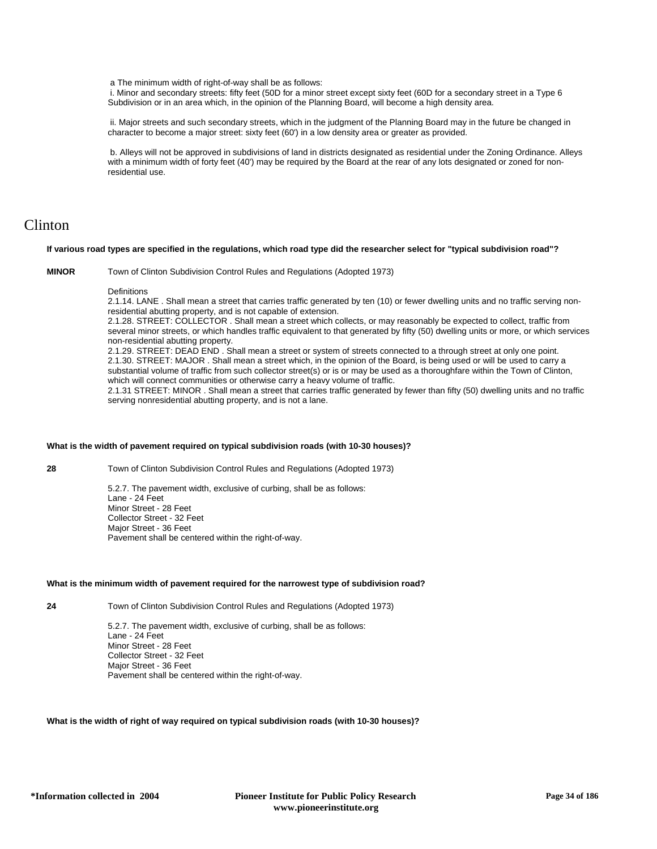a The minimum width of right-of-way shall be as follows:

 i. Minor and secondary streets: fifty feet (50D for a minor street except sixty feet (60D for a secondary street in a Type 6 Subdivision or in an area which, in the opinion of the Planning Board, will become a high density area.

 ii. Major streets and such secondary streets, which in the judgment of the Planning Board may in the future be changed in character to become a major street: sixty feet (60') in a low density area or greater as provided.

 b. Alleys will not be approved in subdivisions of land in districts designated as residential under the Zoning Ordinance. Alleys with a minimum width of forty feet (40') may be required by the Board at the rear of any lots designated or zoned for nonresidential use.

# Clinton

### **If various road types are specified in the regulations, which road type did the researcher select for "typical subdivision road"?**

**MINOR** Town of Clinton Subdivision Control Rules and Regulations (Adopted 1973)

#### **Definitions**

2.1.14. LANE . Shall mean a street that carries traffic generated by ten (10) or fewer dwelling units and no traffic serving nonresidential abutting property, and is not capable of extension.

2.1.28. STREET: COLLECTOR . Shall mean a street which collects, or may reasonably be expected to collect, traffic from several minor streets, or which handles traffic equivalent to that generated by fifty (50) dwelling units or more, or which services non-residential abutting property.

2.1.29. STREET: DEAD END . Shall mean a street or system of streets connected to a through street at only one point. 2.1.30. STREET: MAJOR . Shall mean a street which, in the opinion of the Board, is being used or will be used to carry a substantial volume of traffic from such collector street(s) or is or may be used as a thoroughfare within the Town of Clinton, which will connect communities or otherwise carry a heavy volume of traffic.

2.1.31 STREET: MINOR . Shall mean a street that carries traffic generated by fewer than fifty (50) dwelling units and no traffic serving nonresidential abutting property, and is not a lane.

### **What is the width of pavement required on typical subdivision roads (with 10-30 houses)?**

**28** Town of Clinton Subdivision Control Rules and Regulations (Adopted 1973)

5.2.7. The pavement width, exclusive of curbing, shall be as follows: Lane - 24 Feet Minor Street - 28 Feet Collector Street - 32 Feet Major Street - 36 Feet Pavement shall be centered within the right-of-way.

### **What is the minimum width of pavement required for the narrowest type of subdivision road?**

**24** Town of Clinton Subdivision Control Rules and Regulations (Adopted 1973)

5.2.7. The pavement width, exclusive of curbing, shall be as follows: Lane - 24 Feet Minor Street - 28 Feet Collector Street - 32 Feet Major Street - 36 Feet Pavement shall be centered within the right-of-way.

### **What is the width of right of way required on typical subdivision roads (with 10-30 houses)?**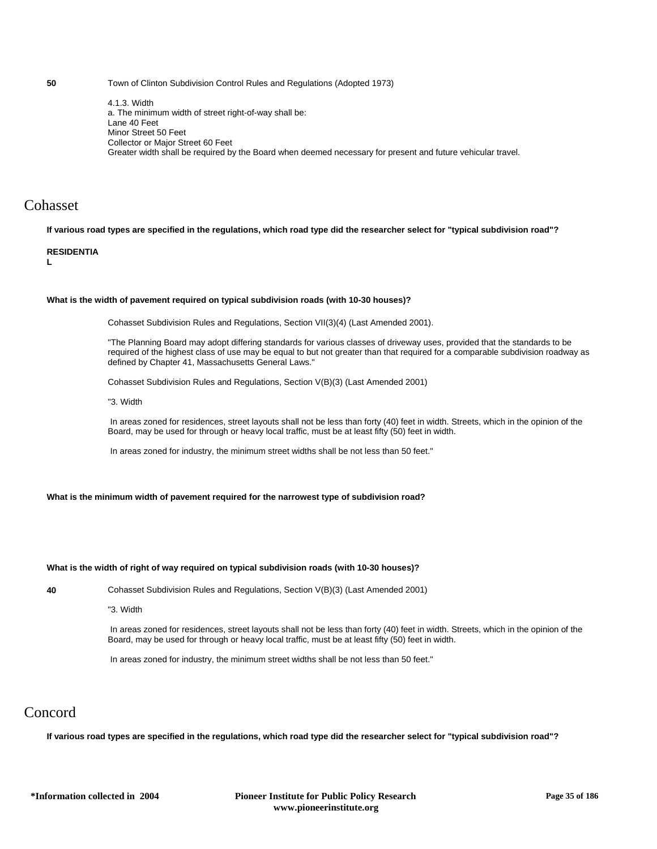**50** Town of Clinton Subdivision Control Rules and Regulations (Adopted 1973)

4.1.3. Width a. The minimum width of street right-of-way shall be: Lane 40 Feet Minor Street 50 Feet Collector or Major Street 60 Feet Greater width shall be required by the Board when deemed necessary for present and future vehicular travel.

# Cohasset

**If various road types are specified in the regulations, which road type did the researcher select for "typical subdivision road"?**

### **RESIDENTIA**

**L**

### **What is the width of pavement required on typical subdivision roads (with 10-30 houses)?**

Cohasset Subdivision Rules and Regulations, Section VII(3)(4) (Last Amended 2001).

"The Planning Board may adopt differing standards for various classes of driveway uses, provided that the standards to be required of the highest class of use may be equal to but not greater than that required for a comparable subdivision roadway as defined by Chapter 41, Massachusetts General Laws."

Cohasset Subdivision Rules and Regulations, Section V(B)(3) (Last Amended 2001)

"3. Width

 In areas zoned for residences, street layouts shall not be less than forty (40) feet in width. Streets, which in the opinion of the Board, may be used for through or heavy local traffic, must be at least fifty (50) feet in width.

In areas zoned for industry, the minimum street widths shall be not less than 50 feet."

**What is the minimum width of pavement required for the narrowest type of subdivision road?**

### **What is the width of right of way required on typical subdivision roads (with 10-30 houses)?**

**40** Cohasset Subdivision Rules and Regulations, Section V(B)(3) (Last Amended 2001)

"3. Width

 In areas zoned for residences, street layouts shall not be less than forty (40) feet in width. Streets, which in the opinion of the Board, may be used for through or heavy local traffic, must be at least fifty (50) feet in width.

In areas zoned for industry, the minimum street widths shall be not less than 50 feet."

# Concord

**If various road types are specified in the regulations, which road type did the researcher select for "typical subdivision road"?**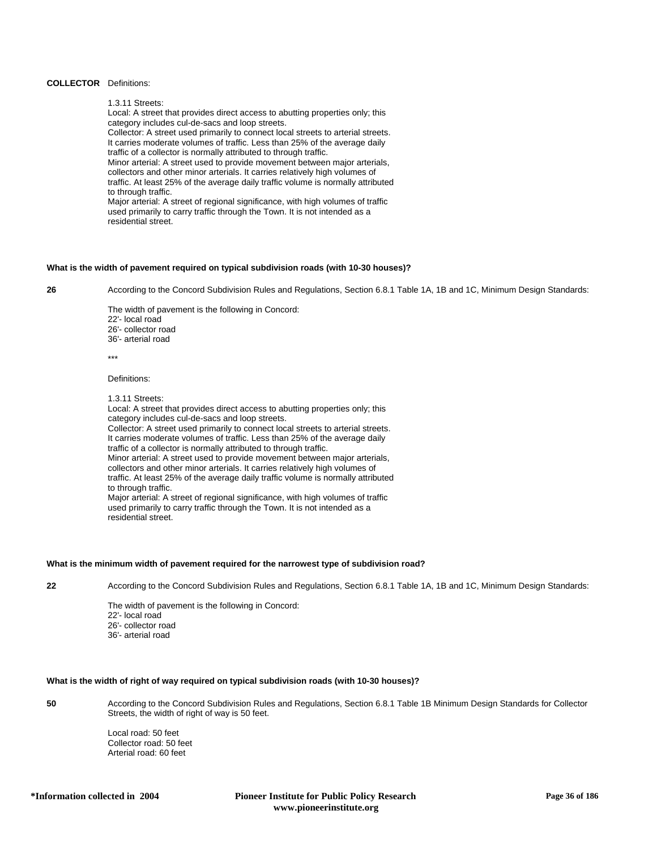### **COLLECTOR** Definitions:

1.3.11 Streets:

Local: A street that provides direct access to abutting properties only; this category includes cul-de-sacs and loop streets. Collector: A street used primarily to connect local streets to arterial streets. It carries moderate volumes of traffic. Less than 25% of the average daily traffic of a collector is normally attributed to through traffic. Minor arterial: A street used to provide movement between major arterials, collectors and other minor arterials. It carries relatively high volumes of traffic. At least 25% of the average daily traffic volume is normally attributed to through traffic. Major arterial: A street of regional significance, with high volumes of traffic used primarily to carry traffic through the Town. It is not intended as a residential street.

### **What is the width of pavement required on typical subdivision roads (with 10-30 houses)?**

**26** According to the Concord Subdivision Rules and Regulations, Section 6.8.1 Table 1A, 1B and 1C, Minimum Design Standards:

The width of pavement is the following in Concord: 22'- local road 26'- collector road 36'- arterial road

\*\*\*

Definitions:

1.3.11 Streets:

Local: A street that provides direct access to abutting properties only; this category includes cul-de-sacs and loop streets. Collector: A street used primarily to connect local streets to arterial streets. It carries moderate volumes of traffic. Less than 25% of the average daily traffic of a collector is normally attributed to through traffic. Minor arterial: A street used to provide movement between major arterials, collectors and other minor arterials. It carries relatively high volumes of traffic. At least 25% of the average daily traffic volume is normally attributed to through traffic. Major arterial: A street of regional significance, with high volumes of traffic used primarily to carry traffic through the Town. It is not intended as a residential street.

### **What is the minimum width of pavement required for the narrowest type of subdivision road?**

**22** According to the Concord Subdivision Rules and Regulations, Section 6.8.1 Table 1A, 1B and 1C, Minimum Design Standards:

The width of pavement is the following in Concord:

- 22'- local road
- 26'- collector road 36'- arterial road
- 

# **What is the width of right of way required on typical subdivision roads (with 10-30 houses)?**

**50** According to the Concord Subdivision Rules and Regulations, Section 6.8.1 Table 1B Minimum Design Standards for Collector Streets, the width of right of way is 50 feet.

> Local road: 50 feet Collector road: 50 feet Arterial road: 60 feet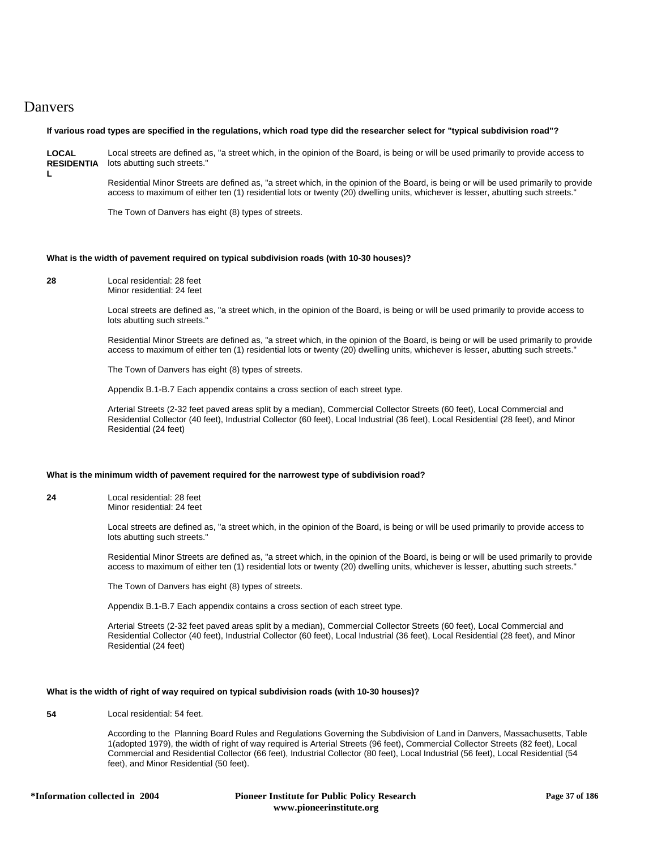# Danvers

# **If various road types are specified in the regulations, which road type did the researcher select for "typical subdivision road"?**

**LOCAL RESIDENTIA** lots abutting such streets." **L** Local streets are defined as, "a street which, in the opinion of the Board, is being or will be used primarily to provide access to

> Residential Minor Streets are defined as, "a street which, in the opinion of the Board, is being or will be used primarily to provide access to maximum of either ten (1) residential lots or twenty (20) dwelling units, whichever is lesser, abutting such streets."

The Town of Danvers has eight (8) types of streets.

# **What is the width of pavement required on typical subdivision roads (with 10-30 houses)?**

**28** Local residential: 28 feet Minor residential: 24 feet

> Local streets are defined as, "a street which, in the opinion of the Board, is being or will be used primarily to provide access to lots abutting such streets."

Residential Minor Streets are defined as, "a street which, in the opinion of the Board, is being or will be used primarily to provide access to maximum of either ten (1) residential lots or twenty (20) dwelling units, whichever is lesser, abutting such streets."

The Town of Danvers has eight (8) types of streets.

Appendix B.1-B.7 Each appendix contains a cross section of each street type.

Arterial Streets (2-32 feet paved areas split by a median), Commercial Collector Streets (60 feet), Local Commercial and Residential Collector (40 feet), Industrial Collector (60 feet), Local Industrial (36 feet), Local Residential (28 feet), and Minor Residential (24 feet)

# **What is the minimum width of pavement required for the narrowest type of subdivision road?**

**24** Local residential: 28 feet Minor residential: 24 feet

> Local streets are defined as, "a street which, in the opinion of the Board, is being or will be used primarily to provide access to lots abutting such streets."

Residential Minor Streets are defined as, "a street which, in the opinion of the Board, is being or will be used primarily to provide access to maximum of either ten (1) residential lots or twenty (20) dwelling units, whichever is lesser, abutting such streets."

The Town of Danvers has eight (8) types of streets.

Appendix B.1-B.7 Each appendix contains a cross section of each street type.

Arterial Streets (2-32 feet paved areas split by a median), Commercial Collector Streets (60 feet), Local Commercial and Residential Collector (40 feet), Industrial Collector (60 feet), Local Industrial (36 feet), Local Residential (28 feet), and Minor Residential (24 feet)

# **What is the width of right of way required on typical subdivision roads (with 10-30 houses)?**

**54** Local residential: 54 feet.

According to the Planning Board Rules and Regulations Governing the Subdivision of Land in Danvers, Massachusetts, Table 1(adopted 1979), the width of right of way required is Arterial Streets (96 feet), Commercial Collector Streets (82 feet), Local Commercial and Residential Collector (66 feet), Industrial Collector (80 feet), Local Industrial (56 feet), Local Residential (54 feet), and Minor Residential (50 feet).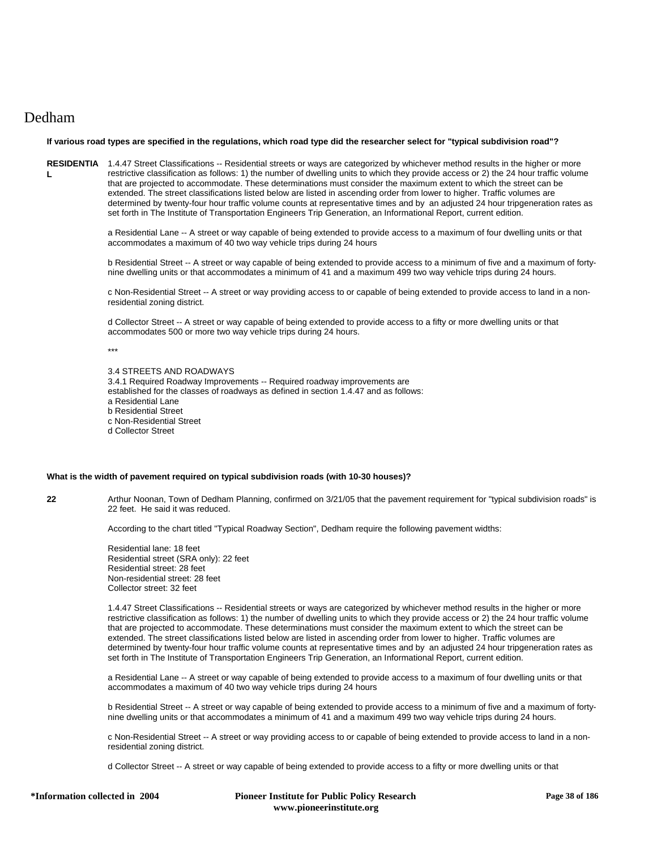# Dedham

# **If various road types are specified in the regulations, which road type did the researcher select for "typical subdivision road"?**

RESIDENTIA 1.4.47 Street Classifications -- Residential streets or ways are categorized by whichever method results in the higher or more **L** restrictive classification as follows: 1) the number of dwelling units to which they provide access or 2) the 24 hour traffic volume that are projected to accommodate. These determinations must consider the maximum extent to which the street can be extended. The street classifications listed below are listed in ascending order from lower to higher. Traffic volumes are determined by twenty-four hour traffic volume counts at representative times and by an adjusted 24 hour tripgeneration rates as set forth in The Institute of Transportation Engineers Trip Generation, an Informational Report, current edition.

> a Residential Lane -- A street or way capable of being extended to provide access to a maximum of four dwelling units or that accommodates a maximum of 40 two way vehicle trips during 24 hours

b Residential Street -- A street or way capable of being extended to provide access to a minimum of five and a maximum of fortynine dwelling units or that accommodates a minimum of 41 and a maximum 499 two way vehicle trips during 24 hours.

c Non-Residential Street -- A street or way providing access to or capable of being extended to provide access to land in a nonresidential zoning district.

d Collector Street -- A street or way capable of being extended to provide access to a fifty or more dwelling units or that accommodates 500 or more two way vehicle trips during 24 hours.

\*\*\*

| 3.4 STREETS AND ROADWAYS<br>3.4.1 Required Roadway Improvements -- Required roadway improvements are |
|------------------------------------------------------------------------------------------------------|
| established for the classes of roadways as defined in section 1.4.47 and as follows:                 |
| a Residential Lane                                                                                   |
| b Residential Street                                                                                 |
| c Non-Residential Street                                                                             |
| d Collector Street                                                                                   |

# **What is the width of pavement required on typical subdivision roads (with 10-30 houses)?**

**22** Arthur Noonan, Town of Dedham Planning, confirmed on 3/21/05 that the pavement requirement for "typical subdivision roads" is 22 feet. He said it was reduced.

According to the chart titled "Typical Roadway Section", Dedham require the following pavement widths:

Residential lane: 18 feet Residential street (SRA only): 22 feet Residential street: 28 feet Non-residential street: 28 feet Collector street: 32 feet

1.4.47 Street Classifications -- Residential streets or ways are categorized by whichever method results in the higher or more restrictive classification as follows: 1) the number of dwelling units to which they provide access or 2) the 24 hour traffic volume that are projected to accommodate. These determinations must consider the maximum extent to which the street can be extended. The street classifications listed below are listed in ascending order from lower to higher. Traffic volumes are determined by twenty-four hour traffic volume counts at representative times and by an adjusted 24 hour tripgeneration rates as set forth in The Institute of Transportation Engineers Trip Generation, an Informational Report, current edition.

a Residential Lane -- A street or way capable of being extended to provide access to a maximum of four dwelling units or that accommodates a maximum of 40 two way vehicle trips during 24 hours

b Residential Street -- A street or way capable of being extended to provide access to a minimum of five and a maximum of fortynine dwelling units or that accommodates a minimum of 41 and a maximum 499 two way vehicle trips during 24 hours.

c Non-Residential Street -- A street or way providing access to or capable of being extended to provide access to land in a nonresidential zoning district.

d Collector Street -- A street or way capable of being extended to provide access to a fifty or more dwelling units or that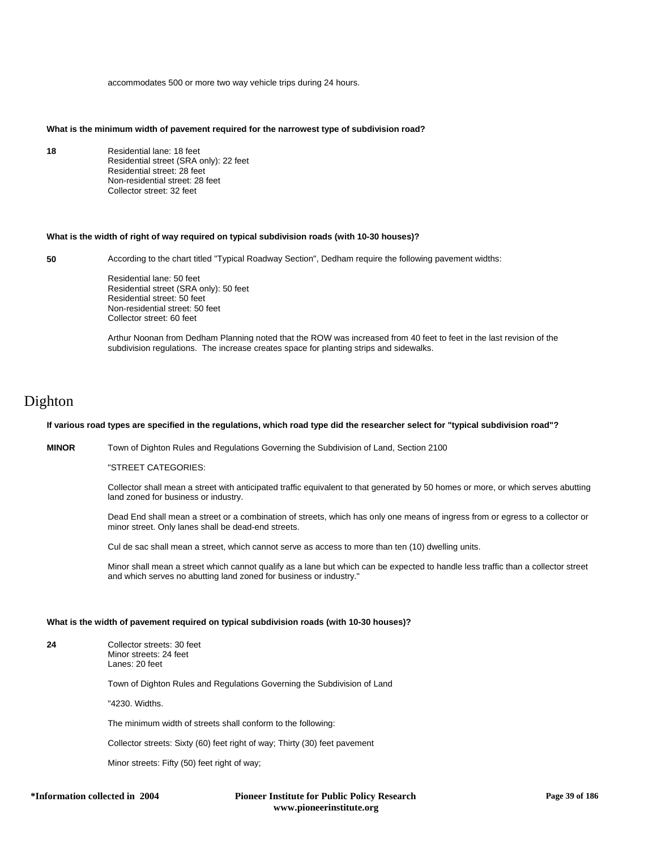accommodates 500 or more two way vehicle trips during 24 hours.

# **What is the minimum width of pavement required for the narrowest type of subdivision road?**

**18** Residential lane: 18 feet Residential street (SRA only): 22 feet Residential street: 28 feet Non-residential street: 28 feet Collector street: 32 feet

# **What is the width of right of way required on typical subdivision roads (with 10-30 houses)?**

**50** According to the chart titled "Typical Roadway Section", Dedham require the following pavement widths:

Residential lane: 50 feet Residential street (SRA only): 50 feet Residential street: 50 feet Non-residential street: 50 feet Collector street: 60 feet

Arthur Noonan from Dedham Planning noted that the ROW was increased from 40 feet to feet in the last revision of the subdivision regulations. The increase creates space for planting strips and sidewalks.

# Dighton

# **If various road types are specified in the regulations, which road type did the researcher select for "typical subdivision road"?**

**MINOR** Town of Dighton Rules and Regulations Governing the Subdivision of Land, Section 2100

"STREET CATEGORIES:

Collector shall mean a street with anticipated traffic equivalent to that generated by 50 homes or more, or which serves abutting land zoned for business or industry.

Dead End shall mean a street or a combination of streets, which has only one means of ingress from or egress to a collector or minor street. Only lanes shall be dead-end streets.

Cul de sac shall mean a street, which cannot serve as access to more than ten (10) dwelling units.

Minor shall mean a street which cannot qualify as a lane but which can be expected to handle less traffic than a collector street and which serves no abutting land zoned for business or industry."

### **What is the width of pavement required on typical subdivision roads (with 10-30 houses)?**

| 24 | Collector streets: 30 feet |
|----|----------------------------|
|    | Minor streets: 24 feet     |
|    | Lanes: 20 feet             |

Town of Dighton Rules and Regulations Governing the Subdivision of Land

"4230. Widths.

The minimum width of streets shall conform to the following:

Collector streets: Sixty (60) feet right of way; Thirty (30) feet pavement

Minor streets: Fifty (50) feet right of way;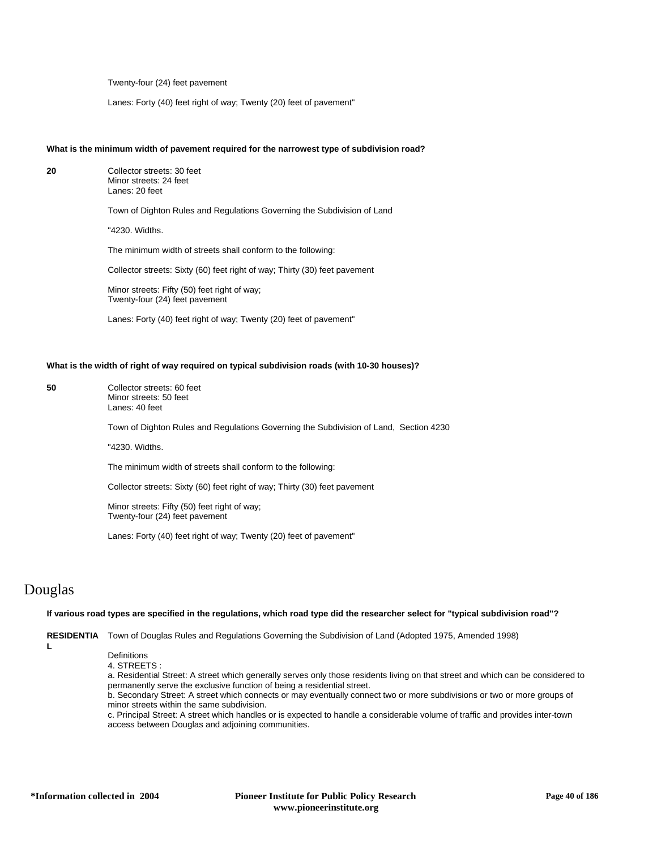Twenty-four (24) feet pavement

Lanes: Forty (40) feet right of way; Twenty (20) feet of pavement"

### **What is the minimum width of pavement required for the narrowest type of subdivision road?**

**20** Collector streets: 30 feet Minor streets: 24 feet Lanes: 20 feet Town of Dighton Rules and Regulations Governing the Subdivision of Land "4230. Widths. The minimum width of streets shall conform to the following: Collector streets: Sixty (60) feet right of way; Thirty (30) feet pavement Minor streets: Fifty (50) feet right of way; Twenty-four (24) feet pavement Lanes: Forty (40) feet right of way; Twenty (20) feet of pavement"

# **What is the width of right of way required on typical subdivision roads (with 10-30 houses)?**

**50** Collector streets: 60 feet Minor streets: 50 feet Lanes: 40 feet

Town of Dighton Rules and Regulations Governing the Subdivision of Land, Section 4230

"4230. Widths.

The minimum width of streets shall conform to the following:

Collector streets: Sixty (60) feet right of way; Thirty (30) feet pavement

Minor streets: Fifty (50) feet right of way; Twenty-four (24) feet pavement

Lanes: Forty (40) feet right of way; Twenty (20) feet of pavement"

# Douglas

### **If various road types are specified in the regulations, which road type did the researcher select for "typical subdivision road"?**

**RESIDENTIA** Town of Douglas Rules and Regulations Governing the Subdivision of Land (Adopted 1975, Amended 1998)

**L**

**Definitions** 

4. STREETS :

a. Residential Street: A street which generally serves only those residents living on that street and which can be considered to permanently serve the exclusive function of being a residential street.

b. Secondary Street: A street which connects or may eventually connect two or more subdivisions or two or more groups of minor streets within the same subdivision.

c. Principal Street: A street which handles or is expected to handle a considerable volume of traffic and provides inter-town access between Douglas and adjoining communities.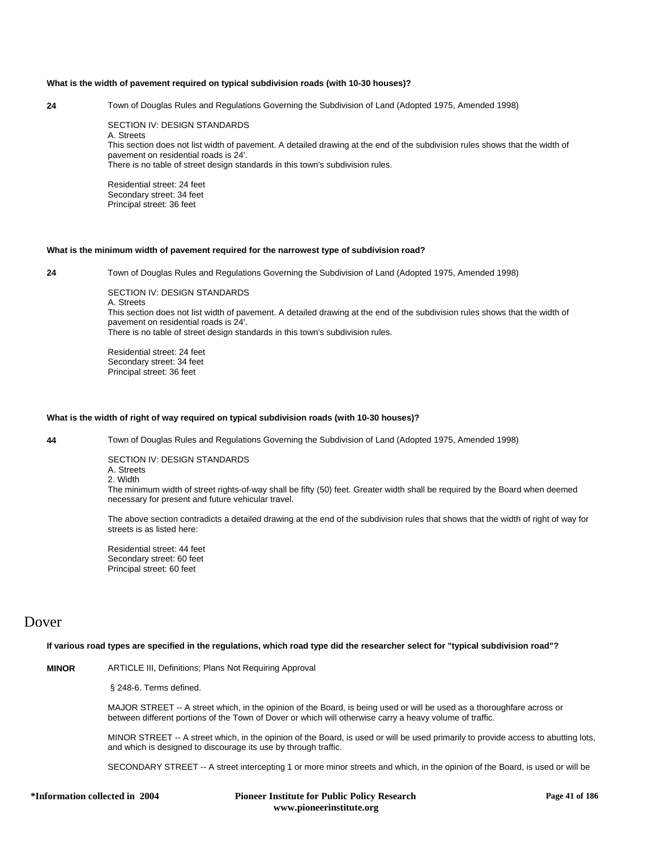# **What is the width of pavement required on typical subdivision roads (with 10-30 houses)?**

**24** Town of Douglas Rules and Regulations Governing the Subdivision of Land (Adopted 1975, Amended 1998)

SECTION IV: DESIGN STANDARDS A. Streets

This section does not list width of pavement. A detailed drawing at the end of the subdivision rules shows that the width of pavement on residential roads is 24'.

There is no table of street design standards in this town's subdivision rules.

Residential street: 24 feet Secondary street: 34 feet Principal street: 36 feet

#### **What is the minimum width of pavement required for the narrowest type of subdivision road?**

**24** Town of Douglas Rules and Regulations Governing the Subdivision of Land (Adopted 1975, Amended 1998)

SECTION IV: DESIGN STANDARDS A. Streets This section does not list width of pavement. A detailed drawing at the end of the subdivision rules shows that the width of pavement on residential roads is 24'. There is no table of street design standards in this town's subdivision rules.

Residential street: 24 feet Secondary street: 34 feet Principal street: 36 feet

#### **What is the width of right of way required on typical subdivision roads (with 10-30 houses)?**

**44** Town of Douglas Rules and Regulations Governing the Subdivision of Land (Adopted 1975, Amended 1998)

SECTION IV: DESIGN STANDARDS A. Streets 2. Width

The minimum width of street rights-of-way shall be fifty (50) feet. Greater width shall be required by the Board when deemed necessary for present and future vehicular travel.

The above section contradicts a detailed drawing at the end of the subdivision rules that shows that the width of right of way for streets is as listed here:

Residential street: 44 feet Secondary street: 60 feet Principal street: 60 feet

# Dover

**If various road types are specified in the regulations, which road type did the researcher select for "typical subdivision road"?**

**MINOR** ARTICLE III, Definitions; Plans Not Requiring Approval

§ 248-6. Terms defined.

MAJOR STREET -- A street which, in the opinion of the Board, is being used or will be used as a thoroughfare across or between different portions of the Town of Dover or which will otherwise carry a heavy volume of traffic.

MINOR STREET -- A street which, in the opinion of the Board, is used or will be used primarily to provide access to abutting lots, and which is designed to discourage its use by through traffic.

SECONDARY STREET -- A street intercepting 1 or more minor streets and which, in the opinion of the Board, is used or will be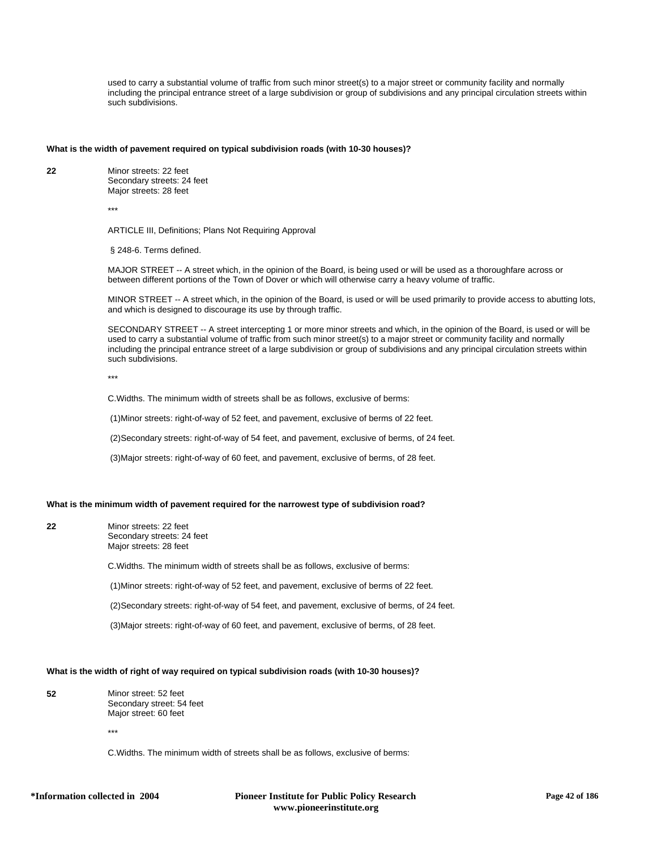used to carry a substantial volume of traffic from such minor street(s) to a major street or community facility and normally including the principal entrance street of a large subdivision or group of subdivisions and any principal circulation streets within such subdivisions.

#### **What is the width of pavement required on typical subdivision roads (with 10-30 houses)?**

**22** Minor streets: 22 feet Secondary streets: 24 feet Major streets: 28 feet

\*\*\*

ARTICLE III, Definitions; Plans Not Requiring Approval

§ 248-6. Terms defined.

MAJOR STREET -- A street which, in the opinion of the Board, is being used or will be used as a thoroughfare across or between different portions of the Town of Dover or which will otherwise carry a heavy volume of traffic.

MINOR STREET -- A street which, in the opinion of the Board, is used or will be used primarily to provide access to abutting lots, and which is designed to discourage its use by through traffic.

SECONDARY STREET -- A street intercepting 1 or more minor streets and which, in the opinion of the Board, is used or will be used to carry a substantial volume of traffic from such minor street(s) to a major street or community facility and normally including the principal entrance street of a large subdivision or group of subdivisions and any principal circulation streets within such subdivisions.

\*\*\*

C.Widths. The minimum width of streets shall be as follows, exclusive of berms:

(1)Minor streets: right-of-way of 52 feet, and pavement, exclusive of berms of 22 feet.

(2)Secondary streets: right-of-way of 54 feet, and pavement, exclusive of berms, of 24 feet.

(3)Major streets: right-of-way of 60 feet, and pavement, exclusive of berms, of 28 feet.

# **What is the minimum width of pavement required for the narrowest type of subdivision road?**

**22** Minor streets: 22 feet Secondary streets: 24 feet Major streets: 28 feet

C.Widths. The minimum width of streets shall be as follows, exclusive of berms:

(1)Minor streets: right-of-way of 52 feet, and pavement, exclusive of berms of 22 feet.

(2)Secondary streets: right-of-way of 54 feet, and pavement, exclusive of berms, of 24 feet.

(3)Major streets: right-of-way of 60 feet, and pavement, exclusive of berms, of 28 feet.

# **What is the width of right of way required on typical subdivision roads (with 10-30 houses)?**

**52** Minor street: 52 feet Secondary street: 54 feet Major street: 60 feet

\*\*\*

C.Widths. The minimum width of streets shall be as follows, exclusive of berms: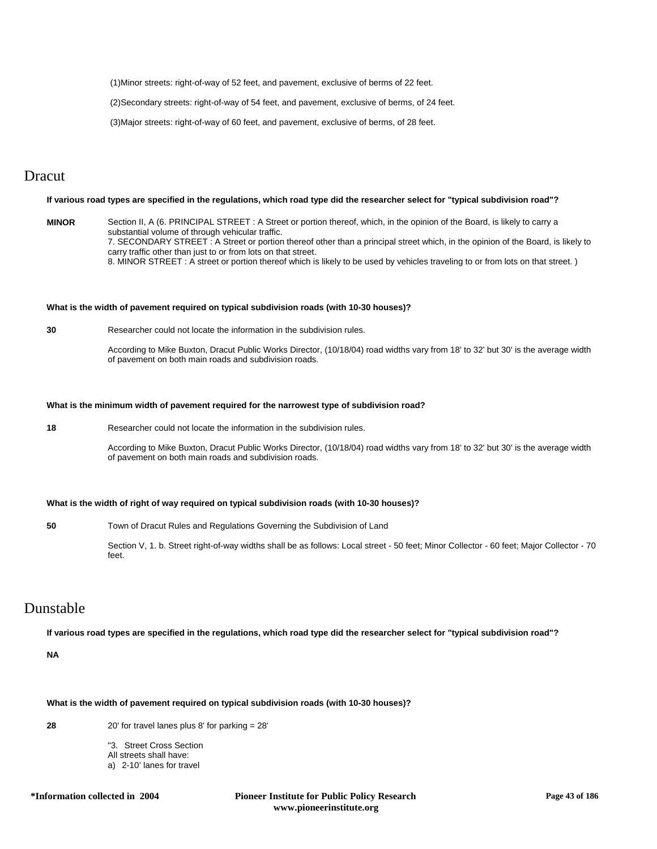(1)Minor streets: right-of-way of 52 feet, and pavement, exclusive of berms of 22 feet.

(2)Secondary streets: right-of-way of 54 feet, and pavement, exclusive of berms, of 24 feet.

(3)Major streets: right-of-way of 60 feet, and pavement, exclusive of berms, of 28 feet.

# Dracut

# **If various road types are specified in the regulations, which road type did the researcher select for "typical subdivision road"?**

**MINOR** Section II, A (6. PRINCIPAL STREET : A Street or portion thereof, which, in the opinion of the Board, is likely to carry a substantial volume of through vehicular traffic. 7. SECONDARY STREET : A Street or portion thereof other than a principal street which, in the opinion of the Board, is likely to carry traffic other than just to or from lots on that street. 8. MINOR STREET : A street or portion thereof which is likely to be used by vehicles traveling to or from lots on that street. )

# **What is the width of pavement required on typical subdivision roads (with 10-30 houses)?**

**30** Researcher could not locate the information in the subdivision rules.

According to Mike Buxton, Dracut Public Works Director, (10/18/04) road widths vary from 18' to 32' but 30' is the average width of pavement on both main roads and subdivision roads.

# **What is the minimum width of pavement required for the narrowest type of subdivision road?**

**18** Researcher could not locate the information in the subdivision rules.

According to Mike Buxton, Dracut Public Works Director, (10/18/04) road widths vary from 18' to 32' but 30' is the average width of pavement on both main roads and subdivision roads.

# **What is the width of right of way required on typical subdivision roads (with 10-30 houses)?**

**50** Town of Dracut Rules and Regulations Governing the Subdivision of Land

Section V, 1. b. Street right-of-way widths shall be as follows: Local street - 50 feet; Minor Collector - 60 feet; Major Collector - 70 feet.

# Dunstable

**If various road types are specified in the regulations, which road type did the researcher select for "typical subdivision road"?**

**NA**

# **What is the width of pavement required on typical subdivision roads (with 10-30 houses)?**

**28** 20' for travel lanes plus 8' for parking = 28'

"3. Street Cross Section

- All streets shall have:
- a) 2-10' lanes for travel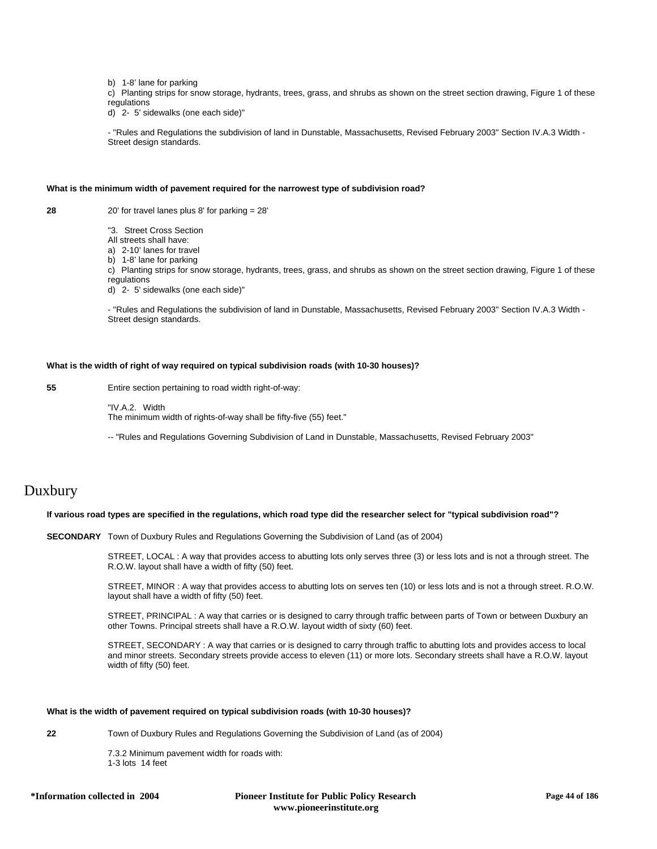b) 1-8' lane for parking

c) Planting strips for snow storage, hydrants, trees, grass, and shrubs as shown on the street section drawing, Figure 1 of these regulations

d) 2- 5' sidewalks (one each side)"

- "Rules and Regulations the subdivision of land in Dunstable, Massachusetts, Revised February 2003" Section IV.A.3 Width - Street design standards.

# **What is the minimum width of pavement required for the narrowest type of subdivision road?**

**28** 20' for travel lanes plus 8' for parking = 28'

"3. Street Cross Section

All streets shall have:

a) 2-10' lanes for travel

b) 1-8' lane for parking

c) Planting strips for snow storage, hydrants, trees, grass, and shrubs as shown on the street section drawing, Figure 1 of these regulations

d) 2- 5' sidewalks (one each side)"

- "Rules and Regulations the subdivision of land in Dunstable, Massachusetts, Revised February 2003" Section IV.A.3 Width - Street design standards.

# **What is the width of right of way required on typical subdivision roads (with 10-30 houses)?**

**55** Entire section pertaining to road width right-of-way:

"IV.A.2. Width The minimum width of rights-of-way shall be fifty-five (55) feet."

-- "Rules and Regulations Governing Subdivision of Land in Dunstable, Massachusetts, Revised February 2003"

# Duxbury

# **If various road types are specified in the regulations, which road type did the researcher select for "typical subdivision road"?**

**SECONDARY** Town of Duxbury Rules and Regulations Governing the Subdivision of Land (as of 2004)

STREET, LOCAL : A way that provides access to abutting lots only serves three (3) or less lots and is not a through street. The R.O.W. layout shall have a width of fifty (50) feet.

STREET, MINOR : A way that provides access to abutting lots on serves ten (10) or less lots and is not a through street. R.O.W. layout shall have a width of fifty (50) feet.

STREET, PRINCIPAL : A way that carries or is designed to carry through traffic between parts of Town or between Duxbury an other Towns. Principal streets shall have a R.O.W. layout width of sixty (60) feet.

STREET, SECONDARY : A way that carries or is designed to carry through traffic to abutting lots and provides access to local and minor streets. Secondary streets provide access to eleven (11) or more lots. Secondary streets shall have a R.O.W. layout width of fifty (50) feet.

#### **What is the width of pavement required on typical subdivision roads (with 10-30 houses)?**

**22** Town of Duxbury Rules and Regulations Governing the Subdivision of Land (as of 2004)

7.3.2 Minimum pavement width for roads with: 1-3 lots 14 feet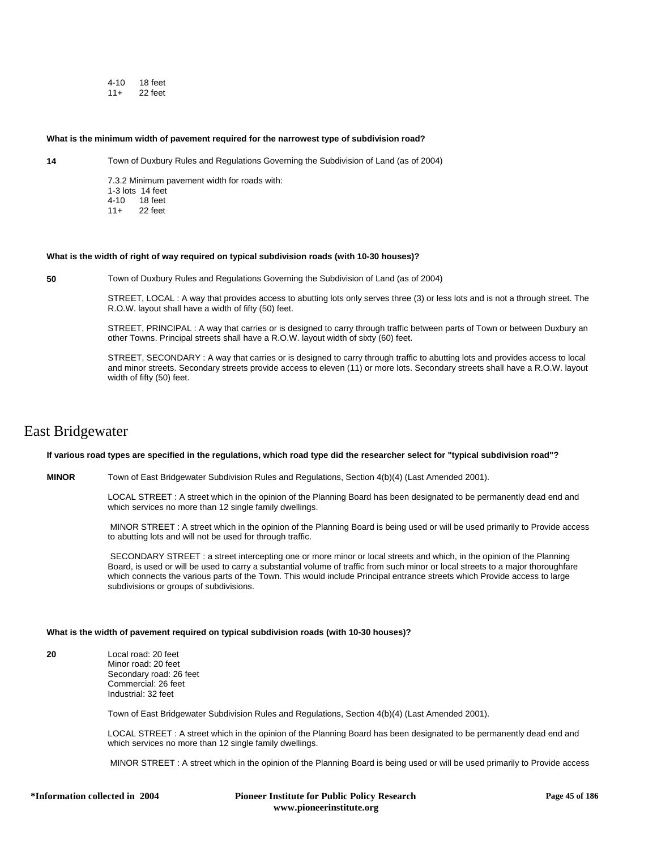4-10 18 feet 11+ 22 feet

#### **What is the minimum width of pavement required for the narrowest type of subdivision road?**

**14** Town of Duxbury Rules and Regulations Governing the Subdivision of Land (as of 2004)

7.3.2 Minimum pavement width for roads with: 1-3 lots 14 feet<br>4-10 18 feet 18 feet 11+ 22 feet

#### **What is the width of right of way required on typical subdivision roads (with 10-30 houses)?**

**50** Town of Duxbury Rules and Regulations Governing the Subdivision of Land (as of 2004)

STREET, LOCAL : A way that provides access to abutting lots only serves three (3) or less lots and is not a through street. The R.O.W. layout shall have a width of fifty (50) feet.

STREET, PRINCIPAL : A way that carries or is designed to carry through traffic between parts of Town or between Duxbury an other Towns. Principal streets shall have a R.O.W. layout width of sixty (60) feet.

STREET, SECONDARY : A way that carries or is designed to carry through traffic to abutting lots and provides access to local and minor streets. Secondary streets provide access to eleven (11) or more lots. Secondary streets shall have a R.O.W. layout width of fifty (50) feet.

# East Bridgewater

# **If various road types are specified in the regulations, which road type did the researcher select for "typical subdivision road"?**

**MINOR** Town of East Bridgewater Subdivision Rules and Regulations, Section 4(b)(4) (Last Amended 2001).

LOCAL STREET : A street which in the opinion of the Planning Board has been designated to be permanently dead end and which services no more than 12 single family dwellings.

 MINOR STREET : A street which in the opinion of the Planning Board is being used or will be used primarily to Provide access to abutting lots and will not be used for through traffic.

 SECONDARY STREET : a street intercepting one or more minor or local streets and which, in the opinion of the Planning Board, is used or will be used to carry a substantial volume of traffic from such minor or local streets to a major thoroughfare which connects the various parts of the Town. This would include Principal entrance streets which Provide access to large subdivisions or groups of subdivisions.

# **What is the width of pavement required on typical subdivision roads (with 10-30 houses)?**

**20** Local road: 20 feet

Minor road: 20 feet Secondary road: 26 feet Commercial: 26 feet Industrial: 32 feet

Town of East Bridgewater Subdivision Rules and Regulations, Section 4(b)(4) (Last Amended 2001).

LOCAL STREET : A street which in the opinion of the Planning Board has been designated to be permanently dead end and which services no more than 12 single family dwellings.

MINOR STREET : A street which in the opinion of the Planning Board is being used or will be used primarily to Provide access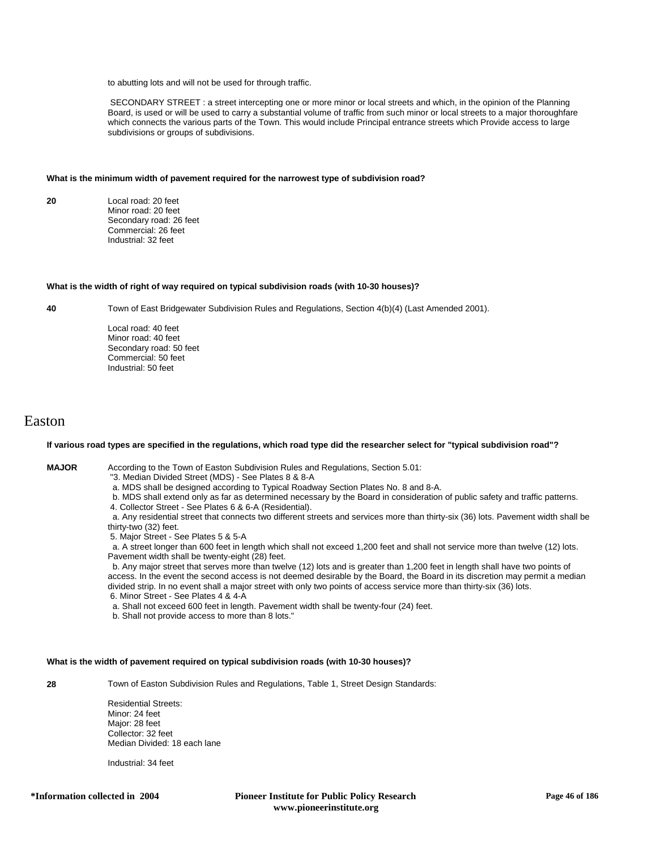to abutting lots and will not be used for through traffic.

 SECONDARY STREET : a street intercepting one or more minor or local streets and which, in the opinion of the Planning Board, is used or will be used to carry a substantial volume of traffic from such minor or local streets to a major thoroughfare which connects the various parts of the Town. This would include Principal entrance streets which Provide access to large subdivisions or groups of subdivisions.

#### **What is the minimum width of pavement required for the narrowest type of subdivision road?**

**20** Local road: 20 feet Minor road: 20 feet Secondary road: 26 feet Commercial: 26 feet Industrial: 32 feet

#### **What is the width of right of way required on typical subdivision roads (with 10-30 houses)?**

**40** Town of East Bridgewater Subdivision Rules and Regulations, Section 4(b)(4) (Last Amended 2001).

Local road: 40 feet Minor road: 40 feet Secondary road: 50 feet Commercial: 50 feet Industrial: 50 feet

# Easton

# **If various road types are specified in the regulations, which road type did the researcher select for "typical subdivision road"?**

**MAJOR** According to the Town of Easton Subdivision Rules and Regulations, Section 5.01:

- "3. Median Divided Street (MDS) See Plates 8 & 8-A
- a. MDS shall be designed according to Typical Roadway Section Plates No. 8 and 8-A.
- b. MDS shall extend only as far as determined necessary by the Board in consideration of public safety and traffic patterns.
- 4. Collector Street See Plates 6 & 6-A (Residential).

 a. Any residential street that connects two different streets and services more than thirty-six (36) lots. Pavement width shall be thirty-two (32) feet.

5. Major Street - See Plates 5 & 5-A

 a. A street longer than 600 feet in length which shall not exceed 1,200 feet and shall not service more than twelve (12) lots. Pavement width shall be twenty-eight (28) feet.

 b. Any major street that serves more than twelve (12) lots and is greater than 1,200 feet in length shall have two points of access. In the event the second access is not deemed desirable by the Board, the Board in its discretion may permit a median divided strip. In no event shall a major street with only two points of access service more than thirty-six (36) lots. 6. Minor Street - See Plates 4 & 4-A

a. Shall not exceed 600 feet in length. Pavement width shall be twenty-four (24) feet.

b. Shall not provide access to more than 8 lots."

# **What is the width of pavement required on typical subdivision roads (with 10-30 houses)?**

**28** Town of Easton Subdivision Rules and Regulations, Table 1, Street Design Standards:

Residential Streets: Minor: 24 feet Major: 28 feet Collector: 32 feet Median Divided: 18 each lane

Industrial: 34 feet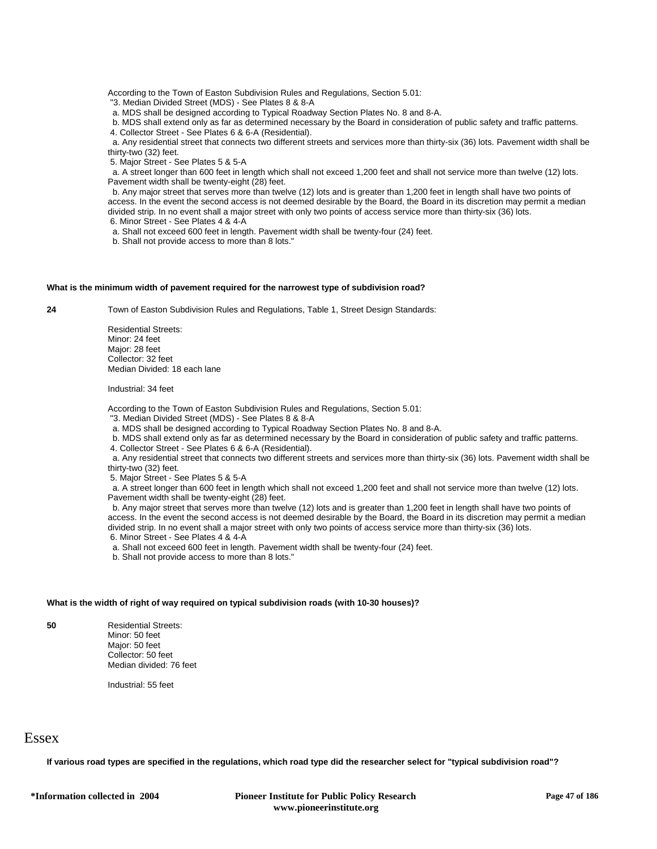According to the Town of Easton Subdivision Rules and Regulations, Section 5.01:

"3. Median Divided Street (MDS) - See Plates 8 & 8-A

a. MDS shall be designed according to Typical Roadway Section Plates No. 8 and 8-A.

b. MDS shall extend only as far as determined necessary by the Board in consideration of public safety and traffic patterns.

4. Collector Street - See Plates 6 & 6-A (Residential).

 a. Any residential street that connects two different streets and services more than thirty-six (36) lots. Pavement width shall be thirty-two (32) feet.

5. Major Street - See Plates 5 & 5-A

 a. A street longer than 600 feet in length which shall not exceed 1,200 feet and shall not service more than twelve (12) lots. Pavement width shall be twenty-eight (28) feet.

 b. Any major street that serves more than twelve (12) lots and is greater than 1,200 feet in length shall have two points of access. In the event the second access is not deemed desirable by the Board, the Board in its discretion may permit a median divided strip. In no event shall a major street with only two points of access service more than thirty-six (36) lots. 6. Minor Street - See Plates 4 & 4-A

a. Shall not exceed 600 feet in length. Pavement width shall be twenty-four (24) feet.

b. Shall not provide access to more than 8 lots."

# **What is the minimum width of pavement required for the narrowest type of subdivision road?**

**24** Town of Easton Subdivision Rules and Regulations, Table 1, Street Design Standards:

Residential Streets: Minor: 24 feet Major: 28 feet Collector: 32 feet Median Divided: 18 each lane

Industrial: 34 feet

According to the Town of Easton Subdivision Rules and Regulations, Section 5.01:

"3. Median Divided Street (MDS) - See Plates 8 & 8-A

a. MDS shall be designed according to Typical Roadway Section Plates No. 8 and 8-A.

b. MDS shall extend only as far as determined necessary by the Board in consideration of public safety and traffic patterns.

4. Collector Street - See Plates 6 & 6-A (Residential).

 a. Any residential street that connects two different streets and services more than thirty-six (36) lots. Pavement width shall be thirty-two (32) feet.

5. Major Street - See Plates 5 & 5-A

 a. A street longer than 600 feet in length which shall not exceed 1,200 feet and shall not service more than twelve (12) lots. Pavement width shall be twenty-eight (28) feet.

 b. Any major street that serves more than twelve (12) lots and is greater than 1,200 feet in length shall have two points of access. In the event the second access is not deemed desirable by the Board, the Board in its discretion may permit a median divided strip. In no event shall a major street with only two points of access service more than thirty-six (36) lots. 6. Minor Street - See Plates 4 & 4-A

a. Shall not exceed 600 feet in length. Pavement width shall be twenty-four (24) feet.

b. Shall not provide access to more than 8 lots."

# **What is the width of right of way required on typical subdivision roads (with 10-30 houses)?**

**50** Residential Streets: Minor: 50 feet Major: 50 feet Collector: 50 feet Median divided: 76 feet

Industrial: 55 feet

# **Essex**

**If various road types are specified in the regulations, which road type did the researcher select for "typical subdivision road"?**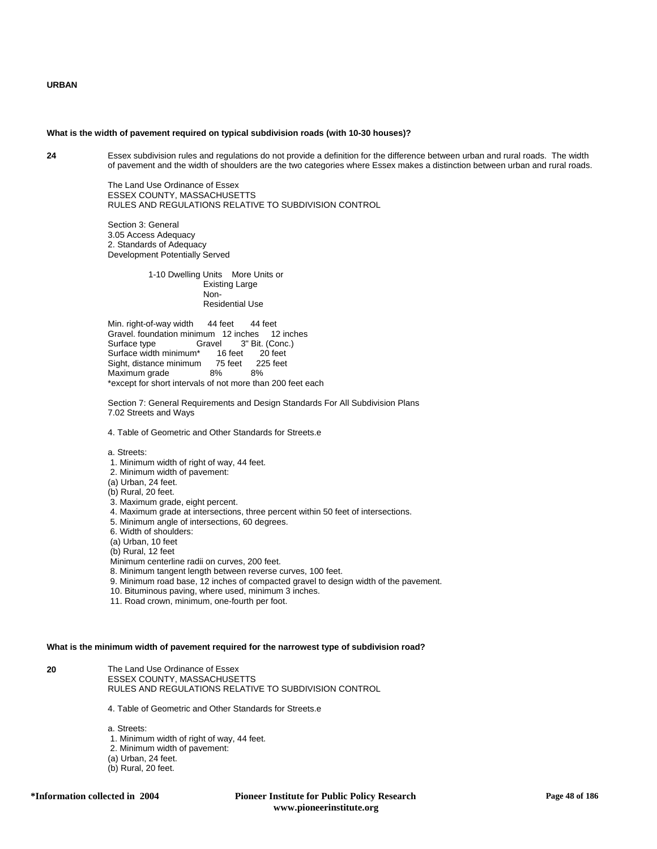# **URBAN**

#### **What is the width of pavement required on typical subdivision roads (with 10-30 houses)?**

**24** Essex subdivision rules and regulations do not provide a definition for the difference between urban and rural roads. The width of pavement and the width of shoulders are the two categories where Essex makes a distinction between urban and rural roads.

> The Land Use Ordinance of Essex ESSEX COUNTY, MASSACHUSETTS RULES AND REGULATIONS RELATIVE TO SUBDIVISION CONTROL

Section 3: General 3.05 Access Adequacy 2. Standards of Adequacy Development Potentially Served

> 1-10 Dwelling Units More Units or Existing Large Non- Residential Use

Min. right-of-way width 44 feet 44 feet Gravel. foundation minimum 12 inches 12 inches<br>Surface type Gravel 3" Bit. (Conc.) vel 3" Bit. (Conc.)<br>16 feet 20 feet Surface width minimum\* 16 feet 20 feet<br>Sight, distance minimum 75 feet 225 feet Sight, distance minimum Maximum grade 8% 8% \*except for short intervals of not more than 200 feet each

Section 7: General Requirements and Design Standards For All Subdivision Plans 7.02 Streets and Ways

4. Table of Geometric and Other Standards for Streets.e

a. Streets:

- 1. Minimum width of right of way, 44 feet.
- 2. Minimum width of pavement:
- (a) Urban, 24 feet.
- (b) Rural, 20 feet.
- 3. Maximum grade, eight percent.
- 4. Maximum grade at intersections, three percent within 50 feet of intersections.
- 5. Minimum angle of intersections, 60 degrees.
- 6. Width of shoulders:
- (a) Urban, 10 feet
- (b) Rural, 12 feet
- Minimum centerline radii on curves, 200 feet.
- 8. Minimum tangent length between reverse curves, 100 feet.
- 9. Minimum road base, 12 inches of compacted gravel to design width of the pavement.
- 10. Bituminous paving, where used, minimum 3 inches.
- 11. Road crown, minimum, one-fourth per foot.

#### **What is the minimum width of pavement required for the narrowest type of subdivision road?**

**20** The Land Use Ordinance of Essex ESSEX COUNTY, MASSACHUSETTS RULES AND REGULATIONS RELATIVE TO SUBDIVISION CONTROL

4. Table of Geometric and Other Standards for Streets.e

a. Streets: 1. Minimum width of right of way, 44 feet. 2. Minimum width of pavement:

- (a) Urban, 24 feet.
- (b) Rural, 20 feet.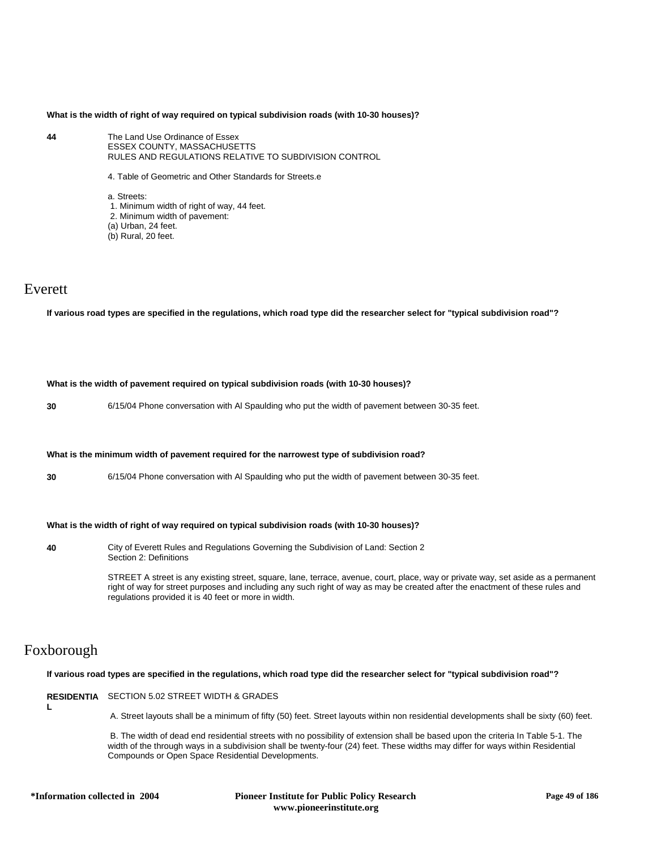# **What is the width of right of way required on typical subdivision roads (with 10-30 houses)?**

- **44** The Land Use Ordinance of Essex ESSEX COUNTY, MASSACHUSETTS RULES AND REGULATIONS RELATIVE TO SUBDIVISION CONTROL
	- 4. Table of Geometric and Other Standards for Streets.e

a. Streets: 1. Minimum width of right of way, 44 feet. 2. Minimum width of pavement: (a) Urban, 24 feet. (b) Rural, 20 feet.

# Everett

**If various road types are specified in the regulations, which road type did the researcher select for "typical subdivision road"?**

#### **What is the width of pavement required on typical subdivision roads (with 10-30 houses)?**

**30** 6/15/04 Phone conversation with Al Spaulding who put the width of pavement between 30-35 feet.

### **What is the minimum width of pavement required for the narrowest type of subdivision road?**

**30** 6/15/04 Phone conversation with Al Spaulding who put the width of pavement between 30-35 feet.

# **What is the width of right of way required on typical subdivision roads (with 10-30 houses)?**

**40** City of Everett Rules and Regulations Governing the Subdivision of Land: Section 2 Section 2: Definitions

> STREET A street is any existing street, square, lane, terrace, avenue, court, place, way or private way, set aside as a permanent right of way for street purposes and including any such right of way as may be created after the enactment of these rules and regulations provided it is 40 feet or more in width.

# Foxborough

**L**

**If various road types are specified in the regulations, which road type did the researcher select for "typical subdivision road"?**

**RESIDENTIA** SECTION 5.02 STREET WIDTH & GRADES

A. Street layouts shall be a minimum of fifty (50) feet. Street layouts within non residential developments shall be sixty (60) feet.

 B. The width of dead end residential streets with no possibility of extension shall be based upon the criteria In Table 5-1. The width of the through ways in a subdivision shall be twenty-four (24) feet. These widths may differ for ways within Residential Compounds or Open Space Residential Developments.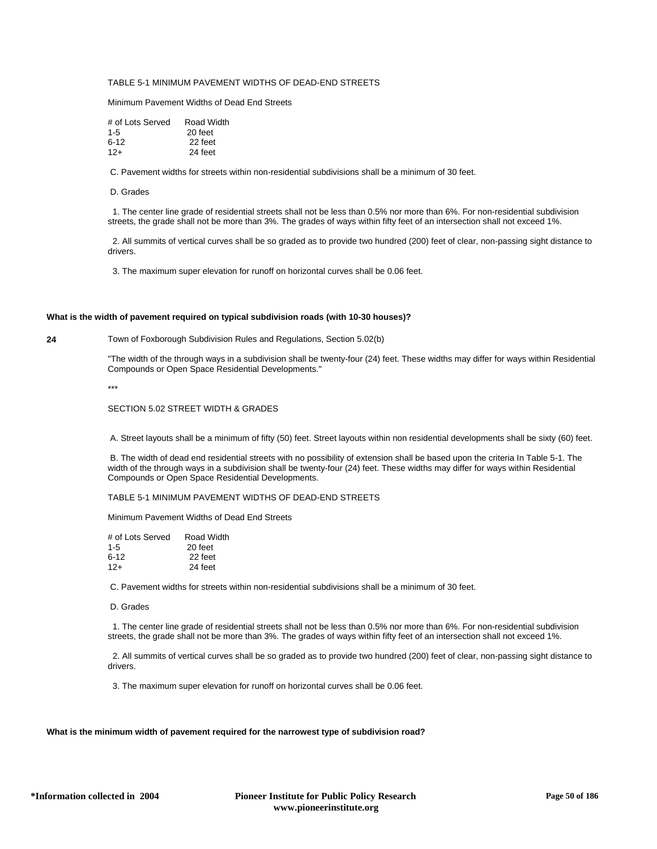# TABLE 5-1 MINIMUM PAVEMENT WIDTHS OF DEAD-END STREETS

Minimum Pavement Widths of Dead End Streets

| # of Lots Served | Road Width |
|------------------|------------|
| $1 - 5$          | 20 feet    |
| ճ-12             | 22 feet    |
| $12+$            | 24 feet    |

C. Pavement widths for streets within non-residential subdivisions shall be a minimum of 30 feet.

D. Grades

 1. The center line grade of residential streets shall not be less than 0.5% nor more than 6%. For non-residential subdivision streets, the grade shall not be more than 3%. The grades of ways within fifty feet of an intersection shall not exceed 1%.

 2. All summits of vertical curves shall be so graded as to provide two hundred (200) feet of clear, non-passing sight distance to drivers.

3. The maximum super elevation for runoff on horizontal curves shall be 0.06 feet.

# **What is the width of pavement required on typical subdivision roads (with 10-30 houses)?**

**24** Town of Foxborough Subdivision Rules and Regulations, Section 5.02(b)

"The width of the through ways in a subdivision shall be twenty-four (24) feet. These widths may differ for ways within Residential Compounds or Open Space Residential Developments."

\*\*\*

SECTION 5.02 STREET WIDTH & GRADES

A. Street layouts shall be a minimum of fifty (50) feet. Street layouts within non residential developments shall be sixty (60) feet.

 B. The width of dead end residential streets with no possibility of extension shall be based upon the criteria In Table 5-1. The width of the through ways in a subdivision shall be twenty-four (24) feet. These widths may differ for ways within Residential Compounds or Open Space Residential Developments.

TABLE 5-1 MINIMUM PAVEMENT WIDTHS OF DEAD-END STREETS

Minimum Pavement Widths of Dead End Streets

| # of Lots Served | Road Width |
|------------------|------------|
| $1 - 5$          | 20 feet    |
| $6 - 12$         | 22 feet    |
| $12+$            | 24 feet    |

C. Pavement widths for streets within non-residential subdivisions shall be a minimum of 30 feet.

D. Grades

 1. The center line grade of residential streets shall not be less than 0.5% nor more than 6%. For non-residential subdivision streets, the grade shall not be more than 3%. The grades of ways within fifty feet of an intersection shall not exceed 1%.

 2. All summits of vertical curves shall be so graded as to provide two hundred (200) feet of clear, non-passing sight distance to drivers.

3. The maximum super elevation for runoff on horizontal curves shall be 0.06 feet.

# **What is the minimum width of pavement required for the narrowest type of subdivision road?**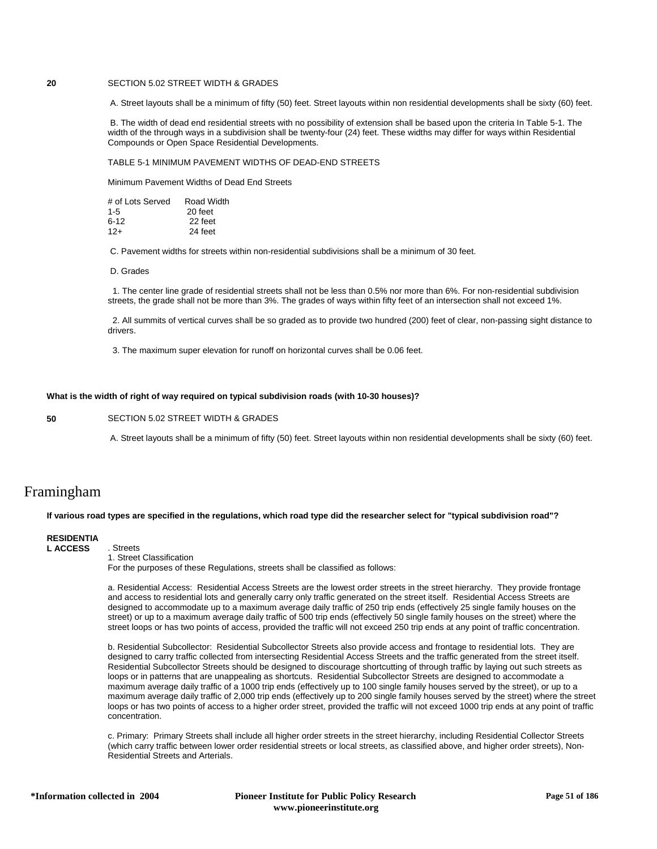# **20** SECTION 5.02 STREET WIDTH & GRADES

A. Street layouts shall be a minimum of fifty (50) feet. Street layouts within non residential developments shall be sixty (60) feet.

 B. The width of dead end residential streets with no possibility of extension shall be based upon the criteria In Table 5-1. The width of the through ways in a subdivision shall be twenty-four (24) feet. These widths may differ for ways within Residential Compounds or Open Space Residential Developments.

TABLE 5-1 MINIMUM PAVEMENT WIDTHS OF DEAD-END STREETS

Minimum Pavement Widths of Dead End Streets

| # of Lots Served | Road Width |
|------------------|------------|
| $1 - 5$          | 20 feet    |
| $6-12$           | 22 feet    |
| $12 +$           | 24 feet    |

C. Pavement widths for streets within non-residential subdivisions shall be a minimum of 30 feet.

D. Grades

 1. The center line grade of residential streets shall not be less than 0.5% nor more than 6%. For non-residential subdivision streets, the grade shall not be more than 3%. The grades of ways within fifty feet of an intersection shall not exceed 1%.

 2. All summits of vertical curves shall be so graded as to provide two hundred (200) feet of clear, non-passing sight distance to drivers.

3. The maximum super elevation for runoff on horizontal curves shall be 0.06 feet.

# **What is the width of right of way required on typical subdivision roads (with 10-30 houses)?**

**50** SECTION 5.02 STREET WIDTH & GRADES

A. Street layouts shall be a minimum of fifty (50) feet. Street layouts within non residential developments shall be sixty (60) feet.

# Framingham

**If various road types are specified in the regulations, which road type did the researcher select for "typical subdivision road"?**

# **RESIDENTIA**

**L ACCESS** . Streets

1. Street Classification

For the purposes of these Regulations, streets shall be classified as follows:

a. Residential Access: Residential Access Streets are the lowest order streets in the street hierarchy. They provide frontage and access to residential lots and generally carry only traffic generated on the street itself. Residential Access Streets are designed to accommodate up to a maximum average daily traffic of 250 trip ends (effectively 25 single family houses on the street) or up to a maximum average daily traffic of 500 trip ends (effectively 50 single family houses on the street) where the street loops or has two points of access, provided the traffic will not exceed 250 trip ends at any point of traffic concentration.

b. Residential Subcollector: Residential Subcollector Streets also provide access and frontage to residential lots. They are designed to carry traffic collected from intersecting Residential Access Streets and the traffic generated from the street itself. Residential Subcollector Streets should be designed to discourage shortcutting of through traffic by laying out such streets as loops or in patterns that are unappealing as shortcuts. Residential Subcollector Streets are designed to accommodate a maximum average daily traffic of a 1000 trip ends (effectively up to 100 single family houses served by the street), or up to a maximum average daily traffic of 2,000 trip ends (effectively up to 200 single family houses served by the street) where the street loops or has two points of access to a higher order street, provided the traffic will not exceed 1000 trip ends at any point of traffic concentration.

c. Primary: Primary Streets shall include all higher order streets in the street hierarchy, including Residential Collector Streets (which carry traffic between lower order residential streets or local streets, as classified above, and higher order streets), Non-Residential Streets and Arterials.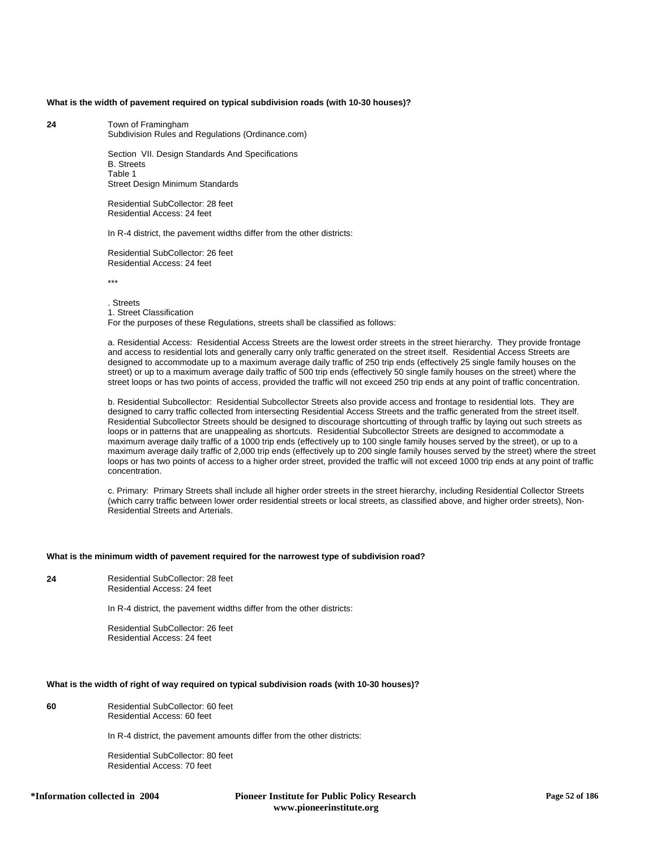# **What is the width of pavement required on typical subdivision roads (with 10-30 houses)?**

**24** Town of Framingham Subdivision Rules and Regulations (Ordinance.com)

> Section VII. Design Standards And Specifications B. Streets Table 1 Street Design Minimum Standards

Residential SubCollector: 28 feet Residential Access: 24 feet

In R-4 district, the pavement widths differ from the other districts:

Residential SubCollector: 26 feet Residential Access: 24 feet

\*\*\*

. Streets 1. Street Classification For the purposes of these Regulations, streets shall be classified as follows:

a. Residential Access: Residential Access Streets are the lowest order streets in the street hierarchy. They provide frontage and access to residential lots and generally carry only traffic generated on the street itself. Residential Access Streets are designed to accommodate up to a maximum average daily traffic of 250 trip ends (effectively 25 single family houses on the street) or up to a maximum average daily traffic of 500 trip ends (effectively 50 single family houses on the street) where the street loops or has two points of access, provided the traffic will not exceed 250 trip ends at any point of traffic concentration.

b. Residential Subcollector: Residential Subcollector Streets also provide access and frontage to residential lots. They are designed to carry traffic collected from intersecting Residential Access Streets and the traffic generated from the street itself. Residential Subcollector Streets should be designed to discourage shortcutting of through traffic by laying out such streets as loops or in patterns that are unappealing as shortcuts. Residential Subcollector Streets are designed to accommodate a maximum average daily traffic of a 1000 trip ends (effectively up to 100 single family houses served by the street), or up to a maximum average daily traffic of 2,000 trip ends (effectively up to 200 single family houses served by the street) where the street loops or has two points of access to a higher order street, provided the traffic will not exceed 1000 trip ends at any point of traffic concentration.

c. Primary: Primary Streets shall include all higher order streets in the street hierarchy, including Residential Collector Streets (which carry traffic between lower order residential streets or local streets, as classified above, and higher order streets), Non-Residential Streets and Arterials.

#### **What is the minimum width of pavement required for the narrowest type of subdivision road?**

**24** Residential SubCollector: 28 feet Residential Access: 24 feet

In R-4 district, the pavement widths differ from the other districts:

Residential SubCollector: 26 feet Residential Access: 24 feet

#### **What is the width of right of way required on typical subdivision roads (with 10-30 houses)?**

**60** Residential SubCollector: 60 feet Residential Access: 60 feet

In R-4 district, the pavement amounts differ from the other districts:

Residential SubCollector: 80 feet Residential Access: 70 feet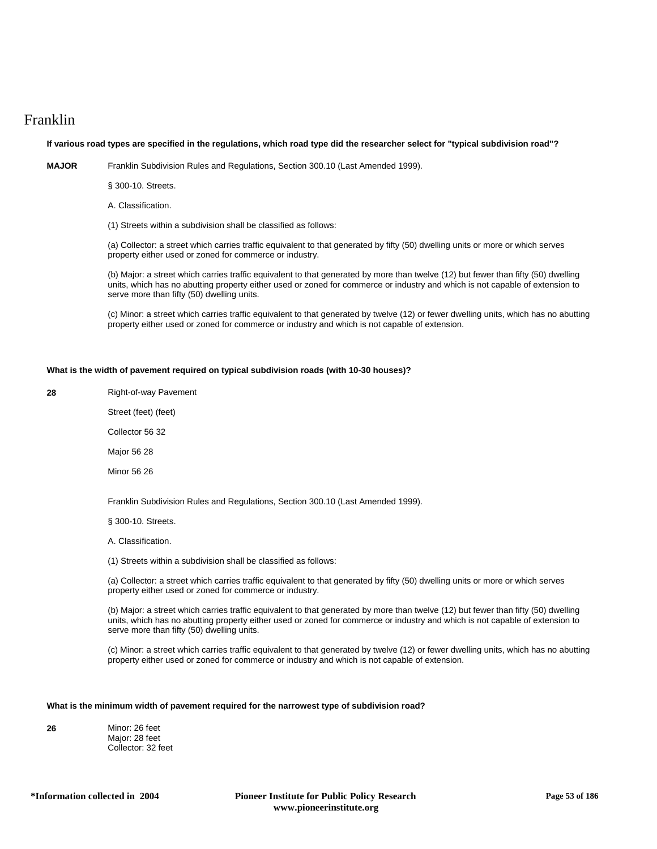# Franklin

# **If various road types are specified in the regulations, which road type did the researcher select for "typical subdivision road"?**

**MAJOR** Franklin Subdivision Rules and Regulations, Section 300.10 (Last Amended 1999).

§ 300-10. Streets.

A. Classification.

(1) Streets within a subdivision shall be classified as follows:

(a) Collector: a street which carries traffic equivalent to that generated by fifty (50) dwelling units or more or which serves property either used or zoned for commerce or industry.

(b) Major: a street which carries traffic equivalent to that generated by more than twelve (12) but fewer than fifty (50) dwelling units, which has no abutting property either used or zoned for commerce or industry and which is not capable of extension to serve more than fifty (50) dwelling units.

(c) Minor: a street which carries traffic equivalent to that generated by twelve (12) or fewer dwelling units, which has no abutting property either used or zoned for commerce or industry and which is not capable of extension.

# **What is the width of pavement required on typical subdivision roads (with 10-30 houses)?**

**28** Right-of-way Pavement

Street (feet) (feet)

Collector 56 32

Major 56 28

Minor 56 26

Franklin Subdivision Rules and Regulations, Section 300.10 (Last Amended 1999).

§ 300-10. Streets.

A. Classification.

(1) Streets within a subdivision shall be classified as follows:

(a) Collector: a street which carries traffic equivalent to that generated by fifty (50) dwelling units or more or which serves property either used or zoned for commerce or industry.

(b) Major: a street which carries traffic equivalent to that generated by more than twelve (12) but fewer than fifty (50) dwelling units, which has no abutting property either used or zoned for commerce or industry and which is not capable of extension to serve more than fifty (50) dwelling units.

(c) Minor: a street which carries traffic equivalent to that generated by twelve (12) or fewer dwelling units, which has no abutting property either used or zoned for commerce or industry and which is not capable of extension.

# **What is the minimum width of pavement required for the narrowest type of subdivision road?**

| 26 | Minor: 26 feet     |
|----|--------------------|
|    | Major: 28 feet     |
|    | Collector: 32 feet |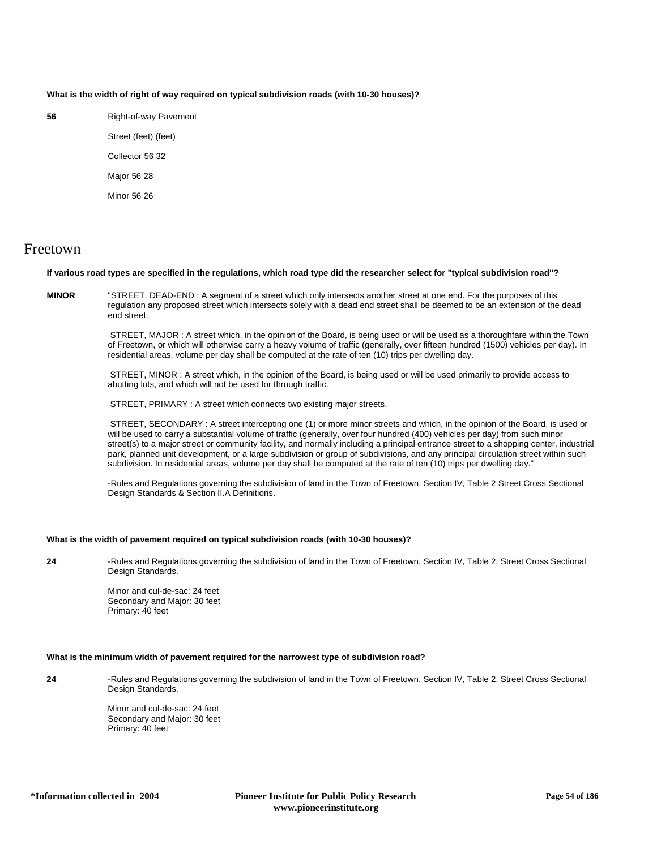# **What is the width of right of way required on typical subdivision roads (with 10-30 houses)?**

**56** Right-of-way Pavement

Street (feet) (feet) Collector 56 32 Major 56 28 Minor 56 26

# Freetown

# **If various road types are specified in the regulations, which road type did the researcher select for "typical subdivision road"?**

**MINOR** "STREET, DEAD-END : A segment of a street which only intersects another street at one end. For the purposes of this regulation any proposed street which intersects solely with a dead end street shall be deemed to be an extension of the dead end street.

> STREET, MAJOR : A street which, in the opinion of the Board, is being used or will be used as a thoroughfare within the Town of Freetown, or which will otherwise carry a heavy volume of traffic (generally, over fifteen hundred (1500) vehicles per day). In residential areas, volume per day shall be computed at the rate of ten (10) trips per dwelling day.

 STREET, MINOR : A street which, in the opinion of the Board, is being used or will be used primarily to provide access to abutting lots, and which will not be used for through traffic.

STREET, PRIMARY : A street which connects two existing major streets.

 STREET, SECONDARY : A street intercepting one (1) or more minor streets and which, in the opinion of the Board, is used or will be used to carry a substantial volume of traffic (generally, over four hundred (400) vehicles per day) from such minor street(s) to a major street or community facility, and normally including a principal entrance street to a shopping center, industrial park, planned unit development, or a large subdivision or group of subdivisions, and any principal circulation street within such subdivision. In residential areas, volume per day shall be computed at the rate of ten (10) trips per dwelling day."

-Rules and Regulations governing the subdivision of land in the Town of Freetown, Section IV, Table 2 Street Cross Sectional Design Standards & Section II.A Definitions.

# **What is the width of pavement required on typical subdivision roads (with 10-30 houses)?**

**24** -Rules and Regulations governing the subdivision of land in the Town of Freetown, Section IV, Table 2, Street Cross Sectional Design Standards.

> Minor and cul-de-sac: 24 feet Secondary and Major: 30 feet Primary: 40 feet

# **What is the minimum width of pavement required for the narrowest type of subdivision road?**

**24** -Rules and Regulations governing the subdivision of land in the Town of Freetown, Section IV, Table 2, Street Cross Sectional Design Standards.

> Minor and cul-de-sac: 24 feet Secondary and Major: 30 feet Primary: 40 feet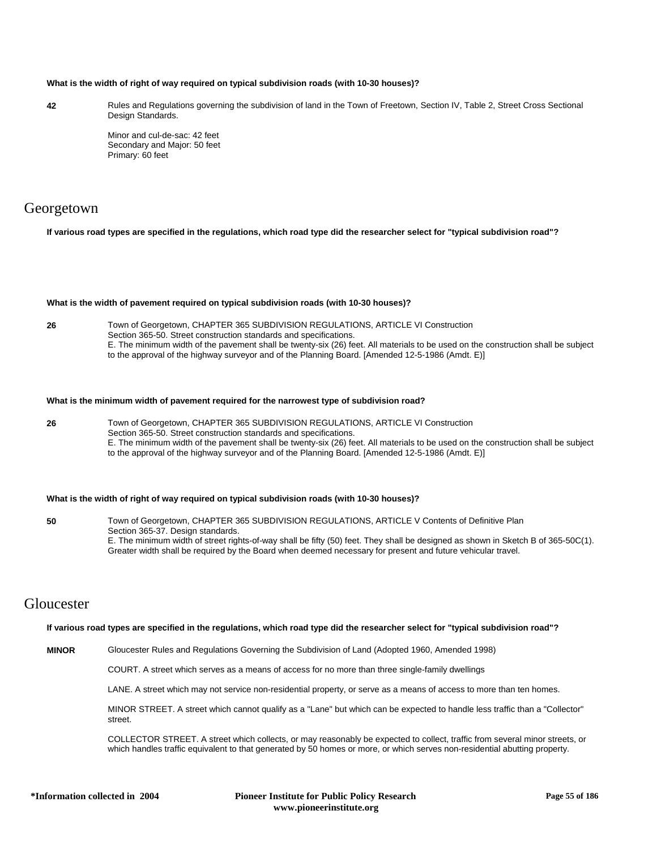### **What is the width of right of way required on typical subdivision roads (with 10-30 houses)?**

**42** Rules and Regulations governing the subdivision of land in the Town of Freetown, Section IV, Table 2, Street Cross Sectional Design Standards.

> Minor and cul-de-sac: 42 feet Secondary and Major: 50 feet Primary: 60 feet

# Georgetown

**If various road types are specified in the regulations, which road type did the researcher select for "typical subdivision road"?**

#### **What is the width of pavement required on typical subdivision roads (with 10-30 houses)?**

**26** Town of Georgetown, CHAPTER 365 SUBDIVISION REGULATIONS, ARTICLE VI Construction Section 365-50. Street construction standards and specifications. E. The minimum width of the pavement shall be twenty-six (26) feet. All materials to be used on the construction shall be subject to the approval of the highway surveyor and of the Planning Board. [Amended 12-5-1986 (Amdt. E)]

#### **What is the minimum width of pavement required for the narrowest type of subdivision road?**

**26** Town of Georgetown, CHAPTER 365 SUBDIVISION REGULATIONS, ARTICLE VI Construction Section 365-50. Street construction standards and specifications. E. The minimum width of the pavement shall be twenty-six (26) feet. All materials to be used on the construction shall be subject to the approval of the highway surveyor and of the Planning Board. [Amended 12-5-1986 (Amdt. E)]

# **What is the width of right of way required on typical subdivision roads (with 10-30 houses)?**

**50** Town of Georgetown, CHAPTER 365 SUBDIVISION REGULATIONS, ARTICLE V Contents of Definitive Plan Section 365-37. Design standards. E. The minimum width of street rights-of-way shall be fifty (50) feet. They shall be designed as shown in Sketch B of 365-50C(1). Greater width shall be required by the Board when deemed necessary for present and future vehicular travel.

# Gloucester

#### **If various road types are specified in the regulations, which road type did the researcher select for "typical subdivision road"?**

**MINOR** Gloucester Rules and Regulations Governing the Subdivision of Land (Adopted 1960, Amended 1998)

COURT. A street which serves as a means of access for no more than three single-family dwellings

LANE. A street which may not service non-residential property, or serve as a means of access to more than ten homes.

MINOR STREET. A street which cannot qualify as a "Lane" but which can be expected to handle less traffic than a "Collector" street.

COLLECTOR STREET. A street which collects, or may reasonably be expected to collect, traffic from several minor streets, or which handles traffic equivalent to that generated by 50 homes or more, or which serves non-residential abutting property.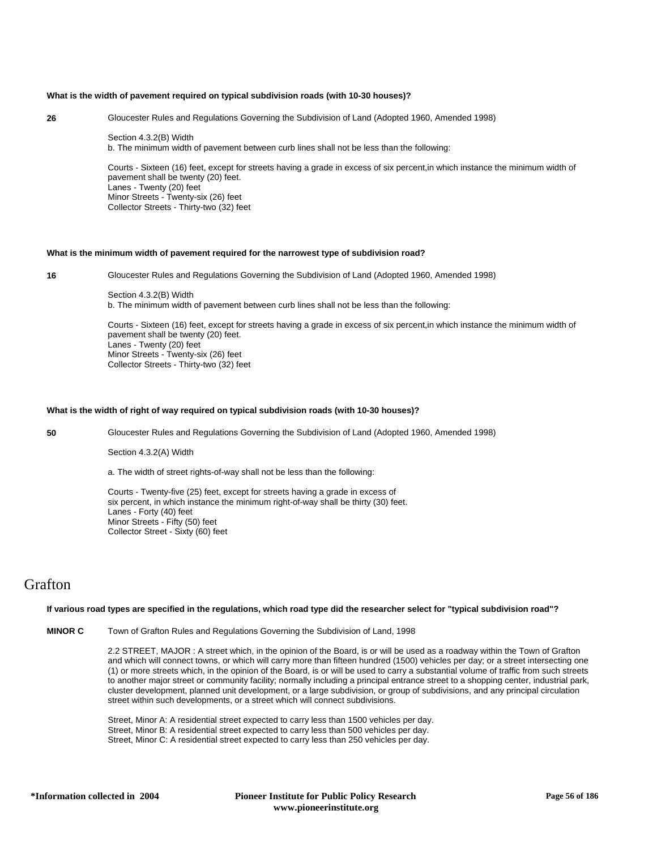### **What is the width of pavement required on typical subdivision roads (with 10-30 houses)?**

**26** Gloucester Rules and Regulations Governing the Subdivision of Land (Adopted 1960, Amended 1998)

Section 4.3.2(B) Width b. The minimum width of pavement between curb lines shall not be less than the following:

Courts - Sixteen (16) feet, except for streets having a grade in excess of six percent,in which instance the minimum width of pavement shall be twenty (20) feet. Lanes - Twenty (20) feet Minor Streets - Twenty-six (26) feet Collector Streets - Thirty-two (32) feet

# **What is the minimum width of pavement required for the narrowest type of subdivision road?**

**16** Gloucester Rules and Regulations Governing the Subdivision of Land (Adopted 1960, Amended 1998)

Section 4.3.2(B) Width b. The minimum width of pavement between curb lines shall not be less than the following:

Courts - Sixteen (16) feet, except for streets having a grade in excess of six percent,in which instance the minimum width of pavement shall be twenty (20) feet. Lanes - Twenty (20) feet Minor Streets - Twenty-six (26) feet Collector Streets - Thirty-two (32) feet

### **What is the width of right of way required on typical subdivision roads (with 10-30 houses)?**

**50** Gloucester Rules and Regulations Governing the Subdivision of Land (Adopted 1960, Amended 1998)

#### Section 4.3.2(A) Width

a. The width of street rights-of-way shall not be less than the following:

Courts - Twenty-five (25) feet, except for streets having a grade in excess of six percent, in which instance the minimum right-of-way shall be thirty (30) feet. Lanes - Forty (40) feet Minor Streets - Fifty (50) feet Collector Street - Sixty (60) feet

# Grafton

#### **If various road types are specified in the regulations, which road type did the researcher select for "typical subdivision road"?**

**MINOR C** Town of Grafton Rules and Regulations Governing the Subdivision of Land, 1998

2.2 STREET, MAJOR : A street which, in the opinion of the Board, is or will be used as a roadway within the Town of Grafton and which will connect towns, or which will carry more than fifteen hundred (1500) vehicles per day; or a street intersecting one (1) or more streets which, in the opinion of the Board, is or will be used to carry a substantial volume of traffic from such streets to another major street or community facility; normally including a principal entrance street to a shopping center, industrial park, cluster development, planned unit development, or a large subdivision, or group of subdivisions, and any principal circulation street within such developments, or a street which will connect subdivisions.

Street, Minor A: A residential street expected to carry less than 1500 vehicles per day. Street, Minor B: A residential street expected to carry less than 500 vehicles per day. Street, Minor C: A residential street expected to carry less than 250 vehicles per day.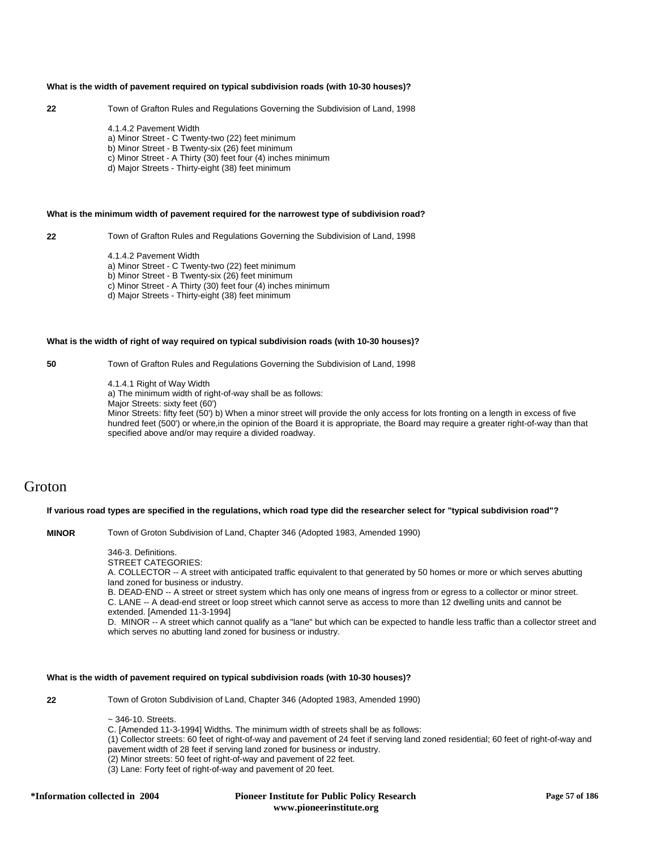### **What is the width of pavement required on typical subdivision roads (with 10-30 houses)?**

# **22** Town of Grafton Rules and Regulations Governing the Subdivision of Land, 1998

4.1.4.2 Pavement Width a) Minor Street - C Twenty-two (22) feet minimum b) Minor Street - B Twenty-six (26) feet minimum c) Minor Street - A Thirty (30) feet four (4) inches minimum d) Major Streets - Thirty-eight (38) feet minimum

#### **What is the minimum width of pavement required for the narrowest type of subdivision road?**

**22** Town of Grafton Rules and Regulations Governing the Subdivision of Land, 1998

4.1.4.2 Pavement Width

a) Minor Street - C Twenty-two (22) feet minimum

b) Minor Street - B Twenty-six (26) feet minimum

c) Minor Street - A Thirty (30) feet four (4) inches minimum

d) Major Streets - Thirty-eight (38) feet minimum

#### **What is the width of right of way required on typical subdivision roads (with 10-30 houses)?**

**50** Town of Grafton Rules and Regulations Governing the Subdivision of Land, 1998

4.1.4.1 Right of Way Width

a) The minimum width of right-of-way shall be as follows:

Major Streets: sixty feet (60')

Minor Streets: fifty feet (50') b) When a minor street will provide the only access for lots fronting on a length in excess of five hundred feet (500') or where,in the opinion of the Board it is appropriate, the Board may require a greater right-of-way than that specified above and/or may require a divided roadway.

# Groton

# **If various road types are specified in the regulations, which road type did the researcher select for "typical subdivision road"?**

**MINOR** Town of Groton Subdivision of Land, Chapter 346 (Adopted 1983, Amended 1990)

346-3. Definitions.

STREET CATEGORIES:

A. COLLECTOR -- A street with anticipated traffic equivalent to that generated by 50 homes or more or which serves abutting land zoned for business or industry.

B. DEAD-END -- A street or street system which has only one means of ingress from or egress to a collector or minor street. C. LANE -- A dead-end street or loop street which cannot serve as access to more than 12 dwelling units and cannot be extended. [Amended 11-3-1994]

D. MINOR -- A street which cannot qualify as a "lane" but which can be expected to handle less traffic than a collector street and which serves no abutting land zoned for business or industry.

# **What is the width of pavement required on typical subdivision roads (with 10-30 houses)?**

**22** Town of Groton Subdivision of Land, Chapter 346 (Adopted 1983, Amended 1990)

 $\approx$  346-10. Streets.

C. [Amended 11-3-1994] Widths. The minimum width of streets shall be as follows:

(1) Collector streets: 60 feet of right-of-way and pavement of 24 feet if serving land zoned residential; 60 feet of right-of-way and pavement width of 28 feet if serving land zoned for business or industry.

- (2) Minor streets: 50 feet of right-of-way and pavement of 22 feet.
- (3) Lane: Forty feet of right-of-way and pavement of 20 feet.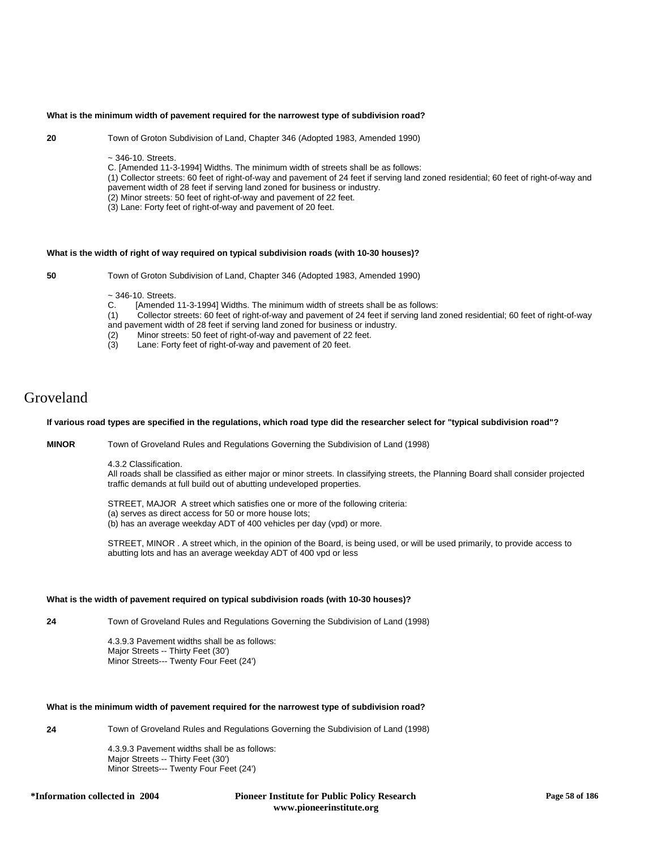### **What is the minimum width of pavement required for the narrowest type of subdivision road?**

**20** Town of Groton Subdivision of Land, Chapter 346 (Adopted 1983, Amended 1990)

~ 346-10. Streets.

C. [Amended 11-3-1994] Widths. The minimum width of streets shall be as follows:

(1) Collector streets: 60 feet of right-of-way and pavement of 24 feet if serving land zoned residential; 60 feet of right-of-way and pavement width of 28 feet if serving land zoned for business or industry.

(2) Minor streets: 50 feet of right-of-way and pavement of 22 feet.

(3) Lane: Forty feet of right-of-way and pavement of 20 feet.

# **What is the width of right of way required on typical subdivision roads (with 10-30 houses)?**

**50** Town of Groton Subdivision of Land, Chapter 346 (Adopted 1983, Amended 1990)

# $\sim$  346-10. Streets.<br>C. [Amended

[Amended 11-3-1994] Widths. The minimum width of streets shall be as follows:

(1) Collector streets: 60 feet of right-of-way and pavement of 24 feet if serving land zoned residential; 60 feet of right-of-way and pavement width of 28 feet if serving land zoned for business or industry.<br>(2) Minor streets: 50 feet of right-of-way and pavement of 22 feet.

- Minor streets: 50 feet of right-of-way and pavement of 22 feet.
- (3) Lane: Forty feet of right-of-way and pavement of 20 feet.

# Groveland

### **If various road types are specified in the regulations, which road type did the researcher select for "typical subdivision road"?**

**MINOR** Town of Groveland Rules and Regulations Governing the Subdivision of Land (1998)

4.3.2 Classification.

All roads shall be classified as either major or minor streets. In classifying streets, the Planning Board shall consider projected traffic demands at full build out of abutting undeveloped properties.

STREET, MAJOR A street which satisfies one or more of the following criteria: (a) serves as direct access for 50 or more house lots; (b) has an average weekday ADT of 400 vehicles per day (vpd) or more.

STREET, MINOR . A street which, in the opinion of the Board, is being used, or will be used primarily, to provide access to abutting lots and has an average weekday ADT of 400 vpd or less

# **What is the width of pavement required on typical subdivision roads (with 10-30 houses)?**

**24** Town of Groveland Rules and Regulations Governing the Subdivision of Land (1998)

4.3.9.3 Pavement widths shall be as follows: Major Streets -- Thirty Feet (30') Minor Streets--- Twenty Four Feet (24')

# **What is the minimum width of pavement required for the narrowest type of subdivision road?**

**24** Town of Groveland Rules and Regulations Governing the Subdivision of Land (1998)

4.3.9.3 Pavement widths shall be as follows: Major Streets -- Thirty Feet (30') Minor Streets--- Twenty Four Feet (24')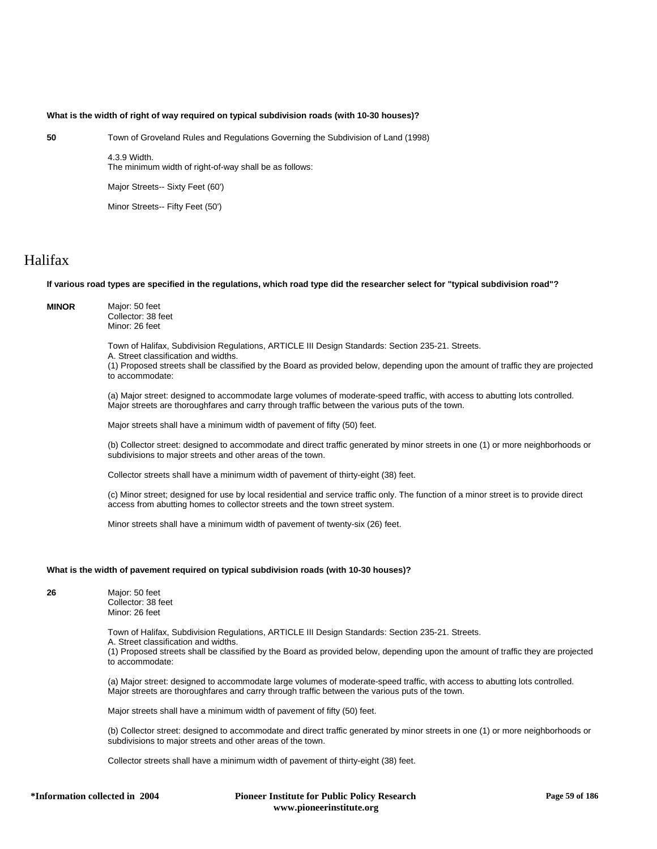### **What is the width of right of way required on typical subdivision roads (with 10-30 houses)?**

**50** Town of Groveland Rules and Regulations Governing the Subdivision of Land (1998)

4.3.9 Width. The minimum width of right-of-way shall be as follows:

Major Streets-- Sixty Feet (60')

Minor Streets-- Fifty Feet (50')

# Halifax

# **If various road types are specified in the regulations, which road type did the researcher select for "typical subdivision road"?**

**MINOR** Major: 50 feet Collector: 38 feet Minor: 26 feet

Town of Halifax, Subdivision Regulations, ARTICLE III Design Standards: Section 235-21. Streets.

A. Street classification and widths.

(1) Proposed streets shall be classified by the Board as provided below, depending upon the amount of traffic they are projected to accommodate:

(a) Major street: designed to accommodate large volumes of moderate-speed traffic, with access to abutting lots controlled. Major streets are thoroughfares and carry through traffic between the various puts of the town.

Major streets shall have a minimum width of pavement of fifty (50) feet.

(b) Collector street: designed to accommodate and direct traffic generated by minor streets in one (1) or more neighborhoods or subdivisions to major streets and other areas of the town.

Collector streets shall have a minimum width of pavement of thirty-eight (38) feet.

(c) Minor street; designed for use by local residential and service traffic only. The function of a minor street is to provide direct access from abutting homes to collector streets and the town street system.

Minor streets shall have a minimum width of pavement of twenty-six (26) feet.

# **What is the width of pavement required on typical subdivision roads (with 10-30 houses)?**

**26** Major: 50 feet Collector: 38 feet Minor: 26 feet

Town of Halifax, Subdivision Regulations, ARTICLE III Design Standards: Section 235-21. Streets.

A. Street classification and widths.

(1) Proposed streets shall be classified by the Board as provided below, depending upon the amount of traffic they are projected to accommodate:

(a) Major street: designed to accommodate large volumes of moderate-speed traffic, with access to abutting lots controlled. Major streets are thoroughfares and carry through traffic between the various puts of the town.

Major streets shall have a minimum width of pavement of fifty (50) feet.

(b) Collector street: designed to accommodate and direct traffic generated by minor streets in one (1) or more neighborhoods or subdivisions to major streets and other areas of the town.

Collector streets shall have a minimum width of pavement of thirty-eight (38) feet.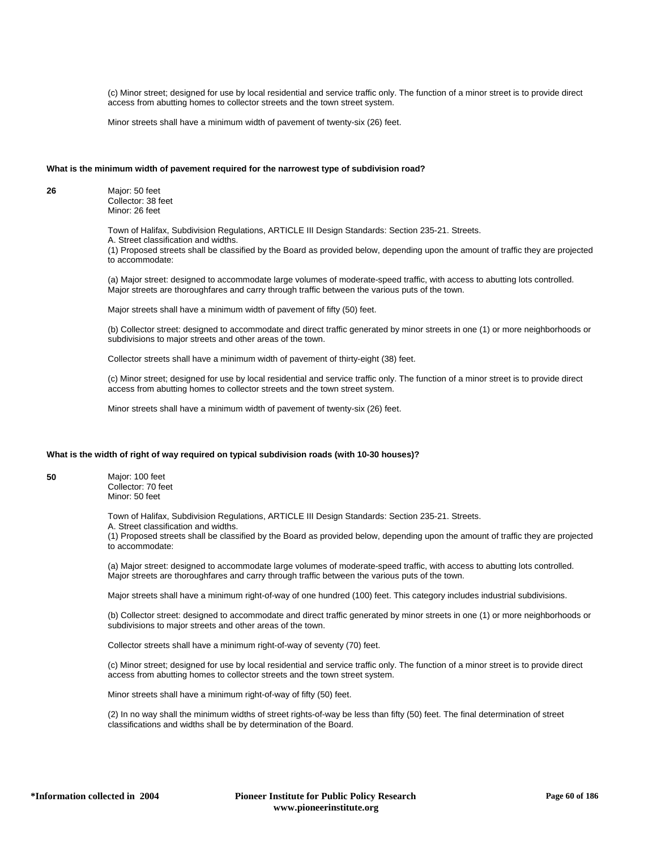(c) Minor street; designed for use by local residential and service traffic only. The function of a minor street is to provide direct access from abutting homes to collector streets and the town street system.

Minor streets shall have a minimum width of pavement of twenty-six (26) feet.

# **What is the minimum width of pavement required for the narrowest type of subdivision road?**

**26** Major: 50 feet Collector: 38 feet Minor: 26 feet

> Town of Halifax, Subdivision Regulations, ARTICLE III Design Standards: Section 235-21. Streets. A. Street classification and widths. (1) Proposed streets shall be classified by the Board as provided below, depending upon the amount of traffic they are projected to accommodate:

(a) Major street: designed to accommodate large volumes of moderate-speed traffic, with access to abutting lots controlled. Major streets are thoroughfares and carry through traffic between the various puts of the town.

Major streets shall have a minimum width of pavement of fifty (50) feet.

(b) Collector street: designed to accommodate and direct traffic generated by minor streets in one (1) or more neighborhoods or subdivisions to major streets and other areas of the town.

Collector streets shall have a minimum width of pavement of thirty-eight (38) feet.

(c) Minor street; designed for use by local residential and service traffic only. The function of a minor street is to provide direct access from abutting homes to collector streets and the town street system.

Minor streets shall have a minimum width of pavement of twenty-six (26) feet.

# **What is the width of right of way required on typical subdivision roads (with 10-30 houses)?**

**50** Major: 100 feet Collector: 70 feet Minor: 50 feet

Town of Halifax, Subdivision Regulations, ARTICLE III Design Standards: Section 235-21. Streets.

A. Street classification and widths.

(1) Proposed streets shall be classified by the Board as provided below, depending upon the amount of traffic they are projected to accommodate:

(a) Major street: designed to accommodate large volumes of moderate-speed traffic, with access to abutting lots controlled. Major streets are thoroughfares and carry through traffic between the various puts of the town.

Major streets shall have a minimum right-of-way of one hundred (100) feet. This category includes industrial subdivisions.

(b) Collector street: designed to accommodate and direct traffic generated by minor streets in one (1) or more neighborhoods or subdivisions to major streets and other areas of the town.

Collector streets shall have a minimum right-of-way of seventy (70) feet.

(c) Minor street; designed for use by local residential and service traffic only. The function of a minor street is to provide direct access from abutting homes to collector streets and the town street system.

Minor streets shall have a minimum right-of-way of fifty (50) feet.

(2) In no way shall the minimum widths of street rights-of-way be less than fifty (50) feet. The final determination of street classifications and widths shall be by determination of the Board.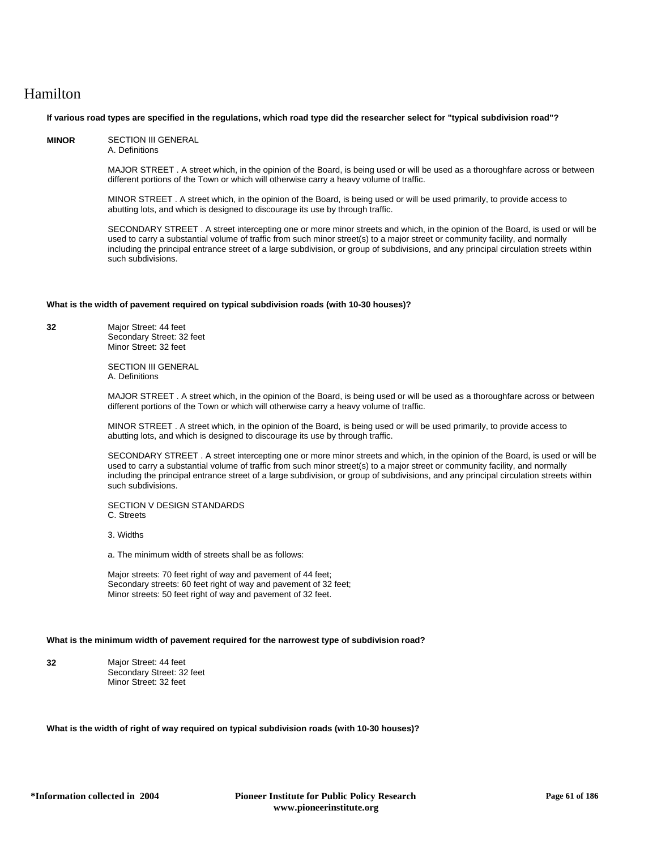# Hamilton

### **If various road types are specified in the regulations, which road type did the researcher select for "typical subdivision road"?**

**MINOR** SECTION III GENERAL A. Definitions

> MAJOR STREET . A street which, in the opinion of the Board, is being used or will be used as a thoroughfare across or between different portions of the Town or which will otherwise carry a heavy volume of traffic.

MINOR STREET . A street which, in the opinion of the Board, is being used or will be used primarily, to provide access to abutting lots, and which is designed to discourage its use by through traffic.

SECONDARY STREET . A street intercepting one or more minor streets and which, in the opinion of the Board, is used or will be used to carry a substantial volume of traffic from such minor street(s) to a major street or community facility, and normally including the principal entrance street of a large subdivision, or group of subdivisions, and any principal circulation streets within such subdivisions.

# **What is the width of pavement required on typical subdivision roads (with 10-30 houses)?**

**32** Major Street: 44 feet Secondary Street: 32 feet Minor Street: 32 feet

> SECTION III GENERAL A. Definitions

MAJOR STREET . A street which, in the opinion of the Board, is being used or will be used as a thoroughfare across or between different portions of the Town or which will otherwise carry a heavy volume of traffic.

MINOR STREET . A street which, in the opinion of the Board, is being used or will be used primarily, to provide access to abutting lots, and which is designed to discourage its use by through traffic.

SECONDARY STREET . A street intercepting one or more minor streets and which, in the opinion of the Board, is used or will be used to carry a substantial volume of traffic from such minor street(s) to a major street or community facility, and normally including the principal entrance street of a large subdivision, or group of subdivisions, and any principal circulation streets within such subdivisions.

SECTION V DESIGN STANDARDS C. Streets

3. Widths

a. The minimum width of streets shall be as follows:

Major streets: 70 feet right of way and pavement of 44 feet; Secondary streets: 60 feet right of way and pavement of 32 feet; Minor streets: 50 feet right of way and pavement of 32 feet.

# **What is the minimum width of pavement required for the narrowest type of subdivision road?**

**32** Major Street: 44 feet Secondary Street: 32 feet Minor Street: 32 feet

**What is the width of right of way required on typical subdivision roads (with 10-30 houses)?**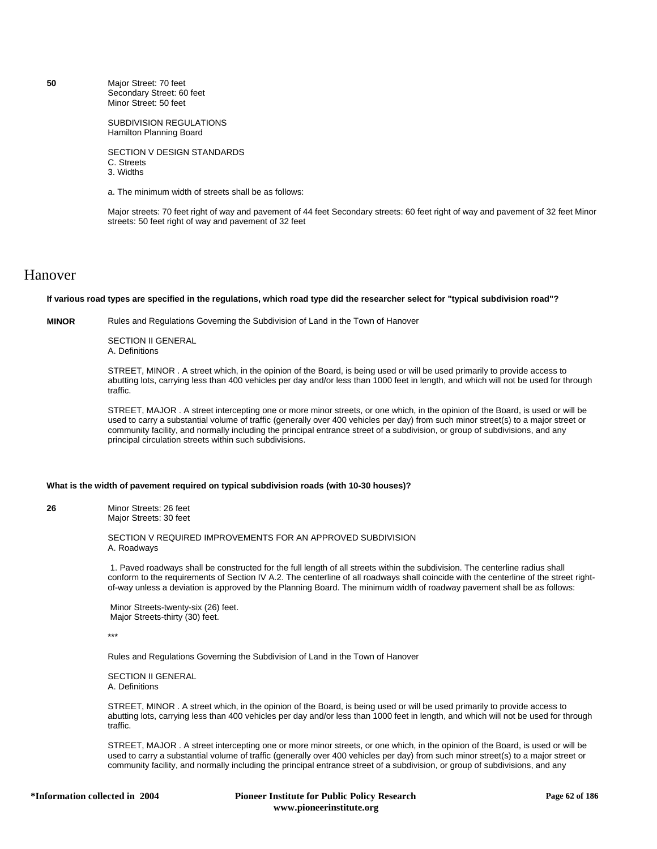**50** Major Street: 70 feet Secondary Street: 60 feet Minor Street: 50 feet

> SUBDIVISION REGULATIONS Hamilton Planning Board

SECTION V DESIGN STANDARDS C. Streets 3. Widths

a. The minimum width of streets shall be as follows:

Major streets: 70 feet right of way and pavement of 44 feet Secondary streets: 60 feet right of way and pavement of 32 feet Minor streets: 50 feet right of way and pavement of 32 feet

# Hanover

**If various road types are specified in the regulations, which road type did the researcher select for "typical subdivision road"?**

**MINOR** Rules and Regulations Governing the Subdivision of Land in the Town of Hanover

SECTION II GENERAL A. Definitions

STREET, MINOR . A street which, in the opinion of the Board, is being used or will be used primarily to provide access to abutting lots, carrying less than 400 vehicles per day and/or less than 1000 feet in length, and which will not be used for through traffic.

STREET, MAJOR . A street intercepting one or more minor streets, or one which, in the opinion of the Board, is used or will be used to carry a substantial volume of traffic (generally over 400 vehicles per day) from such minor street(s) to a major street or community facility, and normally including the principal entrance street of a subdivision, or group of subdivisions, and any principal circulation streets within such subdivisions.

# **What is the width of pavement required on typical subdivision roads (with 10-30 houses)?**

**26** Minor Streets: 26 feet Major Streets: 30 feet

> SECTION V REQUIRED IMPROVEMENTS FOR AN APPROVED SUBDIVISION A. Roadways

 1. Paved roadways shall be constructed for the full length of all streets within the subdivision. The centerline radius shall conform to the requirements of Section IV A.2. The centerline of all roadways shall coincide with the centerline of the street rightof-way unless a deviation is approved by the Planning Board. The minimum width of roadway pavement shall be as follows:

 Minor Streets-twenty-six (26) feet. Major Streets-thirty (30) feet.

\*\*\*

Rules and Regulations Governing the Subdivision of Land in the Town of Hanover

SECTION II GENERAL A. Definitions

STREET, MINOR . A street which, in the opinion of the Board, is being used or will be used primarily to provide access to abutting lots, carrying less than 400 vehicles per day and/or less than 1000 feet in length, and which will not be used for through traffic.

STREET, MAJOR . A street intercepting one or more minor streets, or one which, in the opinion of the Board, is used or will be used to carry a substantial volume of traffic (generally over 400 vehicles per day) from such minor street(s) to a major street or community facility, and normally including the principal entrance street of a subdivision, or group of subdivisions, and any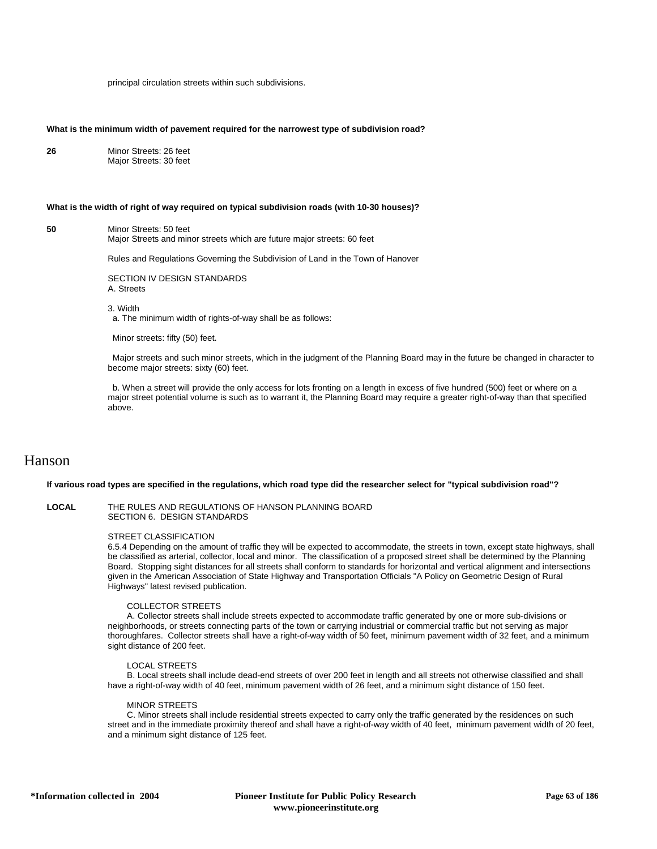principal circulation streets within such subdivisions.

#### **What is the minimum width of pavement required for the narrowest type of subdivision road?**

**26** Minor Streets: 26 feet Major Streets: 30 feet

#### **What is the width of right of way required on typical subdivision roads (with 10-30 houses)?**

**50** Minor Streets: 50 feet

Major Streets and minor streets which are future major streets: 60 feet

Rules and Regulations Governing the Subdivision of Land in the Town of Hanover

SECTION IV DESIGN STANDARDS

A. Streets

3. Width

a. The minimum width of rights-of-way shall be as follows:

Minor streets: fifty (50) feet.

 Major streets and such minor streets, which in the judgment of the Planning Board may in the future be changed in character to become major streets: sixty (60) feet.

 b. When a street will provide the only access for lots fronting on a length in excess of five hundred (500) feet or where on a major street potential volume is such as to warrant it, the Planning Board may require a greater right-of-way than that specified above.

# Hanson

#### **If various road types are specified in the regulations, which road type did the researcher select for "typical subdivision road"?**

**LOCAL** THE RULES AND REGULATIONS OF HANSON PLANNING BOARD SECTION 6. DESIGN STANDARDS

#### STREET CLASSIFICATION

6.5.4 Depending on the amount of traffic they will be expected to accommodate, the streets in town, except state highways, shall be classified as arterial, collector, local and minor. The classification of a proposed street shall be determined by the Planning Board. Stopping sight distances for all streets shall conform to standards for horizontal and vertical alignment and intersections given in the American Association of State Highway and Transportation Officials "A Policy on Geometric Design of Rural Highways" latest revised publication.

# COLLECTOR STREETS

 A. Collector streets shall include streets expected to accommodate traffic generated by one or more sub-divisions or neighborhoods, or streets connecting parts of the town or carrying industrial or commercial traffic but not serving as major thoroughfares. Collector streets shall have a right-of-way width of 50 feet, minimum pavement width of 32 feet, and a minimum sight distance of 200 feet.

# LOCAL STREETS

 B. Local streets shall include dead-end streets of over 200 feet in length and all streets not otherwise classified and shall have a right-of-way width of 40 feet, minimum pavement width of 26 feet, and a minimum sight distance of 150 feet.

#### MINOR STREETS

 C. Minor streets shall include residential streets expected to carry only the traffic generated by the residences on such street and in the immediate proximity thereof and shall have a right-of-way width of 40 feet, minimum pavement width of 20 feet, and a minimum sight distance of 125 feet.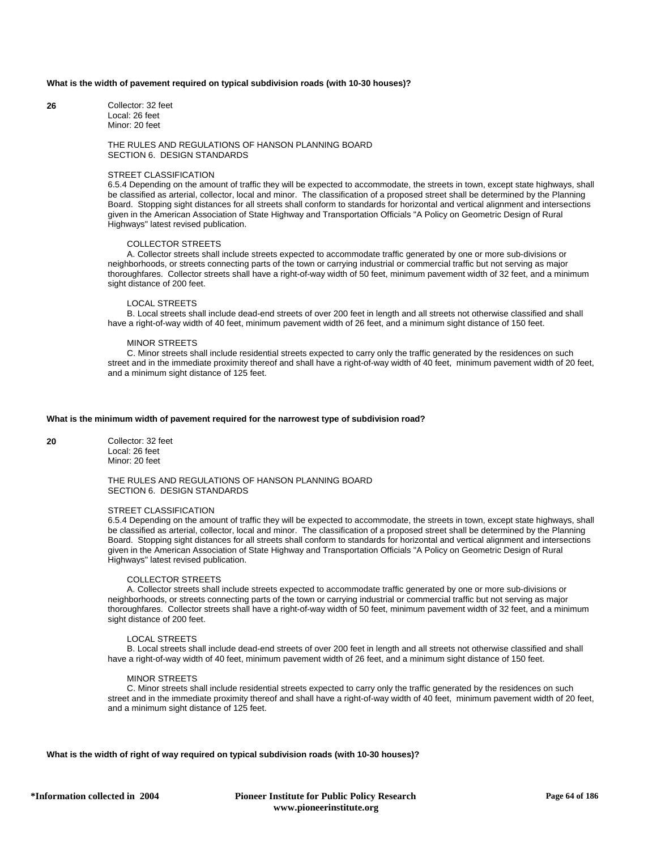### **What is the width of pavement required on typical subdivision roads (with 10-30 houses)?**

**26** Collector: 32 feet Local: 26 feet Minor: 20 feet

# THE RULES AND REGULATIONS OF HANSON PLANNING BOARD SECTION 6. DESIGN STANDARDS

#### STREET CLASSIFICATION

6.5.4 Depending on the amount of traffic they will be expected to accommodate, the streets in town, except state highways, shall be classified as arterial, collector, local and minor. The classification of a proposed street shall be determined by the Planning Board. Stopping sight distances for all streets shall conform to standards for horizontal and vertical alignment and intersections given in the American Association of State Highway and Transportation Officials "A Policy on Geometric Design of Rural Highways" latest revised publication.

# COLLECTOR STREETS

 A. Collector streets shall include streets expected to accommodate traffic generated by one or more sub-divisions or neighborhoods, or streets connecting parts of the town or carrying industrial or commercial traffic but not serving as major thoroughfares. Collector streets shall have a right-of-way width of 50 feet, minimum pavement width of 32 feet, and a minimum sight distance of 200 feet.

# LOCAL STREETS

 B. Local streets shall include dead-end streets of over 200 feet in length and all streets not otherwise classified and shall have a right-of-way width of 40 feet, minimum pavement width of 26 feet, and a minimum sight distance of 150 feet.

# MINOR STREETS

 C. Minor streets shall include residential streets expected to carry only the traffic generated by the residences on such street and in the immediate proximity thereof and shall have a right-of-way width of 40 feet, minimum pavement width of 20 feet, and a minimum sight distance of 125 feet.

# **What is the minimum width of pavement required for the narrowest type of subdivision road?**

**20** Collector: 32 feet Local: 26 feet Minor: 20 feet

# THE RULES AND REGULATIONS OF HANSON PLANNING BOARD SECTION 6. DESIGN STANDARDS

# STREET CLASSIFICATION

6.5.4 Depending on the amount of traffic they will be expected to accommodate, the streets in town, except state highways, shall be classified as arterial, collector, local and minor. The classification of a proposed street shall be determined by the Planning Board. Stopping sight distances for all streets shall conform to standards for horizontal and vertical alignment and intersections given in the American Association of State Highway and Transportation Officials "A Policy on Geometric Design of Rural Highways" latest revised publication.

### COLLECTOR STREETS

 A. Collector streets shall include streets expected to accommodate traffic generated by one or more sub-divisions or neighborhoods, or streets connecting parts of the town or carrying industrial or commercial traffic but not serving as major thoroughfares. Collector streets shall have a right-of-way width of 50 feet, minimum pavement width of 32 feet, and a minimum sight distance of 200 feet.

#### LOCAL STREETS

 B. Local streets shall include dead-end streets of over 200 feet in length and all streets not otherwise classified and shall have a right-of-way width of 40 feet, minimum pavement width of 26 feet, and a minimum sight distance of 150 feet.

# MINOR STREETS

 C. Minor streets shall include residential streets expected to carry only the traffic generated by the residences on such street and in the immediate proximity thereof and shall have a right-of-way width of 40 feet, minimum pavement width of 20 feet, and a minimum sight distance of 125 feet.

**What is the width of right of way required on typical subdivision roads (with 10-30 houses)?**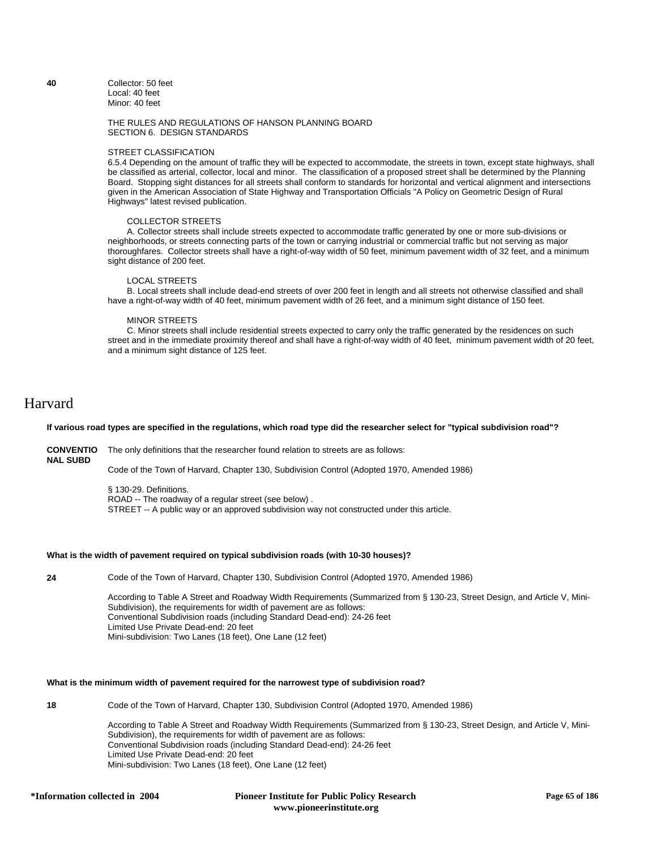**40** Collector: 50 feet Local: 40 feet Minor: 40 feet

# THE RULES AND REGULATIONS OF HANSON PLANNING BOARD SECTION 6. DESIGN STANDARDS

### STREET CLASSIFICATION

6.5.4 Depending on the amount of traffic they will be expected to accommodate, the streets in town, except state highways, shall be classified as arterial, collector, local and minor. The classification of a proposed street shall be determined by the Planning Board. Stopping sight distances for all streets shall conform to standards for horizontal and vertical alignment and intersections given in the American Association of State Highway and Transportation Officials "A Policy on Geometric Design of Rural Highways" latest revised publication.

#### COLLECTOR STREETS

 A. Collector streets shall include streets expected to accommodate traffic generated by one or more sub-divisions or neighborhoods, or streets connecting parts of the town or carrying industrial or commercial traffic but not serving as major thoroughfares. Collector streets shall have a right-of-way width of 50 feet, minimum pavement width of 32 feet, and a minimum sight distance of 200 feet.

### LOCAL STREETS

 B. Local streets shall include dead-end streets of over 200 feet in length and all streets not otherwise classified and shall have a right-of-way width of 40 feet, minimum pavement width of 26 feet, and a minimum sight distance of 150 feet.

#### MINOR STREETS

 C. Minor streets shall include residential streets expected to carry only the traffic generated by the residences on such street and in the immediate proximity thereof and shall have a right-of-way width of 40 feet, minimum pavement width of 20 feet, and a minimum sight distance of 125 feet.

# Harvard

### **If various road types are specified in the regulations, which road type did the researcher select for "typical subdivision road"?**

**CONVENTIO** The only definitions that the researcher found relation to streets are as follows: **NAL SUBD**

Code of the Town of Harvard, Chapter 130, Subdivision Control (Adopted 1970, Amended 1986)

§ 130-29. Definitions. ROAD -- The roadway of a regular street (see below) . STREET -- A public way or an approved subdivision way not constructed under this article.

# **What is the width of pavement required on typical subdivision roads (with 10-30 houses)?**

**24** Code of the Town of Harvard, Chapter 130, Subdivision Control (Adopted 1970, Amended 1986)

According to Table A Street and Roadway Width Requirements (Summarized from § 130-23, Street Design, and Article V, Mini-Subdivision), the requirements for width of pavement are as follows: Conventional Subdivision roads (including Standard Dead-end): 24-26 feet Limited Use Private Dead-end: 20 feet Mini-subdivision: Two Lanes (18 feet), One Lane (12 feet)

# **What is the minimum width of pavement required for the narrowest type of subdivision road?**

**18** Code of the Town of Harvard, Chapter 130, Subdivision Control (Adopted 1970, Amended 1986)

According to Table A Street and Roadway Width Requirements (Summarized from § 130-23, Street Design, and Article V, Mini-Subdivision), the requirements for width of pavement are as follows: Conventional Subdivision roads (including Standard Dead-end): 24-26 feet Limited Use Private Dead-end: 20 feet Mini-subdivision: Two Lanes (18 feet), One Lane (12 feet)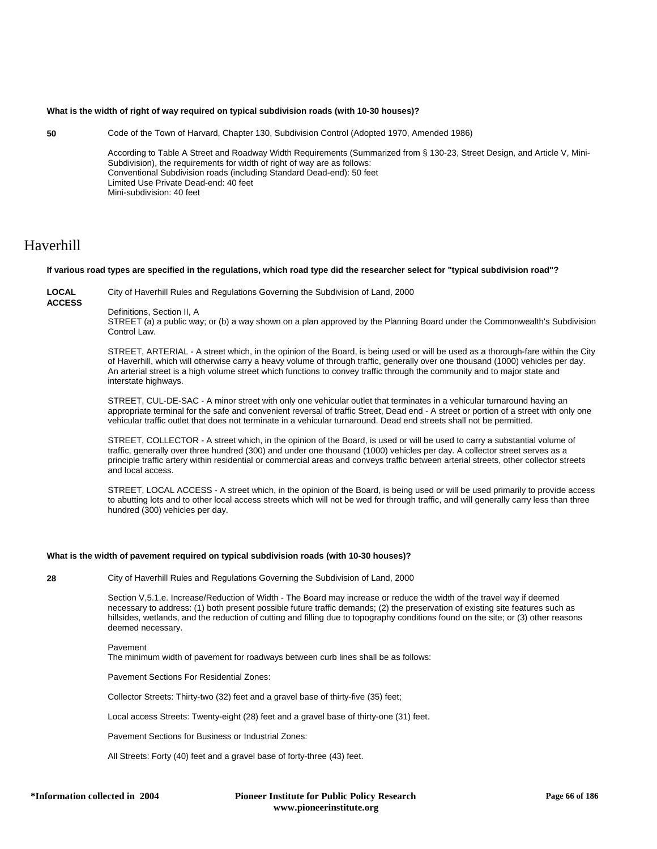# **What is the width of right of way required on typical subdivision roads (with 10-30 houses)?**

- **50** Code of the Town of Harvard, Chapter 130, Subdivision Control (Adopted 1970, Amended 1986) According to Table A Street and Roadway Width Requirements (Summarized from § 130-23, Street Design, and Article V, Mini-Subdivision), the requirements for width of right of way are as follows: Conventional Subdivision roads (including Standard Dead-end): 50 feet Limited Use Private Dead-end: 40 feet
	- Mini-subdivision: 40 feet

# Haverhill

### **If various road types are specified in the regulations, which road type did the researcher select for "typical subdivision road"?**

**LOCAL** 

City of Haverhill Rules and Regulations Governing the Subdivision of Land, 2000

**ACCESS**

Definitions, Section II, A

STREET (a) a public way; or (b) a way shown on a plan approved by the Planning Board under the Commonwealth's Subdivision Control Law.

STREET, ARTERIAL - A street which, in the opinion of the Board, is being used or will be used as a thorough-fare within the City of Haverhill, which will otherwise carry a heavy volume of through traffic, generally over one thousand (1000) vehicles per day. An arterial street is a high volume street which functions to convey traffic through the community and to major state and interstate highways.

STREET, CUL-DE-SAC - A minor street with only one vehicular outlet that terminates in a vehicular turnaround having an appropriate terminal for the safe and convenient reversal of traffic Street, Dead end - A street or portion of a street with only one vehicular traffic outlet that does not terminate in a vehicular turnaround. Dead end streets shall not be permitted.

STREET, COLLECTOR - A street which, in the opinion of the Board, is used or will be used to carry a substantial volume of traffic, generally over three hundred (300) and under one thousand (1000) vehicles per day. A collector street serves as a principle traffic artery within residential or commercial areas and conveys traffic between arterial streets, other collector streets and local access.

STREET, LOCAL ACCESS - A street which, in the opinion of the Board, is being used or will be used primarily to provide access to abutting lots and to other local access streets which will not be wed for through traffic, and will generally carry less than three hundred (300) vehicles per day.

# **What is the width of pavement required on typical subdivision roads (with 10-30 houses)?**

**28** City of Haverhill Rules and Regulations Governing the Subdivision of Land, 2000

Section V,5.1,e. Increase/Reduction of Width - The Board may increase or reduce the width of the travel way if deemed necessary to address: (1) both present possible future traffic demands; (2) the preservation of existing site features such as hillsides, wetlands, and the reduction of cutting and filling due to topography conditions found on the site; or (3) other reasons deemed necessary.

#### Pavement

The minimum width of pavement for roadways between curb lines shall be as follows:

Pavement Sections For Residential Zones:

Collector Streets: Thirty-two (32) feet and a gravel base of thirty-five (35) feet;

Local access Streets: Twenty-eight (28) feet and a gravel base of thirty-one (31) feet.

Pavement Sections for Business or Industrial Zones:

All Streets: Forty (40) feet and a gravel base of forty-three (43) feet.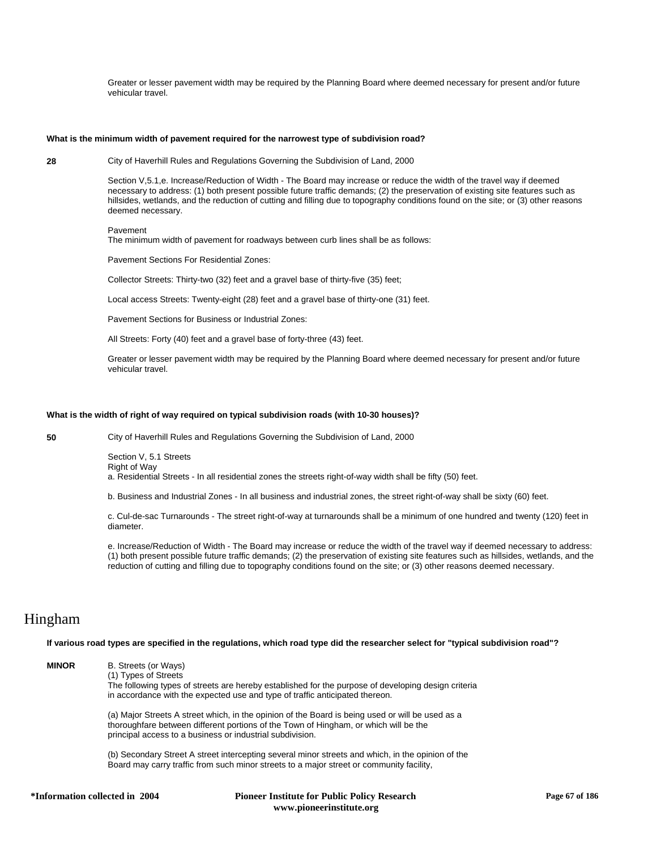Greater or lesser pavement width may be required by the Planning Board where deemed necessary for present and/or future vehicular travel.

#### **What is the minimum width of pavement required for the narrowest type of subdivision road?**

**28** City of Haverhill Rules and Regulations Governing the Subdivision of Land, 2000

Section V,5.1,e. Increase/Reduction of Width - The Board may increase or reduce the width of the travel way if deemed necessary to address: (1) both present possible future traffic demands; (2) the preservation of existing site features such as hillsides, wetlands, and the reduction of cutting and filling due to topography conditions found on the site; or (3) other reasons deemed necessary.

### Pavement

The minimum width of pavement for roadways between curb lines shall be as follows:

Pavement Sections For Residential Zones:

Collector Streets: Thirty-two (32) feet and a gravel base of thirty-five (35) feet;

Local access Streets: Twenty-eight (28) feet and a gravel base of thirty-one (31) feet.

Pavement Sections for Business or Industrial Zones:

All Streets: Forty (40) feet and a gravel base of forty-three (43) feet.

Greater or lesser pavement width may be required by the Planning Board where deemed necessary for present and/or future vehicular travel.

#### **What is the width of right of way required on typical subdivision roads (with 10-30 houses)?**

**50** City of Haverhill Rules and Regulations Governing the Subdivision of Land, 2000

Section V, 5.1 Streets Right of Way

a. Residential Streets - In all residential zones the streets right-of-way width shall be fifty (50) feet.

b. Business and Industrial Zones - In all business and industrial zones, the street right-of-way shall be sixty (60) feet.

c. Cul-de-sac Turnarounds - The street right-of-way at turnarounds shall be a minimum of one hundred and twenty (120) feet in diameter.

e. Increase/Reduction of Width - The Board may increase or reduce the width of the travel way if deemed necessary to address: (1) both present possible future traffic demands; (2) the preservation of existing site features such as hillsides, wetlands, and the reduction of cutting and filling due to topography conditions found on the site; or (3) other reasons deemed necessary.

# Hingham

**If various road types are specified in the regulations, which road type did the researcher select for "typical subdivision road"?**

| <b>MINOR</b> | B. Streets (or Ways)<br>(1) Types of Streets<br>The following types of streets are hereby established for the purpose of developing design criteria<br>in accordance with the expected use and type of traffic anticipated thereon.                   |
|--------------|-------------------------------------------------------------------------------------------------------------------------------------------------------------------------------------------------------------------------------------------------------|
|              | (a) Major Streets A street which, in the opinion of the Board is being used or will be used as a<br>thoroughfare between different portions of the Town of Hingham, or which will be the<br>principal access to a business or industrial subdivision. |
|              | (b) Secondary Street A street intercepting several minor streets and which, in the opinion of the<br>Board may carry traffic from such minor streets to a major street or community facility.                                                         |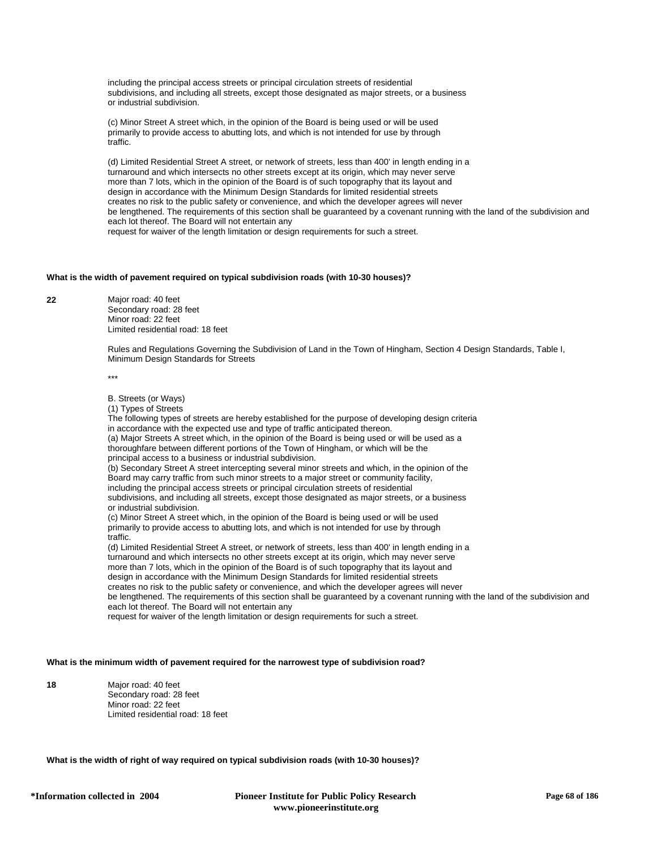including the principal access streets or principal circulation streets of residential subdivisions, and including all streets, except those designated as major streets, or a business or industrial subdivision.

(c) Minor Street A street which, in the opinion of the Board is being used or will be used primarily to provide access to abutting lots, and which is not intended for use by through traffic.

(d) Limited Residential Street A street, or network of streets, less than 400' in length ending in a turnaround and which intersects no other streets except at its origin, which may never serve more than 7 lots, which in the opinion of the Board is of such topography that its layout and design in accordance with the Minimum Design Standards for limited residential streets creates no risk to the public safety or convenience, and which the developer agrees will never be lengthened. The requirements of this section shall be guaranteed by a covenant running with the land of the subdivision and each lot thereof. The Board will not entertain any request for waiver of the length limitation or design requirements for such a street.

# **What is the width of pavement required on typical subdivision roads (with 10-30 houses)?**

**22** Major road: 40 feet Secondary road: 28 feet Minor road: 22 feet Limited residential road: 18 feet

> Rules and Regulations Governing the Subdivision of Land in the Town of Hingham, Section 4 Design Standards, Table I, Minimum Design Standards for Streets

\*\*\*

B. Streets (or Ways)

(1) Types of Streets

The following types of streets are hereby established for the purpose of developing design criteria in accordance with the expected use and type of traffic anticipated thereon. (a) Major Streets A street which, in the opinion of the Board is being used or will be used as a thoroughfare between different portions of the Town of Hingham, or which will be the principal access to a business or industrial subdivision. (b) Secondary Street A street intercepting several minor streets and which, in the opinion of the Board may carry traffic from such minor streets to a major street or community facility, including the principal access streets or principal circulation streets of residential subdivisions, and including all streets, except those designated as major streets, or a business or industrial subdivision. (c) Minor Street A street which, in the opinion of the Board is being used or will be used primarily to provide access to abutting lots, and which is not intended for use by through traffic. (d) Limited Residential Street A street, or network of streets, less than 400' in length ending in a turnaround and which intersects no other streets except at its origin, which may never serve more than 7 lots, which in the opinion of the Board is of such topography that its layout and design in accordance with the Minimum Design Standards for limited residential streets creates no risk to the public safety or convenience, and which the developer agrees will never be lengthened. The requirements of this section shall be guaranteed by a covenant running with the land of the subdivision and each lot thereof. The Board will not entertain any request for waiver of the length limitation or design requirements for such a street.

# **What is the minimum width of pavement required for the narrowest type of subdivision road?**

**18** Major road: 40 feet Secondary road: 28 feet Minor road: 22 feet Limited residential road: 18 feet

**What is the width of right of way required on typical subdivision roads (with 10-30 houses)?**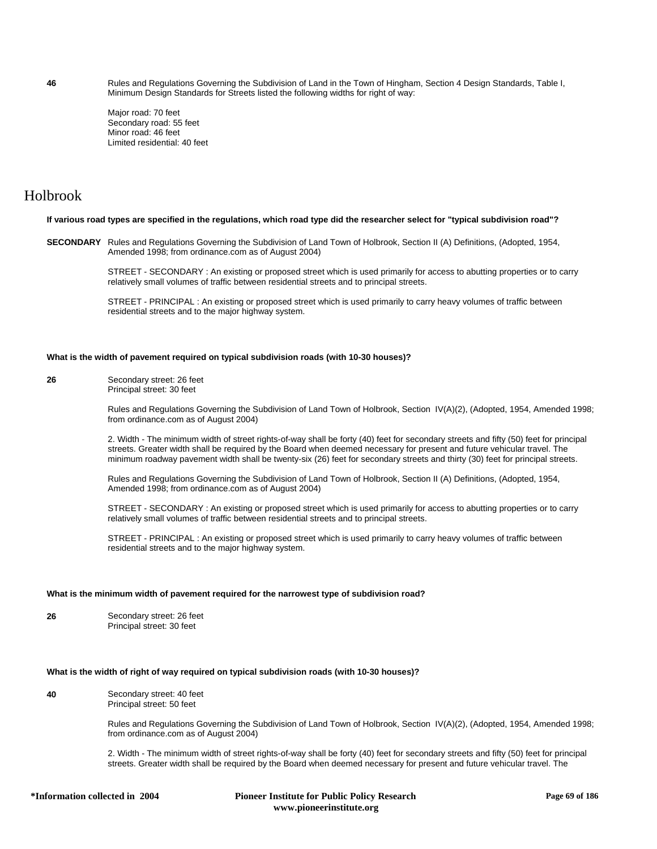**46** Rules and Regulations Governing the Subdivision of Land in the Town of Hingham, Section 4 Design Standards, Table I, Minimum Design Standards for Streets listed the following widths for right of way:

> Major road: 70 feet Secondary road: 55 feet Minor road: 46 feet Limited residential: 40 feet

# Holbrook

### **If various road types are specified in the regulations, which road type did the researcher select for "typical subdivision road"?**

**SECONDARY** Rules and Regulations Governing the Subdivision of Land Town of Holbrook, Section II (A) Definitions, (Adopted, 1954, Amended 1998; from ordinance.com as of August 2004)

> STREET - SECONDARY : An existing or proposed street which is used primarily for access to abutting properties or to carry relatively small volumes of traffic between residential streets and to principal streets.

STREET - PRINCIPAL : An existing or proposed street which is used primarily to carry heavy volumes of traffic between residential streets and to the major highway system.

# **What is the width of pavement required on typical subdivision roads (with 10-30 houses)?**

**26** Secondary street: 26 feet Principal street: 30 feet

> Rules and Regulations Governing the Subdivision of Land Town of Holbrook, Section IV(A)(2), (Adopted, 1954, Amended 1998; from ordinance.com as of August 2004)

2. Width - The minimum width of street rights-of-way shall be forty (40) feet for secondary streets and fifty (50) feet for principal streets. Greater width shall be required by the Board when deemed necessary for present and future vehicular travel. The minimum roadway pavement width shall be twenty-six (26) feet for secondary streets and thirty (30) feet for principal streets.

Rules and Regulations Governing the Subdivision of Land Town of Holbrook, Section II (A) Definitions, (Adopted, 1954, Amended 1998; from ordinance.com as of August 2004)

STREET - SECONDARY : An existing or proposed street which is used primarily for access to abutting properties or to carry relatively small volumes of traffic between residential streets and to principal streets.

STREET - PRINCIPAL : An existing or proposed street which is used primarily to carry heavy volumes of traffic between residential streets and to the major highway system.

# **What is the minimum width of pavement required for the narrowest type of subdivision road?**

**26** Secondary street: 26 feet Principal street: 30 feet

# **What is the width of right of way required on typical subdivision roads (with 10-30 houses)?**

**40** Secondary street: 40 feet Principal street: 50 feet

> Rules and Regulations Governing the Subdivision of Land Town of Holbrook, Section IV(A)(2), (Adopted, 1954, Amended 1998; from ordinance.com as of August 2004)

2. Width - The minimum width of street rights-of-way shall be forty (40) feet for secondary streets and fifty (50) feet for principal streets. Greater width shall be required by the Board when deemed necessary for present and future vehicular travel. The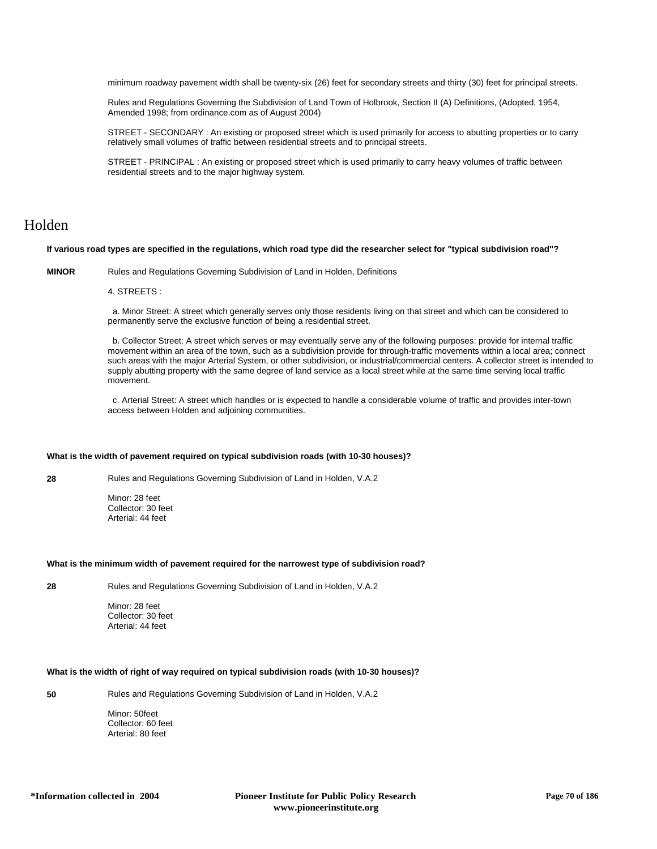minimum roadway pavement width shall be twenty-six (26) feet for secondary streets and thirty (30) feet for principal streets.

Rules and Regulations Governing the Subdivision of Land Town of Holbrook, Section II (A) Definitions, (Adopted, 1954, Amended 1998; from ordinance.com as of August 2004)

STREET - SECONDARY : An existing or proposed street which is used primarily for access to abutting properties or to carry relatively small volumes of traffic between residential streets and to principal streets.

STREET - PRINCIPAL : An existing or proposed street which is used primarily to carry heavy volumes of traffic between residential streets and to the major highway system.

# Holden

# **If various road types are specified in the regulations, which road type did the researcher select for "typical subdivision road"?**

**MINOR** Rules and Regulations Governing Subdivision of Land in Holden, Definitions

# 4. STREETS :

 a. Minor Street: A street which generally serves only those residents living on that street and which can be considered to permanently serve the exclusive function of being a residential street.

 b. Collector Street: A street which serves or may eventually serve any of the following purposes: provide for internal traffic movement within an area of the town, such as a subdivision provide for through-traffic movements within a local area; connect such areas with the major Arterial System, or other subdivision, or industrial/commercial centers. A collector street is intended to supply abutting property with the same degree of land service as a local street while at the same time serving local traffic movement.

 c. Arterial Street: A street which handles or is expected to handle a considerable volume of traffic and provides inter-town access between Holden and adjoining communities.

#### **What is the width of pavement required on typical subdivision roads (with 10-30 houses)?**

**28** Rules and Regulations Governing Subdivision of Land in Holden, V.A.2

Minor: 28 feet Collector: 30 feet Arterial: 44 feet

#### **What is the minimum width of pavement required for the narrowest type of subdivision road?**

**28** Rules and Regulations Governing Subdivision of Land in Holden, V.A.2

Minor: 28 feet Collector: 30 feet Arterial: 44 feet

# **What is the width of right of way required on typical subdivision roads (with 10-30 houses)?**

**50** Rules and Regulations Governing Subdivision of Land in Holden, V.A.2

Minor: 50feet Collector: 60 feet Arterial: 80 feet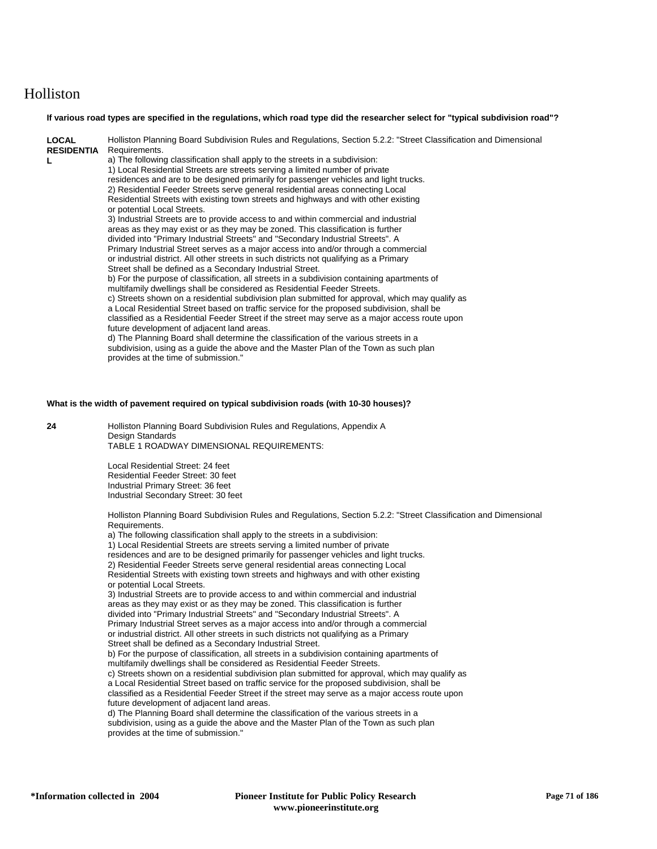# Holliston

### **If various road types are specified in the regulations, which road type did the researcher select for "typical subdivision road"?**

| <b>LOCAL</b><br><b>RESIDENTIA</b> | Holliston Planning Board Subdivision Rules and Regulations, Section 5.2.2: "Street Classification and Dimensional<br>Requirements. |
|-----------------------------------|------------------------------------------------------------------------------------------------------------------------------------|
| L                                 | a) The following classification shall apply to the streets in a subdivision:                                                       |
|                                   | 1) Local Residential Streets are streets serving a limited number of private                                                       |
|                                   | residences and are to be designed primarily for passenger vehicles and light trucks.                                               |
|                                   | 2) Residential Feeder Streets serve general residential areas connecting Local                                                     |
|                                   | Residential Streets with existing town streets and highways and with other existing<br>or potential Local Streets.                 |
|                                   | 3) Industrial Streets are to provide access to and within commercial and industrial                                                |
|                                   | areas as they may exist or as they may be zoned. This classification is further                                                    |
|                                   | divided into "Primary Industrial Streets" and "Secondary Industrial Streets". A                                                    |
|                                   | Primary Industrial Street serves as a major access into and/or through a commercial                                                |
|                                   | or industrial district. All other streets in such districts not qualifying as a Primary                                            |
|                                   | Street shall be defined as a Secondary Industrial Street.                                                                          |
|                                   | b) For the purpose of classification, all streets in a subdivision containing apartments of                                        |
|                                   | multifamily dwellings shall be considered as Residential Feeder Streets.                                                           |
|                                   | c) Streets shown on a residential subdivision plan submitted for approval, which may qualify as                                    |
|                                   | a Local Residential Street based on traffic service for the proposed subdivision, shall be                                         |
|                                   | classified as a Residential Feeder Street if the street may serve as a major access route upon                                     |
|                                   | future development of adjacent land areas.                                                                                         |
|                                   | d) The Planning Board shall determine the classification of the various streets in a                                               |
|                                   | subdivision, using as a guide the above and the Master Plan of the Town as such plan                                               |
|                                   | provides at the time of submission."                                                                                               |

#### **What is the width of pavement required on typical subdivision roads (with 10-30 houses)?**

**24** Holliston Planning Board Subdivision Rules and Regulations, Appendix A Design Standards TABLE 1 ROADWAY DIMENSIONAL REQUIREMENTS:

> Local Residential Street: 24 feet Residential Feeder Street: 30 feet Industrial Primary Street: 36 feet Industrial Secondary Street: 30 feet

Holliston Planning Board Subdivision Rules and Regulations, Section 5.2.2: "Street Classification and Dimensional Requirements.

a) The following classification shall apply to the streets in a subdivision: 1) Local Residential Streets are streets serving a limited number of private residences and are to be designed primarily for passenger vehicles and light trucks. 2) Residential Feeder Streets serve general residential areas connecting Local Residential Streets with existing town streets and highways and with other existing or potential Local Streets. 3) Industrial Streets are to provide access to and within commercial and industrial

areas as they may exist or as they may be zoned. This classification is further divided into "Primary Industrial Streets" and "Secondary Industrial Streets". A Primary Industrial Street serves as a major access into and/or through a commercial or industrial district. All other streets in such districts not qualifying as a Primary Street shall be defined as a Secondary Industrial Street.

b) For the purpose of classification, all streets in a subdivision containing apartments of multifamily dwellings shall be considered as Residential Feeder Streets.

c) Streets shown on a residential subdivision plan submitted for approval, which may qualify as a Local Residential Street based on traffic service for the proposed subdivision, shall be classified as a Residential Feeder Street if the street may serve as a major access route upon future development of adjacent land areas.

d) The Planning Board shall determine the classification of the various streets in a subdivision, using as a guide the above and the Master Plan of the Town as such plan provides at the time of submission."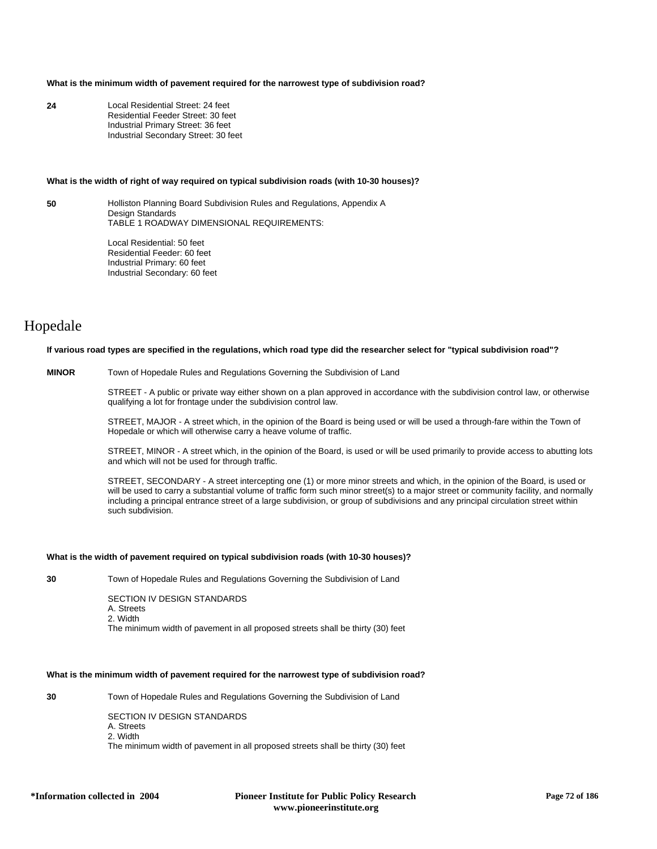# **What is the minimum width of pavement required for the narrowest type of subdivision road?**

**24** Local Residential Street: 24 feet Residential Feeder Street: 30 feet Industrial Primary Street: 36 feet Industrial Secondary Street: 30 feet

#### **What is the width of right of way required on typical subdivision roads (with 10-30 houses)?**

**50** Holliston Planning Board Subdivision Rules and Regulations, Appendix A Design Standards TABLE 1 ROADWAY DIMENSIONAL REQUIREMENTS:

> Local Residential: 50 feet Residential Feeder: 60 feet Industrial Primary: 60 feet Industrial Secondary: 60 feet

# Hopedale

# **If various road types are specified in the regulations, which road type did the researcher select for "typical subdivision road"?**

# **MINOR** Town of Hopedale Rules and Regulations Governing the Subdivision of Land

STREET - A public or private way either shown on a plan approved in accordance with the subdivision control law, or otherwise qualifying a lot for frontage under the subdivision control law.

STREET, MAJOR - A street which, in the opinion of the Board is being used or will be used a through-fare within the Town of Hopedale or which will otherwise carry a heave volume of traffic.

STREET, MINOR - A street which, in the opinion of the Board, is used or will be used primarily to provide access to abutting lots and which will not be used for through traffic.

STREET, SECONDARY - A street intercepting one (1) or more minor streets and which, in the opinion of the Board, is used or will be used to carry a substantial volume of traffic form such minor street(s) to a major street or community facility, and normally including a principal entrance street of a large subdivision, or group of subdivisions and any principal circulation street within such subdivision.

# **What is the width of pavement required on typical subdivision roads (with 10-30 houses)?**

**30** Town of Hopedale Rules and Regulations Governing the Subdivision of Land

SECTION IV DESIGN STANDARDS A. Streets 2. Width The minimum width of pavement in all proposed streets shall be thirty (30) feet

# **What is the minimum width of pavement required for the narrowest type of subdivision road?**

**30** Town of Hopedale Rules and Regulations Governing the Subdivision of Land

SECTION IV DESIGN STANDARDS A. Streets 2. Width The minimum width of pavement in all proposed streets shall be thirty (30) feet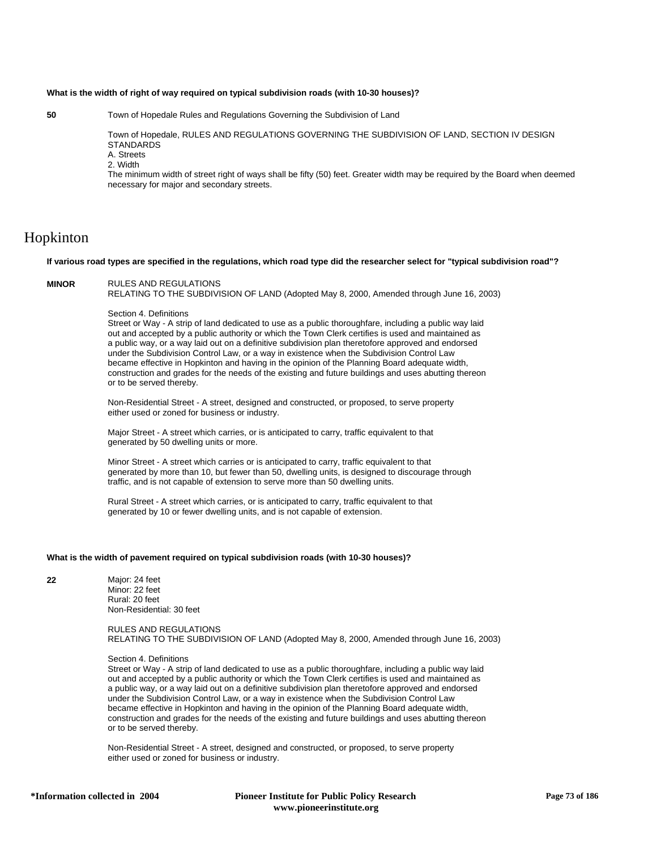### **What is the width of right of way required on typical subdivision roads (with 10-30 houses)?**

**50** Town of Hopedale Rules and Regulations Governing the Subdivision of Land

Town of Hopedale, RULES AND REGULATIONS GOVERNING THE SUBDIVISION OF LAND, SECTION IV DESIGN **STANDARDS** A. Streets

2. Width

The minimum width of street right of ways shall be fifty (50) feet. Greater width may be required by the Board when deemed necessary for major and secondary streets.

# Hopkinton

## **If various road types are specified in the regulations, which road type did the researcher select for "typical subdivision road"?**

## **MINOR** RULES AND REGULATIONS

RELATING TO THE SUBDIVISION OF LAND (Adopted May 8, 2000, Amended through June 16, 2003)

Section 4. Definitions

Street or Way - A strip of land dedicated to use as a public thoroughfare, including a public way laid out and accepted by a public authority or which the Town Clerk certifies is used and maintained as a public way, or a way laid out on a definitive subdivision plan theretofore approved and endorsed under the Subdivision Control Law, or a way in existence when the Subdivision Control Law became effective in Hopkinton and having in the opinion of the Planning Board adequate width, construction and grades for the needs of the existing and future buildings and uses abutting thereon or to be served thereby.

Non-Residential Street - A street, designed and constructed, or proposed, to serve property either used or zoned for business or industry.

Major Street - A street which carries, or is anticipated to carry, traffic equivalent to that generated by 50 dwelling units or more.

Minor Street - A street which carries or is anticipated to carry, traffic equivalent to that generated by more than 10, but fewer than 50, dwelling units, is designed to discourage through traffic, and is not capable of extension to serve more than 50 dwelling units.

Rural Street - A street which carries, or is anticipated to carry, traffic equivalent to that generated by 10 or fewer dwelling units, and is not capable of extension.

## **What is the width of pavement required on typical subdivision roads (with 10-30 houses)?**

**22** Major: 24 feet Minor: 22 feet Rural: 20 feet Non-Residential: 30 feet

> RULES AND REGULATIONS RELATING TO THE SUBDIVISION OF LAND (Adopted May 8, 2000, Amended through June 16, 2003)

## Section 4. Definitions

Street or Way - A strip of land dedicated to use as a public thoroughfare, including a public way laid out and accepted by a public authority or which the Town Clerk certifies is used and maintained as a public way, or a way laid out on a definitive subdivision plan theretofore approved and endorsed under the Subdivision Control Law, or a way in existence when the Subdivision Control Law became effective in Hopkinton and having in the opinion of the Planning Board adequate width, construction and grades for the needs of the existing and future buildings and uses abutting thereon or to be served thereby.

Non-Residential Street - A street, designed and constructed, or proposed, to serve property either used or zoned for business or industry.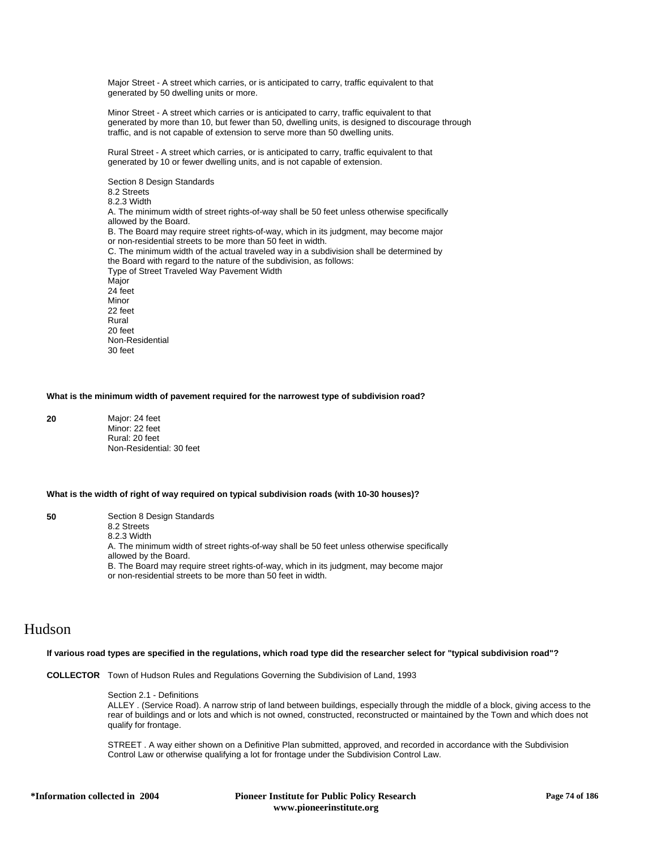Major Street - A street which carries, or is anticipated to carry, traffic equivalent to that generated by 50 dwelling units or more.

Minor Street - A street which carries or is anticipated to carry, traffic equivalent to that generated by more than 10, but fewer than 50, dwelling units, is designed to discourage through traffic, and is not capable of extension to serve more than 50 dwelling units.

Rural Street - A street which carries, or is anticipated to carry, traffic equivalent to that generated by 10 or fewer dwelling units, and is not capable of extension.

Section 8 Design Standards 8.2 Streets 8.2.3 Width A. The minimum width of street rights-of-way shall be 50 feet unless otherwise specifically allowed by the Board. B. The Board may require street rights-of-way, which in its judgment, may become major or non-residential streets to be more than 50 feet in width. C. The minimum width of the actual traveled way in a subdivision shall be determined by the Board with regard to the nature of the subdivision, as follows: Type of Street Traveled Way Pavement Width Major 24 feet Minor 22 feet Rural 20 feet Non-Residential 30 feet

## **What is the minimum width of pavement required for the narrowest type of subdivision road?**

**20** Major: 24 feet Minor: 22 feet Rural: 20 feet Non-Residential: 30 feet

## **What is the width of right of way required on typical subdivision roads (with 10-30 houses)?**

**50** Section 8 Design Standards 8.2 Streets 8.2.3 Width A. The minimum width of street rights-of-way shall be 50 feet unless otherwise specifically allowed by the Board. B. The Board may require street rights-of-way, which in its judgment, may become major or non-residential streets to be more than 50 feet in width.

## Hudson

## **If various road types are specified in the regulations, which road type did the researcher select for "typical subdivision road"?**

**COLLECTOR** Town of Hudson Rules and Regulations Governing the Subdivision of Land, 1993

## Section 2.1 - Definitions

ALLEY . (Service Road). A narrow strip of land between buildings, especially through the middle of a block, giving access to the rear of buildings and or lots and which is not owned, constructed, reconstructed or maintained by the Town and which does not qualify for frontage.

STREET . A way either shown on a Definitive Plan submitted, approved, and recorded in accordance with the Subdivision Control Law or otherwise qualifying a lot for frontage under the Subdivision Control Law.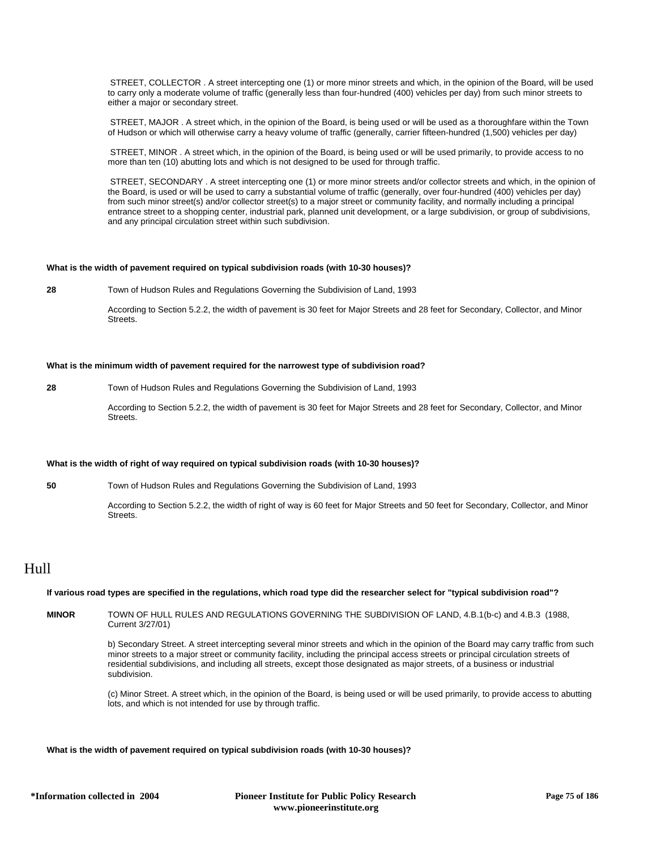STREET, COLLECTOR . A street intercepting one (1) or more minor streets and which, in the opinion of the Board, will be used to carry only a moderate volume of traffic (generally less than four-hundred (400) vehicles per day) from such minor streets to either a major or secondary street.

 STREET, MAJOR . A street which, in the opinion of the Board, is being used or will be used as a thoroughfare within the Town of Hudson or which will otherwise carry a heavy volume of traffic (generally, carrier fifteen-hundred (1,500) vehicles per day)

 STREET, MINOR . A street which, in the opinion of the Board, is being used or will be used primarily, to provide access to no more than ten (10) abutting lots and which is not designed to be used for through traffic.

 STREET, SECONDARY . A street intercepting one (1) or more minor streets and/or collector streets and which, in the opinion of the Board, is used or will be used to carry a substantial volume of traffic (generally, over four-hundred (400) vehicles per day) from such minor street(s) and/or collector street(s) to a major street or community facility, and normally including a principal entrance street to a shopping center, industrial park, planned unit development, or a large subdivision, or group of subdivisions, and any principal circulation street within such subdivision.

## **What is the width of pavement required on typical subdivision roads (with 10-30 houses)?**

**28** Town of Hudson Rules and Regulations Governing the Subdivision of Land, 1993

According to Section 5.2.2, the width of pavement is 30 feet for Major Streets and 28 feet for Secondary, Collector, and Minor Streets.

### **What is the minimum width of pavement required for the narrowest type of subdivision road?**

**28** Town of Hudson Rules and Regulations Governing the Subdivision of Land, 1993

According to Section 5.2.2, the width of pavement is 30 feet for Major Streets and 28 feet for Secondary, Collector, and Minor Streets.

## **What is the width of right of way required on typical subdivision roads (with 10-30 houses)?**

**50** Town of Hudson Rules and Regulations Governing the Subdivision of Land, 1993

According to Section 5.2.2, the width of right of way is 60 feet for Major Streets and 50 feet for Secondary, Collector, and Minor Streets.

# Hull

#### **If various road types are specified in the regulations, which road type did the researcher select for "typical subdivision road"?**

**MINOR** TOWN OF HULL RULES AND REGULATIONS GOVERNING THE SUBDIVISION OF LAND, 4.B.1(b-c) and 4.B.3 (1988, Current 3/27/01)

> b) Secondary Street. A street intercepting several minor streets and which in the opinion of the Board may carry traffic from such minor streets to a major street or community facility, including the principal access streets or principal circulation streets of residential subdivisions, and including all streets, except those designated as major streets, of a business or industrial subdivision.

> (c) Minor Street. A street which, in the opinion of the Board, is being used or will be used primarily, to provide access to abutting lots, and which is not intended for use by through traffic.

## **What is the width of pavement required on typical subdivision roads (with 10-30 houses)?**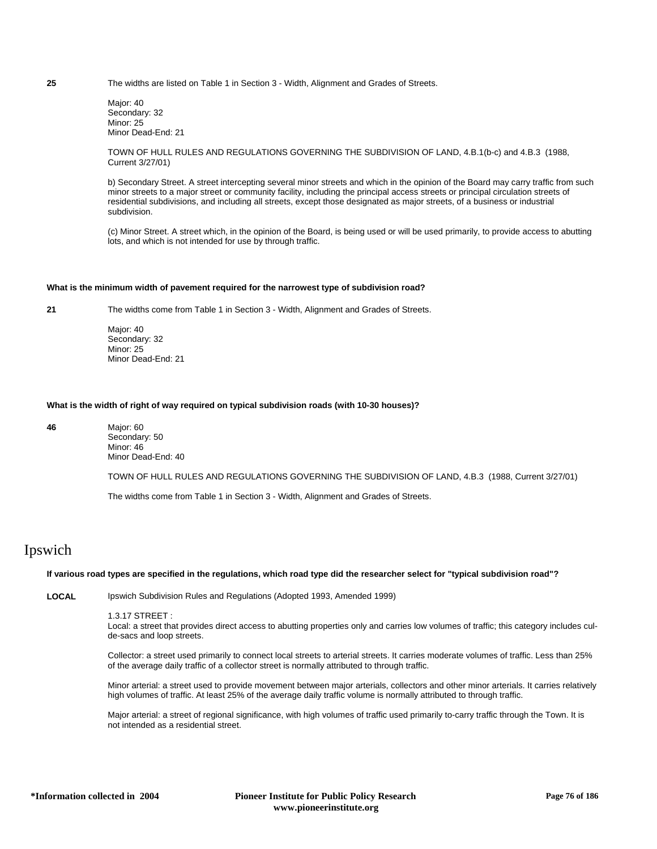**25** The widths are listed on Table 1 in Section 3 - Width, Alignment and Grades of Streets.

Major: 40 Secondary: 32 Minor: 25 Minor Dead-End: 21

TOWN OF HULL RULES AND REGULATIONS GOVERNING THE SUBDIVISION OF LAND, 4.B.1(b-c) and 4.B.3 (1988, Current 3/27/01)

b) Secondary Street. A street intercepting several minor streets and which in the opinion of the Board may carry traffic from such minor streets to a major street or community facility, including the principal access streets or principal circulation streets of residential subdivisions, and including all streets, except those designated as major streets, of a business or industrial subdivision.

(c) Minor Street. A street which, in the opinion of the Board, is being used or will be used primarily, to provide access to abutting lots, and which is not intended for use by through traffic.

## **What is the minimum width of pavement required for the narrowest type of subdivision road?**

**21** The widths come from Table 1 in Section 3 - Width, Alignment and Grades of Streets.

Major: 40 Secondary: 32 Minor: 25 Minor Dead-End: 21

## **What is the width of right of way required on typical subdivision roads (with 10-30 houses)?**

**46** Major: 60 Secondary: 50 Minor: 46 Minor Dead-End: 40

TOWN OF HULL RULES AND REGULATIONS GOVERNING THE SUBDIVISION OF LAND, 4.B.3 (1988, Current 3/27/01)

The widths come from Table 1 in Section 3 - Width, Alignment and Grades of Streets.

# Ipswich

## **If various road types are specified in the regulations, which road type did the researcher select for "typical subdivision road"?**

**LOCAL** Ipswich Subdivision Rules and Regulations (Adopted 1993, Amended 1999)

1.3.17 STREET :

Local: a street that provides direct access to abutting properties only and carries low volumes of traffic; this category includes culde-sacs and loop streets.

Collector: a street used primarily to connect local streets to arterial streets. It carries moderate volumes of traffic. Less than 25% of the average daily traffic of a collector street is normally attributed to through traffic.

Minor arterial: a street used to provide movement between major arterials, collectors and other minor arterials. It carries relatively high volumes of traffic. At least 25% of the average daily traffic volume is normally attributed to through traffic.

Major arterial: a street of regional significance, with high volumes of traffic used primarily to-carry traffic through the Town. It is not intended as a residential street.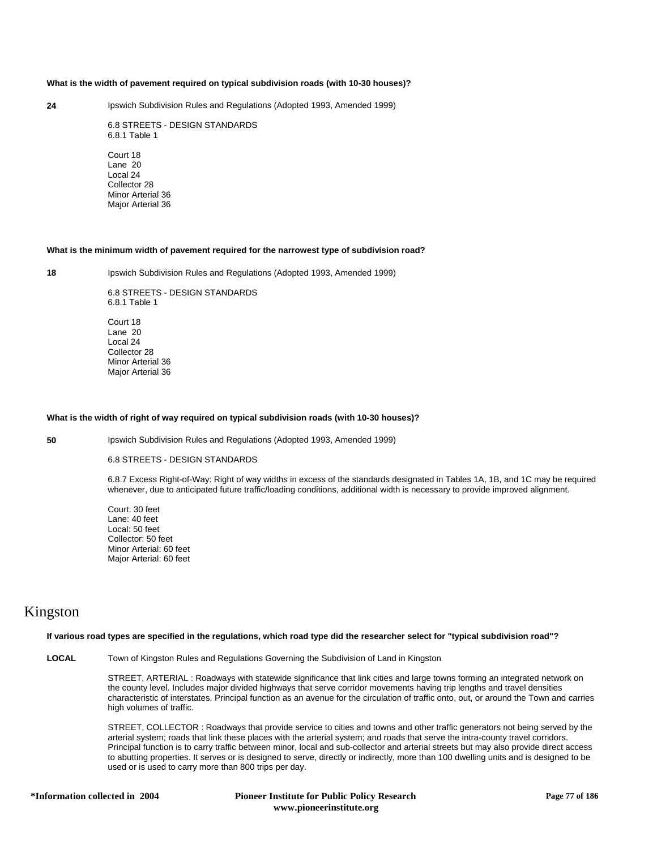## **What is the width of pavement required on typical subdivision roads (with 10-30 houses)?**

**24** Ipswich Subdivision Rules and Regulations (Adopted 1993, Amended 1999)

6.8 STREETS - DESIGN STANDARDS 6.8.1 Table 1

Court 18 Lane 20 Local 24 Collector 28 Minor Arterial 36 Major Arterial 36

#### **What is the minimum width of pavement required for the narrowest type of subdivision road?**

**18** Ipswich Subdivision Rules and Regulations (Adopted 1993, Amended 1999)

6.8 STREETS - DESIGN STANDARDS 6.8.1 Table 1 Court 18 Lane 20 Local 24 Collector 28 Minor Arterial 36 Major Arterial 36

## **What is the width of right of way required on typical subdivision roads (with 10-30 houses)?**

**50** Ipswich Subdivision Rules and Regulations (Adopted 1993, Amended 1999)

6.8 STREETS - DESIGN STANDARDS

6.8.7 Excess Right-of-Way: Right of way widths in excess of the standards designated in Tables 1A, 1B, and 1C may be required whenever, due to anticipated future traffic/loading conditions, additional width is necessary to provide improved alignment.

Court: 30 feet Lane: 40 feet Local: 50 feet Collector: 50 feet Minor Arterial: 60 feet Major Arterial: 60 feet

## Kingston

### **If various road types are specified in the regulations, which road type did the researcher select for "typical subdivision road"?**

**LOCAL** Town of Kingston Rules and Regulations Governing the Subdivision of Land in Kingston

STREET, ARTERIAL : Roadways with statewide significance that link cities and large towns forming an integrated network on the county level. Includes major divided highways that serve corridor movements having trip lengths and travel densities characteristic of interstates. Principal function as an avenue for the circulation of traffic onto, out, or around the Town and carries high volumes of traffic.

STREET, COLLECTOR : Roadways that provide service to cities and towns and other traffic generators not being served by the arterial system; roads that link these places with the arterial system; and roads that serve the intra-county travel corridors. Principal function is to carry traffic between minor, local and sub-collector and arterial streets but may also provide direct access to abutting properties. It serves or is designed to serve, directly or indirectly, more than 100 dwelling units and is designed to be used or is used to carry more than 800 trips per day.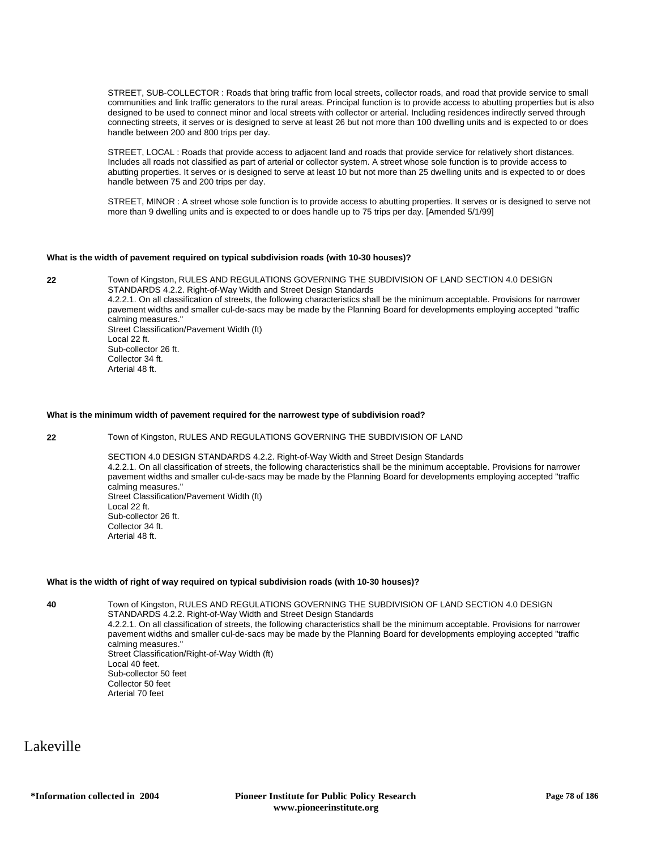STREET, SUB-COLLECTOR : Roads that bring traffic from local streets, collector roads, and road that provide service to small communities and link traffic generators to the rural areas. Principal function is to provide access to abutting properties but is also designed to be used to connect minor and local streets with collector or arterial. Including residences indirectly served through connecting streets, it serves or is designed to serve at least 26 but not more than 100 dwelling units and is expected to or does handle between 200 and 800 trips per day.

STREET, LOCAL : Roads that provide access to adjacent land and roads that provide service for relatively short distances. Includes all roads not classified as part of arterial or collector system. A street whose sole function is to provide access to abutting properties. It serves or is designed to serve at least 10 but not more than 25 dwelling units and is expected to or does handle between 75 and 200 trips per day.

STREET, MINOR : A street whose sole function is to provide access to abutting properties. It serves or is designed to serve not more than 9 dwelling units and is expected to or does handle up to 75 trips per day. [Amended 5/1/99]

## **What is the width of pavement required on typical subdivision roads (with 10-30 houses)?**

**22** Town of Kingston, RULES AND REGULATIONS GOVERNING THE SUBDIVISION OF LAND SECTION 4.0 DESIGN STANDARDS 4.2.2. Right-of-Way Width and Street Design Standards 4.2.2.1. On all classification of streets, the following characteristics shall be the minimum acceptable. Provisions for narrower pavement widths and smaller cul-de-sacs may be made by the Planning Board for developments employing accepted "traffic calming measures." Street Classification/Pavement Width (ft) Local 22 ft. Sub-collector 26 ft. Collector 34 ft. Arterial 48 ft.

#### **What is the minimum width of pavement required for the narrowest type of subdivision road?**

**22** Town of Kingston, RULES AND REGULATIONS GOVERNING THE SUBDIVISION OF LAND

SECTION 4.0 DESIGN STANDARDS 4.2.2. Right-of-Way Width and Street Design Standards 4.2.2.1. On all classification of streets, the following characteristics shall be the minimum acceptable. Provisions for narrower pavement widths and smaller cul-de-sacs may be made by the Planning Board for developments employing accepted "traffic calming measures." Street Classification/Pavement Width (ft) Local 22 ft. Sub-collector 26 ft. Collector 34 ft. Arterial 48 ft.

## **What is the width of right of way required on typical subdivision roads (with 10-30 houses)?**

**40** Town of Kingston, RULES AND REGULATIONS GOVERNING THE SUBDIVISION OF LAND SECTION 4.0 DESIGN STANDARDS 4.2.2. Right-of-Way Width and Street Design Standards 4.2.2.1. On all classification of streets, the following characteristics shall be the minimum acceptable. Provisions for narrower pavement widths and smaller cul-de-sacs may be made by the Planning Board for developments employing accepted "traffic calming measures." Street Classification/Right-of-Way Width (ft)

Local 40 feet. Sub-collector 50 feet Collector 50 feet Arterial 70 feet

Lakeville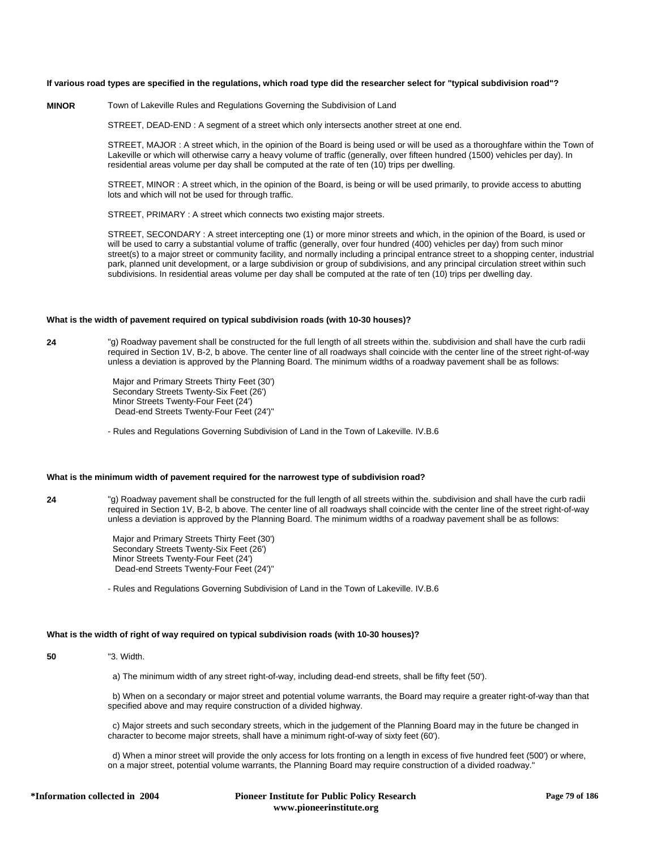## **If various road types are specified in the regulations, which road type did the researcher select for "typical subdivision road"?**

## **MINOR** Town of Lakeville Rules and Regulations Governing the Subdivision of Land

STREET, DEAD-END : A segment of a street which only intersects another street at one end.

STREET, MAJOR : A street which, in the opinion of the Board is being used or will be used as a thoroughfare within the Town of Lakeville or which will otherwise carry a heavy volume of traffic (generally, over fifteen hundred (1500) vehicles per day). In residential areas volume per day shall be computed at the rate of ten (10) trips per dwelling.

STREET, MINOR : A street which, in the opinion of the Board, is being or will be used primarily, to provide access to abutting lots and which will not be used for through traffic.

STREET, PRIMARY : A street which connects two existing major streets.

STREET, SECONDARY : A street intercepting one (1) or more minor streets and which, in the opinion of the Board, is used or will be used to carry a substantial volume of traffic (generally, over four hundred (400) vehicles per day) from such minor street(s) to a major street or community facility, and normally including a principal entrance street to a shopping center, industrial park, planned unit development, or a large subdivision or group of subdivisions, and any principal circulation street within such subdivisions. In residential areas volume per day shall be computed at the rate of ten (10) trips per dwelling day.

#### **What is the width of pavement required on typical subdivision roads (with 10-30 houses)?**

**24** "g) Roadway pavement shall be constructed for the full length of all streets within the. subdivision and shall have the curb radii required in Section 1V, B-2, b above. The center line of all roadways shall coincide with the center line of the street right-of-way unless a deviation is approved by the Planning Board. The minimum widths of a roadway pavement shall be as follows:

> Major and Primary Streets Thirty Feet (30') Secondary Streets Twenty-Six Feet (26') Minor Streets Twenty-Four Feet (24') Dead-end Streets Twenty-Four Feet (24')"

- Rules and Regulations Governing Subdivision of Land in the Town of Lakeville. IV.B.6

## **What is the minimum width of pavement required for the narrowest type of subdivision road?**

**24** "g) Roadway pavement shall be constructed for the full length of all streets within the. subdivision and shall have the curb radii required in Section 1V, B-2, b above. The center line of all roadways shall coincide with the center line of the street right-of-way unless a deviation is approved by the Planning Board. The minimum widths of a roadway pavement shall be as follows:

> Major and Primary Streets Thirty Feet (30') Secondary Streets Twenty-Six Feet (26') Minor Streets Twenty-Four Feet (24') Dead-end Streets Twenty-Four Feet (24')"

- Rules and Regulations Governing Subdivision of Land in the Town of Lakeville. IV.B.6

## **What is the width of right of way required on typical subdivision roads (with 10-30 houses)?**

**50** "3. Width.

a) The minimum width of any street right-of-way, including dead-end streets, shall be fifty feet (50').

 b) When on a secondary or major street and potential volume warrants, the Board may require a greater right-of-way than that specified above and may require construction of a divided highway.

 c) Major streets and such secondary streets, which in the judgement of the Planning Board may in the future be changed in character to become major streets, shall have a minimum right-of-way of sixty feet (60').

 d) When a minor street will provide the only access for lots fronting on a length in excess of five hundred feet (500') or where, on a major street, potential volume warrants, the Planning Board may require construction of a divided roadway."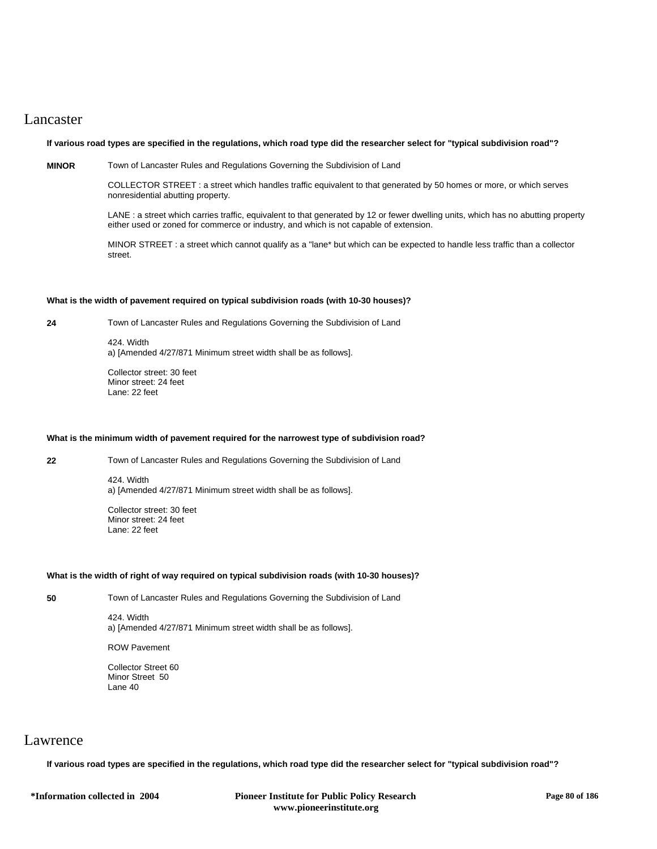## Lancaster

## **If various road types are specified in the regulations, which road type did the researcher select for "typical subdivision road"?**

**MINOR** Town of Lancaster Rules and Regulations Governing the Subdivision of Land

COLLECTOR STREET : a street which handles traffic equivalent to that generated by 50 homes or more, or which serves nonresidential abutting property.

LANE : a street which carries traffic, equivalent to that generated by 12 or fewer dwelling units, which has no abutting property either used or zoned for commerce or industry, and which is not capable of extension.

MINOR STREET : a street which cannot qualify as a "lane\* but which can be expected to handle less traffic than a collector street.

## **What is the width of pavement required on typical subdivision roads (with 10-30 houses)?**

**24** Town of Lancaster Rules and Regulations Governing the Subdivision of Land

424. Width a) [Amended 4/27/871 Minimum street width shall be as follows].

Collector street: 30 feet Minor street: 24 feet Lane: 22 feet

## **What is the minimum width of pavement required for the narrowest type of subdivision road?**

**22** Town of Lancaster Rules and Regulations Governing the Subdivision of Land

424. Width a) [Amended 4/27/871 Minimum street width shall be as follows].

Collector street: 30 feet Minor street: 24 feet Lane: 22 feet

## **What is the width of right of way required on typical subdivision roads (with 10-30 houses)?**

**50** Town of Lancaster Rules and Regulations Governing the Subdivision of Land

424. Width a) [Amended 4/27/871 Minimum street width shall be as follows].

ROW Pavement

Collector Street 60 Minor Street 50 Lane 40

## Lawrence

**If various road types are specified in the regulations, which road type did the researcher select for "typical subdivision road"?**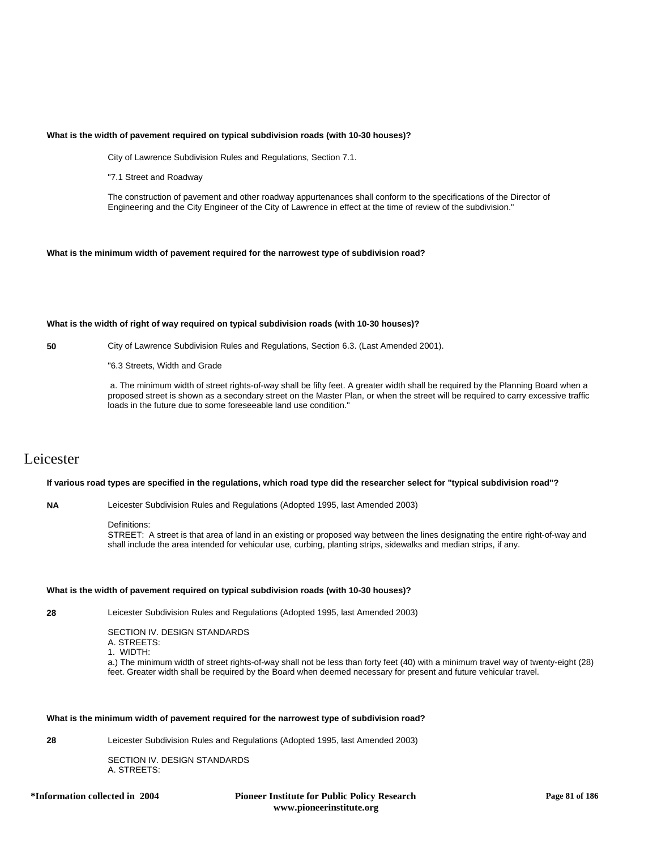### **What is the width of pavement required on typical subdivision roads (with 10-30 houses)?**

City of Lawrence Subdivision Rules and Regulations, Section 7.1.

"7.1 Street and Roadway

The construction of pavement and other roadway appurtenances shall conform to the specifications of the Director of Engineering and the City Engineer of the City of Lawrence in effect at the time of review of the subdivision."

### **What is the minimum width of pavement required for the narrowest type of subdivision road?**

### **What is the width of right of way required on typical subdivision roads (with 10-30 houses)?**

**50** City of Lawrence Subdivision Rules and Regulations, Section 6.3. (Last Amended 2001).

"6.3 Streets, Width and Grade

 a. The minimum width of street rights-of-way shall be fifty feet. A greater width shall be required by the Planning Board when a proposed street is shown as a secondary street on the Master Plan, or when the street will be required to carry excessive traffic loads in the future due to some foreseeable land use condition."

# Leicester

## **If various road types are specified in the regulations, which road type did the researcher select for "typical subdivision road"?**

**NA** Leicester Subdivision Rules and Regulations (Adopted 1995, last Amended 2003)

#### Definitions:

STREET: A street is that area of land in an existing or proposed way between the lines designating the entire right-of-way and shall include the area intended for vehicular use, curbing, planting strips, sidewalks and median strips, if any.

#### **What is the width of pavement required on typical subdivision roads (with 10-30 houses)?**

**28** Leicester Subdivision Rules and Regulations (Adopted 1995, last Amended 2003)

SECTION IV. DESIGN STANDARDS

A. STREETS:

1. WIDTH:

a.) The minimum width of street rights-of-way shall not be less than forty feet (40) with a minimum travel way of twenty-eight (28) feet. Greater width shall be required by the Board when deemed necessary for present and future vehicular travel.

### **What is the minimum width of pavement required for the narrowest type of subdivision road?**

**28** Leicester Subdivision Rules and Regulations (Adopted 1995, last Amended 2003)

SECTION IV. DESIGN STANDARDS A. STREETS: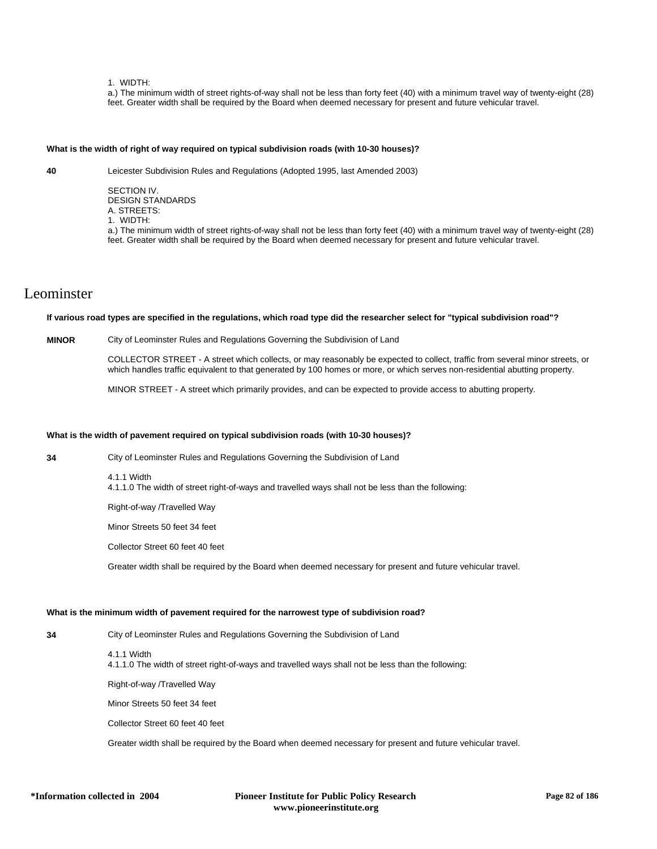### 1. WIDTH:

a.) The minimum width of street rights-of-way shall not be less than forty feet (40) with a minimum travel way of twenty-eight (28) feet. Greater width shall be required by the Board when deemed necessary for present and future vehicular travel.

## **What is the width of right of way required on typical subdivision roads (with 10-30 houses)?**

**40** Leicester Subdivision Rules and Regulations (Adopted 1995, last Amended 2003)

SECTION IV. DESIGN STANDARDS A. STREETS: 1. WIDTH:

a.) The minimum width of street rights-of-way shall not be less than forty feet (40) with a minimum travel way of twenty-eight (28) feet. Greater width shall be required by the Board when deemed necessary for present and future vehicular travel.

# Leominster

**If various road types are specified in the regulations, which road type did the researcher select for "typical subdivision road"?**

## **MINOR** City of Leominster Rules and Regulations Governing the Subdivision of Land

COLLECTOR STREET - A street which collects, or may reasonably be expected to collect, traffic from several minor streets, or which handles traffic equivalent to that generated by 100 homes or more, or which serves non-residential abutting property.

MINOR STREET - A street which primarily provides, and can be expected to provide access to abutting property.

## **What is the width of pavement required on typical subdivision roads (with 10-30 houses)?**

**34** City of Leominster Rules and Regulations Governing the Subdivision of Land

4.1.1 Width

4.1.1.0 The width of street right-of-ways and travelled ways shall not be less than the following:

Right-of-way /Travelled Way

Minor Streets 50 feet 34 feet

Collector Street 60 feet 40 feet

Greater width shall be required by the Board when deemed necessary for present and future vehicular travel.

## **What is the minimum width of pavement required for the narrowest type of subdivision road?**

**34** City of Leominster Rules and Regulations Governing the Subdivision of Land

4.1.1 Width 4.1.1.0 The width of street right-of-ways and travelled ways shall not be less than the following:

Right-of-way /Travelled Way

Minor Streets 50 feet 34 feet

Collector Street 60 feet 40 feet

Greater width shall be required by the Board when deemed necessary for present and future vehicular travel.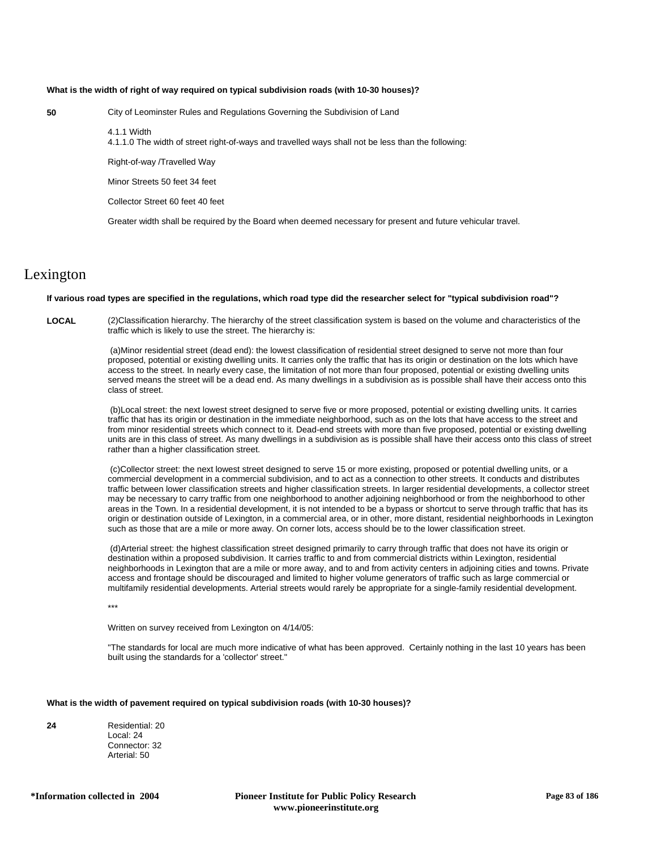## **What is the width of right of way required on typical subdivision roads (with 10-30 houses)?**

**50** City of Leominster Rules and Regulations Governing the Subdivision of Land

4.1.1 Width

4.1.1.0 The width of street right-of-ways and travelled ways shall not be less than the following:

Right-of-way /Travelled Way

Minor Streets 50 feet 34 feet

Collector Street 60 feet 40 feet

Greater width shall be required by the Board when deemed necessary for present and future vehicular travel.

## Lexington

### **If various road types are specified in the regulations, which road type did the researcher select for "typical subdivision road"?**

**LOCAL** (2)Classification hierarchy. The hierarchy of the street classification system is based on the volume and characteristics of the traffic which is likely to use the street. The hierarchy is:

> (a)Minor residential street (dead end): the lowest classification of residential street designed to serve not more than four proposed, potential or existing dwelling units. It carries only the traffic that has its origin or destination on the lots which have access to the street. In nearly every case, the limitation of not more than four proposed, potential or existing dwelling units served means the street will be a dead end. As many dwellings in a subdivision as is possible shall have their access onto this class of street.

> (b)Local street: the next lowest street designed to serve five or more proposed, potential or existing dwelling units. It carries traffic that has its origin or destination in the immediate neighborhood, such as on the lots that have access to the street and from minor residential streets which connect to it. Dead-end streets with more than five proposed, potential or existing dwelling units are in this class of street. As many dwellings in a subdivision as is possible shall have their access onto this class of street rather than a higher classification street.

> (c)Collector street: the next lowest street designed to serve 15 or more existing, proposed or potential dwelling units, or a commercial development in a commercial subdivision, and to act as a connection to other streets. It conducts and distributes traffic between lower classification streets and higher classification streets. In larger residential developments, a collector street may be necessary to carry traffic from one neighborhood to another adjoining neighborhood or from the neighborhood to other areas in the Town. In a residential development, it is not intended to be a bypass or shortcut to serve through traffic that has its origin or destination outside of Lexington, in a commercial area, or in other, more distant, residential neighborhoods in Lexington such as those that are a mile or more away. On corner lots, access should be to the lower classification street.

> (d)Arterial street: the highest classification street designed primarily to carry through traffic that does not have its origin or destination within a proposed subdivision. It carries traffic to and from commercial districts within Lexington, residential neighborhoods in Lexington that are a mile or more away, and to and from activity centers in adjoining cities and towns. Private access and frontage should be discouraged and limited to higher volume generators of traffic such as large commercial or multifamily residential developments. Arterial streets would rarely be appropriate for a single-family residential development.

\*\*\*

Written on survey received from Lexington on 4/14/05:

"The standards for local are much more indicative of what has been approved. Certainly nothing in the last 10 years has been built using the standards for a 'collector' street."

## **What is the width of pavement required on typical subdivision roads (with 10-30 houses)?**

| 24 | Residential: 20 |
|----|-----------------|
|    | Local: 24       |
|    | Connector: 32   |
|    | Arterial: 50    |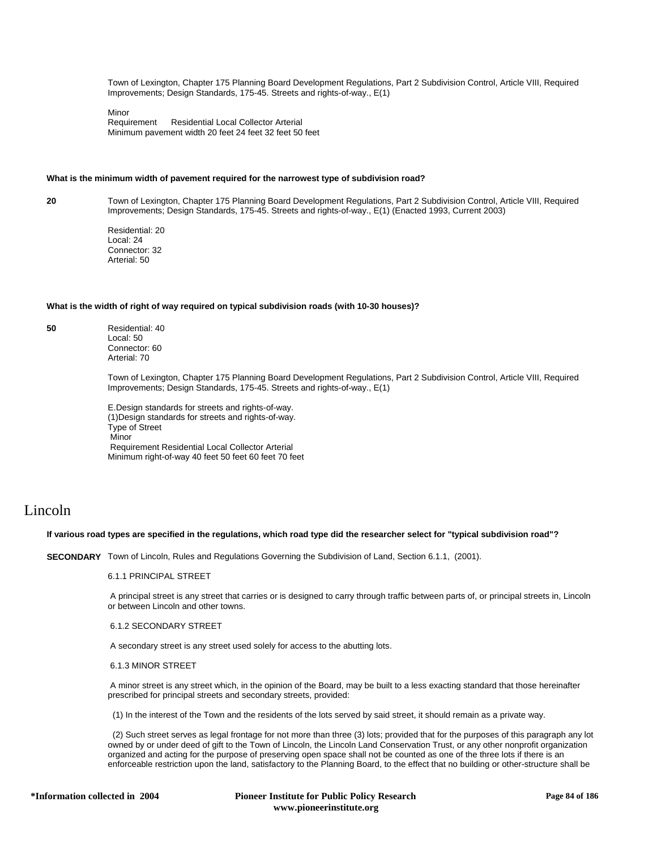Town of Lexington, Chapter 175 Planning Board Development Regulations, Part 2 Subdivision Control, Article VIII, Required Improvements; Design Standards, 175-45. Streets and rights-of-way., E(1)

Minor<br>Requirement Residential Local Collector Arterial Minimum pavement width 20 feet 24 feet 32 feet 50 feet

#### **What is the minimum width of pavement required for the narrowest type of subdivision road?**

**20** Town of Lexington, Chapter 175 Planning Board Development Regulations, Part 2 Subdivision Control, Article VIII, Required Improvements; Design Standards, 175-45. Streets and rights-of-way., E(1) (Enacted 1993, Current 2003)

> Residential: 20 Local: 24 Connector: 32 Arterial: 50

## **What is the width of right of way required on typical subdivision roads (with 10-30 houses)?**

**50** Residential: 40 Local: 50 Connector: 60 Arterial: 70

> Town of Lexington, Chapter 175 Planning Board Development Regulations, Part 2 Subdivision Control, Article VIII, Required Improvements; Design Standards, 175-45. Streets and rights-of-way., E(1)

E.Design standards for streets and rights-of-way. (1)Design standards for streets and rights-of-way. Type of Street Minor Requirement Residential Local Collector Arterial Minimum right-of-way 40 feet 50 feet 60 feet 70 feet

## Lincoln

## **If various road types are specified in the regulations, which road type did the researcher select for "typical subdivision road"?**

**SECONDARY** Town of Lincoln, Rules and Regulations Governing the Subdivision of Land, Section 6.1.1, (2001).

6.1.1 PRINCIPAL STREET

 A principal street is any street that carries or is designed to carry through traffic between parts of, or principal streets in, Lincoln or between Lincoln and other towns.

6.1.2 SECONDARY STREET

A secondary street is any street used solely for access to the abutting lots.

6.1.3 MINOR STREET

 A minor street is any street which, in the opinion of the Board, may be built to a less exacting standard that those hereinafter prescribed for principal streets and secondary streets, provided:

(1) In the interest of the Town and the residents of the lots served by said street, it should remain as a private way.

 (2) Such street serves as legal frontage for not more than three (3) lots; provided that for the purposes of this paragraph any lot owned by or under deed of gift to the Town of Lincoln, the Lincoln Land Conservation Trust, or any other nonprofit organization organized and acting for the purpose of preserving open space shall not be counted as one of the three lots if there is an enforceable restriction upon the land, satisfactory to the Planning Board, to the effect that no building or other-structure shall be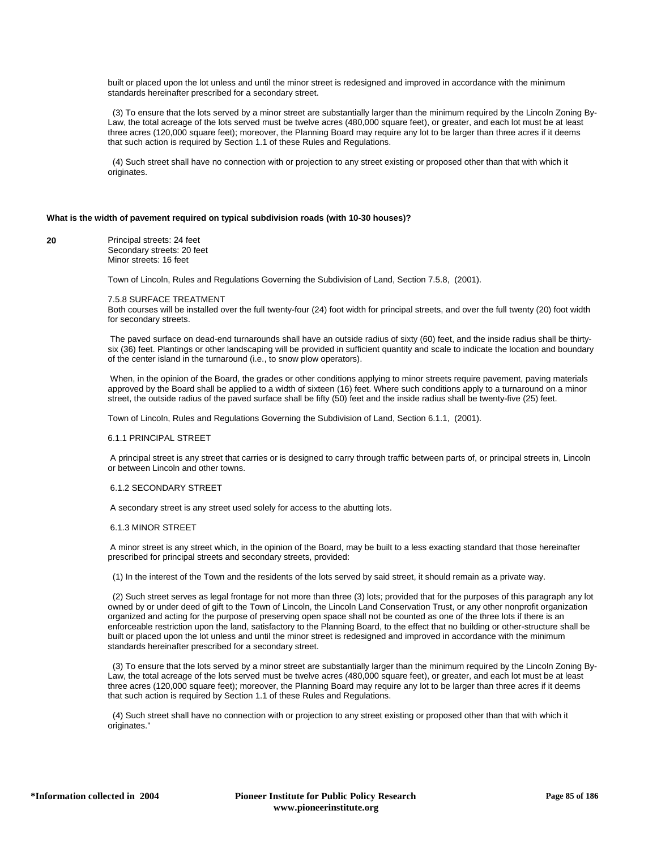built or placed upon the lot unless and until the minor street is redesigned and improved in accordance with the minimum standards hereinafter prescribed for a secondary street.

 (3) To ensure that the lots served by a minor street are substantially larger than the minimum required by the Lincoln Zoning By-Law, the total acreage of the lots served must be twelve acres (480,000 square feet), or greater, and each lot must be at least three acres (120,000 square feet); moreover, the Planning Board may require any lot to be larger than three acres if it deems that such action is required by Section 1.1 of these Rules and Regulations.

 (4) Such street shall have no connection with or projection to any street existing or proposed other than that with which it originates.

## **What is the width of pavement required on typical subdivision roads (with 10-30 houses)?**

**20** Principal streets: 24 feet Secondary streets: 20 feet Minor streets: 16 feet

Town of Lincoln, Rules and Regulations Governing the Subdivision of Land, Section 7.5.8, (2001).

#### 7.5.8 SURFACE TREATMENT

Both courses will be installed over the full twenty-four (24) foot width for principal streets, and over the full twenty (20) foot width for secondary streets.

 The paved surface on dead-end turnarounds shall have an outside radius of sixty (60) feet, and the inside radius shall be thirtysix (36) feet. Plantings or other landscaping will be provided in sufficient quantity and scale to indicate the location and boundary of the center island in the turnaround (i.e., to snow plow operators).

When, in the opinion of the Board, the grades or other conditions applying to minor streets require pavement, paving materials approved by the Board shall be applied to a width of sixteen (16) feet. Where such conditions apply to a turnaround on a minor street, the outside radius of the paved surface shall be fifty (50) feet and the inside radius shall be twenty-five (25) feet.

Town of Lincoln, Rules and Regulations Governing the Subdivision of Land, Section 6.1.1, (2001).

#### 6.1.1 PRINCIPAL STREET

 A principal street is any street that carries or is designed to carry through traffic between parts of, or principal streets in, Lincoln or between Lincoln and other towns.

#### 6.1.2 SECONDARY STREET

A secondary street is any street used solely for access to the abutting lots.

#### 6.1.3 MINOR STREET

 A minor street is any street which, in the opinion of the Board, may be built to a less exacting standard that those hereinafter prescribed for principal streets and secondary streets, provided:

(1) In the interest of the Town and the residents of the lots served by said street, it should remain as a private way.

 (2) Such street serves as legal frontage for not more than three (3) lots; provided that for the purposes of this paragraph any lot owned by or under deed of gift to the Town of Lincoln, the Lincoln Land Conservation Trust, or any other nonprofit organization organized and acting for the purpose of preserving open space shall not be counted as one of the three lots if there is an enforceable restriction upon the land, satisfactory to the Planning Board, to the effect that no building or other-structure shall be built or placed upon the lot unless and until the minor street is redesigned and improved in accordance with the minimum standards hereinafter prescribed for a secondary street.

 (3) To ensure that the lots served by a minor street are substantially larger than the minimum required by the Lincoln Zoning By-Law, the total acreage of the lots served must be twelve acres (480,000 square feet), or greater, and each lot must be at least three acres (120,000 square feet); moreover, the Planning Board may require any lot to be larger than three acres if it deems that such action is required by Section 1.1 of these Rules and Regulations.

 (4) Such street shall have no connection with or projection to any street existing or proposed other than that with which it originates."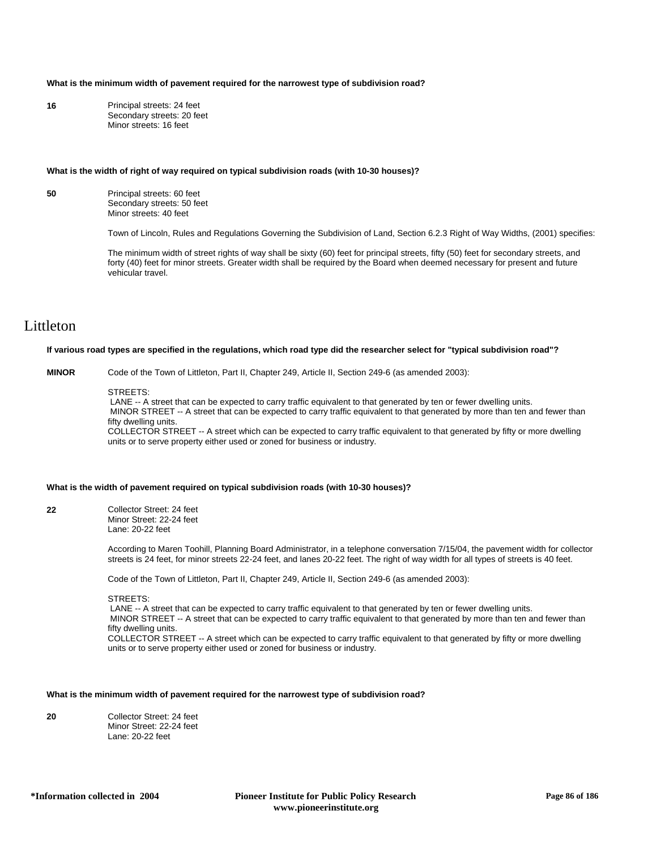## **What is the minimum width of pavement required for the narrowest type of subdivision road?**

| 16 | Principal streets: 24 feet |
|----|----------------------------|
|    | Secondary streets: 20 feet |
|    | Minor streets: 16 feet     |

#### **What is the width of right of way required on typical subdivision roads (with 10-30 houses)?**

| 50 | Principal streets: 60 feet |
|----|----------------------------|
|    | Secondary streets: 50 feet |
|    | Minor streets: 40 feet     |

Town of Lincoln, Rules and Regulations Governing the Subdivision of Land, Section 6.2.3 Right of Way Widths, (2001) specifies:

The minimum width of street rights of way shall be sixty (60) feet for principal streets, fifty (50) feet for secondary streets, and forty (40) feet for minor streets. Greater width shall be required by the Board when deemed necessary for present and future vehicular travel.

## Littleton

### **If various road types are specified in the regulations, which road type did the researcher select for "typical subdivision road"?**

**MINOR** Code of the Town of Littleton, Part II, Chapter 249, Article II, Section 249-6 (as amended 2003):

#### STREETS:

LANE -- A street that can be expected to carry traffic equivalent to that generated by ten or fewer dwelling units. MINOR STREET -- A street that can be expected to carry traffic equivalent to that generated by more than ten and fewer than fifty dwelling units.

COLLECTOR STREET -- A street which can be expected to carry traffic equivalent to that generated by fifty or more dwelling units or to serve property either used or zoned for business or industry.

#### **What is the width of pavement required on typical subdivision roads (with 10-30 houses)?**

**22** Collector Street: 24 feet Minor Street: 22-24 feet Lane: 20-22 feet

> According to Maren Toohill, Planning Board Administrator, in a telephone conversation 7/15/04, the pavement width for collector streets is 24 feet, for minor streets 22-24 feet, and lanes 20-22 feet. The right of way width for all types of streets is 40 feet.

Code of the Town of Littleton, Part II, Chapter 249, Article II, Section 249-6 (as amended 2003):

STREETS:

LANE -- A street that can be expected to carry traffic equivalent to that generated by ten or fewer dwelling units. MINOR STREET -- A street that can be expected to carry traffic equivalent to that generated by more than ten and fewer than fifty dwelling units. COLLECTOR STREET -- A street which can be expected to carry traffic equivalent to that generated by fifty or more dwelling

units or to serve property either used or zoned for business or industry.

## **What is the minimum width of pavement required for the narrowest type of subdivision road?**

| 20 | Collector Street: 24 feet |
|----|---------------------------|
|    | Minor Street: 22-24 feet  |
|    | Lane: 20-22 feet          |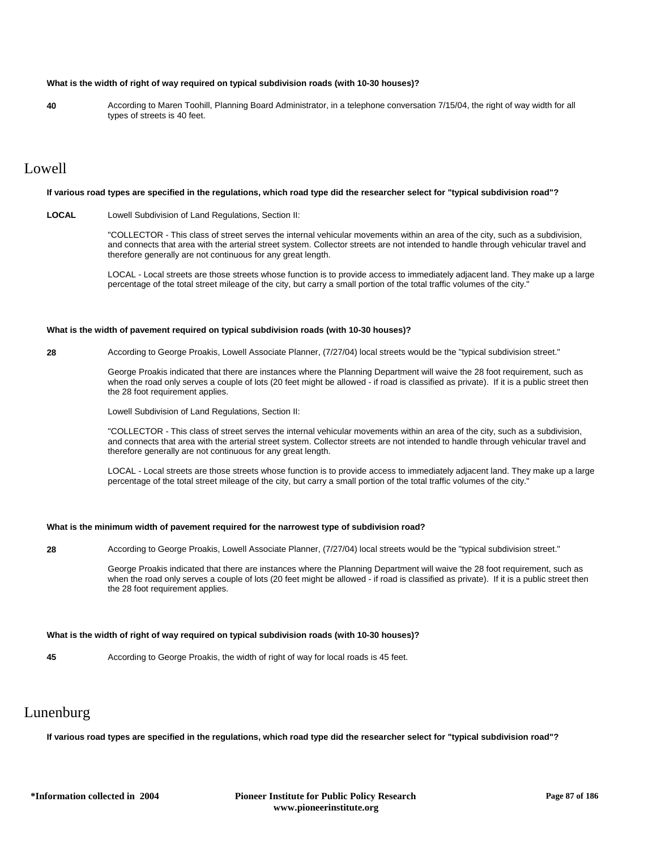## **What is the width of right of way required on typical subdivision roads (with 10-30 houses)?**

**40** According to Maren Toohill, Planning Board Administrator, in a telephone conversation 7/15/04, the right of way width for all types of streets is 40 feet.

# Lowell

#### **If various road types are specified in the regulations, which road type did the researcher select for "typical subdivision road"?**

**LOCAL** Lowell Subdivision of Land Regulations, Section II:

"COLLECTOR - This class of street serves the internal vehicular movements within an area of the city, such as a subdivision, and connects that area with the arterial street system. Collector streets are not intended to handle through vehicular travel and therefore generally are not continuous for any great length.

LOCAL - Local streets are those streets whose function is to provide access to immediately adjacent land. They make up a large percentage of the total street mileage of the city, but carry a small portion of the total traffic volumes of the city."

### **What is the width of pavement required on typical subdivision roads (with 10-30 houses)?**

**28** According to George Proakis, Lowell Associate Planner, (7/27/04) local streets would be the "typical subdivision street."

George Proakis indicated that there are instances where the Planning Department will waive the 28 foot requirement, such as when the road only serves a couple of lots (20 feet might be allowed - if road is classified as private). If it is a public street then the 28 foot requirement applies.

Lowell Subdivision of Land Regulations, Section II:

"COLLECTOR - This class of street serves the internal vehicular movements within an area of the city, such as a subdivision, and connects that area with the arterial street system. Collector streets are not intended to handle through vehicular travel and therefore generally are not continuous for any great length.

LOCAL - Local streets are those streets whose function is to provide access to immediately adjacent land. They make up a large percentage of the total street mileage of the city, but carry a small portion of the total traffic volumes of the city."

## **What is the minimum width of pavement required for the narrowest type of subdivision road?**

**28** According to George Proakis, Lowell Associate Planner, (7/27/04) local streets would be the "typical subdivision street."

George Proakis indicated that there are instances where the Planning Department will waive the 28 foot requirement, such as when the road only serves a couple of lots (20 feet might be allowed - if road is classified as private). If it is a public street then the 28 foot requirement applies.

## **What is the width of right of way required on typical subdivision roads (with 10-30 houses)?**

**45** According to George Proakis, the width of right of way for local roads is 45 feet.

## Lunenburg

**If various road types are specified in the regulations, which road type did the researcher select for "typical subdivision road"?**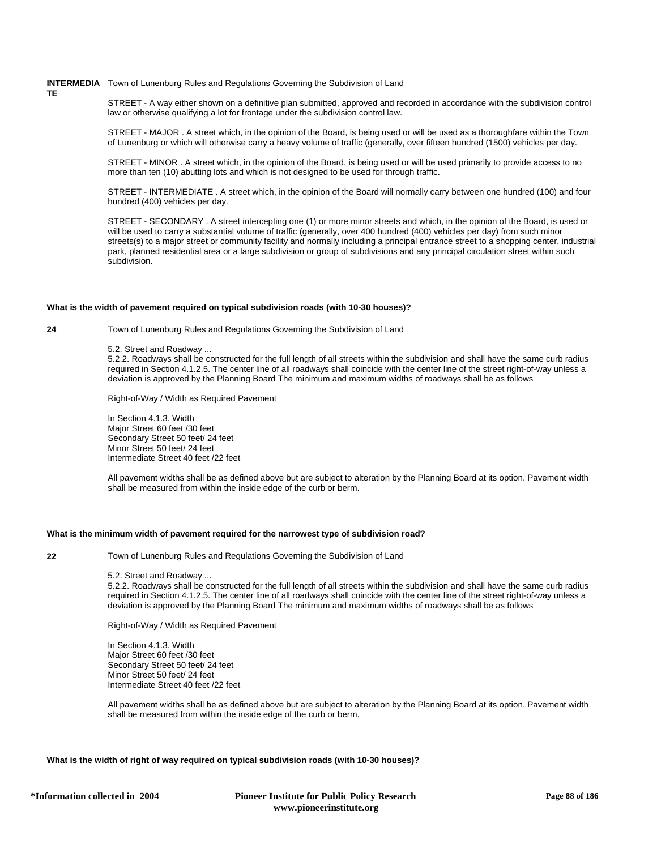## **INTERMEDIA** Town of Lunenburg Rules and Regulations Governing the Subdivision of Land

STREET - A way either shown on a definitive plan submitted, approved and recorded in accordance with the subdivision control law or otherwise qualifying a lot for frontage under the subdivision control law.

STREET - MAJOR . A street which, in the opinion of the Board, is being used or will be used as a thoroughfare within the Town of Lunenburg or which will otherwise carry a heavy volume of traffic (generally, over fifteen hundred (1500) vehicles per day.

STREET - MINOR . A street which, in the opinion of the Board, is being used or will be used primarily to provide access to no more than ten (10) abutting lots and which is not designed to be used for through traffic.

STREET - INTERMEDIATE . A street which, in the opinion of the Board will normally carry between one hundred (100) and four hundred (400) vehicles per day.

STREET - SECONDARY . A street intercepting one (1) or more minor streets and which, in the opinion of the Board, is used or will be used to carry a substantial volume of traffic (generally, over 400 hundred (400) vehicles per day) from such minor streets(s) to a major street or community facility and normally including a principal entrance street to a shopping center, industrial park, planned residential area or a large subdivision or group of subdivisions and any principal circulation street within such subdivision.

## **What is the width of pavement required on typical subdivision roads (with 10-30 houses)?**

**24** Town of Lunenburg Rules and Regulations Governing the Subdivision of Land

5.2. Street and Roadway ...

5.2.2. Roadways shall be constructed for the full length of all streets within the subdivision and shall have the same curb radius required in Section 4.1.2.5. The center line of all roadways shall coincide with the center line of the street right-of-way unless a deviation is approved by the Planning Board The minimum and maximum widths of roadways shall be as follows

Right-of-Way / Width as Required Pavement

In Section 4.1.3. Width Major Street 60 feet /30 feet Secondary Street 50 feet/ 24 feet Minor Street 50 feet/ 24 feet Intermediate Street 40 feet /22 feet

All pavement widths shall be as defined above but are subject to alteration by the Planning Board at its option. Pavement width shall be measured from within the inside edge of the curb or berm.

## **What is the minimum width of pavement required for the narrowest type of subdivision road?**

**TE**

**22** Town of Lunenburg Rules and Regulations Governing the Subdivision of Land

5.2. Street and Roadway ...

5.2.2. Roadways shall be constructed for the full length of all streets within the subdivision and shall have the same curb radius required in Section 4.1.2.5. The center line of all roadways shall coincide with the center line of the street right-of-way unless a deviation is approved by the Planning Board The minimum and maximum widths of roadways shall be as follows

Right-of-Way / Width as Required Pavement

In Section 4.1.3. Width Major Street 60 feet /30 feet Secondary Street 50 feet/ 24 feet Minor Street 50 feet/ 24 feet Intermediate Street 40 feet /22 feet

All pavement widths shall be as defined above but are subject to alteration by the Planning Board at its option. Pavement width shall be measured from within the inside edge of the curb or berm.

**What is the width of right of way required on typical subdivision roads (with 10-30 houses)?**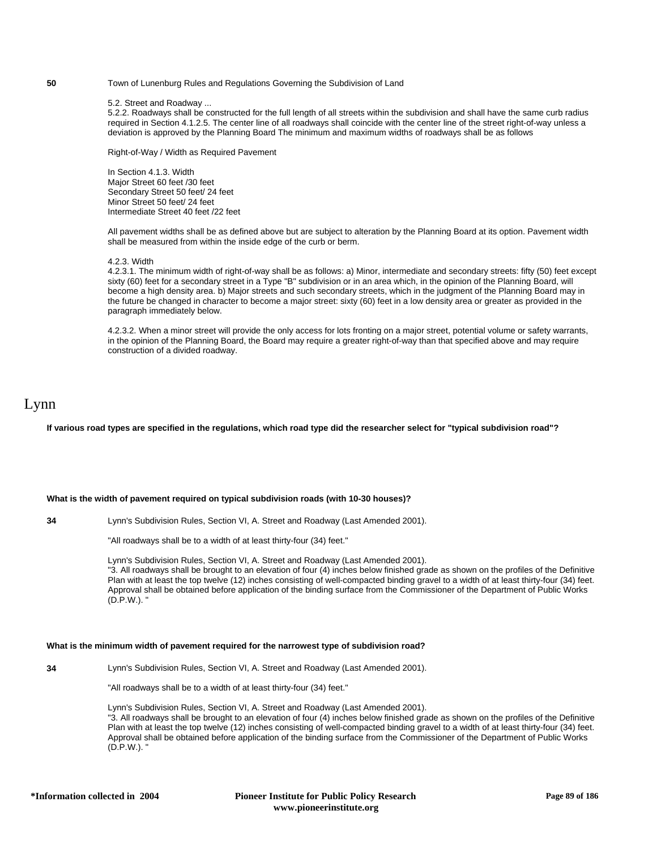### **50** Town of Lunenburg Rules and Regulations Governing the Subdivision of Land

## 5.2. Street and Roadway ...

5.2.2. Roadways shall be constructed for the full length of all streets within the subdivision and shall have the same curb radius required in Section 4.1.2.5. The center line of all roadways shall coincide with the center line of the street right-of-way unless a deviation is approved by the Planning Board The minimum and maximum widths of roadways shall be as follows

Right-of-Way / Width as Required Pavement

In Section 4.1.3. Width Major Street 60 feet /30 feet Secondary Street 50 feet/ 24 feet Minor Street 50 feet/ 24 feet Intermediate Street 40 feet /22 feet

All pavement widths shall be as defined above but are subject to alteration by the Planning Board at its option. Pavement width shall be measured from within the inside edge of the curb or berm.

#### 4.2.3. Width

4.2.3.1. The minimum width of right-of-way shall be as follows: a) Minor, intermediate and secondary streets: fifty (50) feet except sixty (60) feet for a secondary street in a Type "B" subdivision or in an area which, in the opinion of the Planning Board, will become a high density area. b) Major streets and such secondary streets, which in the judgment of the Planning Board may in the future be changed in character to become a major street: sixty (60) feet in a low density area or greater as provided in the paragraph immediately below.

4.2.3.2. When a minor street will provide the only access for lots fronting on a major street, potential volume or safety warrants, in the opinion of the Planning Board, the Board may require a greater right-of-way than that specified above and may require construction of a divided roadway.

## Lynn

**If various road types are specified in the regulations, which road type did the researcher select for "typical subdivision road"?**

## **What is the width of pavement required on typical subdivision roads (with 10-30 houses)?**

**34** Lynn's Subdivision Rules, Section VI, A. Street and Roadway (Last Amended 2001).

"All roadways shall be to a width of at least thirty-four (34) feet."

Lynn's Subdivision Rules, Section VI, A. Street and Roadway (Last Amended 2001). "3. All roadways shall be brought to an elevation of four (4) inches below finished grade as shown on the profiles of the Definitive Plan with at least the top twelve (12) inches consisting of well-compacted binding gravel to a width of at least thirty-four (34) feet. Approval shall be obtained before application of the binding surface from the Commissioner of the Department of Public Works  $(D.P.W.)$ .

#### **What is the minimum width of pavement required for the narrowest type of subdivision road?**

**34** Lynn's Subdivision Rules, Section VI, A. Street and Roadway (Last Amended 2001).

"All roadways shall be to a width of at least thirty-four (34) feet."

Lynn's Subdivision Rules, Section VI, A. Street and Roadway (Last Amended 2001). "3. All roadways shall be brought to an elevation of four (4) inches below finished grade as shown on the profiles of the Definitive Plan with at least the top twelve (12) inches consisting of well-compacted binding gravel to a width of at least thirty-four (34) feet. Approval shall be obtained before application of the binding surface from the Commissioner of the Department of Public Works  $(D.P.W.)$ .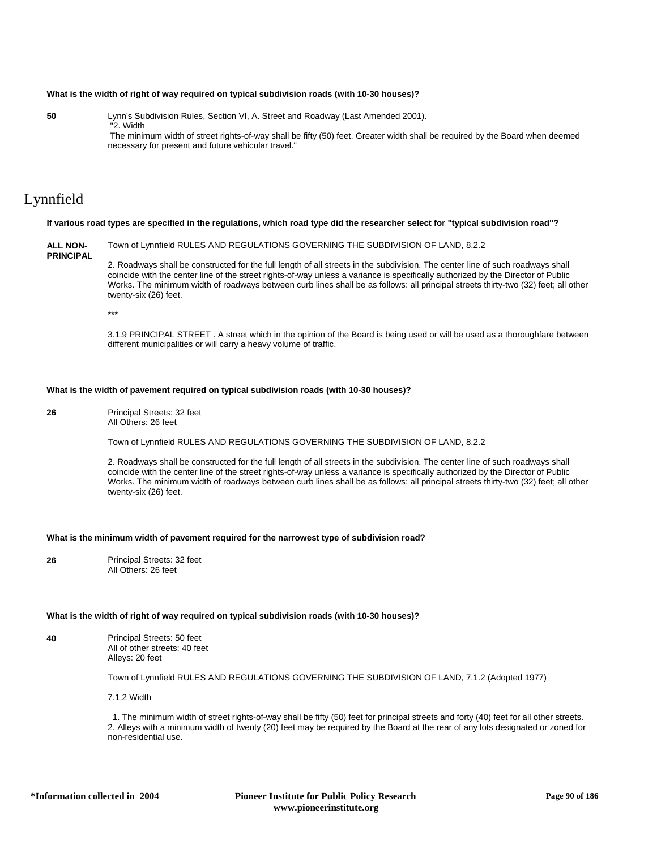## **What is the width of right of way required on typical subdivision roads (with 10-30 houses)?**

**50** Lynn's Subdivision Rules, Section VI, A. Street and Roadway (Last Amended 2001). "2. Width

> The minimum width of street rights-of-way shall be fifty (50) feet. Greater width shall be required by the Board when deemed necessary for present and future vehicular travel."

# Lynnfield

## **If various road types are specified in the regulations, which road type did the researcher select for "typical subdivision road"?**

**ALL NON-PRINCIPAL** Town of Lynnfield RULES AND REGULATIONS GOVERNING THE SUBDIVISION OF LAND, 8.2.2 2. Roadways shall be constructed for the full length of all streets in the subdivision. The center line of such roadways shall coincide with the center line of the street rights-of-way unless a variance is specifically authorized by the Director of Public Works. The minimum width of roadways between curb lines shall be as follows: all principal streets thirty-two (32) feet; all other twenty-six (26) feet.

\*\*\*

3.1.9 PRINCIPAL STREET . A street which in the opinion of the Board is being used or will be used as a thoroughfare between different municipalities or will carry a heavy volume of traffic.

## **What is the width of pavement required on typical subdivision roads (with 10-30 houses)?**

**26** Principal Streets: 32 feet All Others: 26 feet

Town of Lynnfield RULES AND REGULATIONS GOVERNING THE SUBDIVISION OF LAND, 8.2.2

2. Roadways shall be constructed for the full length of all streets in the subdivision. The center line of such roadways shall coincide with the center line of the street rights-of-way unless a variance is specifically authorized by the Director of Public Works. The minimum width of roadways between curb lines shall be as follows: all principal streets thirty-two (32) feet; all other twenty-six (26) feet.

## **What is the minimum width of pavement required for the narrowest type of subdivision road?**

**26** Principal Streets: 32 feet All Others: 26 feet

## **What is the width of right of way required on typical subdivision roads (with 10-30 houses)?**

**40** Principal Streets: 50 feet All of other streets: 40 feet Alleys: 20 feet

Town of Lynnfield RULES AND REGULATIONS GOVERNING THE SUBDIVISION OF LAND, 7.1.2 (Adopted 1977)

7.1.2 Width

 1. The minimum width of street rights-of-way shall be fifty (50) feet for principal streets and forty (40) feet for all other streets. 2. Alleys with a minimum width of twenty (20) feet may be required by the Board at the rear of any lots designated or zoned for non-residential use.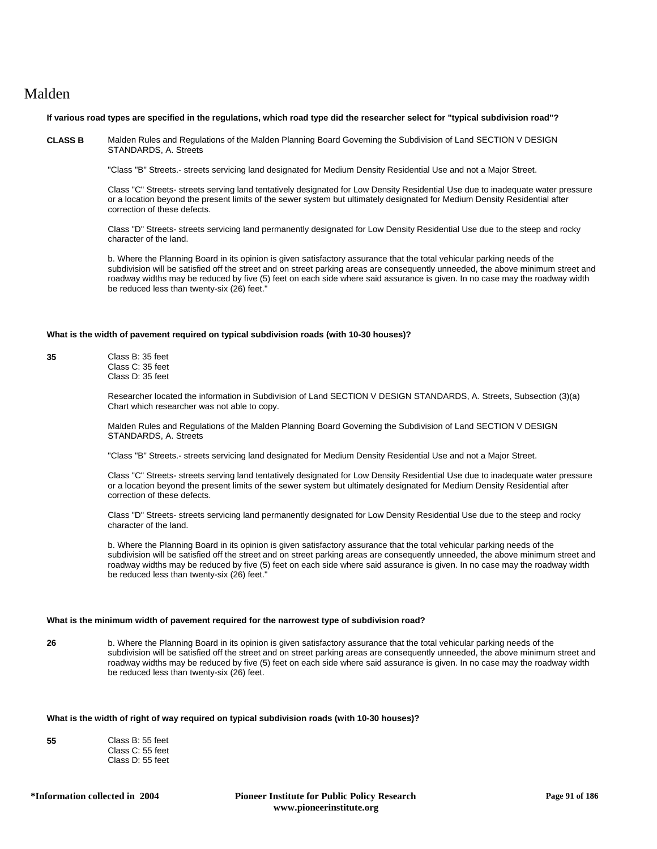# Malden

### **If various road types are specified in the regulations, which road type did the researcher select for "typical subdivision road"?**

**CLASS B** Malden Rules and Regulations of the Malden Planning Board Governing the Subdivision of Land SECTION V DESIGN STANDARDS, A. Streets

"Class "B" Streets.- streets servicing land designated for Medium Density Residential Use and not a Major Street.

Class "C" Streets- streets serving land tentatively designated for Low Density Residential Use due to inadequate water pressure or a location beyond the present limits of the sewer system but ultimately designated for Medium Density Residential after correction of these defects.

Class "D" Streets- streets servicing land permanently designated for Low Density Residential Use due to the steep and rocky character of the land.

b. Where the Planning Board in its opinion is given satisfactory assurance that the total vehicular parking needs of the subdivision will be satisfied off the street and on street parking areas are consequently unneeded, the above minimum street and roadway widths may be reduced by five (5) feet on each side where said assurance is given. In no case may the roadway width be reduced less than twenty-six (26) feet."

## **What is the width of pavement required on typical subdivision roads (with 10-30 houses)?**

**35** Class B: 35 feet Class C: 35 feet Class D: 35 feet

> Researcher located the information in Subdivision of Land SECTION V DESIGN STANDARDS, A. Streets, Subsection (3)(a) Chart which researcher was not able to copy.

Malden Rules and Regulations of the Malden Planning Board Governing the Subdivision of Land SECTION V DESIGN STANDARDS, A. Streets

"Class "B" Streets.- streets servicing land designated for Medium Density Residential Use and not a Major Street.

Class "C" Streets- streets serving land tentatively designated for Low Density Residential Use due to inadequate water pressure or a location beyond the present limits of the sewer system but ultimately designated for Medium Density Residential after correction of these defects.

Class "D" Streets- streets servicing land permanently designated for Low Density Residential Use due to the steep and rocky character of the land.

b. Where the Planning Board in its opinion is given satisfactory assurance that the total vehicular parking needs of the subdivision will be satisfied off the street and on street parking areas are consequently unneeded, the above minimum street and roadway widths may be reduced by five (5) feet on each side where said assurance is given. In no case may the roadway width be reduced less than twenty-six (26) feet."

## **What is the minimum width of pavement required for the narrowest type of subdivision road?**

**26** b. Where the Planning Board in its opinion is given satisfactory assurance that the total vehicular parking needs of the subdivision will be satisfied off the street and on street parking areas are consequently unneeded, the above minimum street and roadway widths may be reduced by five (5) feet on each side where said assurance is given. In no case may the roadway width be reduced less than twenty-six (26) feet.

## **What is the width of right of way required on typical subdivision roads (with 10-30 houses)?**

| 55 | Class B: 55 feet |
|----|------------------|
|    | Class C: 55 feet |
|    | Class D: 55 feet |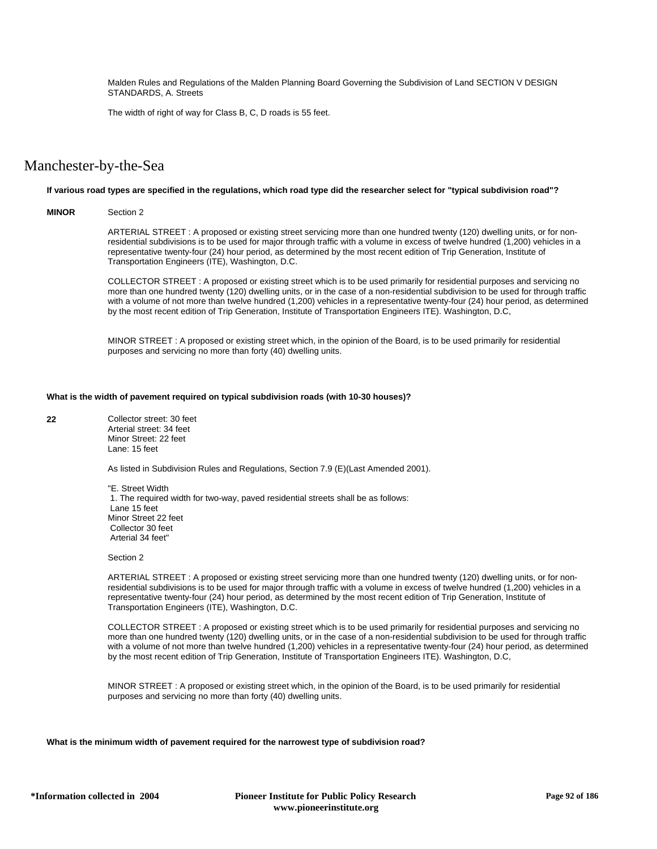Malden Rules and Regulations of the Malden Planning Board Governing the Subdivision of Land SECTION V DESIGN STANDARDS, A. Streets

The width of right of way for Class B, C, D roads is 55 feet.

# Manchester-by-the-Sea

## **If various road types are specified in the regulations, which road type did the researcher select for "typical subdivision road"?**

## **MINOR** Section 2

ARTERIAL STREET : A proposed or existing street servicing more than one hundred twenty (120) dwelling units, or for nonresidential subdivisions is to be used for major through traffic with a volume in excess of twelve hundred (1,200) vehicles in a representative twenty-four (24) hour period, as determined by the most recent edition of Trip Generation, Institute of Transportation Engineers (ITE), Washington, D.C.

COLLECTOR STREET : A proposed or existing street which is to be used primarily for residential purposes and servicing no more than one hundred twenty (120) dwelling units, or in the case of a non-residential subdivision to be used for through traffic with a volume of not more than twelve hundred (1,200) vehicles in a representative twenty-four (24) hour period, as determined by the most recent edition of Trip Generation, Institute of Transportation Engineers ITE). Washington, D.C,

MINOR STREET : A proposed or existing street which, in the opinion of the Board, is to be used primarily for residential purposes and servicing no more than forty (40) dwelling units.

### **What is the width of pavement required on typical subdivision roads (with 10-30 houses)?**

**22** Collector street: 30 feet Arterial street: 34 feet Minor Street: 22 feet Lane: 15 feet

As listed in Subdivision Rules and Regulations, Section 7.9 (E)(Last Amended 2001).

"E. Street Width 1. The required width for two-way, paved residential streets shall be as follows: Lane 15 feet Minor Street 22 feet Collector 30 feet Arterial 34 feet"

#### Section 2

ARTERIAL STREET : A proposed or existing street servicing more than one hundred twenty (120) dwelling units, or for nonresidential subdivisions is to be used for major through traffic with a volume in excess of twelve hundred (1,200) vehicles in a representative twenty-four (24) hour period, as determined by the most recent edition of Trip Generation, Institute of Transportation Engineers (ITE), Washington, D.C.

COLLECTOR STREET : A proposed or existing street which is to be used primarily for residential purposes and servicing no more than one hundred twenty (120) dwelling units, or in the case of a non-residential subdivision to be used for through traffic with a volume of not more than twelve hundred (1,200) vehicles in a representative twenty-four (24) hour period, as determined by the most recent edition of Trip Generation, Institute of Transportation Engineers ITE). Washington, D.C,

MINOR STREET : A proposed or existing street which, in the opinion of the Board, is to be used primarily for residential purposes and servicing no more than forty (40) dwelling units.

**What is the minimum width of pavement required for the narrowest type of subdivision road?**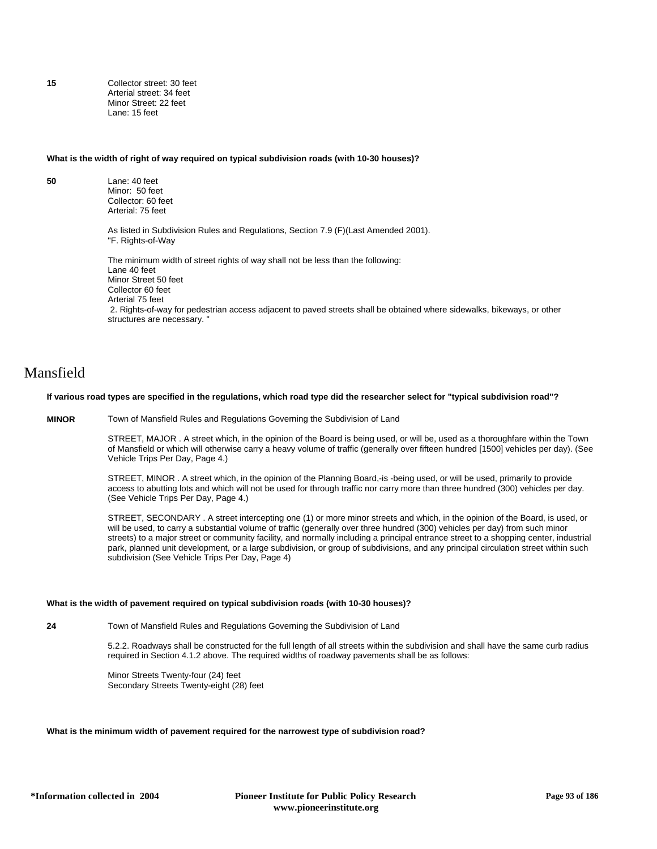**15** Collector street: 30 feet Arterial street: 34 feet Minor Street: 22 feet Lane: 15 feet

#### **What is the width of right of way required on typical subdivision roads (with 10-30 houses)?**

**50** Lane: 40 feet Minor: 50 feet Collector: 60 feet Arterial: 75 feet

> As listed in Subdivision Rules and Regulations, Section 7.9 (F)(Last Amended 2001). "F. Rights-of-Way

The minimum width of street rights of way shall not be less than the following: Lane 40 feet Minor Street 50 feet Collector 60 feet Arterial 75 feet 2. Rights-of-way for pedestrian access adjacent to paved streets shall be obtained where sidewalks, bikeways, or other structures are necessary. "

# Mansfield

## **If various road types are specified in the regulations, which road type did the researcher select for "typical subdivision road"?**

**MINOR** Town of Mansfield Rules and Regulations Governing the Subdivision of Land

STREET, MAJOR . A street which, in the opinion of the Board is being used, or will be, used as a thoroughfare within the Town of Mansfield or which will otherwise carry a heavy volume of traffic (generally over fifteen hundred [1500] vehicles per day). (See Vehicle Trips Per Day, Page 4.)

STREET, MINOR . A street which, in the opinion of the Planning Board,-is -being used, or will be used, primarily to provide access to abutting lots and which will not be used for through traffic nor carry more than three hundred (300) vehicles per day. (See Vehicle Trips Per Day, Page 4.)

STREET, SECONDARY . A street intercepting one (1) or more minor streets and which, in the opinion of the Board, is used, or will be used, to carry a substantial volume of traffic (generally over three hundred (300) vehicles per day) from such minor streets) to a major street or community facility, and normally including a principal entrance street to a shopping center, industrial park, planned unit development, or a large subdivision, or group of subdivisions, and any principal circulation street within such subdivision (See Vehicle Trips Per Day, Page 4)

#### **What is the width of pavement required on typical subdivision roads (with 10-30 houses)?**

**24** Town of Mansfield Rules and Regulations Governing the Subdivision of Land

5.2.2. Roadways shall be constructed for the full length of all streets within the subdivision and shall have the same curb radius required in Section 4.1.2 above. The required widths of roadway pavements shall be as follows:

Minor Streets Twenty-four (24) feet Secondary Streets Twenty-eight (28) feet

## **What is the minimum width of pavement required for the narrowest type of subdivision road?**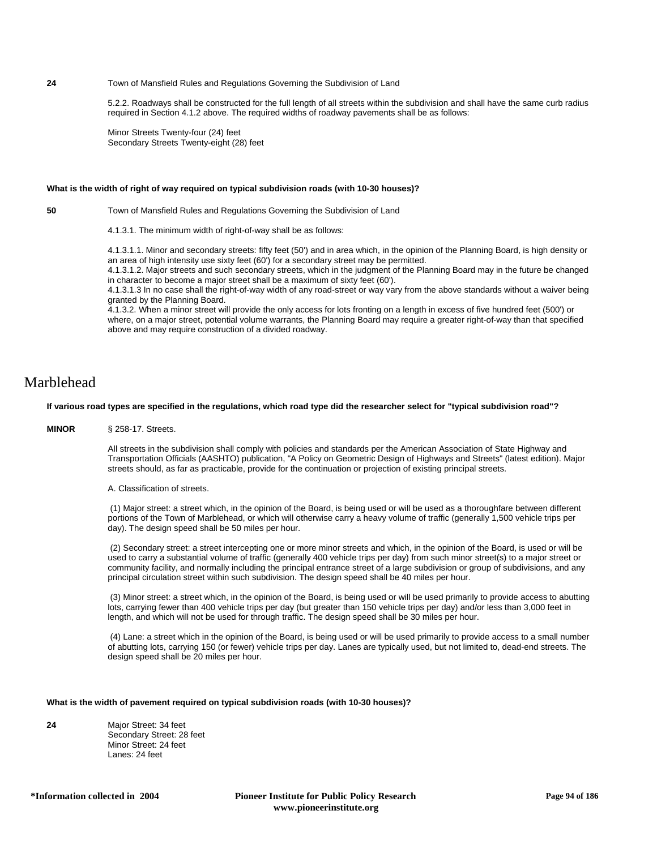## **24** Town of Mansfield Rules and Regulations Governing the Subdivision of Land

5.2.2. Roadways shall be constructed for the full length of all streets within the subdivision and shall have the same curb radius required in Section 4.1.2 above. The required widths of roadway pavements shall be as follows:

Minor Streets Twenty-four (24) feet Secondary Streets Twenty-eight (28) feet

#### **What is the width of right of way required on typical subdivision roads (with 10-30 houses)?**

**50** Town of Mansfield Rules and Regulations Governing the Subdivision of Land

4.1.3.1. The minimum width of right-of-way shall be as follows:

4.1.3.1.1. Minor and secondary streets: fifty feet (50') and in area which, in the opinion of the Planning Board, is high density or an area of high intensity use sixty feet (60') for a secondary street may be permitted.

4.1.3.1.2. Major streets and such secondary streets, which in the judgment of the Planning Board may in the future be changed in character to become a major street shall be a maximum of sixty feet (60').

4.1.3.1.3 In no case shall the right-of-way width of any road-street or way vary from the above standards without a waiver being granted by the Planning Board.

4.1.3.2. When a minor street will provide the only access for lots fronting on a length in excess of five hundred feet (500') or where, on a major street, potential volume warrants, the Planning Board may require a greater right-of-way than that specified above and may require construction of a divided roadway.

# Marblehead

#### **If various road types are specified in the regulations, which road type did the researcher select for "typical subdivision road"?**

**MINOR** § 258-17. Streets.

All streets in the subdivision shall comply with policies and standards per the American Association of State Highway and Transportation Officials (AASHTO) publication, "A Policy on Geometric Design of Highways and Streets" (latest edition). Major streets should, as far as practicable, provide for the continuation or projection of existing principal streets.

A. Classification of streets.

 (1) Major street: a street which, in the opinion of the Board, is being used or will be used as a thoroughfare between different portions of the Town of Marblehead, or which will otherwise carry a heavy volume of traffic (generally 1,500 vehicle trips per day). The design speed shall be 50 miles per hour.

 (2) Secondary street: a street intercepting one or more minor streets and which, in the opinion of the Board, is used or will be used to carry a substantial volume of traffic (generally 400 vehicle trips per day) from such minor street(s) to a major street or community facility, and normally including the principal entrance street of a large subdivision or group of subdivisions, and any principal circulation street within such subdivision. The design speed shall be 40 miles per hour.

 (3) Minor street: a street which, in the opinion of the Board, is being used or will be used primarily to provide access to abutting lots, carrying fewer than 400 vehicle trips per day (but greater than 150 vehicle trips per day) and/or less than 3,000 feet in length, and which will not be used for through traffic. The design speed shall be 30 miles per hour.

 (4) Lane: a street which in the opinion of the Board, is being used or will be used primarily to provide access to a small number of abutting lots, carrying 150 (or fewer) vehicle trips per day. Lanes are typically used, but not limited to, dead-end streets. The design speed shall be 20 miles per hour.

## **What is the width of pavement required on typical subdivision roads (with 10-30 houses)?**

**24** Major Street: 34 feet Secondary Street: 28 feet Minor Street: 24 feet Lanes: 24 feet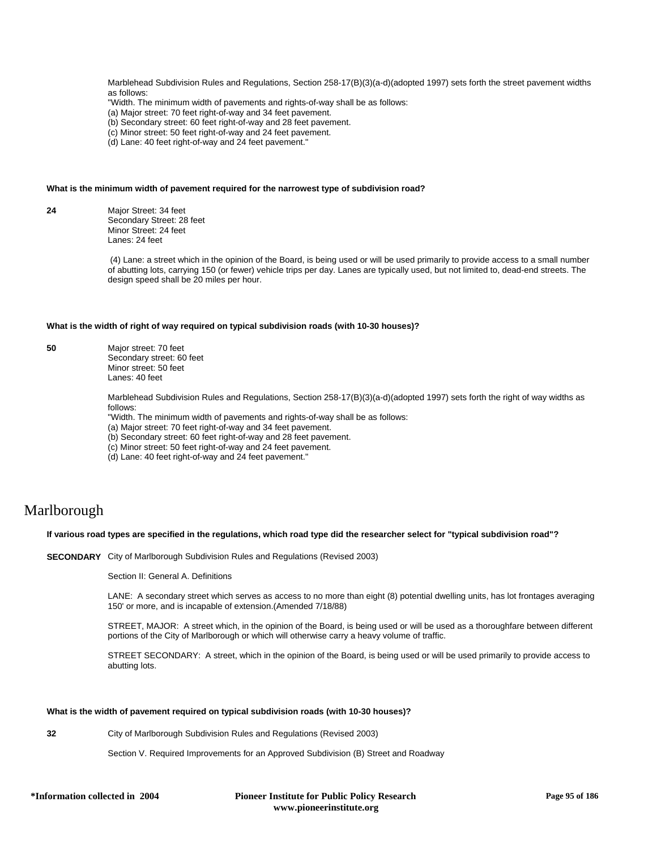Marblehead Subdivision Rules and Regulations, Section 258-17(B)(3)(a-d)(adopted 1997) sets forth the street pavement widths as follows:

"Width. The minimum width of pavements and rights-of-way shall be as follows:

(a) Major street: 70 feet right-of-way and 34 feet pavement.

(b) Secondary street: 60 feet right-of-way and 28 feet pavement.

(c) Minor street: 50 feet right-of-way and 24 feet pavement.

(d) Lane: 40 feet right-of-way and 24 feet pavement."

#### **What is the minimum width of pavement required for the narrowest type of subdivision road?**

**24** Major Street: 34 feet Secondary Street: 28 feet Minor Street: 24 feet Lanes: 24 feet

> (4) Lane: a street which in the opinion of the Board, is being used or will be used primarily to provide access to a small number of abutting lots, carrying 150 (or fewer) vehicle trips per day. Lanes are typically used, but not limited to, dead-end streets. The design speed shall be 20 miles per hour.

#### **What is the width of right of way required on typical subdivision roads (with 10-30 houses)?**

**50** Major street: 70 feet Secondary street: 60 feet Minor street: 50 feet Lanes: 40 feet

> Marblehead Subdivision Rules and Regulations, Section 258-17(B)(3)(a-d)(adopted 1997) sets forth the right of way widths as follows:

"Width. The minimum width of pavements and rights-of-way shall be as follows:

(a) Major street: 70 feet right-of-way and 34 feet pavement.

(b) Secondary street: 60 feet right-of-way and 28 feet pavement.

(c) Minor street: 50 feet right-of-way and 24 feet pavement.

(d) Lane: 40 feet right-of-way and 24 feet pavement."

# Marlborough

## **If various road types are specified in the regulations, which road type did the researcher select for "typical subdivision road"?**

**SECONDARY** City of Marlborough Subdivision Rules and Regulations (Revised 2003)

Section II: General A. Definitions

LANE: A secondary street which serves as access to no more than eight (8) potential dwelling units, has lot frontages averaging 150' or more, and is incapable of extension.(Amended 7/18/88)

STREET, MAJOR: A street which, in the opinion of the Board, is being used or will be used as a thoroughfare between different portions of the City of Marlborough or which will otherwise carry a heavy volume of traffic.

STREET SECONDARY: A street, which in the opinion of the Board, is being used or will be used primarily to provide access to abutting lots.

## **What is the width of pavement required on typical subdivision roads (with 10-30 houses)?**

**32** City of Marlborough Subdivision Rules and Regulations (Revised 2003)

Section V. Required Improvements for an Approved Subdivision (B) Street and Roadway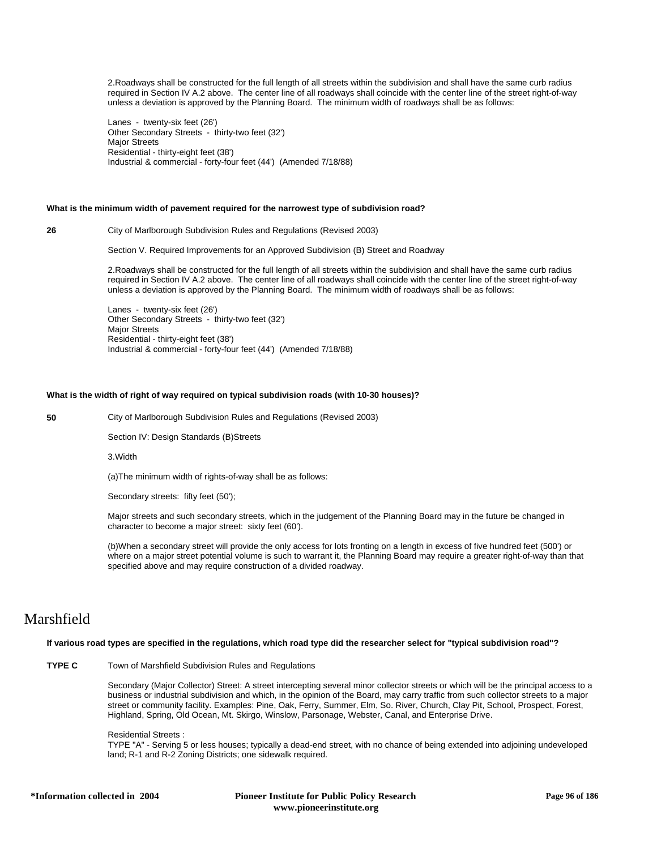2.Roadways shall be constructed for the full length of all streets within the subdivision and shall have the same curb radius required in Section IV A.2 above. The center line of all roadways shall coincide with the center line of the street right-of-way unless a deviation is approved by the Planning Board. The minimum width of roadways shall be as follows:

Lanes - twenty-six feet (26') Other Secondary Streets - thirty-two feet (32') Major Streets Residential - thirty-eight feet (38') Industrial & commercial - forty-four feet (44') (Amended 7/18/88)

## **What is the minimum width of pavement required for the narrowest type of subdivision road?**

**26** City of Marlborough Subdivision Rules and Regulations (Revised 2003)

Section V. Required Improvements for an Approved Subdivision (B) Street and Roadway

2.Roadways shall be constructed for the full length of all streets within the subdivision and shall have the same curb radius required in Section IV A.2 above. The center line of all roadways shall coincide with the center line of the street right-of-way unless a deviation is approved by the Planning Board. The minimum width of roadways shall be as follows:

Lanes - twenty-six feet (26') Other Secondary Streets - thirty-two feet (32') Major Streets Residential - thirty-eight feet (38') Industrial & commercial - forty-four feet (44') (Amended 7/18/88)

## **What is the width of right of way required on typical subdivision roads (with 10-30 houses)?**

**50** City of Marlborough Subdivision Rules and Regulations (Revised 2003)

Section IV: Design Standards (B)Streets

3.Width

(a)The minimum width of rights-of-way shall be as follows:

Secondary streets: fifty feet (50');

Major streets and such secondary streets, which in the judgement of the Planning Board may in the future be changed in character to become a major street: sixty feet (60').

(b)When a secondary street will provide the only access for lots fronting on a length in excess of five hundred feet (500') or where on a major street potential volume is such to warrant it, the Planning Board may require a greater right-of-way than that specified above and may require construction of a divided roadway.

# Marshfield

## **If various road types are specified in the regulations, which road type did the researcher select for "typical subdivision road"?**

## **TYPE C** Town of Marshfield Subdivision Rules and Regulations

Secondary (Major Collector) Street: A street intercepting several minor collector streets or which will be the principal access to a business or industrial subdivision and which, in the opinion of the Board, may carry traffic from such collector streets to a major street or community facility. Examples: Pine, Oak, Ferry, Summer, Elm, So. River, Church, Clay Pit, School, Prospect, Forest, Highland, Spring, Old Ocean, Mt. Skirgo, Winslow, Parsonage, Webster, Canal, and Enterprise Drive.

#### Residential Streets :

TYPE "A" - Serving 5 or less houses; typically a dead-end street, with no chance of being extended into adjoining undeveloped land; R-1 and R-2 Zoning Districts; one sidewalk required.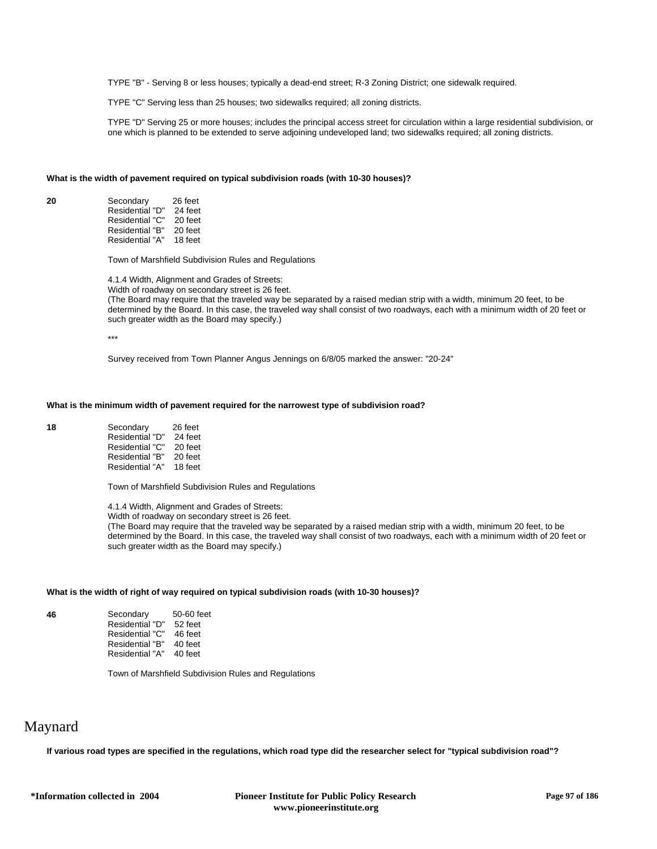TYPE "B" - Serving 8 or less houses; typically a dead-end street; R-3 Zoning District; one sidewalk required.

TYPE "C" Serving less than 25 houses; two sidewalks required; all zoning districts.

TYPE "D" Serving 25 or more houses; includes the principal access street for circulation within a large residential subdivision, or one which is planned to be extended to serve adjoining undeveloped land; two sidewalks required; all zoning districts.

#### **What is the width of pavement required on typical subdivision roads (with 10-30 houses)?**

**20** Secondary 26 feet<br>Residential "D" 24 feet Residential "D" Residential "C" 20 feet<br>Residential "B" 20 feet Residential "B" Residential "A" 18 feet

Town of Marshfield Subdivision Rules and Regulations

4.1.4 Width, Alignment and Grades of Streets:

Width of roadway on secondary street is 26 feet.

(The Board may require that the traveled way be separated by a raised median strip with a width, minimum 20 feet, to be determined by the Board. In this case, the traveled way shall consist of two roadways, each with a minimum width of 20 feet or such greater width as the Board may specify.)

\*\*\*

Survey received from Town Planner Angus Jennings on 6/8/05 marked the answer: "20-24"

## **What is the minimum width of pavement required for the narrowest type of subdivision road?**

| 18 | Secondary       | 26 feet |
|----|-----------------|---------|
|    | Residential "D" | 24 feet |
|    | Residential "C" | 20 feet |
|    | Residential "B" | 20 feet |
|    | Residential "A" | 18 feet |

Town of Marshfield Subdivision Rules and Regulations

4.1.4 Width, Alignment and Grades of Streets:

Width of roadway on secondary street is 26 feet.

(The Board may require that the traveled way be separated by a raised median strip with a width, minimum 20 feet, to be determined by the Board. In this case, the traveled way shall consist of two roadways, each with a minimum width of 20 feet or such greater width as the Board may specify.)

## **What is the width of right of way required on typical subdivision roads (with 10-30 houses)?**

**46** Secondary 50-60 feet<br>Residential "D" 52 feet Residential "D" 52 feet<br>Residential "C" 46 feet Residential "C" 46 feet<br>Residential "B" 40 feet Residential "B" 40 feet<br>Residential "A" 40 feet Residential "A"

Town of Marshfield Subdivision Rules and Regulations

# Maynard

**If various road types are specified in the regulations, which road type did the researcher select for "typical subdivision road"?**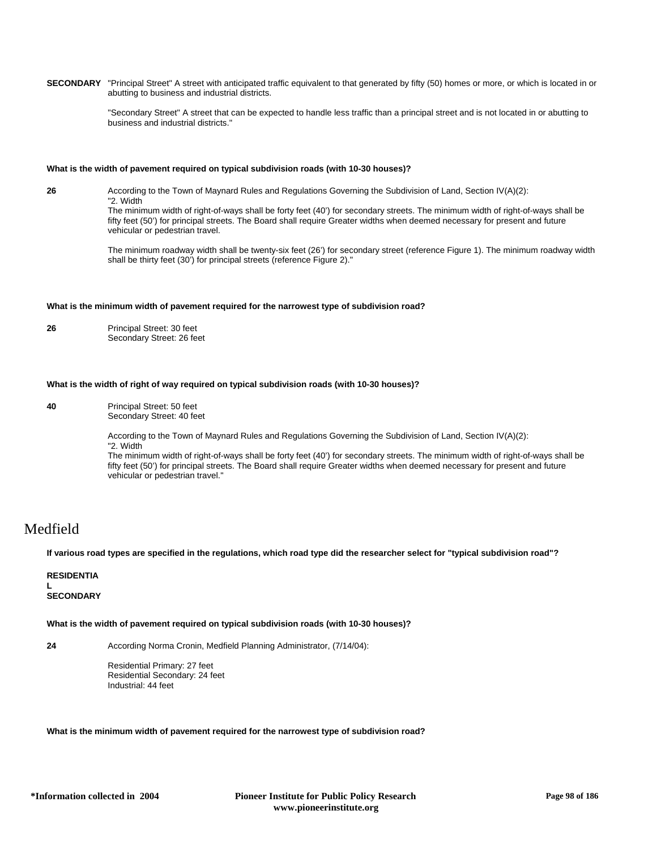**SECONDARY** "Principal Street" A street with anticipated traffic equivalent to that generated by fifty (50) homes or more, or which is located in or abutting to business and industrial districts.

> "Secondary Street" A street that can be expected to handle less traffic than a principal street and is not located in or abutting to business and industrial districts."

#### **What is the width of pavement required on typical subdivision roads (with 10-30 houses)?**

**26** According to the Town of Maynard Rules and Regulations Governing the Subdivision of Land, Section IV(A)(2): "2. Width

> The minimum width of right-of-ways shall be forty feet (40') for secondary streets. The minimum width of right-of-ways shall be fifty feet (50') for principal streets. The Board shall require Greater widths when deemed necessary for present and future vehicular or pedestrian travel.

The minimum roadway width shall be twenty-six feet (26') for secondary street (reference Figure 1). The minimum roadway width shall be thirty feet (30') for principal streets (reference Figure 2)."

## **What is the minimum width of pavement required for the narrowest type of subdivision road?**

**26** Principal Street: 30 feet Secondary Street: 26 feet

#### **What is the width of right of way required on typical subdivision roads (with 10-30 houses)?**

**40** Principal Street: 50 feet Secondary Street: 40 feet

> According to the Town of Maynard Rules and Regulations Governing the Subdivision of Land, Section IV(A)(2): "2. Width

The minimum width of right-of-ways shall be forty feet (40') for secondary streets. The minimum width of right-of-ways shall be fifty feet (50') for principal streets. The Board shall require Greater widths when deemed necessary for present and future vehicular or pedestrian travel."

## Medfield

**If various road types are specified in the regulations, which road type did the researcher select for "typical subdivision road"?**

## **RESIDENTIA**

**L SECONDARY**

**What is the width of pavement required on typical subdivision roads (with 10-30 houses)?**

**24** According Norma Cronin, Medfield Planning Administrator, (7/14/04):

Residential Primary: 27 feet Residential Secondary: 24 feet Industrial: 44 feet

**What is the minimum width of pavement required for the narrowest type of subdivision road?**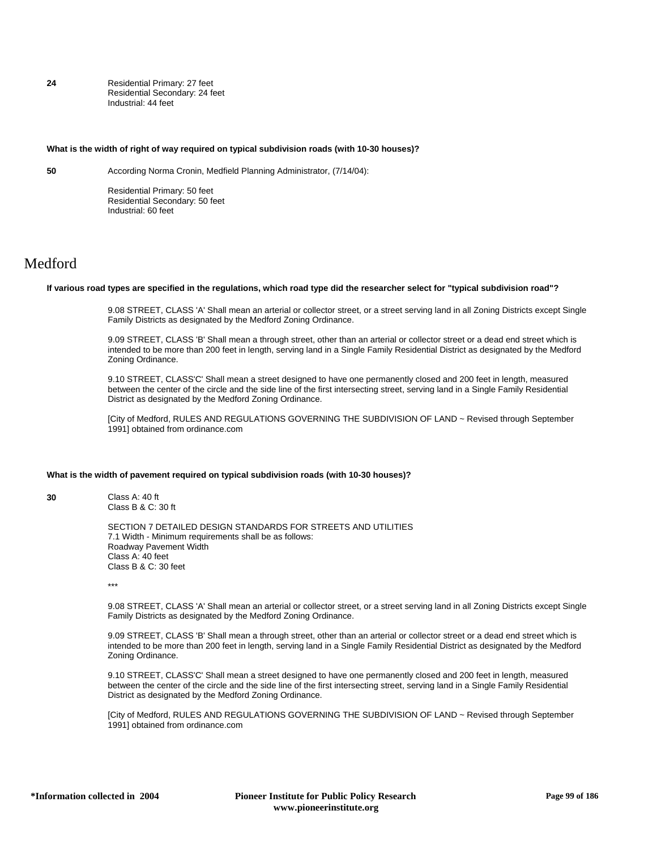**24** Residential Primary: 27 feet Residential Secondary: 24 feet Industrial: 44 feet

### **What is the width of right of way required on typical subdivision roads (with 10-30 houses)?**

**50** According Norma Cronin, Medfield Planning Administrator, (7/14/04):

Residential Primary: 50 feet Residential Secondary: 50 feet Industrial: 60 feet

# Medford

#### **If various road types are specified in the regulations, which road type did the researcher select for "typical subdivision road"?**

9.08 STREET, CLASS 'A' Shall mean an arterial or collector street, or a street serving land in all Zoning Districts except Single Family Districts as designated by the Medford Zoning Ordinance.

9.09 STREET, CLASS 'B' Shall mean a through street, other than an arterial or collector street or a dead end street which is intended to be more than 200 feet in length, serving land in a Single Family Residential District as designated by the Medford Zoning Ordinance.

9.10 STREET, CLASS'C' Shall mean a street designed to have one permanently closed and 200 feet in length, measured between the center of the circle and the side line of the first intersecting street, serving land in a Single Family Residential District as designated by the Medford Zoning Ordinance.

[City of Medford, RULES AND REGULATIONS GOVERNING THE SUBDIVISION OF LAND ~ Revised through September 1991] obtained from ordinance.com

#### **What is the width of pavement required on typical subdivision roads (with 10-30 houses)?**

**30** Class A: 40 ft Class B & C: 30 ft

> SECTION 7 DETAILED DESIGN STANDARDS FOR STREETS AND UTILITIES 7.1 Width - Minimum requirements shall be as follows: Roadway Pavement Width Class A: 40 feet Class B & C: 30 feet

\*\*\*

9.08 STREET, CLASS 'A' Shall mean an arterial or collector street, or a street serving land in all Zoning Districts except Single Family Districts as designated by the Medford Zoning Ordinance.

9.09 STREET, CLASS 'B' Shall mean a through street, other than an arterial or collector street or a dead end street which is intended to be more than 200 feet in length, serving land in a Single Family Residential District as designated by the Medford Zoning Ordinance.

9.10 STREET, CLASS'C' Shall mean a street designed to have one permanently closed and 200 feet in length, measured between the center of the circle and the side line of the first intersecting street, serving land in a Single Family Residential District as designated by the Medford Zoning Ordinance.

[City of Medford, RULES AND REGULATIONS GOVERNING THE SUBDIVISION OF LAND ~ Revised through September 1991] obtained from ordinance.com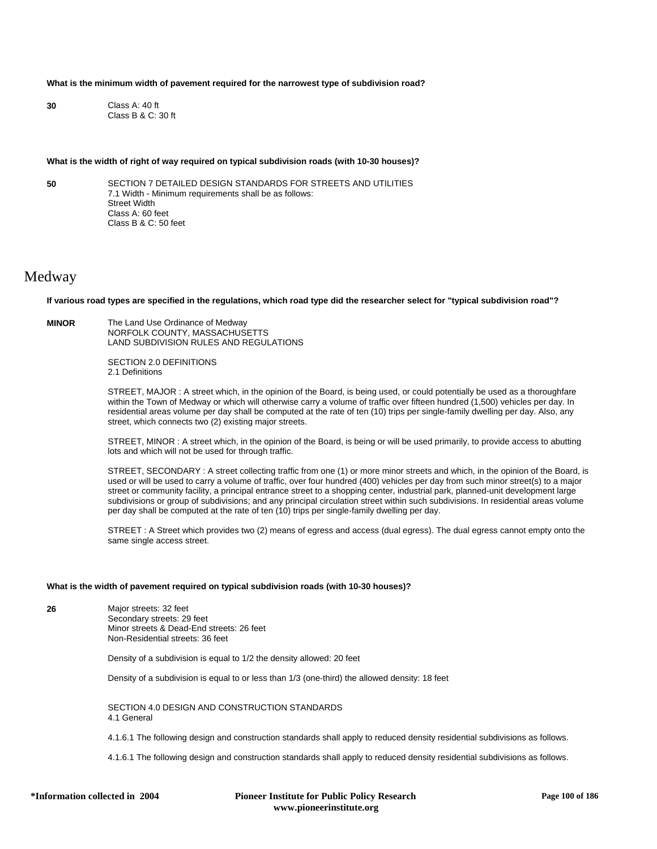## **What is the minimum width of pavement required for the narrowest type of subdivision road?**

**30** Class A: 40 ft Class B & C: 30 ft

#### **What is the width of right of way required on typical subdivision roads (with 10-30 houses)?**

**50** SECTION 7 DETAILED DESIGN STANDARDS FOR STREETS AND UTILITIES 7.1 Width - Minimum requirements shall be as follows: Street Width Class A: 60 feet Class B & C: 50 feet

## Medway

**If various road types are specified in the regulations, which road type did the researcher select for "typical subdivision road"?**

**MINOR** The Land Use Ordinance of Medway NORFOLK COUNTY, MASSACHUSETTS LAND SUBDIVISION RULES AND REGULATIONS

> SECTION 2.0 DEFINITIONS 2.1 Definitions

STREET, MAJOR : A street which, in the opinion of the Board, is being used, or could potentially be used as a thoroughfare within the Town of Medway or which will otherwise carry a volume of traffic over fifteen hundred (1,500) vehicles per day. In residential areas volume per day shall be computed at the rate of ten (10) trips per single-family dwelling per day. Also, any street, which connects two (2) existing major streets.

STREET, MINOR : A street which, in the opinion of the Board, is being or will be used primarily, to provide access to abutting lots and which will not be used for through traffic.

STREET, SECONDARY : A street collecting traffic from one (1) or more minor streets and which, in the opinion of the Board, is used or will be used to carry a volume of traffic, over four hundred (400) vehicles per day from such minor street(s) to a major street or community facility, a principal entrance street to a shopping center, industrial park, planned-unit development large subdivisions or group of subdivisions; and any principal circulation street within such subdivisions. In residential areas volume per day shall be computed at the rate of ten (10) trips per single-family dwelling per day.

STREET : A Street which provides two (2) means of egress and access (dual egress). The dual egress cannot empty onto the same single access street.

## **What is the width of pavement required on typical subdivision roads (with 10-30 houses)?**

**26** Major streets: 32 feet Secondary streets: 29 feet Minor streets & Dead-End streets: 26 feet Non-Residential streets: 36 feet

Density of a subdivision is equal to 1/2 the density allowed: 20 feet

Density of a subdivision is equal to or less than 1/3 (one-third) the allowed density: 18 feet

SECTION 4.0 DESIGN AND CONSTRUCTION STANDARDS 4.1 General

4.1.6.1 The following design and construction standards shall apply to reduced density residential subdivisions as follows.

4.1.6.1 The following design and construction standards shall apply to reduced density residential subdivisions as follows.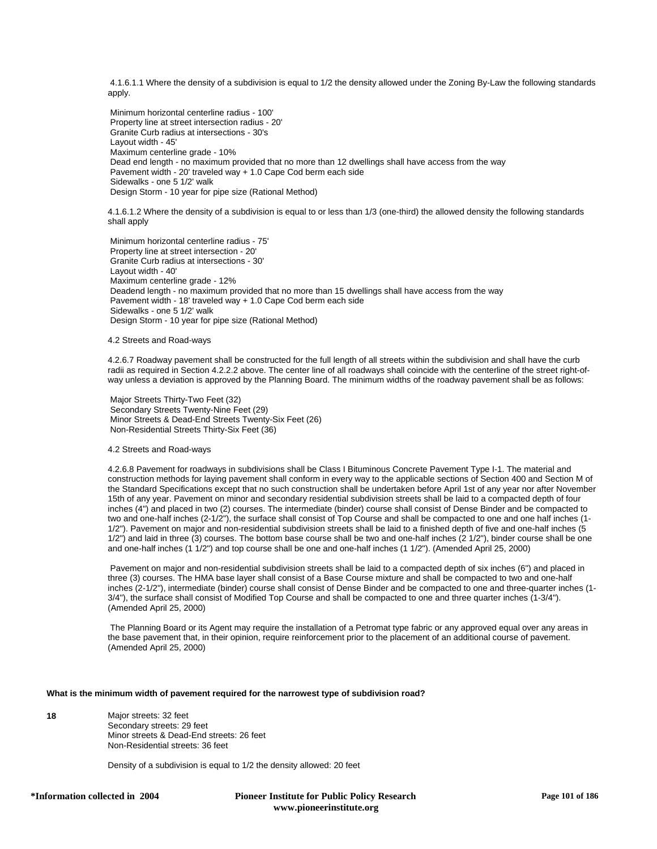4.1.6.1.1 Where the density of a subdivision is equal to 1/2 the density allowed under the Zoning By-Law the following standards apply.

 Minimum horizontal centerline radius - 100' Property line at street intersection radius - 20' Granite Curb radius at intersections - 30's Layout width - 45' Maximum centerline grade - 10% Dead end length - no maximum provided that no more than 12 dwellings shall have access from the way Pavement width - 20' traveled way + 1.0 Cape Cod berm each side Sidewalks - one 5 1/2' walk Design Storm - 10 year for pipe size (Rational Method)

4.1.6.1.2 Where the density of a subdivision is equal to or less than 1/3 (one-third) the allowed density the following standards shall apply

 Minimum horizontal centerline radius - 75' Property line at street intersection - 20' Granite Curb radius at intersections - 30' Layout width - 40' Maximum centerline grade - 12% Deadend length - no maximum provided that no more than 15 dwellings shall have access from the way Pavement width - 18' traveled way + 1.0 Cape Cod berm each side Sidewalks - one 5 1/2' walk Design Storm - 10 year for pipe size (Rational Method)

## 4.2 Streets and Road-ways

4.2.6.7 Roadway pavement shall be constructed for the full length of all streets within the subdivision and shall have the curb radii as required in Section 4.2.2.2 above. The center line of all roadways shall coincide with the centerline of the street right-ofway unless a deviation is approved by the Planning Board. The minimum widths of the roadway pavement shall be as follows:

 Major Streets Thirty-Two Feet (32) Secondary Streets Twenty-Nine Feet (29) Minor Streets & Dead-End Streets Twenty-Six Feet (26) Non-Residential Streets Thirty-Six Feet (36)

## 4.2 Streets and Road-ways

4.2.6.8 Pavement for roadways in subdivisions shall be Class I Bituminous Concrete Pavement Type I-1. The material and construction methods for laying pavement shall conform in every way to the applicable sections of Section 400 and Section M of the Standard Specifications except that no such construction shall be undertaken before April 1st of any year nor after November 15th of any year. Pavement on minor and secondary residential subdivision streets shall be laid to a compacted depth of four inches (4") and placed in two (2) courses. The intermediate (binder) course shall consist of Dense Binder and be compacted to two and one-half inches (2-1/2"), the surface shall consist of Top Course and shall be compacted to one and one half inches (1- 1/2"). Pavement on major and non-residential subdivision streets shall be laid to a finished depth of five and one-half inches (5 1/2") and laid in three (3) courses. The bottom base course shall be two and one-half inches (2 1/2"), binder course shall be one and one-half inches (1 1/2") and top course shall be one and one-half inches (1 1/2"). (Amended April 25, 2000)

 Pavement on major and non-residential subdivision streets shall be laid to a compacted depth of six inches (6") and placed in three (3) courses. The HMA base layer shall consist of a Base Course mixture and shall be compacted to two and one-half inches (2-1/2"), intermediate (binder) course shall consist of Dense Binder and be compacted to one and three-quarter inches (1- 3/4"), the surface shall consist of Modified Top Course and shall be compacted to one and three quarter inches (1-3/4"). (Amended April 25, 2000)

 The Planning Board or its Agent may require the installation of a Petromat type fabric or any approved equal over any areas in the base pavement that, in their opinion, require reinforcement prior to the placement of an additional course of pavement. (Amended April 25, 2000)

## **What is the minimum width of pavement required for the narrowest type of subdivision road?**

**18** Major streets: 32 feet Secondary streets: 29 feet Minor streets & Dead-End streets: 26 feet Non-Residential streets: 36 feet

Density of a subdivision is equal to 1/2 the density allowed: 20 feet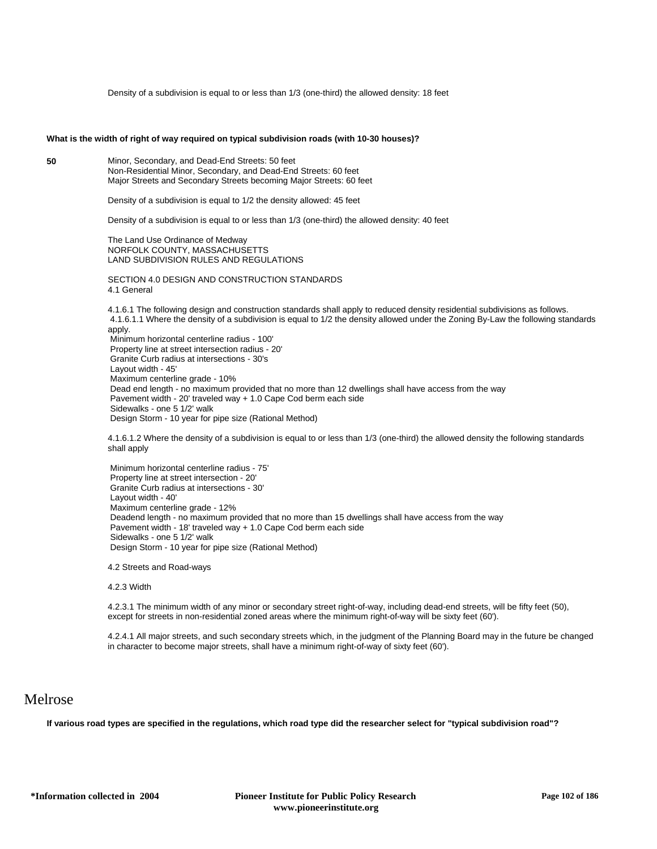Density of a subdivision is equal to or less than 1/3 (one-third) the allowed density: 18 feet

#### **What is the width of right of way required on typical subdivision roads (with 10-30 houses)?**

**50** Minor, Secondary, and Dead-End Streets: 50 feet Non-Residential Minor, Secondary, and Dead-End Streets: 60 feet Major Streets and Secondary Streets becoming Major Streets: 60 feet

Density of a subdivision is equal to 1/2 the density allowed: 45 feet

Density of a subdivision is equal to or less than 1/3 (one-third) the allowed density: 40 feet

The Land Use Ordinance of Medway NORFOLK COUNTY, MASSACHUSETTS LAND SUBDIVISION RULES AND REGULATIONS

SECTION 4.0 DESIGN AND CONSTRUCTION STANDARDS 4.1 General

4.1.6.1 The following design and construction standards shall apply to reduced density residential subdivisions as follows. 4.1.6.1.1 Where the density of a subdivision is equal to 1/2 the density allowed under the Zoning By-Law the following standards apply. Minimum horizontal centerline radius - 100' Property line at street intersection radius - 20' Granite Curb radius at intersections - 30's Layout width - 45' Maximum centerline grade - 10% Dead end length - no maximum provided that no more than 12 dwellings shall have access from the way Pavement width - 20' traveled way + 1.0 Cape Cod berm each side Sidewalks - one 5 1/2' walk Design Storm - 10 year for pipe size (Rational Method)

4.1.6.1.2 Where the density of a subdivision is equal to or less than 1/3 (one-third) the allowed density the following standards shall apply

 Minimum horizontal centerline radius - 75' Property line at street intersection - 20' Granite Curb radius at intersections - 30' Layout width - 40' Maximum centerline grade - 12% Deadend length - no maximum provided that no more than 15 dwellings shall have access from the way Pavement width - 18' traveled way + 1.0 Cape Cod berm each side Sidewalks - one 5 1/2' walk Design Storm - 10 year for pipe size (Rational Method)

4.2 Streets and Road-ways

4.2.3 Width

4.2.3.1 The minimum width of any minor or secondary street right-of-way, including dead-end streets, will be fifty feet (50), except for streets in non-residential zoned areas where the minimum right-of-way will be sixty feet (60').

4.2.4.1 All major streets, and such secondary streets which, in the judgment of the Planning Board may in the future be changed in character to become major streets, shall have a minimum right-of-way of sixty feet (60').

## Melrose

**If various road types are specified in the regulations, which road type did the researcher select for "typical subdivision road"?**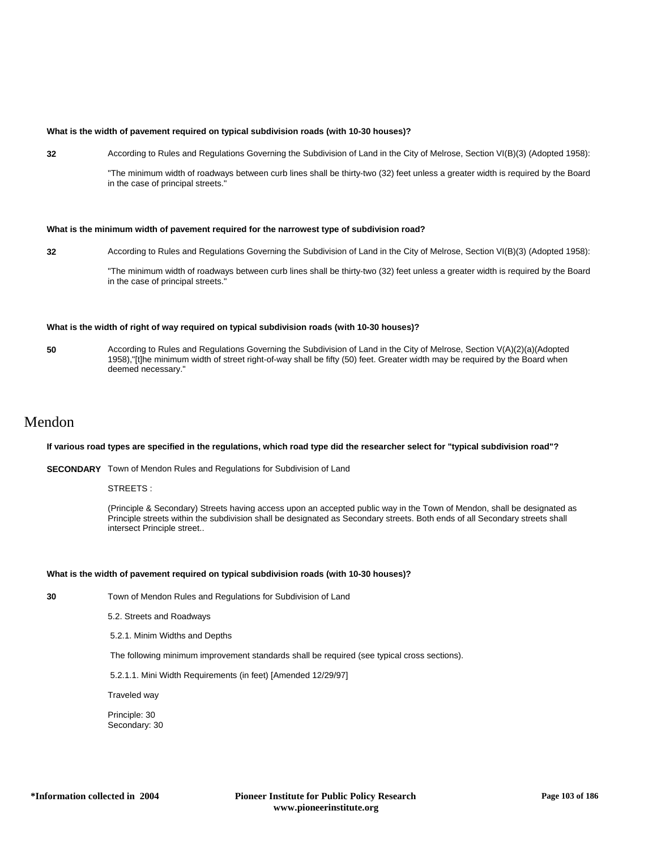## **What is the width of pavement required on typical subdivision roads (with 10-30 houses)?**

**32** According to Rules and Regulations Governing the Subdivision of Land in the City of Melrose, Section VI(B)(3) (Adopted 1958):

"The minimum width of roadways between curb lines shall be thirty-two (32) feet unless a greater width is required by the Board in the case of principal streets."

## **What is the minimum width of pavement required for the narrowest type of subdivision road?**

**32** According to Rules and Regulations Governing the Subdivision of Land in the City of Melrose, Section VI(B)(3) (Adopted 1958):

"The minimum width of roadways between curb lines shall be thirty-two (32) feet unless a greater width is required by the Board in the case of principal streets."

## **What is the width of right of way required on typical subdivision roads (with 10-30 houses)?**

**50** According to Rules and Regulations Governing the Subdivision of Land in the City of Melrose, Section V(A)(2)(a)(Adopted 1958),"[t]he minimum width of street right-of-way shall be fifty (50) feet. Greater width may be required by the Board when deemed necessary."

## Mendon

## **If various road types are specified in the regulations, which road type did the researcher select for "typical subdivision road"?**

**SECONDARY** Town of Mendon Rules and Regulations for Subdivision of Land

STREETS ·

(Principle & Secondary) Streets having access upon an accepted public way in the Town of Mendon, shall be designated as Principle streets within the subdivision shall be designated as Secondary streets. Both ends of all Secondary streets shall intersect Principle street..

#### **What is the width of pavement required on typical subdivision roads (with 10-30 houses)?**

**30** Town of Mendon Rules and Regulations for Subdivision of Land

5.2. Streets and Roadways

5.2.1. Minim Widths and Depths

The following minimum improvement standards shall be required (see typical cross sections).

5.2.1.1. Mini Width Requirements (in feet) [Amended 12/29/97]

Traveled way

Principle: 30 Secondary: 30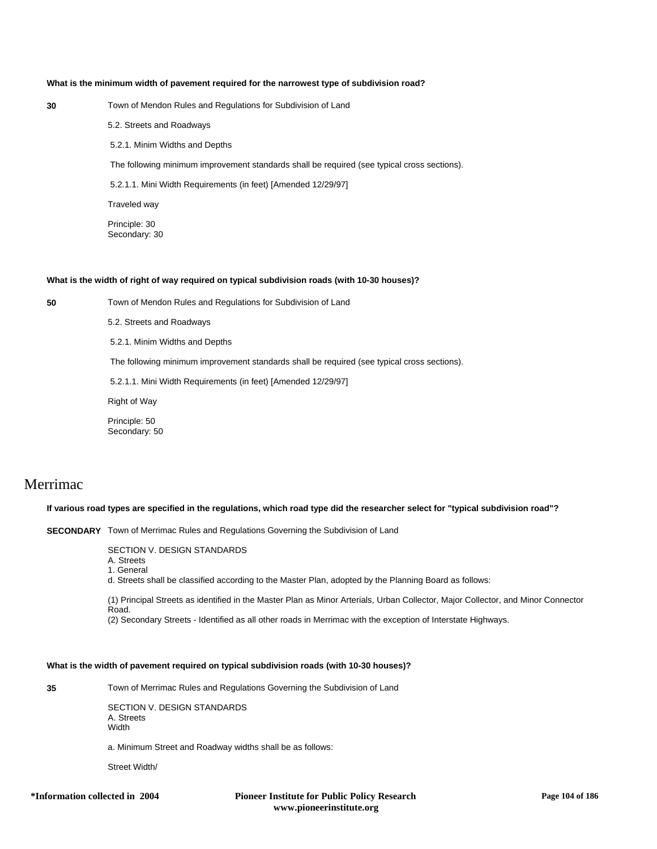## **What is the minimum width of pavement required for the narrowest type of subdivision road?**

| × | ۰. |
|---|----|
|   |    |
|   | ×  |
|   | i  |

**30** Town of Mendon Rules and Regulations for Subdivision of Land

5.2. Streets and Roadways

5.2.1. Minim Widths and Depths

The following minimum improvement standards shall be required (see typical cross sections).

5.2.1.1. Mini Width Requirements (in feet) [Amended 12/29/97]

Traveled way

Principle: 30 Secondary: 30

#### **What is the width of right of way required on typical subdivision roads (with 10-30 houses)?**

**50** Town of Mendon Rules and Regulations for Subdivision of Land

5.2. Streets and Roadways

5.2.1. Minim Widths and Depths

The following minimum improvement standards shall be required (see typical cross sections).

5.2.1.1. Mini Width Requirements (in feet) [Amended 12/29/97]

Right of Way

Principle: 50 Secondary: 50

# Merrimac

## **If various road types are specified in the regulations, which road type did the researcher select for "typical subdivision road"?**

**SECONDARY** Town of Merrimac Rules and Regulations Governing the Subdivision of Land

SECTION V. DESIGN STANDARDS

A. Streets 1. General

d. Streets shall be classified according to the Master Plan, adopted by the Planning Board as follows:

(1) Principal Streets as identified in the Master Plan as Minor Arterials, Urban Collector, Major Collector, and Minor Connector Road.

(2) Secondary Streets - Identified as all other roads in Merrimac with the exception of Interstate Highways.

## **What is the width of pavement required on typical subdivision roads (with 10-30 houses)?**

**35** Town of Merrimac Rules and Regulations Governing the Subdivision of Land

SECTION V. DESIGN STANDARDS A. Stroote Width

a. Minimum Street and Roadway widths shall be as follows:

Street Width/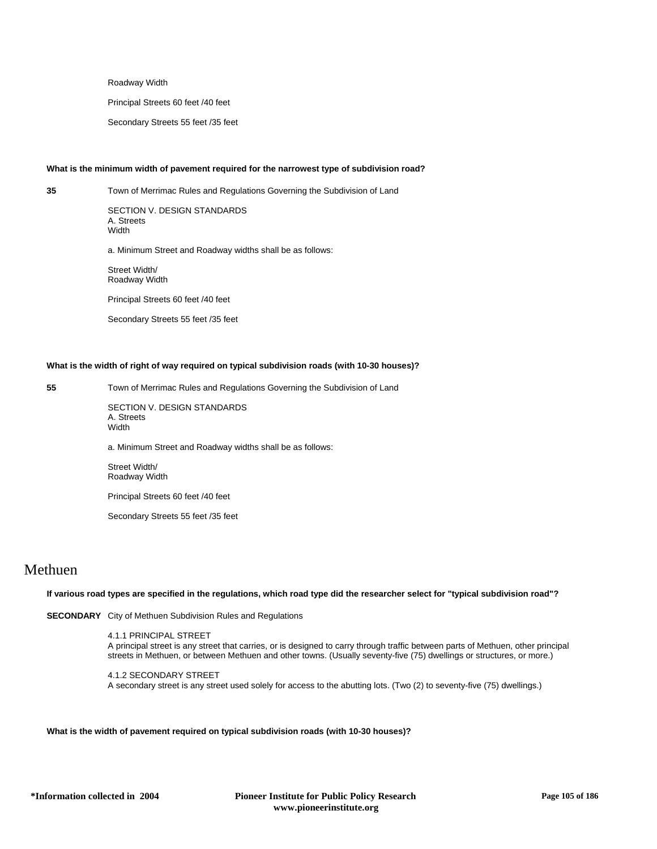Roadway Width

Principal Streets 60 feet /40 feet

Secondary Streets 55 feet /35 feet

## **What is the minimum width of pavement required for the narrowest type of subdivision road?**

**35** Town of Merrimac Rules and Regulations Governing the Subdivision of Land

SECTION V. DESIGN STANDARDS A. Streets **Width** 

a. Minimum Street and Roadway widths shall be as follows:

Street Width/ Roadway Width

Principal Streets 60 feet /40 feet

Secondary Streets 55 feet /35 feet

## **What is the width of right of way required on typical subdivision roads (with 10-30 houses)?**

**55** Town of Merrimac Rules and Regulations Governing the Subdivision of Land

SECTION V. DESIGN STANDARDS A. Streets **Width** 

a. Minimum Street and Roadway widths shall be as follows:

Street Width/ Roadway Width

Principal Streets 60 feet /40 feet

Secondary Streets 55 feet /35 feet

## Methuen

**If various road types are specified in the regulations, which road type did the researcher select for "typical subdivision road"?**

**SECONDARY** City of Methuen Subdivision Rules and Regulations

4.1.1 PRINCIPAL STREET A principal street is any street that carries, or is designed to carry through traffic between parts of Methuen, other principal streets in Methuen, or between Methuen and other towns. (Usually seventy-five (75) dwellings or structures, or more.)

4.1.2 SECONDARY STREET A secondary street is any street used solely for access to the abutting lots. (Two (2) to seventy-five (75) dwellings.)

**What is the width of pavement required on typical subdivision roads (with 10-30 houses)?**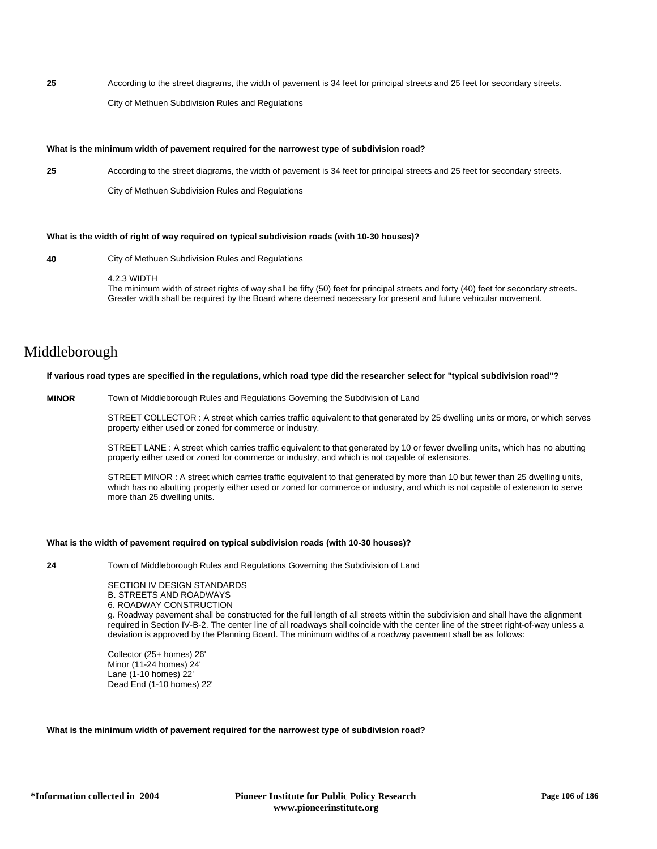**25** According to the street diagrams, the width of pavement is 34 feet for principal streets and 25 feet for secondary streets. City of Methuen Subdivision Rules and Regulations

## **What is the minimum width of pavement required for the narrowest type of subdivision road?**

**25** According to the street diagrams, the width of pavement is 34 feet for principal streets and 25 feet for secondary streets. City of Methuen Subdivision Rules and Regulations

## **What is the width of right of way required on typical subdivision roads (with 10-30 houses)?**

**40** City of Methuen Subdivision Rules and Regulations

#### 4.2.3 WIDTH

The minimum width of street rights of way shall be fifty (50) feet for principal streets and forty (40) feet for secondary streets. Greater width shall be required by the Board where deemed necessary for present and future vehicular movement.

# Middleborough

## **If various road types are specified in the regulations, which road type did the researcher select for "typical subdivision road"?**

**MINOR** Town of Middleborough Rules and Regulations Governing the Subdivision of Land

STREET COLLECTOR : A street which carries traffic equivalent to that generated by 25 dwelling units or more, or which serves property either used or zoned for commerce or industry.

STREET LANE : A street which carries traffic equivalent to that generated by 10 or fewer dwelling units, which has no abutting property either used or zoned for commerce or industry, and which is not capable of extensions.

STREET MINOR : A street which carries traffic equivalent to that generated by more than 10 but fewer than 25 dwelling units, which has no abutting property either used or zoned for commerce or industry, and which is not capable of extension to serve more than 25 dwelling units.

### **What is the width of pavement required on typical subdivision roads (with 10-30 houses)?**

**24** Town of Middleborough Rules and Regulations Governing the Subdivision of Land

SECTION IV DESIGN STANDARDS B. STREETS AND ROADWAYS 6. ROADWAY CONSTRUCTION

g. Roadway pavement shall be constructed for the full length of all streets within the subdivision and shall have the alignment required in Section IV-B-2. The center line of all roadways shall coincide with the center line of the street right-of-way unless a deviation is approved by the Planning Board. The minimum widths of a roadway pavement shall be as follows:

Collector (25+ homes) 26' Minor (11-24 homes) 24' Lane (1-10 homes) 22' Dead End (1-10 homes) 22'

**What is the minimum width of pavement required for the narrowest type of subdivision road?**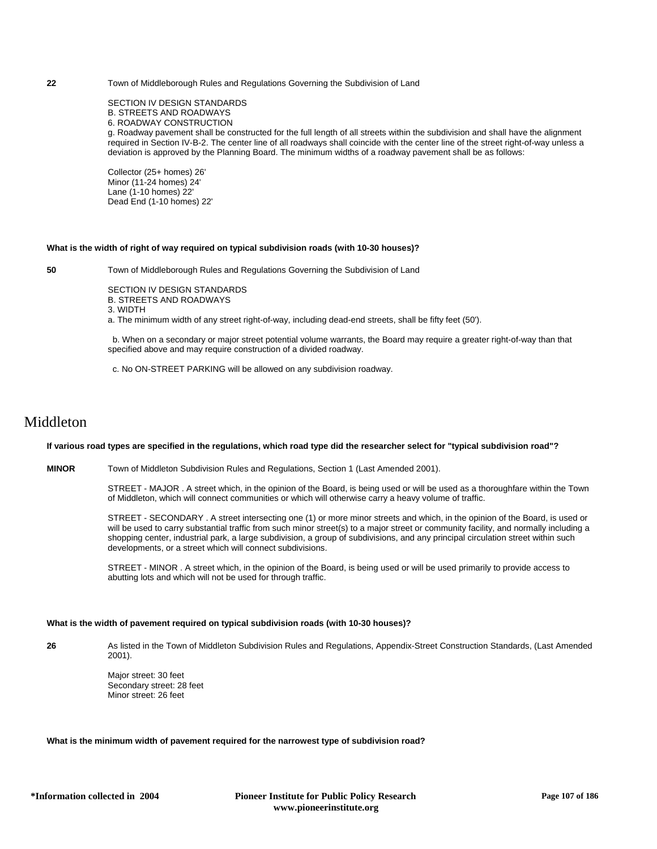## **22** Town of Middleborough Rules and Regulations Governing the Subdivision of Land

SECTION IV DESIGN STANDARDS B. STREETS AND ROADWAYS 6. ROADWAY CONSTRUCTION g. Roadway pavement shall be constructed for the full length of all streets within the subdivision and shall have the alignment required in Section IV-B-2. The center line of all roadways shall coincide with the center line of the street right-of-way unless a deviation is approved by the Planning Board. The minimum widths of a roadway pavement shall be as follows:

Collector (25+ homes) 26' Minor (11-24 homes) 24' Lane (1-10 homes) 22' Dead End (1-10 homes) 22'

#### **What is the width of right of way required on typical subdivision roads (with 10-30 houses)?**

**50** Town of Middleborough Rules and Regulations Governing the Subdivision of Land

SECTION IV DESIGN STANDARDS B. STREETS AND ROADWAYS

3. WIDTH

a. The minimum width of any street right-of-way, including dead-end streets, shall be fifty feet (50').

 b. When on a secondary or major street potential volume warrants, the Board may require a greater right-of-way than that specified above and may require construction of a divided roadway.

c. No ON-STREET PARKING will be allowed on any subdivision roadway.

## Middleton

## **If various road types are specified in the regulations, which road type did the researcher select for "typical subdivision road"?**

**MINOR** Town of Middleton Subdivision Rules and Regulations, Section 1 (Last Amended 2001).

STREET - MAJOR . A street which, in the opinion of the Board, is being used or will be used as a thoroughfare within the Town of Middleton, which will connect communities or which will otherwise carry a heavy volume of traffic.

STREET - SECONDARY . A street intersecting one (1) or more minor streets and which, in the opinion of the Board, is used or will be used to carry substantial traffic from such minor street(s) to a major street or community facility, and normally including a shopping center, industrial park, a large subdivision, a group of subdivisions, and any principal circulation street within such developments, or a street which will connect subdivisions.

STREET - MINOR . A street which, in the opinion of the Board, is being used or will be used primarily to provide access to abutting lots and which will not be used for through traffic.

## **What is the width of pavement required on typical subdivision roads (with 10-30 houses)?**

**26** As listed in the Town of Middleton Subdivision Rules and Regulations, Appendix-Street Construction Standards, (Last Amended 2001).

> Major street: 30 feet Secondary street: 28 feet Minor street: 26 feet

## **What is the minimum width of pavement required for the narrowest type of subdivision road?**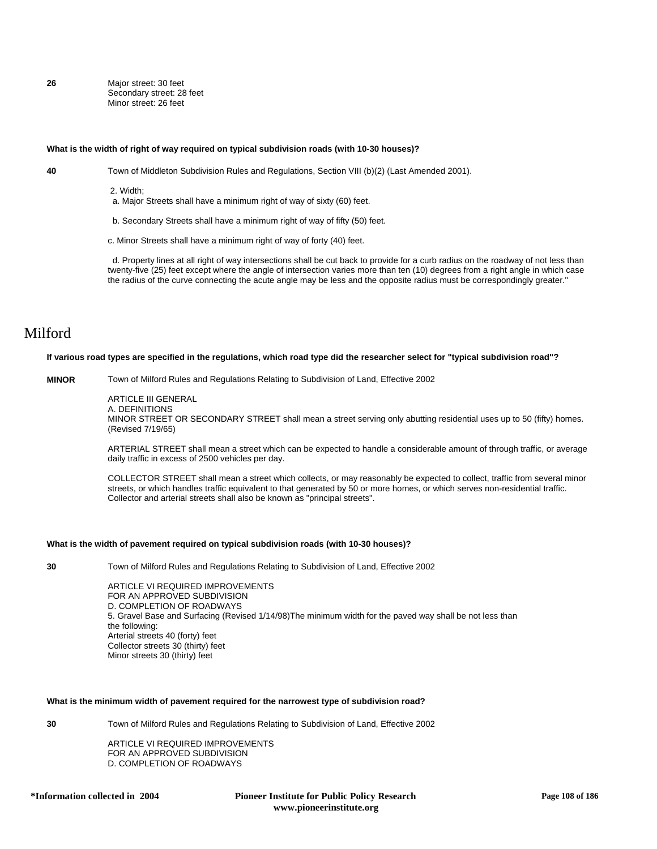**26** Major street: 30 feet Secondary street: 28 feet Minor street: 26 feet

#### **What is the width of right of way required on typical subdivision roads (with 10-30 houses)?**

**40** Town of Middleton Subdivision Rules and Regulations, Section VIII (b)(2) (Last Amended 2001).

2. Width;

a. Major Streets shall have a minimum right of way of sixty (60) feet.

b. Secondary Streets shall have a minimum right of way of fifty (50) feet.

c. Minor Streets shall have a minimum right of way of forty (40) feet.

 d. Property lines at all right of way intersections shall be cut back to provide for a curb radius on the roadway of not less than twenty-five (25) feet except where the angle of intersection varies more than ten (10) degrees from a right angle in which case the radius of the curve connecting the acute angle may be less and the opposite radius must be correspondingly greater."

## Milford

### **If various road types are specified in the regulations, which road type did the researcher select for "typical subdivision road"?**

**MINOR** Town of Milford Rules and Regulations Relating to Subdivision of Land, Effective 2002

ARTICLE III GENERAL

A. DEFINITIONS MINOR STREET OR SECONDARY STREET shall mean a street serving only abutting residential uses up to 50 (fifty) homes. (Revised 7/19/65)

ARTERIAL STREET shall mean a street which can be expected to handle a considerable amount of through traffic, or average daily traffic in excess of 2500 vehicles per day.

COLLECTOR STREET shall mean a street which collects, or may reasonably be expected to collect, traffic from several minor streets, or which handles traffic equivalent to that generated by 50 or more homes, or which serves non-residential traffic. Collector and arterial streets shall also be known as "principal streets".

#### **What is the width of pavement required on typical subdivision roads (with 10-30 houses)?**

**30** Town of Milford Rules and Regulations Relating to Subdivision of Land, Effective 2002

ARTICLE VI REQUIRED IMPROVEMENTS FOR AN APPROVED SUBDIVISION D. COMPLETION OF ROADWAYS 5. Gravel Base and Surfacing (Revised 1/14/98)The minimum width for the paved way shall be not less than the following: Arterial streets 40 (forty) feet Collector streets 30 (thirty) feet Minor streets 30 (thirty) feet

#### **What is the minimum width of pavement required for the narrowest type of subdivision road?**

**30** Town of Milford Rules and Regulations Relating to Subdivision of Land, Effective 2002

ARTICLE VI REQUIRED IMPROVEMENTS FOR AN APPROVED SUBDIVISION D. COMPLETION OF ROADWAYS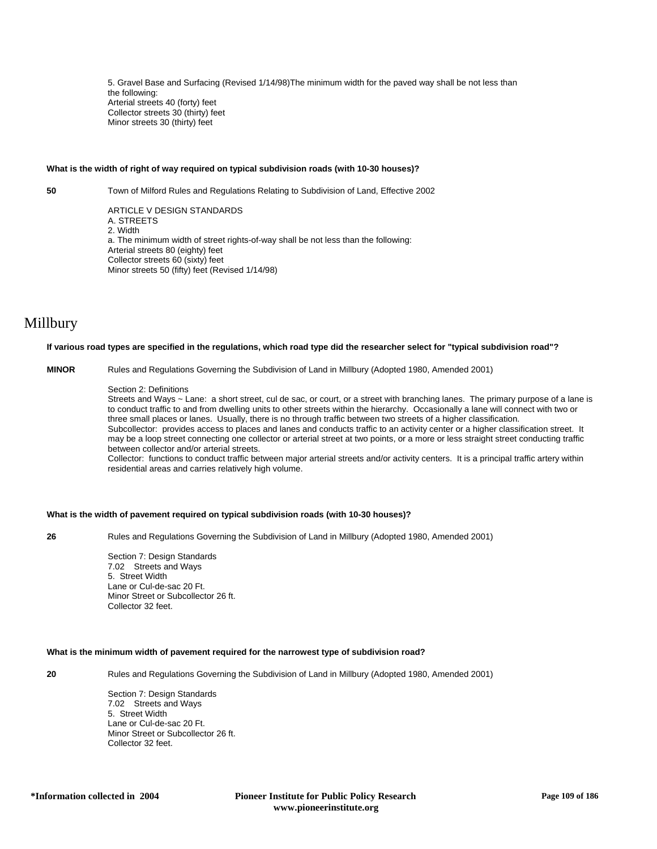5. Gravel Base and Surfacing (Revised 1/14/98)The minimum width for the paved way shall be not less than the following: Arterial streets 40 (forty) feet Collector streets 30 (thirty) feet Minor streets 30 (thirty) feet

## **What is the width of right of way required on typical subdivision roads (with 10-30 houses)?**

**50** Town of Milford Rules and Regulations Relating to Subdivision of Land, Effective 2002

ARTICLE V DESIGN STANDARDS A. STREETS 2. Width a. The minimum width of street rights-of-way shall be not less than the following: Arterial streets 80 (eighty) feet Collector streets 60 (sixty) feet Minor streets 50 (fifty) feet (Revised 1/14/98)

# Millbury

#### **If various road types are specified in the regulations, which road type did the researcher select for "typical subdivision road"?**

**MINOR** Rules and Regulations Governing the Subdivision of Land in Millbury (Adopted 1980, Amended 2001)

#### Section 2: Definitions

Streets and Ways ~ Lane: a short street, cul de sac, or court, or a street with branching lanes. The primary purpose of a lane is to conduct traffic to and from dwelling units to other streets within the hierarchy. Occasionally a lane will connect with two or three small places or lanes. Usually, there is no through traffic between two streets of a higher classification. Subcollector: provides access to places and lanes and conducts traffic to an activity center or a higher classification street. It may be a loop street connecting one collector or arterial street at two points, or a more or less straight street conducting traffic between collector and/or arterial streets.

Collector: functions to conduct traffic between major arterial streets and/or activity centers. It is a principal traffic artery within residential areas and carries relatively high volume.

## **What is the width of pavement required on typical subdivision roads (with 10-30 houses)?**

**26** Rules and Regulations Governing the Subdivision of Land in Millbury (Adopted 1980, Amended 2001)

Section 7: Design Standards 7.02 Streets and Ways 5. Street Width Lane or Cul-de-sac 20 Ft. Minor Street or Subcollector 26 ft. Collector 32 feet.

## **What is the minimum width of pavement required for the narrowest type of subdivision road?**

**20** Rules and Regulations Governing the Subdivision of Land in Millbury (Adopted 1980, Amended 2001)

Section 7: Design Standards 7.02 Streets and Ways 5. Street Width Lane or Cul-de-sac 20 Ft. Minor Street or Subcollector 26 ft. Collector 32 feet.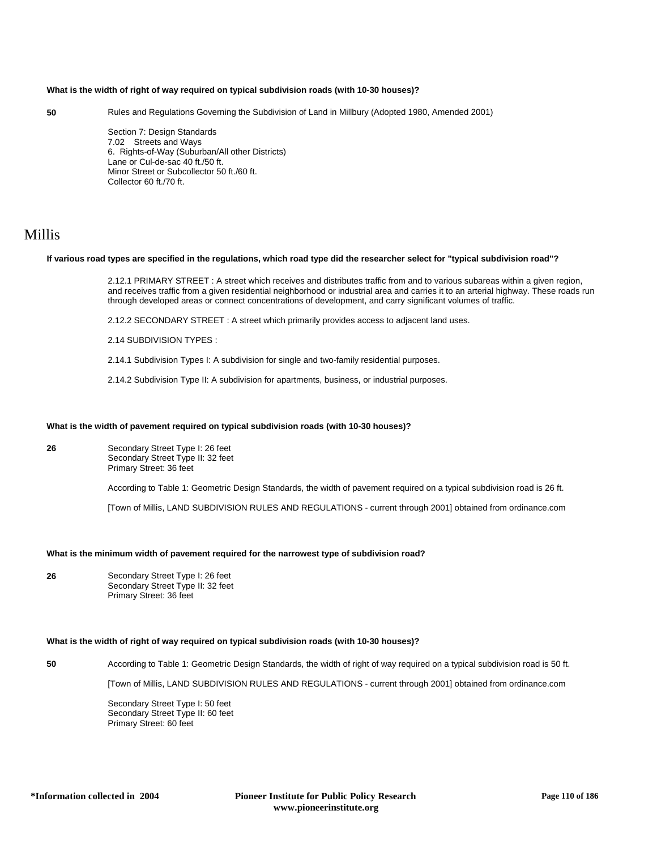## **What is the width of right of way required on typical subdivision roads (with 10-30 houses)?**

**50** Rules and Regulations Governing the Subdivision of Land in Millbury (Adopted 1980, Amended 2001)

Section 7: Design Standards 7.02 Streets and Ways 6. Rights-of-Way (Suburban/All other Districts) Lane or Cul-de-sac 40 ft./50 ft. Minor Street or Subcollector 50 ft./60 ft. Collector 60 ft./70 ft.

## Millis

#### **If various road types are specified in the regulations, which road type did the researcher select for "typical subdivision road"?**

2.12.1 PRIMARY STREET : A street which receives and distributes traffic from and to various subareas within a given region, and receives traffic from a given residential neighborhood or industrial area and carries it to an arterial highway. These roads run through developed areas or connect concentrations of development, and carry significant volumes of traffic.

2.12.2 SECONDARY STREET : A street which primarily provides access to adjacent land uses.

2.14 SUBDIVISION TYPES :

2.14.1 Subdivision Types I: A subdivision for single and two-family residential purposes.

2.14.2 Subdivision Type II: A subdivision for apartments, business, or industrial purposes.

## **What is the width of pavement required on typical subdivision roads (with 10-30 houses)?**

**26** Secondary Street Type I: 26 feet Secondary Street Type II: 32 feet Primary Street: 36 feet

According to Table 1: Geometric Design Standards, the width of pavement required on a typical subdivision road is 26 ft.

[Town of Millis, LAND SUBDIVISION RULES AND REGULATIONS - current through 2001] obtained from ordinance.com

## **What is the minimum width of pavement required for the narrowest type of subdivision road?**

**26** Secondary Street Type I: 26 feet Secondary Street Type II: 32 feet Primary Street: 36 feet

#### **What is the width of right of way required on typical subdivision roads (with 10-30 houses)?**

**50** According to Table 1: Geometric Design Standards, the width of right of way required on a typical subdivision road is 50 ft.

[Town of Millis, LAND SUBDIVISION RULES AND REGULATIONS - current through 2001] obtained from ordinance.com

Secondary Street Type I: 50 feet Secondary Street Type II: 60 feet Primary Street: 60 feet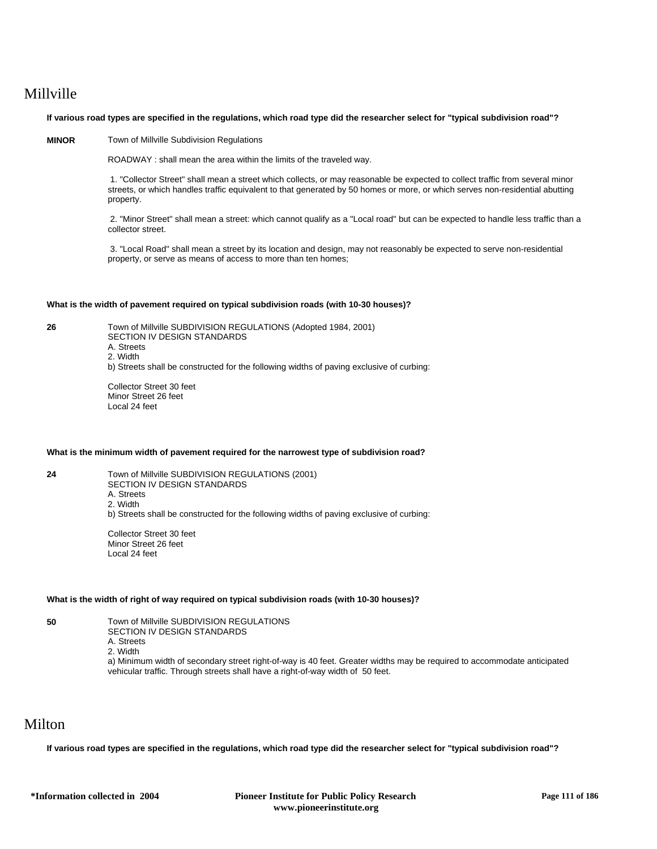# Millville

## **If various road types are specified in the regulations, which road type did the researcher select for "typical subdivision road"?**

## **MINOR** Town of Millville Subdivision Regulations

ROADWAY : shall mean the area within the limits of the traveled way.

 1. "Collector Street" shall mean a street which collects, or may reasonable be expected to collect traffic from several minor streets, or which handles traffic equivalent to that generated by 50 homes or more, or which serves non-residential abutting property.

 2. "Minor Street" shall mean a street: which cannot qualify as a "Local road" but can be expected to handle less traffic than a collector street.

 3. "Local Road" shall mean a street by its location and design, may not reasonably be expected to serve non-residential property, or serve as means of access to more than ten homes;

## **What is the width of pavement required on typical subdivision roads (with 10-30 houses)?**

| I |  |
|---|--|
|   |  |

**26** Town of Millville SUBDIVISION REGULATIONS (Adopted 1984, 2001) SECTION IV DESIGN STANDARDS A. Streets 2. Width b) Streets shall be constructed for the following widths of paving exclusive of curbing:

Collector Street 30 feet Minor Street 26 feet Local 24 feet

## **What is the minimum width of pavement required for the narrowest type of subdivision road?**

**24** Town of Millville SUBDIVISION REGULATIONS (2001) SECTION IV DESIGN STANDARDS A. Streets 2. Width b) Streets shall be constructed for the following widths of paving exclusive of curbing:

> Collector Street 30 feet Minor Street 26 feet Local 24 feet

## **What is the width of right of way required on typical subdivision roads (with 10-30 houses)?**

**50** Town of Millville SUBDIVISION REGULATIONS SECTION IV DESIGN STANDARDS

- 
- A. Streets 2. Width

a) Minimum width of secondary street right-of-way is 40 feet. Greater widths may be required to accommodate anticipated vehicular traffic. Through streets shall have a right-of-way width of 50 feet.

# Milton

**If various road types are specified in the regulations, which road type did the researcher select for "typical subdivision road"?**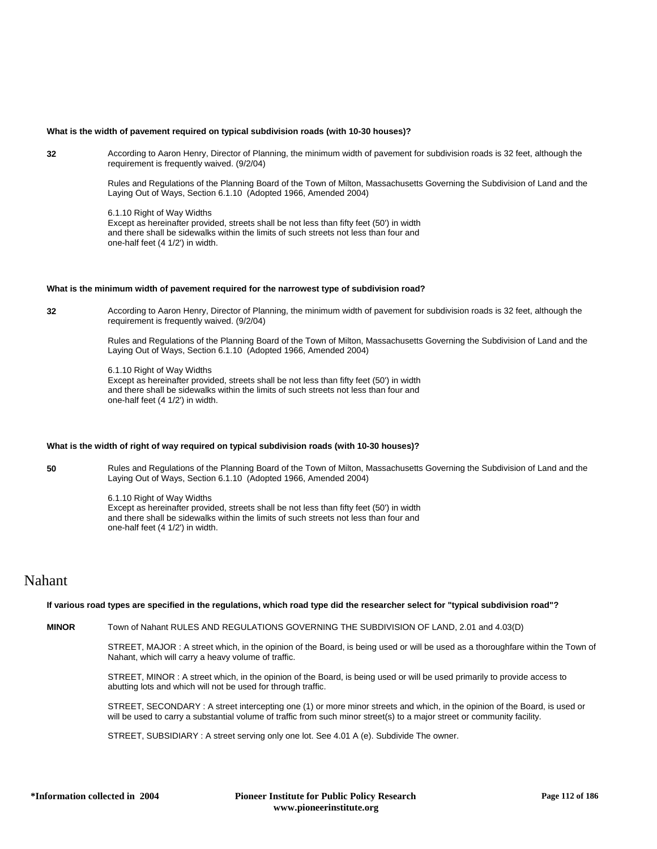## **What is the width of pavement required on typical subdivision roads (with 10-30 houses)?**

**32** According to Aaron Henry, Director of Planning, the minimum width of pavement for subdivision roads is 32 feet, although the requirement is frequently waived. (9/2/04)

> Rules and Regulations of the Planning Board of the Town of Milton, Massachusetts Governing the Subdivision of Land and the Laying Out of Ways, Section 6.1.10 (Adopted 1966, Amended 2004)

6.1.10 Right of Way Widths Except as hereinafter provided, streets shall be not less than fifty feet (50') in width and there shall be sidewalks within the limits of such streets not less than four and one-half feet (4 1/2') in width.

## **What is the minimum width of pavement required for the narrowest type of subdivision road?**

**32** According to Aaron Henry, Director of Planning, the minimum width of pavement for subdivision roads is 32 feet, although the requirement is frequently waived. (9/2/04)

> Rules and Regulations of the Planning Board of the Town of Milton, Massachusetts Governing the Subdivision of Land and the Laying Out of Ways, Section 6.1.10 (Adopted 1966, Amended 2004)

6.1.10 Right of Way Widths Except as hereinafter provided, streets shall be not less than fifty feet (50') in width and there shall be sidewalks within the limits of such streets not less than four and one-half feet (4 1/2') in width.

## **What is the width of right of way required on typical subdivision roads (with 10-30 houses)?**

**50** Rules and Regulations of the Planning Board of the Town of Milton, Massachusetts Governing the Subdivision of Land and the Laying Out of Ways, Section 6.1.10 (Adopted 1966, Amended 2004)

> 6.1.10 Right of Way Widths Except as hereinafter provided, streets shall be not less than fifty feet (50') in width and there shall be sidewalks within the limits of such streets not less than four and one-half feet (4 1/2') in width.

## Nahant

## **If various road types are specified in the regulations, which road type did the researcher select for "typical subdivision road"?**

**MINOR** Town of Nahant RULES AND REGULATIONS GOVERNING THE SUBDIVISION OF LAND, 2.01 and 4.03(D)

STREET, MAJOR : A street which, in the opinion of the Board, is being used or will be used as a thoroughfare within the Town of Nahant, which will carry a heavy volume of traffic.

STREET, MINOR : A street which, in the opinion of the Board, is being used or will be used primarily to provide access to abutting lots and which will not be used for through traffic.

STREET, SECONDARY : A street intercepting one (1) or more minor streets and which, in the opinion of the Board, is used or will be used to carry a substantial volume of traffic from such minor street(s) to a major street or community facility.

STREET, SUBSIDIARY : A street serving only one lot. See 4.01 A (e). Subdivide The owner.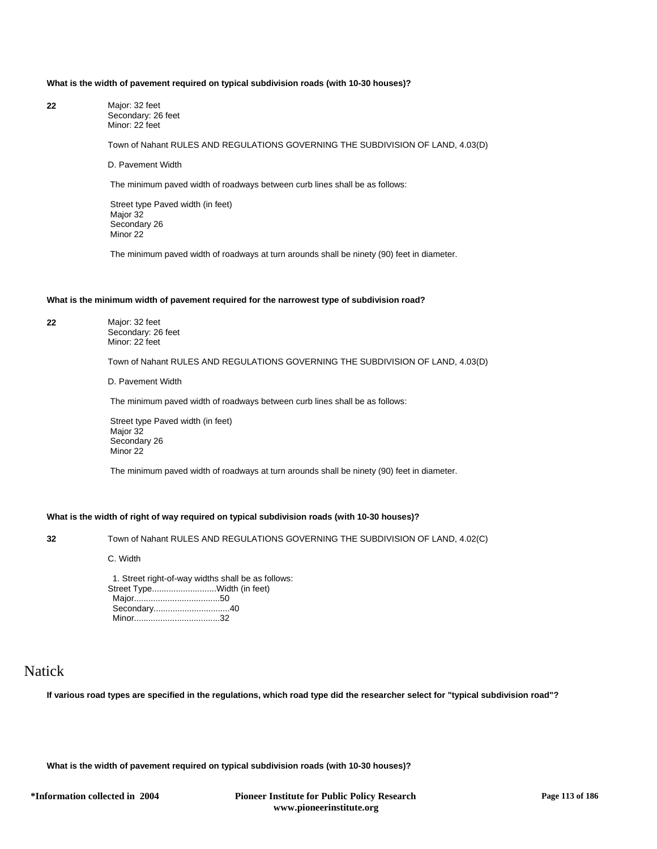## **What is the width of pavement required on typical subdivision roads (with 10-30 houses)?**

| 22 | Major: 32 feet     |
|----|--------------------|
|    | Secondary: 26 feet |
|    | Minor: 22 feet     |

Town of Nahant RULES AND REGULATIONS GOVERNING THE SUBDIVISION OF LAND, 4.03(D)

D. Pavement Width

The minimum paved width of roadways between curb lines shall be as follows:

 Street type Paved width (in feet) Major 32 Secondary 26 Minor 22

The minimum paved width of roadways at turn arounds shall be ninety (90) feet in diameter.

## **What is the minimum width of pavement required for the narrowest type of subdivision road?**

**22** Major: 32 feet

Secondary: 26 feet Minor: 22 feet

Town of Nahant RULES AND REGULATIONS GOVERNING THE SUBDIVISION OF LAND, 4.03(D)

D. Pavement Width

The minimum paved width of roadways between curb lines shall be as follows:

 Street type Paved width (in feet) Major 32 Secondary 26 Minor 22

The minimum paved width of roadways at turn arounds shall be ninety (90) feet in diameter.

## **What is the width of right of way required on typical subdivision roads (with 10-30 houses)?**

**32** Town of Nahant RULES AND REGULATIONS GOVERNING THE SUBDIVISION OF LAND, 4.02(C)

C. Width

 1. Street right-of-way widths shall be as follows: Street Type...........................Width (in feet) Major....................................50 Secondary................................40 Minor....................................32

## Natick

**If various road types are specified in the regulations, which road type did the researcher select for "typical subdivision road"?**

**What is the width of pavement required on typical subdivision roads (with 10-30 houses)?**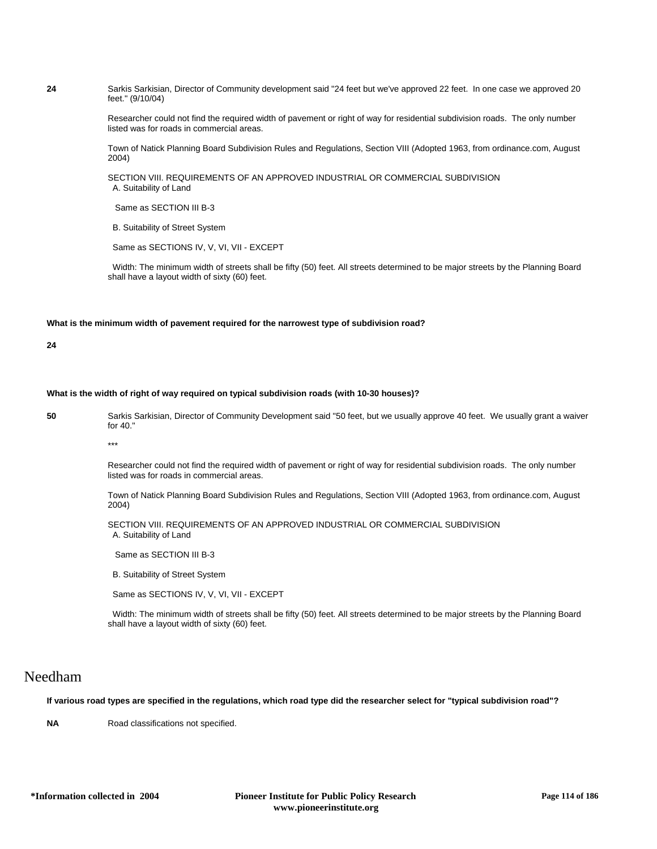**24** Sarkis Sarkisian, Director of Community development said "24 feet but we've approved 22 feet. In one case we approved 20 feet." (9/10/04)

> Researcher could not find the required width of pavement or right of way for residential subdivision roads. The only number listed was for roads in commercial areas.

> Town of Natick Planning Board Subdivision Rules and Regulations, Section VIII (Adopted 1963, from ordinance.com, August 2004)

SECTION VIII. REQUIREMENTS OF AN APPROVED INDUSTRIAL OR COMMERCIAL SUBDIVISION A. Suitability of Land

Same as SECTION III B-3

B. Suitability of Street System

Same as SECTIONS IV, V, VI, VII - EXCEPT

 Width: The minimum width of streets shall be fifty (50) feet. All streets determined to be major streets by the Planning Board shall have a layout width of sixty (60) feet.

## **What is the minimum width of pavement required for the narrowest type of subdivision road?**

**24**

#### **What is the width of right of way required on typical subdivision roads (with 10-30 houses)?**

**50** Sarkis Sarkisian, Director of Community Development said "50 feet, but we usually approve 40 feet. We usually grant a waiver for 40."

\*\*\*

Researcher could not find the required width of pavement or right of way for residential subdivision roads. The only number listed was for roads in commercial areas.

Town of Natick Planning Board Subdivision Rules and Regulations, Section VIII (Adopted 1963, from ordinance.com, August 2004)

SECTION VIII. REQUIREMENTS OF AN APPROVED INDUSTRIAL OR COMMERCIAL SUBDIVISION A. Suitability of Land

Same as SECTION III B-3

B. Suitability of Street System

Same as SECTIONS IV, V, VI, VII - EXCEPT

 Width: The minimum width of streets shall be fifty (50) feet. All streets determined to be major streets by the Planning Board shall have a layout width of sixty (60) feet.

## Needham

**If various road types are specified in the regulations, which road type did the researcher select for "typical subdivision road"?**

**NA** Road classifications not specified.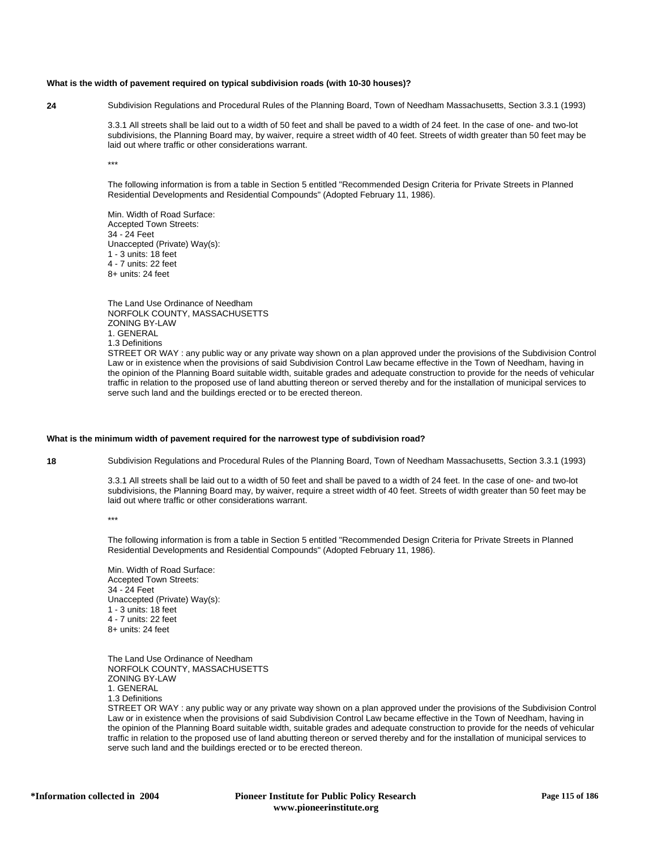#### **What is the width of pavement required on typical subdivision roads (with 10-30 houses)?**

**24** Subdivision Regulations and Procedural Rules of the Planning Board, Town of Needham Massachusetts, Section 3.3.1 (1993)

3.3.1 All streets shall be laid out to a width of 50 feet and shall be paved to a width of 24 feet. In the case of one- and two-lot subdivisions, the Planning Board may, by waiver, require a street width of 40 feet. Streets of width greater than 50 feet may be laid out where traffic or other considerations warrant.

\*\*\*

The following information is from a table in Section 5 entitled "Recommended Design Criteria for Private Streets in Planned Residential Developments and Residential Compounds" (Adopted February 11, 1986).

Min. Width of Road Surface: Accepted Town Streets: 34 - 24 Feet Unaccepted (Private) Way(s): 1 - 3 units: 18 feet 4 - 7 units: 22 feet 8+ units: 24 feet

The Land Use Ordinance of Needham NORFOLK COUNTY, MASSACHUSETTS ZONING BY-LAW 1. GENERAL 1.3 Definitions

STREET OR WAY : any public way or any private way shown on a plan approved under the provisions of the Subdivision Control Law or in existence when the provisions of said Subdivision Control Law became effective in the Town of Needham, having in the opinion of the Planning Board suitable width, suitable grades and adequate construction to provide for the needs of vehicular traffic in relation to the proposed use of land abutting thereon or served thereby and for the installation of municipal services to serve such land and the buildings erected or to be erected thereon.

## **What is the minimum width of pavement required for the narrowest type of subdivision road?**

**18** Subdivision Regulations and Procedural Rules of the Planning Board, Town of Needham Massachusetts, Section 3.3.1 (1993)

3.3.1 All streets shall be laid out to a width of 50 feet and shall be paved to a width of 24 feet. In the case of one- and two-lot subdivisions, the Planning Board may, by waiver, require a street width of 40 feet. Streets of width greater than 50 feet may be laid out where traffic or other considerations warrant.

\*\*\*

The following information is from a table in Section 5 entitled "Recommended Design Criteria for Private Streets in Planned Residential Developments and Residential Compounds" (Adopted February 11, 1986).

Min. Width of Road Surface: Accepted Town Streets: 34 - 24 Feet Unaccepted (Private) Way(s): 1 - 3 units: 18 feet 4 - 7 units: 22 feet 8+ units: 24 feet

The Land Use Ordinance of Needham NORFOLK COUNTY, MASSACHUSETTS ZONING BY-LAW 1. GENERAL 1.3 Definitions

STREET OR WAY : any public way or any private way shown on a plan approved under the provisions of the Subdivision Control Law or in existence when the provisions of said Subdivision Control Law became effective in the Town of Needham, having in the opinion of the Planning Board suitable width, suitable grades and adequate construction to provide for the needs of vehicular traffic in relation to the proposed use of land abutting thereon or served thereby and for the installation of municipal services to serve such land and the buildings erected or to be erected thereon.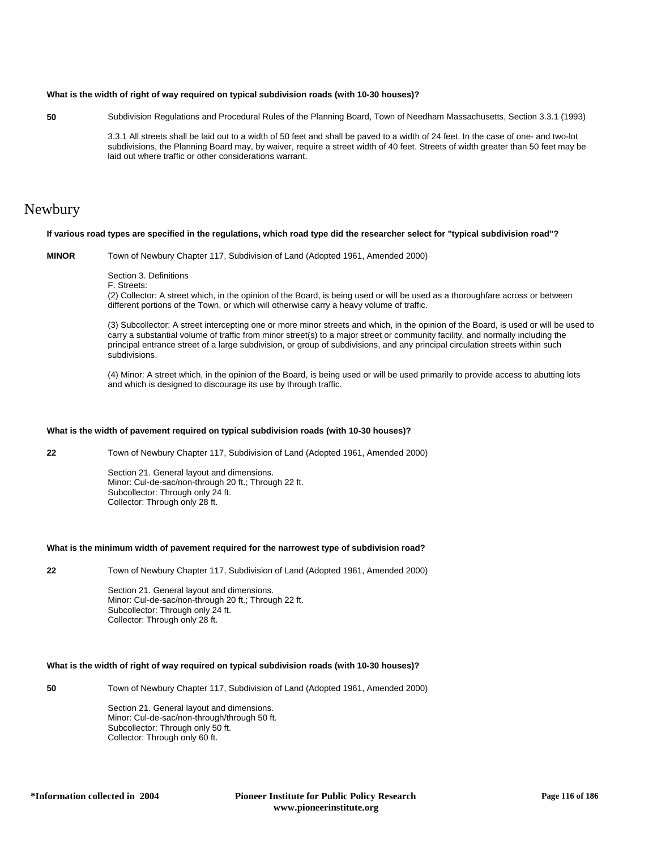## **What is the width of right of way required on typical subdivision roads (with 10-30 houses)?**

**50** Subdivision Regulations and Procedural Rules of the Planning Board, Town of Needham Massachusetts, Section 3.3.1 (1993)

3.3.1 All streets shall be laid out to a width of 50 feet and shall be paved to a width of 24 feet. In the case of one- and two-lot subdivisions, the Planning Board may, by waiver, require a street width of 40 feet. Streets of width greater than 50 feet may be laid out where traffic or other considerations warrant.

## Newbury

### **If various road types are specified in the regulations, which road type did the researcher select for "typical subdivision road"?**

**MINOR** Town of Newbury Chapter 117, Subdivision of Land (Adopted 1961, Amended 2000)

Section 3. Definitions

F. Streets:

(2) Collector: A street which, in the opinion of the Board, is being used or will be used as a thoroughfare across or between different portions of the Town, or which will otherwise carry a heavy volume of traffic.

(3) Subcollector: A street intercepting one or more minor streets and which, in the opinion of the Board, is used or will be used to carry a substantial volume of traffic from minor street(s) to a major street or community facility, and normally including the principal entrance street of a large subdivision, or group of subdivisions, and any principal circulation streets within such subdivisions.

(4) Minor: A street which, in the opinion of the Board, is being used or will be used primarily to provide access to abutting lots and which is designed to discourage its use by through traffic.

## **What is the width of pavement required on typical subdivision roads (with 10-30 houses)?**

**22** Town of Newbury Chapter 117, Subdivision of Land (Adopted 1961, Amended 2000)

Section 21. General layout and dimensions. Minor: Cul-de-sac/non-through 20 ft.; Through 22 ft. Subcollector: Through only 24 ft. Collector: Through only 28 ft.

#### **What is the minimum width of pavement required for the narrowest type of subdivision road?**

**22** Town of Newbury Chapter 117, Subdivision of Land (Adopted 1961, Amended 2000)

Section 21. General layout and dimensions. Minor: Cul-de-sac/non-through 20 ft.; Through 22 ft. Subcollector: Through only 24 ft. Collector: Through only 28 ft.

## **What is the width of right of way required on typical subdivision roads (with 10-30 houses)?**

**50** Town of Newbury Chapter 117, Subdivision of Land (Adopted 1961, Amended 2000)

Section 21. General layout and dimensions. Minor: Cul-de-sac/non-through/through 50 ft. Subcollector: Through only 50 ft. Collector: Through only 60 ft.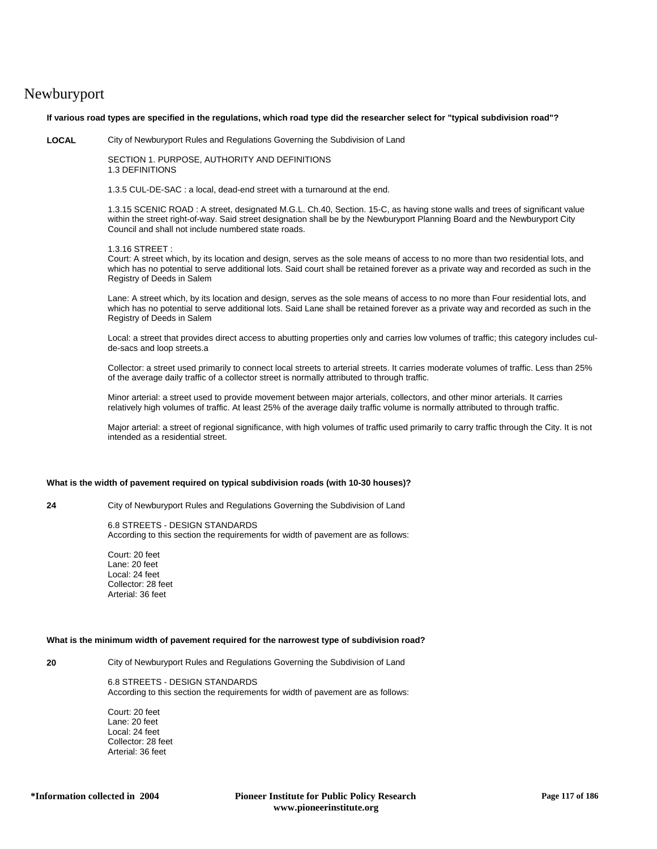# Newburyport

**If various road types are specified in the regulations, which road type did the researcher select for "typical subdivision road"?**

**LOCAL** City of Newburyport Rules and Regulations Governing the Subdivision of Land

SECTION 1. PURPOSE, AUTHORITY AND DEFINITIONS 1.3 DEFINITIONS

1.3.5 CUL-DE-SAC : a local, dead-end street with a turnaround at the end.

1.3.15 SCENIC ROAD : A street, designated M.G.L. Ch.40, Section. 15-C, as having stone walls and trees of significant value within the street right-of-way. Said street designation shall be by the Newburyport Planning Board and the Newburyport City Council and shall not include numbered state roads.

1.3.16 STREET :

Court: A street which, by its location and design, serves as the sole means of access to no more than two residential lots, and which has no potential to serve additional lots. Said court shall be retained forever as a private way and recorded as such in the Registry of Deeds in Salem

Lane: A street which, by its location and design, serves as the sole means of access to no more than Four residential lots, and which has no potential to serve additional lots. Said Lane shall be retained forever as a private way and recorded as such in the Registry of Deeds in Salem

Local: a street that provides direct access to abutting properties only and carries low volumes of traffic; this category includes culde-sacs and loop streets.a

Collector: a street used primarily to connect local streets to arterial streets. It carries moderate volumes of traffic. Less than 25% of the average daily traffic of a collector street is normally attributed to through traffic.

Minor arterial: a street used to provide movement between major arterials, collectors, and other minor arterials. It carries relatively high volumes of traffic. At least 25% of the average daily traffic volume is normally attributed to through traffic.

Major arterial: a street of regional significance, with high volumes of traffic used primarily to carry traffic through the City. It is not intended as a residential street.

## **What is the width of pavement required on typical subdivision roads (with 10-30 houses)?**

**24** City of Newburyport Rules and Regulations Governing the Subdivision of Land

## 6.8 STREETS - DESIGN STANDARDS

According to this section the requirements for width of pavement are as follows:

Court: 20 feet Lane: 20 feet Local: 24 feet Collector: 28 feet Arterial: 36 feet

#### **What is the minimum width of pavement required for the narrowest type of subdivision road?**

**20** City of Newburyport Rules and Regulations Governing the Subdivision of Land

6.8 STREETS - DESIGN STANDARDS According to this section the requirements for width of pavement are as follows:

Court: 20 feet Lane: 20 feet Local: 24 feet Collector: 28 feet Arterial: 36 feet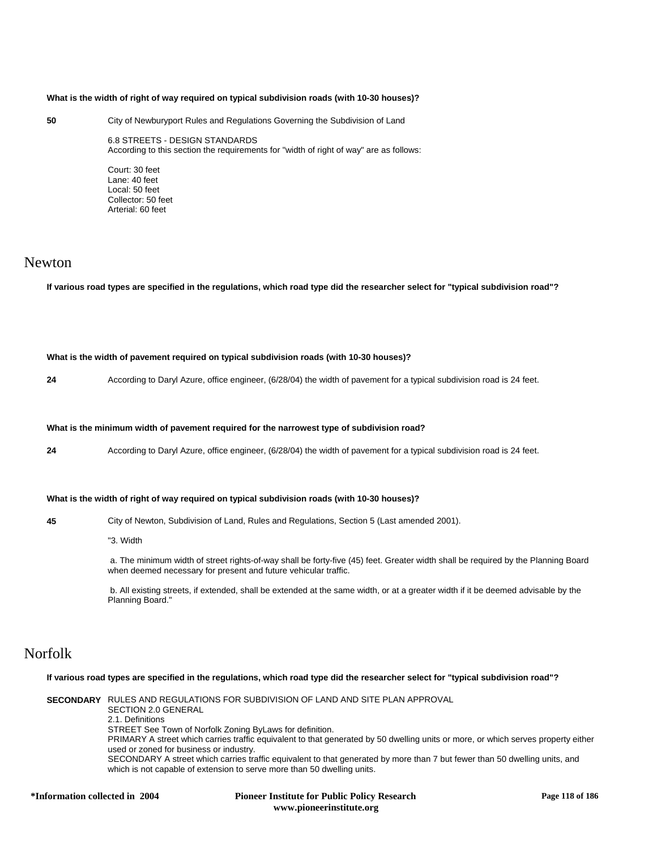## **What is the width of right of way required on typical subdivision roads (with 10-30 houses)?**

### **50** City of Newburyport Rules and Regulations Governing the Subdivision of Land

6.8 STREETS - DESIGN STANDARDS According to this section the requirements for "width of right of way" are as follows:

Court: 30 feet Lane: 40 feet Local: 50 feet Collector: 50 feet Arterial: 60 feet

## Newton

**If various road types are specified in the regulations, which road type did the researcher select for "typical subdivision road"?**

**What is the width of pavement required on typical subdivision roads (with 10-30 houses)?**

**24** According to Daryl Azure, office engineer, (6/28/04) the width of pavement for a typical subdivision road is 24 feet.

#### **What is the minimum width of pavement required for the narrowest type of subdivision road?**

**24** According to Daryl Azure, office engineer, (6/28/04) the width of pavement for a typical subdivision road is 24 feet.

## **What is the width of right of way required on typical subdivision roads (with 10-30 houses)?**

**45** City of Newton, Subdivision of Land, Rules and Regulations, Section 5 (Last amended 2001).

"3. Width

 a. The minimum width of street rights-of-way shall be forty-five (45) feet. Greater width shall be required by the Planning Board when deemed necessary for present and future vehicular traffic.

 b. All existing streets, if extended, shall be extended at the same width, or at a greater width if it be deemed advisable by the Planning Board."

# Norfolk

**If various road types are specified in the regulations, which road type did the researcher select for "typical subdivision road"?**

**SECONDARY** RULES AND REGULATIONS FOR SUBDIVISION OF LAND AND SITE PLAN APPROVAL SECTION 2.0 GENERAL 2.1. Definitions STREET See Town of Norfolk Zoning ByLaws for definition. PRIMARY A street which carries traffic equivalent to that generated by 50 dwelling units or more, or which serves property either used or zoned for business or industry. SECONDARY A street which carries traffic equivalent to that generated by more than 7 but fewer than 50 dwelling units, and which is not capable of extension to serve more than 50 dwelling units.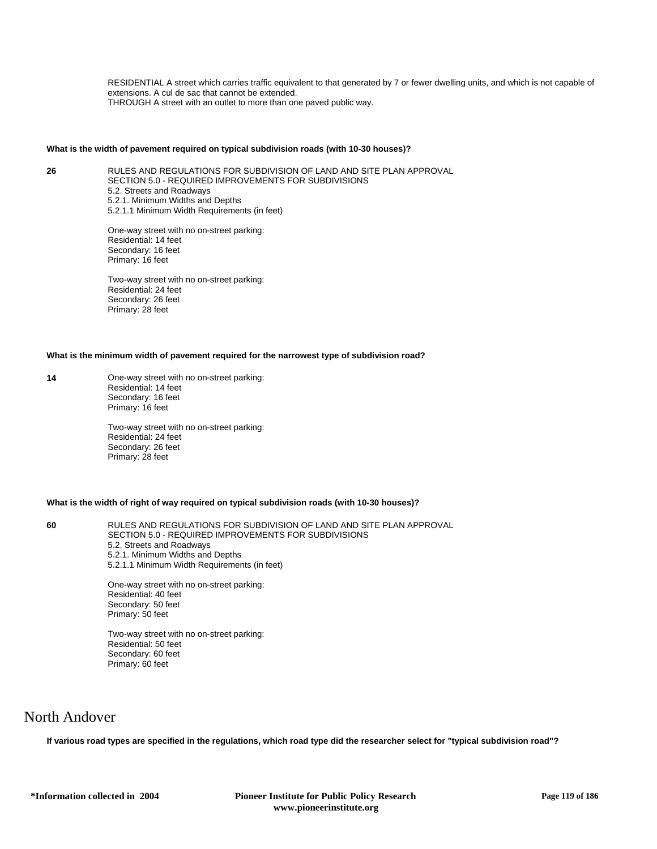RESIDENTIAL A street which carries traffic equivalent to that generated by 7 or fewer dwelling units, and which is not capable of extensions. A cul de sac that cannot be extended. THROUGH A street with an outlet to more than one paved public way.

### **What is the width of pavement required on typical subdivision roads (with 10-30 houses)?**

**26** RULES AND REGULATIONS FOR SUBDIVISION OF LAND AND SITE PLAN APPROVAL SECTION 5.0 - REQUIRED IMPROVEMENTS FOR SUBDIVISIONS 5.2. Streets and Roadways 5.2.1. Minimum Widths and Depths 5.2.1.1 Minimum Width Requirements (in feet)

> One-way street with no on-street parking: Residential: 14 feet Secondary: 16 feet Primary: 16 feet

> Two-way street with no on-street parking: Residential: 24 feet Secondary: 26 feet Primary: 28 feet

## **What is the minimum width of pavement required for the narrowest type of subdivision road?**

**14** One-way street with no on-street parking: Residential: 14 feet Secondary: 16 feet Primary: 16 feet

> Two-way street with no on-street parking: Residential: 24 feet Secondary: 26 feet Primary: 28 feet

## **What is the width of right of way required on typical subdivision roads (with 10-30 houses)?**

**60** RULES AND REGULATIONS FOR SUBDIVISION OF LAND AND SITE PLAN APPROVAL SECTION 5.0 - REQUIRED IMPROVEMENTS FOR SUBDIVISIONS 5.2. Streets and Roadways 5.2.1. Minimum Widths and Depths 5.2.1.1 Minimum Width Requirements (in feet)

> One-way street with no on-street parking: Residential: 40 feet Secondary: 50 feet Primary: 50 feet

> Two-way street with no on-street parking: Residential: 50 feet Secondary: 60 feet Primary: 60 feet

## North Andover

**If various road types are specified in the regulations, which road type did the researcher select for "typical subdivision road"?**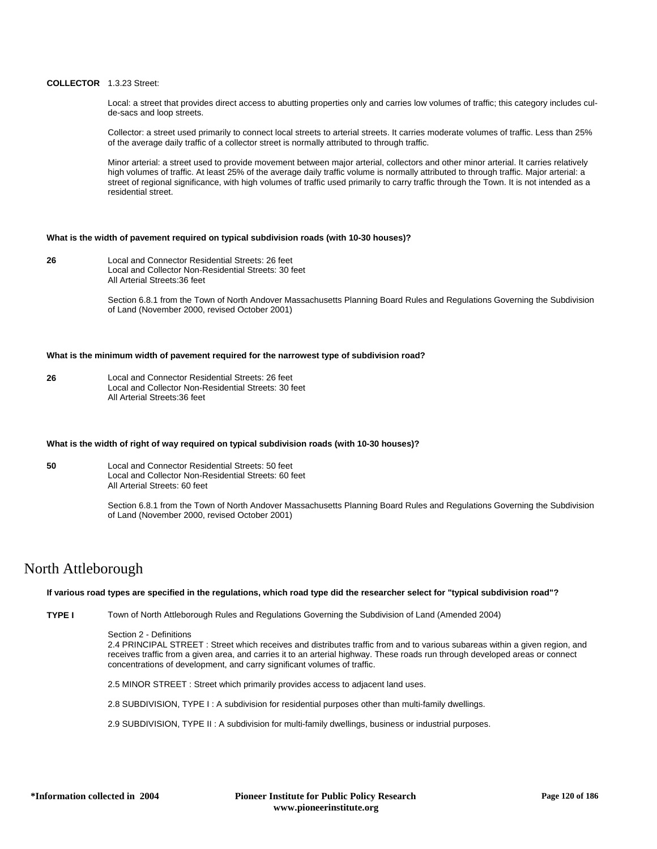## **COLLECTOR** 1.3.23 Street:

Local: a street that provides direct access to abutting properties only and carries low volumes of traffic; this category includes culde-sacs and loop streets.

Collector: a street used primarily to connect local streets to arterial streets. It carries moderate volumes of traffic. Less than 25% of the average daily traffic of a collector street is normally attributed to through traffic.

Minor arterial: a street used to provide movement between major arterial, collectors and other minor arterial. It carries relatively high volumes of traffic. At least 25% of the average daily traffic volume is normally attributed to through traffic. Major arterial: a street of regional significance, with high volumes of traffic used primarily to carry traffic through the Town. It is not intended as a residential street.

### **What is the width of pavement required on typical subdivision roads (with 10-30 houses)?**

**26** Local and Connector Residential Streets: 26 feet Local and Collector Non-Residential Streets: 30 feet All Arterial Streets:36 feet

> Section 6.8.1 from the Town of North Andover Massachusetts Planning Board Rules and Regulations Governing the Subdivision of Land (November 2000, revised October 2001)

## **What is the minimum width of pavement required for the narrowest type of subdivision road?**

**26** Local and Connector Residential Streets: 26 feet Local and Collector Non-Residential Streets: 30 feet All Arterial Streets:36 feet

#### **What is the width of right of way required on typical subdivision roads (with 10-30 houses)?**

**50** Local and Connector Residential Streets: 50 feet Local and Collector Non-Residential Streets: 60 feet All Arterial Streets: 60 feet

> Section 6.8.1 from the Town of North Andover Massachusetts Planning Board Rules and Regulations Governing the Subdivision of Land (November 2000, revised October 2001)

## North Attleborough

### **If various road types are specified in the regulations, which road type did the researcher select for "typical subdivision road"?**

**TYPE I** Town of North Attleborough Rules and Regulations Governing the Subdivision of Land (Amended 2004)

### Section 2 - Definitions

2.4 PRINCIPAL STREET : Street which receives and distributes traffic from and to various subareas within a given region, and receives traffic from a given area, and carries it to an arterial highway. These roads run through developed areas or connect concentrations of development, and carry significant volumes of traffic.

2.5 MINOR STREET : Street which primarily provides access to adjacent land uses.

2.8 SUBDIVISION, TYPE I : A subdivision for residential purposes other than multi-family dwellings.

2.9 SUBDIVISION, TYPE II : A subdivision for multi-family dwellings, business or industrial purposes.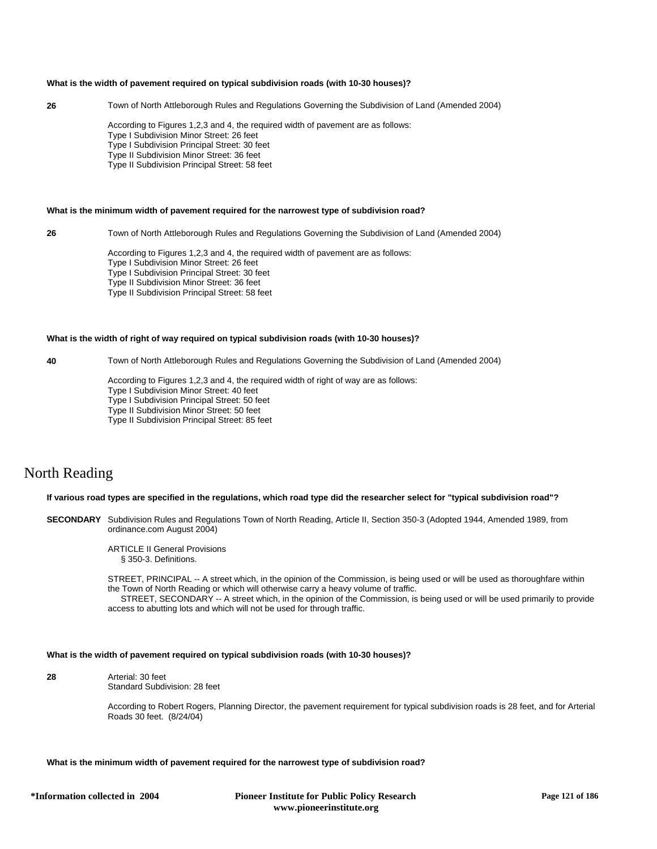#### **What is the width of pavement required on typical subdivision roads (with 10-30 houses)?**

**26** Town of North Attleborough Rules and Regulations Governing the Subdivision of Land (Amended 2004)

According to Figures 1,2,3 and 4, the required width of pavement are as follows: Type I Subdivision Minor Street: 26 feet Type I Subdivision Principal Street: 30 feet Type II Subdivision Minor Street: 36 feet Type II Subdivision Principal Street: 58 feet

## **What is the minimum width of pavement required for the narrowest type of subdivision road?**

**26** Town of North Attleborough Rules and Regulations Governing the Subdivision of Land (Amended 2004)

According to Figures 1,2,3 and 4, the required width of pavement are as follows: Type I Subdivision Minor Street: 26 feet Type I Subdivision Principal Street: 30 feet Type II Subdivision Minor Street: 36 feet Type II Subdivision Principal Street: 58 feet

### **What is the width of right of way required on typical subdivision roads (with 10-30 houses)?**

**40** Town of North Attleborough Rules and Regulations Governing the Subdivision of Land (Amended 2004)

According to Figures 1,2,3 and 4, the required width of right of way are as follows:

- Type I Subdivision Minor Street: 40 feet
- Type I Subdivision Principal Street: 50 feet
- Type II Subdivision Minor Street: 50 feet
- Type II Subdivision Principal Street: 85 feet

# North Reading

#### **If various road types are specified in the regulations, which road type did the researcher select for "typical subdivision road"?**

- **SECONDARY** Subdivision Rules and Regulations Town of North Reading, Article II, Section 350-3 (Adopted 1944, Amended 1989, from ordinance.com August 2004)
	- ARTICLE II General Provisions § 350-3. Definitions.

STREET, PRINCIPAL -- A street which, in the opinion of the Commission, is being used or will be used as thoroughfare within the Town of North Reading or which will otherwise carry a heavy volume of traffic.

STREET, SECONDARY -- A street which, in the opinion of the Commission, is being used or will be used primarily to provide access to abutting lots and which will not be used for through traffic.

## **What is the width of pavement required on typical subdivision roads (with 10-30 houses)?**

**28** Arterial: 30 feet Standard Subdivision: 28 feet

> According to Robert Rogers, Planning Director, the pavement requirement for typical subdivision roads is 28 feet, and for Arterial Roads 30 feet. (8/24/04)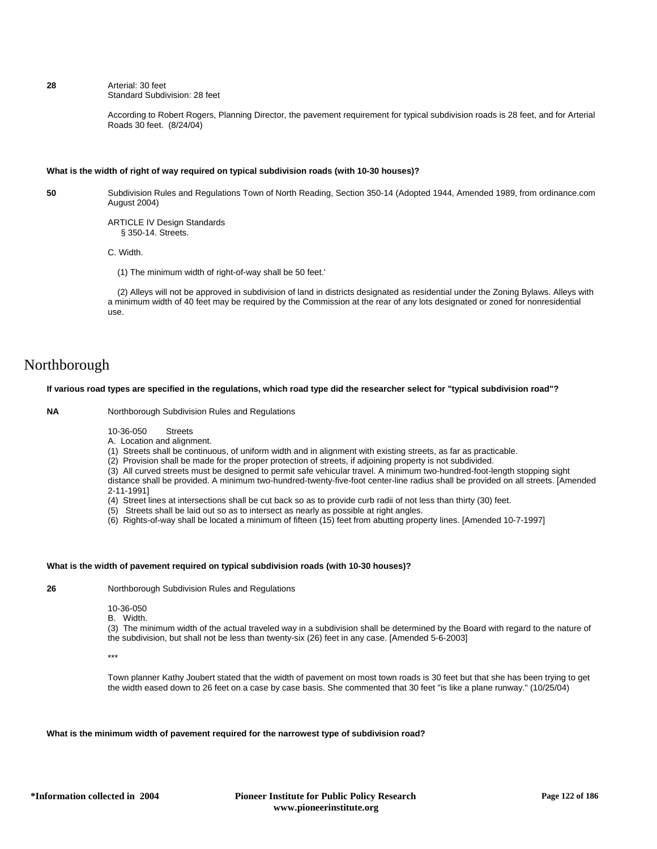### **28** Arterial: 30 feet Standard Subdivision: 28 feet

According to Robert Rogers, Planning Director, the pavement requirement for typical subdivision roads is 28 feet, and for Arterial Roads 30 feet. (8/24/04)

## **What is the width of right of way required on typical subdivision roads (with 10-30 houses)?**

**50** Subdivision Rules and Regulations Town of North Reading, Section 350-14 (Adopted 1944, Amended 1989, from ordinance.com August 2004)

> ARTICLE IV Design Standards § 350-14. Streets.

C. Width.

(1) The minimum width of right-of-way shall be 50 feet.'

 (2) Alleys will not be approved in subdivision of land in districts designated as residential under the Zoning Bylaws. Alleys with a minimum width of 40 feet may be required by the Commission at the rear of any lots designated or zoned for nonresidential use.

# Northborough

## **If various road types are specified in the regulations, which road type did the researcher select for "typical subdivision road"?**

**NA** Northborough Subdivision Rules and Regulations

10-36-050 Streets

A. Location and alignment.

(1) Streets shall be continuous, of uniform width and in alignment with existing streets, as far as practicable.

(2) Provision shall be made for the proper protection of streets, if adjoining property is not subdivided.

(3) All curved streets must be designed to permit safe vehicular travel. A minimum two-hundred-foot-length stopping sight distance shall be provided. A minimum two-hundred-twenty-five-foot center-line radius shall be provided on all streets. [Amended 2-11-1991]

- (4) Street lines at intersections shall be cut back so as to provide curb radii of not less than thirty (30) feet.
- (5) Streets shall be laid out so as to intersect as nearly as possible at right angles.
- (6) Rights-of-way shall be located a minimum of fifteen (15) feet from abutting property lines. [Amended 10-7-1997]

## **What is the width of pavement required on typical subdivision roads (with 10-30 houses)?**

**26** Northborough Subdivision Rules and Regulations

10-36-050

B. Width.

(3) The minimum width of the actual traveled way in a subdivision shall be determined by the Board with regard to the nature of the subdivision, but shall not be less than twenty-six (26) feet in any case. [Amended 5-6-2003]

\*\*\*

Town planner Kathy Joubert stated that the width of pavement on most town roads is 30 feet but that she has been trying to get the width eased down to 26 feet on a case by case basis. She commented that 30 feet "is like a plane runway." (10/25/04)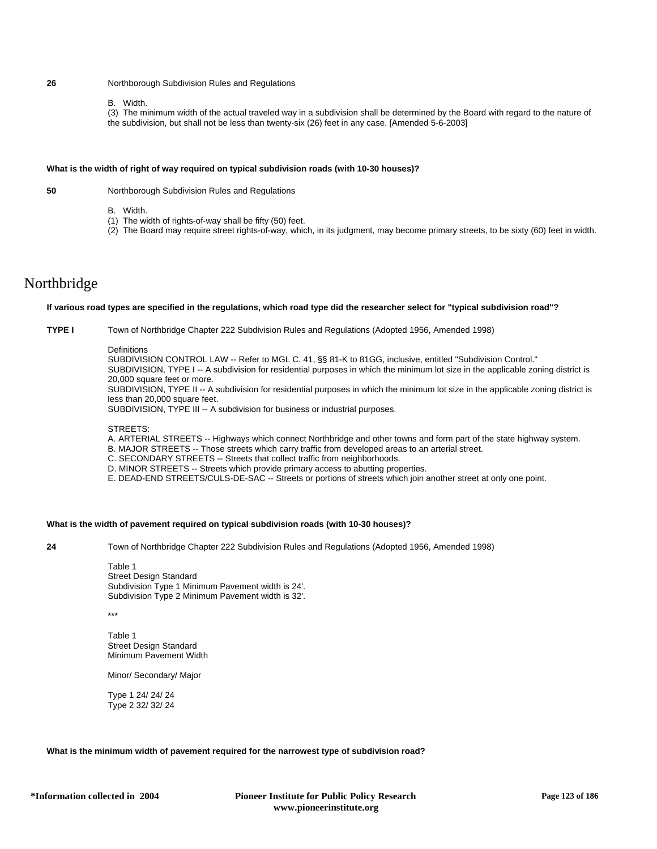## **26** Northborough Subdivision Rules and Regulations

B. Width.

(3) The minimum width of the actual traveled way in a subdivision shall be determined by the Board with regard to the nature of the subdivision, but shall not be less than twenty-six (26) feet in any case. [Amended 5-6-2003]

### **What is the width of right of way required on typical subdivision roads (with 10-30 houses)?**

**50** Northborough Subdivision Rules and Regulations

- B. Width.
- (1) The width of rights-of-way shall be fifty (50) feet.
- (2) The Board may require street rights-of-way, which, in its judgment, may become primary streets, to be sixty (60) feet in width.

# Northbridge

#### **If various road types are specified in the regulations, which road type did the researcher select for "typical subdivision road"?**

**TYPE I** Town of Northbridge Chapter 222 Subdivision Rules and Regulations (Adopted 1956, Amended 1998)

## **Definitions**

SUBDIVISION CONTROL LAW -- Refer to MGL C. 41, §§ 81-K to 81GG, inclusive, entitled "Subdivision Control." SUBDIVISION, TYPE I -- A subdivision for residential purposes in which the minimum lot size in the applicable zoning district is 20,000 square feet or more. SUBDIVISION, TYPE II -- A subdivision for residential purposes in which the minimum lot size in the applicable zoning district is less than 20,000 square feet.

SUBDIVISION, TYPE III -- A subdivision for business or industrial purposes.

## STREETS:

A. ARTERIAL STREETS -- Highways which connect Northbridge and other towns and form part of the state highway system.

- B. MAJOR STREETS -- Those streets which carry traffic from developed areas to an arterial street.
- C. SECONDARY STREETS -- Streets that collect traffic from neighborhoods.
- D. MINOR STREETS -- Streets which provide primary access to abutting properties.
- E. DEAD-END STREETS/CULS-DE-SAC -- Streets or portions of streets which join another street at only one point.

## **What is the width of pavement required on typical subdivision roads (with 10-30 houses)?**

**24** Town of Northbridge Chapter 222 Subdivision Rules and Regulations (Adopted 1956, Amended 1998)

Table 1 Street Design Standard Subdivision Type 1 Minimum Pavement width is 24'. Subdivision Type 2 Minimum Pavement width is 32'.

\*\*\*

Table 1 Street Design Standard Minimum Pavement Width

Minor/ Secondary/ Major

Type 1 24/ 24/ 24 Type 2 32/ 32/ 24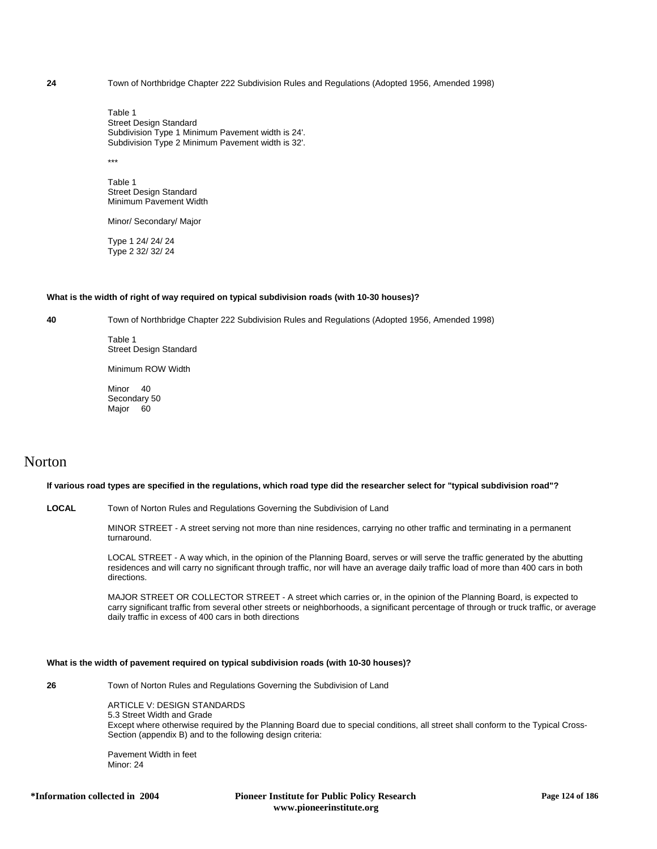**24** Town of Northbridge Chapter 222 Subdivision Rules and Regulations (Adopted 1956, Amended 1998)

Table 1 Street Design Standard Subdivision Type 1 Minimum Pavement width is 24'. Subdivision Type 2 Minimum Pavement width is 32'.

\*\*\*

Table 1 Street Design Standard Minimum Pavement Width

Minor/ Secondary/ Major

Type 1 24/ 24/ 24 Type 2 32/ 32/ 24

#### **What is the width of right of way required on typical subdivision roads (with 10-30 houses)?**

**40** Town of Northbridge Chapter 222 Subdivision Rules and Regulations (Adopted 1956, Amended 1998)

Table 1 Street Design Standard

Minimum ROW Width

Minor 40 Secondary 50 Major 60

# Norton

## **If various road types are specified in the regulations, which road type did the researcher select for "typical subdivision road"?**

**LOCAL** Town of Norton Rules and Regulations Governing the Subdivision of Land

MINOR STREET - A street serving not more than nine residences, carrying no other traffic and terminating in a permanent turnaround.

LOCAL STREET - A way which, in the opinion of the Planning Board, serves or will serve the traffic generated by the abutting residences and will carry no significant through traffic, nor will have an average daily traffic load of more than 400 cars in both directions.

MAJOR STREET OR COLLECTOR STREET - A street which carries or, in the opinion of the Planning Board, is expected to carry significant traffic from several other streets or neighborhoods, a significant percentage of through or truck traffic, or average daily traffic in excess of 400 cars in both directions

## **What is the width of pavement required on typical subdivision roads (with 10-30 houses)?**

**26** Town of Norton Rules and Regulations Governing the Subdivision of Land

ARTICLE V: DESIGN STANDARDS 5.3 Street Width and Grade Except where otherwise required by the Planning Board due to special conditions, all street shall conform to the Typical Cross-Section (appendix B) and to the following design criteria:

Pavement Width in feet Minor: 24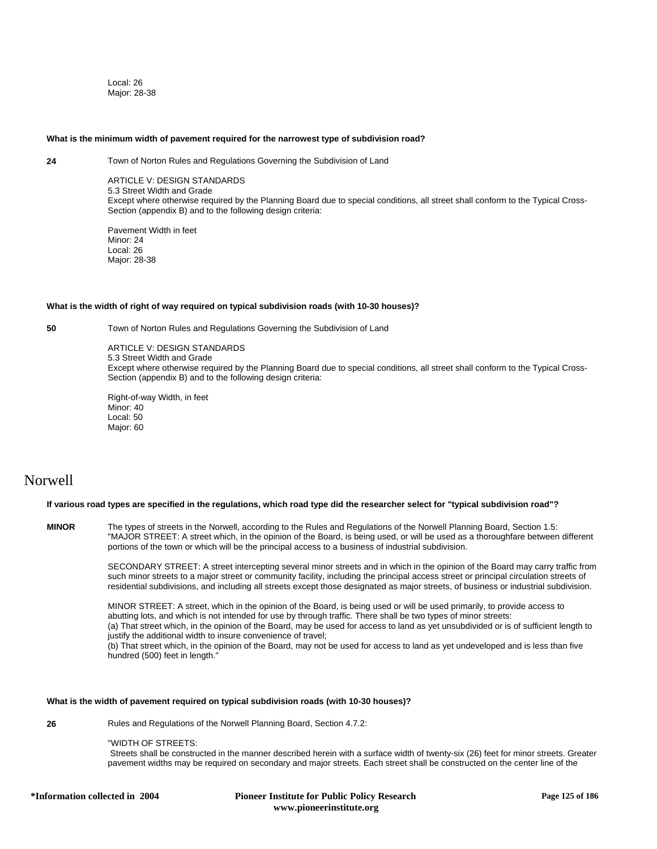Local: 26 Major: 28-38

#### **What is the minimum width of pavement required for the narrowest type of subdivision road?**

**24** Town of Norton Rules and Regulations Governing the Subdivision of Land

ARTICLE V: DESIGN STANDARDS 5.3 Street Width and Grade Except where otherwise required by the Planning Board due to special conditions, all street shall conform to the Typical Cross-Section (appendix B) and to the following design criteria:

Pavement Width in feet Minor: 24 Local: 26 Major: 28-38

## **What is the width of right of way required on typical subdivision roads (with 10-30 houses)?**

**50** Town of Norton Rules and Regulations Governing the Subdivision of Land

ARTICLE V: DESIGN STANDARDS 5.3 Street Width and Grade Except where otherwise required by the Planning Board due to special conditions, all street shall conform to the Typical Cross-Section (appendix B) and to the following design criteria:

Right-of-way Width, in feet Minor: 40 Local: 50 Major: 60

# Norwell

## **If various road types are specified in the regulations, which road type did the researcher select for "typical subdivision road"?**

**MINOR** The types of streets in the Norwell, according to the Rules and Regulations of the Norwell Planning Board, Section 1.5: "MAJOR STREET: A street which, in the opinion of the Board, is being used, or will be used as a thoroughfare between different portions of the town or which will be the principal access to a business of industrial subdivision.

> SECONDARY STREET: A street intercepting several minor streets and in which in the opinion of the Board may carry traffic from such minor streets to a major street or community facility, including the principal access street or principal circulation streets of residential subdivisions, and including all streets except those designated as major streets, of business or industrial subdivision.

> MINOR STREET: A street, which in the opinion of the Board, is being used or will be used primarily, to provide access to abutting lots, and which is not intended for use by through traffic. There shall be two types of minor streets: (a) That street which, in the opinion of the Board, may be used for access to land as yet unsubdivided or is of sufficient length to justify the additional width to insure convenience of travel; (b) That street which, in the opinion of the Board, may not be used for access to land as yet undeveloped and is less than five hundred (500) feet in length."

## **What is the width of pavement required on typical subdivision roads (with 10-30 houses)?**

**26** Rules and Regulations of the Norwell Planning Board, Section 4.7.2:

"WIDTH OF STREETS:

 Streets shall be constructed in the manner described herein with a surface width of twenty-six (26) feet for minor streets. Greater pavement widths may be required on secondary and major streets. Each street shall be constructed on the center line of the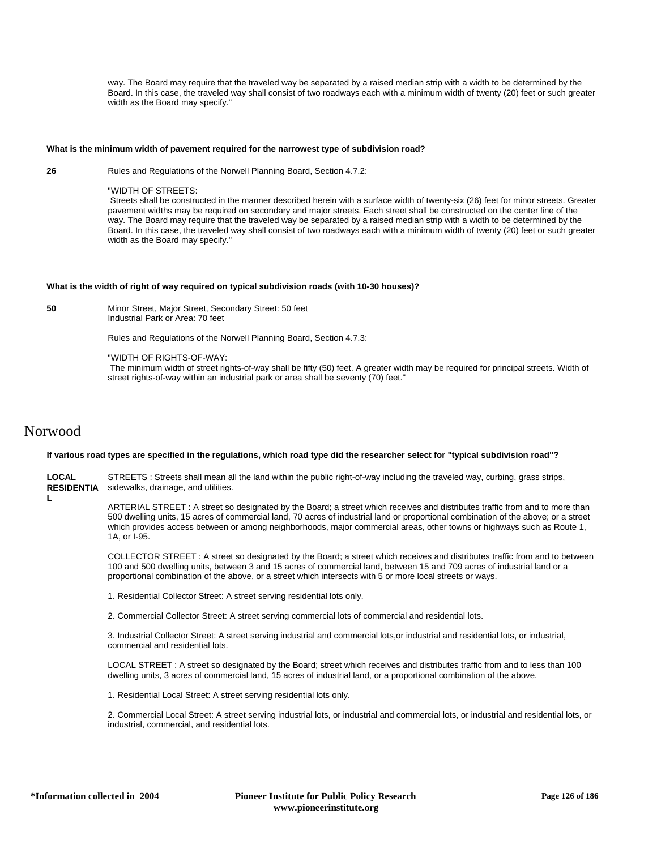way. The Board may require that the traveled way be separated by a raised median strip with a width to be determined by the Board. In this case, the traveled way shall consist of two roadways each with a minimum width of twenty (20) feet or such greater width as the Board may specify."

### **What is the minimum width of pavement required for the narrowest type of subdivision road?**

**26** Rules and Regulations of the Norwell Planning Board, Section 4.7.2:

"WIDTH OF STREETS:

 Streets shall be constructed in the manner described herein with a surface width of twenty-six (26) feet for minor streets. Greater pavement widths may be required on secondary and major streets. Each street shall be constructed on the center line of the way. The Board may require that the traveled way be separated by a raised median strip with a width to be determined by the Board. In this case, the traveled way shall consist of two roadways each with a minimum width of twenty (20) feet or such greater width as the Board may specify."

#### **What is the width of right of way required on typical subdivision roads (with 10-30 houses)?**

**50** Minor Street, Major Street, Secondary Street: 50 feet Industrial Park or Area: 70 feet

Rules and Regulations of the Norwell Planning Board, Section 4.7.3:

"WIDTH OF RIGHTS-OF-WAY:

 The minimum width of street rights-of-way shall be fifty (50) feet. A greater width may be required for principal streets. Width of street rights-of-way within an industrial park or area shall be seventy (70) feet."

## Norwood

## **If various road types are specified in the regulations, which road type did the researcher select for "typical subdivision road"?**

**LOCAL RESIDENTIA** STREETS : Streets shall mean all the land within the public right-of-way including the traveled way, curbing, grass strips, sidewalks, drainage, and utilities.

**L**

ARTERIAL STREET : A street so designated by the Board; a street which receives and distributes traffic from and to more than 500 dwelling units, 15 acres of commercial land, 70 acres of industrial land or proportional combination of the above; or a street which provides access between or among neighborhoods, major commercial areas, other towns or highways such as Route 1, 1A, or I-95.

COLLECTOR STREET : A street so designated by the Board; a street which receives and distributes traffic from and to between 100 and 500 dwelling units, between 3 and 15 acres of commercial land, between 15 and 709 acres of industrial land or a proportional combination of the above, or a street which intersects with 5 or more local streets or ways.

1. Residential Collector Street: A street serving residential lots only.

2. Commercial Collector Street: A street serving commercial lots of commercial and residential lots.

3. Industrial Collector Street: A street serving industrial and commercial lots,or industrial and residential lots, or industrial, commercial and residential lots.

LOCAL STREET : A street so designated by the Board; street which receives and distributes traffic from and to less than 100 dwelling units, 3 acres of commercial land, 15 acres of industrial land, or a proportional combination of the above.

1. Residential Local Street: A street serving residential lots only.

2. Commercial Local Street: A street serving industrial lots, or industrial and commercial lots, or industrial and residential lots, or industrial, commercial, and residential lots.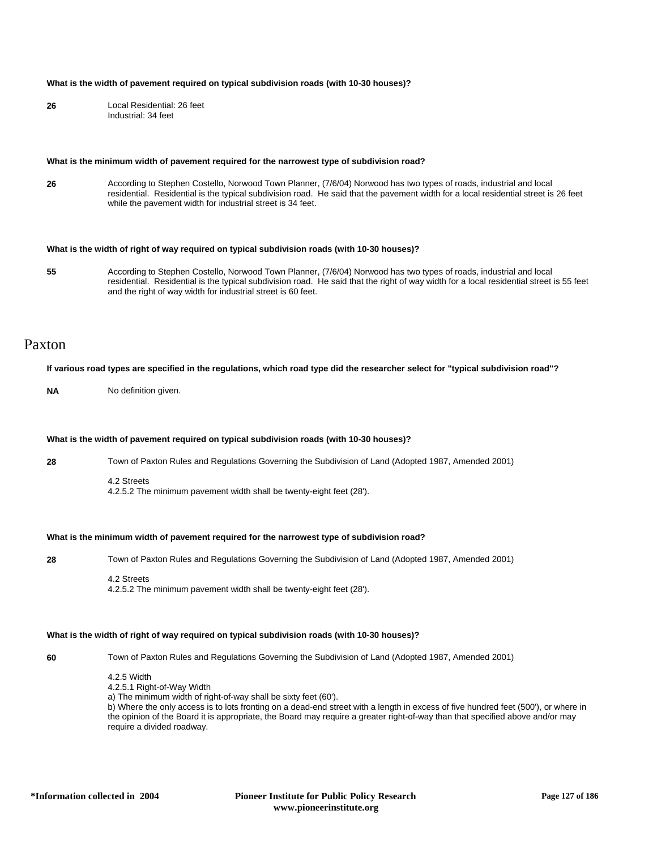### **What is the width of pavement required on typical subdivision roads (with 10-30 houses)?**

**26** Local Residential: 26 feet Industrial: 34 feet

#### **What is the minimum width of pavement required for the narrowest type of subdivision road?**

**26** According to Stephen Costello, Norwood Town Planner, (7/6/04) Norwood has two types of roads, industrial and local residential. Residential is the typical subdivision road. He said that the pavement width for a local residential street is 26 feet while the pavement width for industrial street is 34 feet.

## **What is the width of right of way required on typical subdivision roads (with 10-30 houses)?**

**55** According to Stephen Costello, Norwood Town Planner, (7/6/04) Norwood has two types of roads, industrial and local residential. Residential is the typical subdivision road. He said that the right of way width for a local residential street is 55 feet and the right of way width for industrial street is 60 feet.

## Paxton

#### **If various road types are specified in the regulations, which road type did the researcher select for "typical subdivision road"?**

**NA** No definition given.

#### **What is the width of pavement required on typical subdivision roads (with 10-30 houses)?**

**28** Town of Paxton Rules and Regulations Governing the Subdivision of Land (Adopted 1987, Amended 2001)

4.2 Streets

4.2.5.2 The minimum pavement width shall be twenty-eight feet (28').

## **What is the minimum width of pavement required for the narrowest type of subdivision road?**

**28** Town of Paxton Rules and Regulations Governing the Subdivision of Land (Adopted 1987, Amended 2001)

4.2 Streets 4.2.5.2 The minimum pavement width shall be twenty-eight feet (28').

## **What is the width of right of way required on typical subdivision roads (with 10-30 houses)?**

**60** Town of Paxton Rules and Regulations Governing the Subdivision of Land (Adopted 1987, Amended 2001)

4.2.5 Width 4.2.5.1 Right-of-Way Width a) The minimum width of right-of-way shall be sixty feet (60'). b) Where the only access is to lots fronting on a dead-end street with a length in excess of five hundred feet (500'), or where in the opinion of the Board it is appropriate, the Board may require a greater right-of-way than that specified above and/or may require a divided roadway.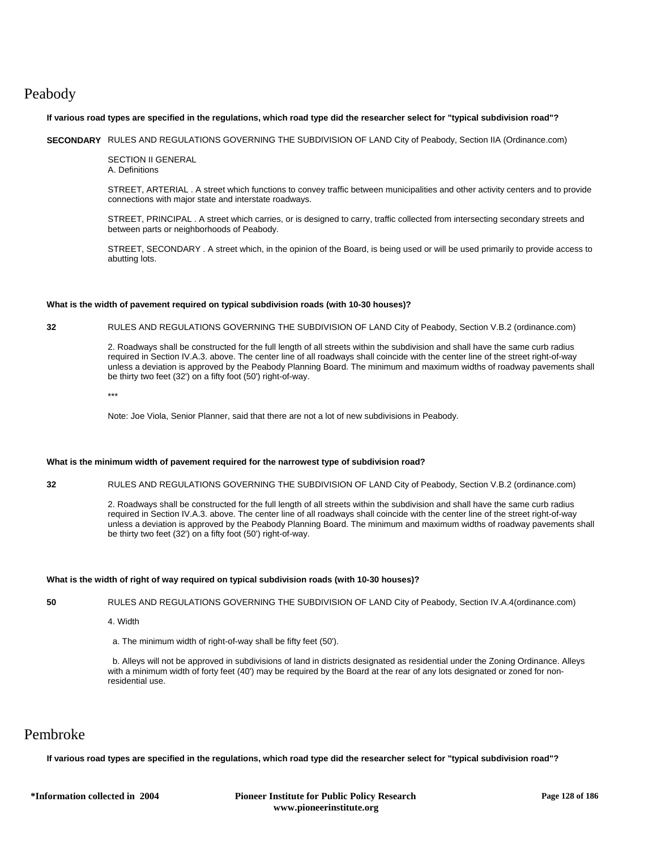# Peabody

## **If various road types are specified in the regulations, which road type did the researcher select for "typical subdivision road"?**

**SECONDARY** RULES AND REGULATIONS GOVERNING THE SUBDIVISION OF LAND City of Peabody, Section IIA (Ordinance.com)

SECTION II GENERAL A. Definitions

STREET, ARTERIAL . A street which functions to convey traffic between municipalities and other activity centers and to provide connections with major state and interstate roadways.

STREET, PRINCIPAL . A street which carries, or is designed to carry, traffic collected from intersecting secondary streets and between parts or neighborhoods of Peabody.

STREET, SECONDARY . A street which, in the opinion of the Board, is being used or will be used primarily to provide access to abutting lots.

## **What is the width of pavement required on typical subdivision roads (with 10-30 houses)?**

## **32** RULES AND REGULATIONS GOVERNING THE SUBDIVISION OF LAND City of Peabody, Section V.B.2 (ordinance.com)

2. Roadways shall be constructed for the full length of all streets within the subdivision and shall have the same curb radius required in Section IV.A.3. above. The center line of all roadways shall coincide with the center line of the street right-of-way unless a deviation is approved by the Peabody Planning Board. The minimum and maximum widths of roadway pavements shall be thirty two feet (32') on a fifty foot (50') right-of-way.

\*\*\*

Note: Joe Viola, Senior Planner, said that there are not a lot of new subdivisions in Peabody.

## **What is the minimum width of pavement required for the narrowest type of subdivision road?**

**32** RULES AND REGULATIONS GOVERNING THE SUBDIVISION OF LAND City of Peabody, Section V.B.2 (ordinance.com)

2. Roadways shall be constructed for the full length of all streets within the subdivision and shall have the same curb radius required in Section IV.A.3. above. The center line of all roadways shall coincide with the center line of the street right-of-way unless a deviation is approved by the Peabody Planning Board. The minimum and maximum widths of roadway pavements shall be thirty two feet (32') on a fifty foot (50') right-of-way.

## **What is the width of right of way required on typical subdivision roads (with 10-30 houses)?**

**50** RULES AND REGULATIONS GOVERNING THE SUBDIVISION OF LAND City of Peabody, Section IV.A.4(ordinance.com)

4. Width

a. The minimum width of right-of-way shall be fifty feet (50').

 b. Alleys will not be approved in subdivisions of land in districts designated as residential under the Zoning Ordinance. Alleys with a minimum width of forty feet (40') may be required by the Board at the rear of any lots designated or zoned for nonresidential use.

## Pembroke

**If various road types are specified in the regulations, which road type did the researcher select for "typical subdivision road"?**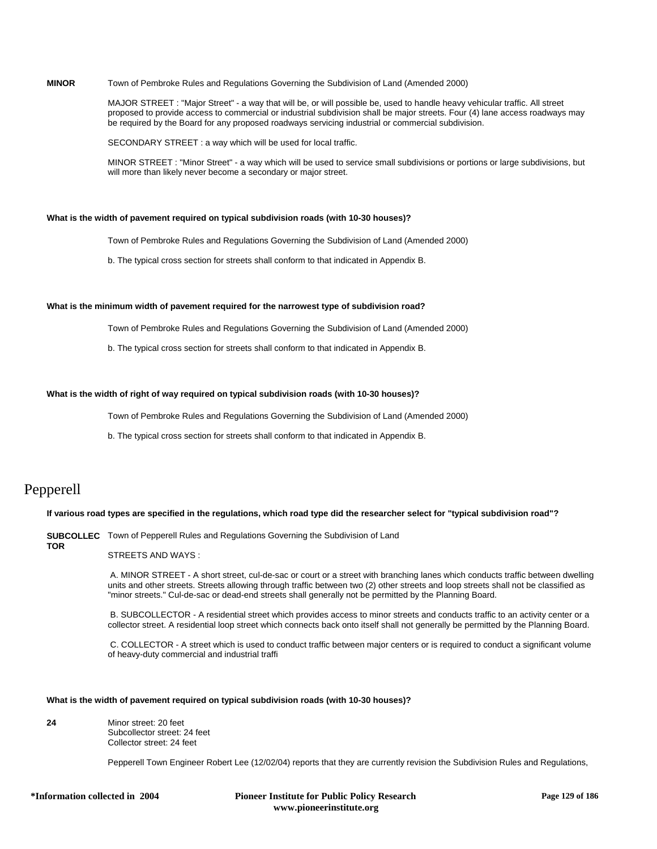## **MINOR** Town of Pembroke Rules and Regulations Governing the Subdivision of Land (Amended 2000)

MAJOR STREET : "Major Street" - a way that will be, or will possible be, used to handle heavy vehicular traffic. All street proposed to provide access to commercial or industrial subdivision shall be major streets. Four (4) lane access roadways may be required by the Board for any proposed roadways servicing industrial or commercial subdivision.

SECONDARY STREET : a way which will be used for local traffic.

MINOR STREET : "Minor Street" - a way which will be used to service small subdivisions or portions or large subdivisions, but will more than likely never become a secondary or major street.

## **What is the width of pavement required on typical subdivision roads (with 10-30 houses)?**

Town of Pembroke Rules and Regulations Governing the Subdivision of Land (Amended 2000)

b. The typical cross section for streets shall conform to that indicated in Appendix B.

## **What is the minimum width of pavement required for the narrowest type of subdivision road?**

Town of Pembroke Rules and Regulations Governing the Subdivision of Land (Amended 2000)

b. The typical cross section for streets shall conform to that indicated in Appendix B.

## **What is the width of right of way required on typical subdivision roads (with 10-30 houses)?**

Town of Pembroke Rules and Regulations Governing the Subdivision of Land (Amended 2000)

b. The typical cross section for streets shall conform to that indicated in Appendix B.

## Pepperell

**TOR**

## **If various road types are specified in the regulations, which road type did the researcher select for "typical subdivision road"?**

**SUBCOLLEC** Town of Pepperell Rules and Regulations Governing the Subdivision of Land

## STREETS AND WAYS :

 A. MINOR STREET - A short street, cul-de-sac or court or a street with branching lanes which conducts traffic between dwelling units and other streets. Streets allowing through traffic between two (2) other streets and loop streets shall not be classified as "minor streets." Cul-de-sac or dead-end streets shall generally not be permitted by the Planning Board.

 B. SUBCOLLECTOR - A residential street which provides access to minor streets and conducts traffic to an activity center or a collector street. A residential loop street which connects back onto itself shall not generally be permitted by the Planning Board.

 C. COLLECTOR - A street which is used to conduct traffic between major centers or is required to conduct a significant volume of heavy-duty commercial and industrial traffi

#### **What is the width of pavement required on typical subdivision roads (with 10-30 houses)?**

**24** Minor street: 20 feet Subcollector street: 24 feet Collector street: 24 feet

Pepperell Town Engineer Robert Lee (12/02/04) reports that they are currently revision the Subdivision Rules and Regulations,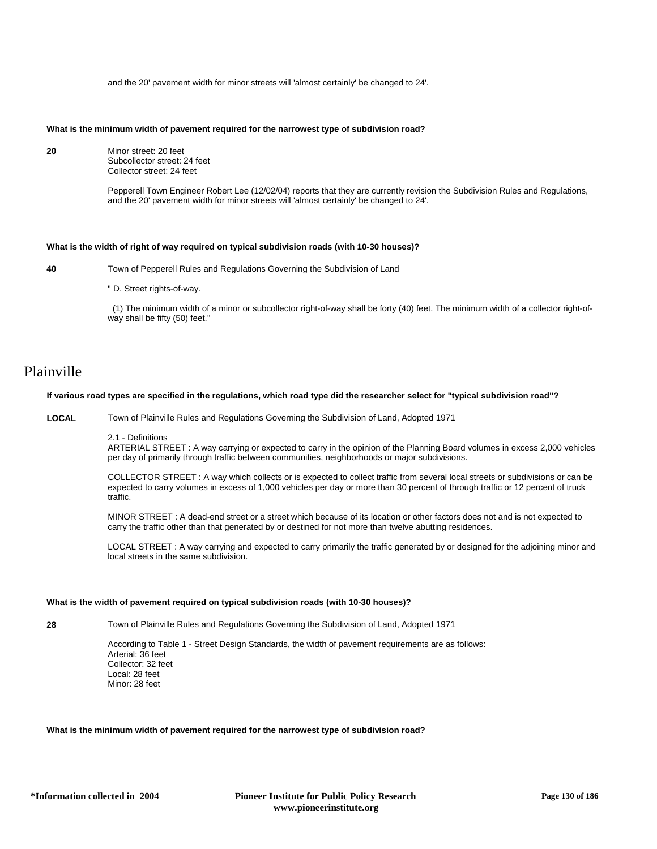and the 20' pavement width for minor streets will 'almost certainly' be changed to 24'.

### **What is the minimum width of pavement required for the narrowest type of subdivision road?**

**20** Minor street: 20 feet Subcollector street: 24 feet Collector street: 24 feet

> Pepperell Town Engineer Robert Lee (12/02/04) reports that they are currently revision the Subdivision Rules and Regulations, and the 20' pavement width for minor streets will 'almost certainly' be changed to 24'.

## **What is the width of right of way required on typical subdivision roads (with 10-30 houses)?**

**40** Town of Pepperell Rules and Regulations Governing the Subdivision of Land

" D. Street rights-of-way.

 (1) The minimum width of a minor or subcollector right-of-way shall be forty (40) feet. The minimum width of a collector right-ofway shall be fifty (50) feet."

## Plainville

## **If various road types are specified in the regulations, which road type did the researcher select for "typical subdivision road"?**

**LOCAL** Town of Plainville Rules and Regulations Governing the Subdivision of Land, Adopted 1971

2.1 - Definitions

ARTERIAL STREET : A way carrying or expected to carry in the opinion of the Planning Board volumes in excess 2,000 vehicles per day of primarily through traffic between communities, neighborhoods or major subdivisions.

COLLECTOR STREET : A way which collects or is expected to collect traffic from several local streets or subdivisions or can be expected to carry volumes in excess of 1,000 vehicles per day or more than 30 percent of through traffic or 12 percent of truck traffic.

MINOR STREET : A dead-end street or a street which because of its location or other factors does not and is not expected to carry the traffic other than that generated by or destined for not more than twelve abutting residences.

LOCAL STREET : A way carrying and expected to carry primarily the traffic generated by or designed for the adjoining minor and local streets in the same subdivision.

## **What is the width of pavement required on typical subdivision roads (with 10-30 houses)?**

**28** Town of Plainville Rules and Regulations Governing the Subdivision of Land, Adopted 1971

According to Table 1 - Street Design Standards, the width of pavement requirements are as follows: Arterial: 36 feet Collector: 32 feet Local: 28 feet Minor: 28 feet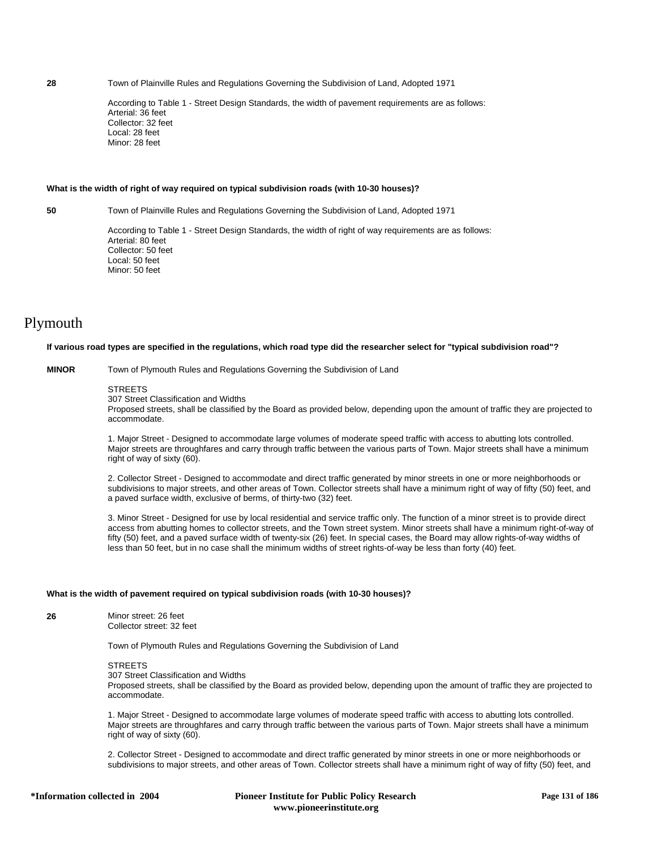**28** Town of Plainville Rules and Regulations Governing the Subdivision of Land, Adopted 1971

According to Table 1 - Street Design Standards, the width of pavement requirements are as follows: Arterial: 36 feet Collector: 32 feet Local: 28 feet Minor: 28 feet

#### **What is the width of right of way required on typical subdivision roads (with 10-30 houses)?**

**50** Town of Plainville Rules and Regulations Governing the Subdivision of Land, Adopted 1971

According to Table 1 - Street Design Standards, the width of right of way requirements are as follows: Arterial: 80 feet Collector: 50 feet Local: 50 feet Minor: 50 feet

# Plymouth

#### **If various road types are specified in the regulations, which road type did the researcher select for "typical subdivision road"?**

**MINOR** Town of Plymouth Rules and Regulations Governing the Subdivision of Land

#### **STREETS**

307 Street Classification and Widths

Proposed streets, shall be classified by the Board as provided below, depending upon the amount of traffic they are projected to accommodate.

1. Major Street - Designed to accommodate large volumes of moderate speed traffic with access to abutting lots controlled. Major streets are throughfares and carry through traffic between the various parts of Town. Major streets shall have a minimum right of way of sixty (60).

2. Collector Street - Designed to accommodate and direct traffic generated by minor streets in one or more neighborhoods or subdivisions to major streets, and other areas of Town. Collector streets shall have a minimum right of way of fifty (50) feet, and a paved surface width, exclusive of berms, of thirty-two (32) feet.

3. Minor Street - Designed for use by local residential and service traffic only. The function of a minor street is to provide direct access from abutting homes to collector streets, and the Town street system. Minor streets shall have a minimum right-of-way of fifty (50) feet, and a paved surface width of twenty-six (26) feet. In special cases, the Board may allow rights-of-way widths of less than 50 feet, but in no case shall the minimum widths of street rights-of-way be less than forty (40) feet.

### **What is the width of pavement required on typical subdivision roads (with 10-30 houses)?**

**26** Minor street: 26 feet Collector street: 32 feet

Town of Plymouth Rules and Regulations Governing the Subdivision of Land

## **STREETS**

307 Street Classification and Widths

Proposed streets, shall be classified by the Board as provided below, depending upon the amount of traffic they are projected to accommodate.

1. Major Street - Designed to accommodate large volumes of moderate speed traffic with access to abutting lots controlled. Major streets are throughfares and carry through traffic between the various parts of Town. Major streets shall have a minimum right of way of sixty (60).

2. Collector Street - Designed to accommodate and direct traffic generated by minor streets in one or more neighborhoods or subdivisions to major streets, and other areas of Town. Collector streets shall have a minimum right of way of fifty (50) feet, and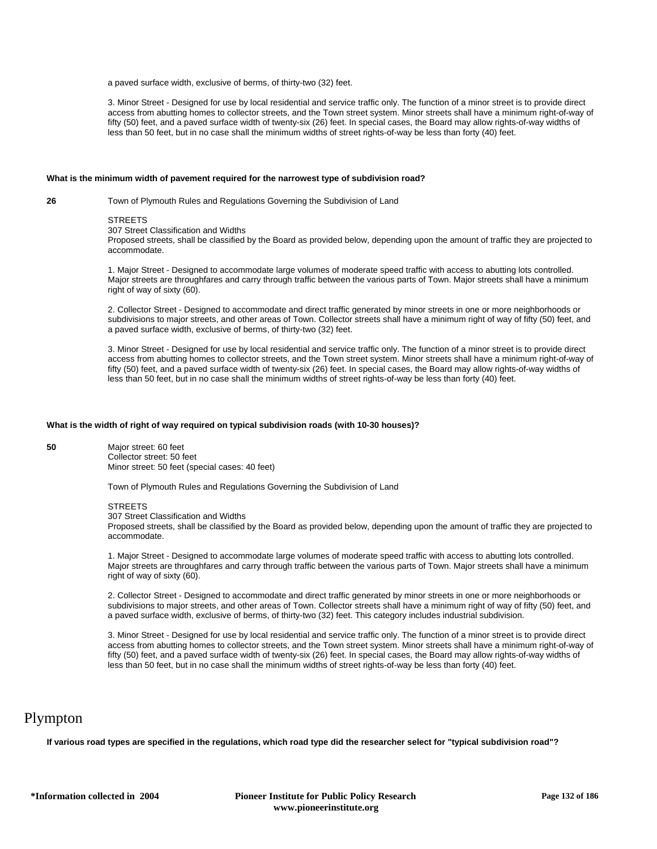a paved surface width, exclusive of berms, of thirty-two (32) feet.

3. Minor Street - Designed for use by local residential and service traffic only. The function of a minor street is to provide direct access from abutting homes to collector streets, and the Town street system. Minor streets shall have a minimum right-of-way of fifty (50) feet, and a paved surface width of twenty-six (26) feet. In special cases, the Board may allow rights-of-way widths of less than 50 feet, but in no case shall the minimum widths of street rights-of-way be less than forty (40) feet.

#### **What is the minimum width of pavement required for the narrowest type of subdivision road?**

**26** Town of Plymouth Rules and Regulations Governing the Subdivision of Land

#### **STREETS**

307 Street Classification and Widths

Proposed streets, shall be classified by the Board as provided below, depending upon the amount of traffic they are projected to accommodate.

1. Major Street - Designed to accommodate large volumes of moderate speed traffic with access to abutting lots controlled. Major streets are throughfares and carry through traffic between the various parts of Town. Major streets shall have a minimum right of way of sixty (60).

2. Collector Street - Designed to accommodate and direct traffic generated by minor streets in one or more neighborhoods or subdivisions to major streets, and other areas of Town. Collector streets shall have a minimum right of way of fifty (50) feet, and a paved surface width, exclusive of berms, of thirty-two (32) feet.

3. Minor Street - Designed for use by local residential and service traffic only. The function of a minor street is to provide direct access from abutting homes to collector streets, and the Town street system. Minor streets shall have a minimum right-of-way of fifty (50) feet, and a paved surface width of twenty-six (26) feet. In special cases, the Board may allow rights-of-way widths of less than 50 feet, but in no case shall the minimum widths of street rights-of-way be less than forty (40) feet.

## **What is the width of right of way required on typical subdivision roads (with 10-30 houses)?**

**50** Major street: 60 feet Collector street: 50 feet

Minor street: 50 feet (special cases: 40 feet)

Town of Plymouth Rules and Regulations Governing the Subdivision of Land

## **STREETS**

307 Street Classification and Widths

Proposed streets, shall be classified by the Board as provided below, depending upon the amount of traffic they are projected to accommodate.

1. Major Street - Designed to accommodate large volumes of moderate speed traffic with access to abutting lots controlled. Major streets are throughfares and carry through traffic between the various parts of Town. Major streets shall have a minimum right of way of sixty (60).

2. Collector Street - Designed to accommodate and direct traffic generated by minor streets in one or more neighborhoods or subdivisions to major streets, and other areas of Town. Collector streets shall have a minimum right of way of fifty (50) feet, and a paved surface width, exclusive of berms, of thirty-two (32) feet. This category includes industrial subdivision.

3. Minor Street - Designed for use by local residential and service traffic only. The function of a minor street is to provide direct access from abutting homes to collector streets, and the Town street system. Minor streets shall have a minimum right-of-way of fifty (50) feet, and a paved surface width of twenty-six (26) feet. In special cases, the Board may allow rights-of-way widths of less than 50 feet, but in no case shall the minimum widths of street rights-of-way be less than forty (40) feet.

## Plympton

**If various road types are specified in the regulations, which road type did the researcher select for "typical subdivision road"?**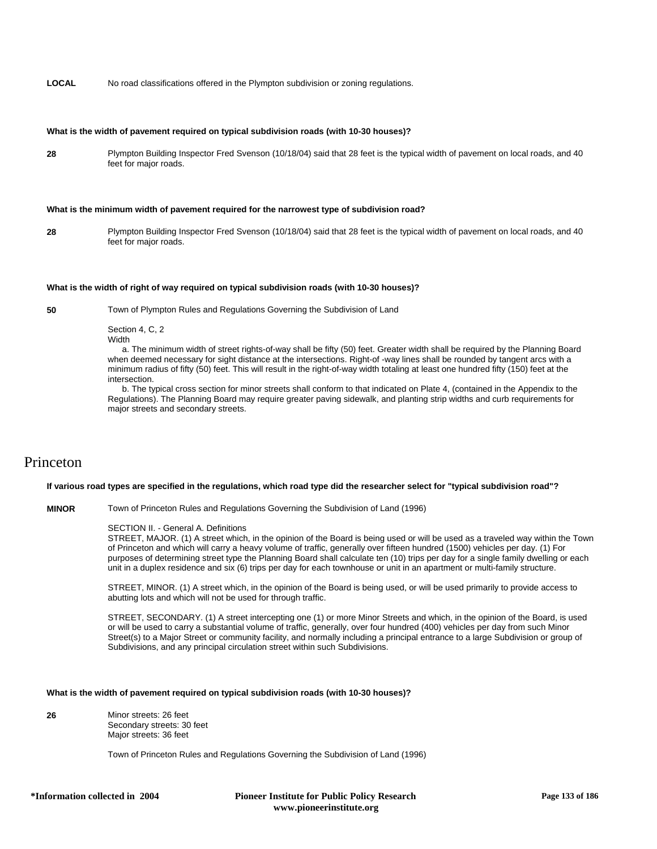**LOCAL** No road classifications offered in the Plympton subdivision or zoning regulations.

## **What is the width of pavement required on typical subdivision roads (with 10-30 houses)?**

**28** Plympton Building Inspector Fred Svenson (10/18/04) said that 28 feet is the typical width of pavement on local roads, and 40 feet for major roads.

#### **What is the minimum width of pavement required for the narrowest type of subdivision road?**

**28** Plympton Building Inspector Fred Svenson (10/18/04) said that 28 feet is the typical width of pavement on local roads, and 40 feet for major roads.

## **What is the width of right of way required on typical subdivision roads (with 10-30 houses)?**

**50** Town of Plympton Rules and Regulations Governing the Subdivision of Land

Section 4, C, 2 Width

 a. The minimum width of street rights-of-way shall be fifty (50) feet. Greater width shall be required by the Planning Board when deemed necessary for sight distance at the intersections. Right-of -way lines shall be rounded by tangent arcs with a minimum radius of fifty (50) feet. This will result in the right-of-way width totaling at least one hundred fifty (150) feet at the intersection.

 b. The typical cross section for minor streets shall conform to that indicated on Plate 4, (contained in the Appendix to the Regulations). The Planning Board may require greater paving sidewalk, and planting strip widths and curb requirements for major streets and secondary streets.

# Princeton

## **If various road types are specified in the regulations, which road type did the researcher select for "typical subdivision road"?**

**MINOR** Town of Princeton Rules and Regulations Governing the Subdivision of Land (1996)

## SECTION II. - General A. Definitions

STREET, MAJOR. (1) A street which, in the opinion of the Board is being used or will be used as a traveled way within the Town of Princeton and which will carry a heavy volume of traffic, generally over fifteen hundred (1500) vehicles per day. (1) For purposes of determining street type the Planning Board shall calculate ten (10) trips per day for a single family dwelling or each unit in a duplex residence and six (6) trips per day for each townhouse or unit in an apartment or multi-family structure.

STREET, MINOR. (1) A street which, in the opinion of the Board is being used, or will be used primarily to provide access to abutting lots and which will not be used for through traffic.

STREET, SECONDARY. (1) A street intercepting one (1) or more Minor Streets and which, in the opinion of the Board, is used or will be used to carry a substantial volume of traffic, generally, over four hundred (400) vehicles per day from such Minor Street(s) to a Major Street or community facility, and normally including a principal entrance to a large Subdivision or group of Subdivisions, and any principal circulation street within such Subdivisions.

## **What is the width of pavement required on typical subdivision roads (with 10-30 houses)?**

**26** Minor streets: 26 feet Secondary streets: 30 feet Major streets: 36 feet

Town of Princeton Rules and Regulations Governing the Subdivision of Land (1996)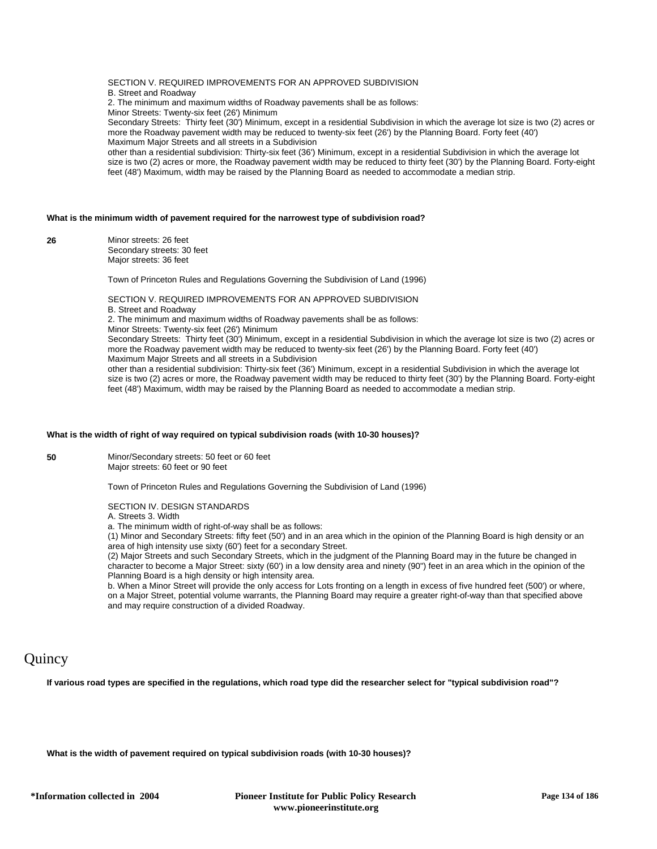SECTION V. REQUIRED IMPROVEMENTS FOR AN APPROVED SUBDIVISION B. Street and Roadway 2. The minimum and maximum widths of Roadway pavements shall be as follows: Minor Streets: Twenty-six feet (26') Minimum Secondary Streets: Thirty feet (30') Minimum, except in a residential Subdivision in which the average lot size is two (2) acres or more the Roadway pavement width may be reduced to twenty-six feet (26') by the Planning Board. Forty feet (40') Maximum Major Streets and all streets in a Subdivision

other than a residential subdivision: Thirty-six feet (36') Minimum, except in a residential Subdivision in which the average lot size is two (2) acres or more, the Roadway pavement width may be reduced to thirty feet (30') by the Planning Board. Forty-eight feet (48') Maximum, width may be raised by the Planning Board as needed to accommodate a median strip.

## **What is the minimum width of pavement required for the narrowest type of subdivision road?**

**26** Minor streets: 26 feet Secondary streets: 30 feet Major streets: 36 feet

Town of Princeton Rules and Regulations Governing the Subdivision of Land (1996)

SECTION V. REQUIRED IMPROVEMENTS FOR AN APPROVED SUBDIVISION B. Street and Roadway

2. The minimum and maximum widths of Roadway pavements shall be as follows:

Minor Streets: Twenty-six feet (26') Minimum

Secondary Streets: Thirty feet (30') Minimum, except in a residential Subdivision in which the average lot size is two (2) acres or more the Roadway pavement width may be reduced to twenty-six feet (26') by the Planning Board. Forty feet (40') Maximum Major Streets and all streets in a Subdivision

other than a residential subdivision: Thirty-six feet (36') Minimum, except in a residential Subdivision in which the average lot size is two (2) acres or more, the Roadway pavement width may be reduced to thirty feet (30') by the Planning Board. Forty-eight feet (48') Maximum, width may be raised by the Planning Board as needed to accommodate a median strip.

#### **What is the width of right of way required on typical subdivision roads (with 10-30 houses)?**

**50** Minor/Secondary streets: 50 feet or 60 feet Major streets: 60 feet or 90 feet

Town of Princeton Rules and Regulations Governing the Subdivision of Land (1996)

SECTION IV. DESIGN STANDARDS

A. Streets 3. Width

a. The minimum width of right-of-way shall be as follows:

(1) Minor and Secondary Streets: fifty feet (50') and in an area which in the opinion of the Planning Board is high density or an area of high intensity use sixty (60') feet for a secondary Street.

(2) Major Streets and such Secondary Streets, which in the judgment of the Planning Board may in the future be changed in character to become a Major Street: sixty (60') in a low density area and ninety (90") feet in an area which in the opinion of the Planning Board is a high density or high intensity area.

b. When a Minor Street will provide the only access for Lots fronting on a length in excess of five hundred feet (500') or where, on a Major Street, potential volume warrants, the Planning Board may require a greater right-of-way than that specified above and may require construction of a divided Roadway.

# **Quincy**

**If various road types are specified in the regulations, which road type did the researcher select for "typical subdivision road"?**

**What is the width of pavement required on typical subdivision roads (with 10-30 houses)?**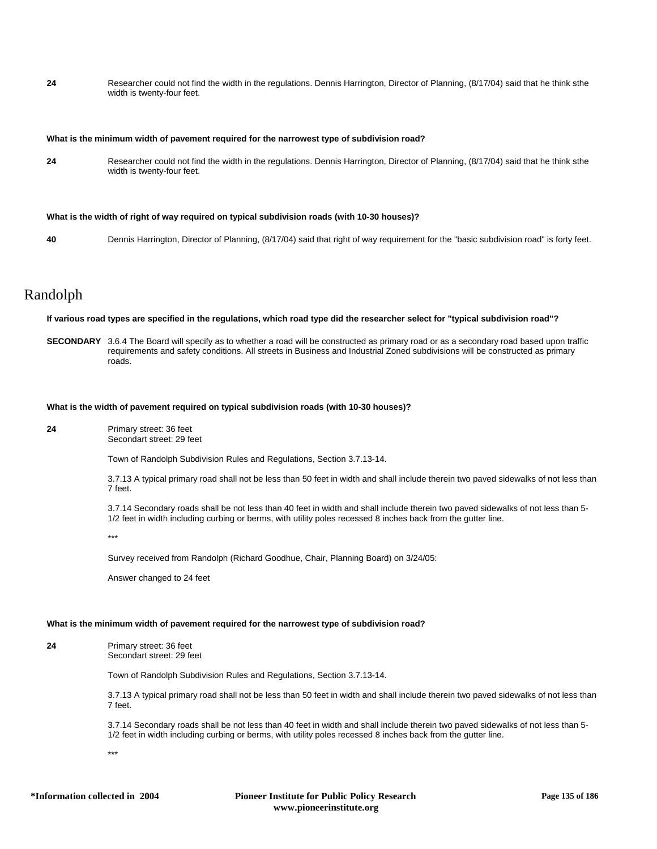**24** Researcher could not find the width in the regulations. Dennis Harrington, Director of Planning, (8/17/04) said that he think sthe width is twenty-four feet.

#### **What is the minimum width of pavement required for the narrowest type of subdivision road?**

**24** Researcher could not find the width in the regulations. Dennis Harrington, Director of Planning, (8/17/04) said that he think sthe width is twenty-four feet.

#### **What is the width of right of way required on typical subdivision roads (with 10-30 houses)?**

**40** Dennis Harrington, Director of Planning, (8/17/04) said that right of way requirement for the "basic subdivision road" is forty feet.

## Randolph

**If various road types are specified in the regulations, which road type did the researcher select for "typical subdivision road"?**

**SECONDARY** 3.6.4 The Board will specify as to whether a road will be constructed as primary road or as a secondary road based upon traffic requirements and safety conditions. All streets in Business and Industrial Zoned subdivisions will be constructed as primary roads.

#### **What is the width of pavement required on typical subdivision roads (with 10-30 houses)?**

**24** Primary street: 36 feet Secondart street: 29 feet

Town of Randolph Subdivision Rules and Regulations, Section 3.7.13-14.

3.7.13 A typical primary road shall not be less than 50 feet in width and shall include therein two paved sidewalks of not less than 7 feet.

3.7.14 Secondary roads shall be not less than 40 feet in width and shall include therein two paved sidewalks of not less than 5- 1/2 feet in width including curbing or berms, with utility poles recessed 8 inches back from the gutter line.

\*\*\*

Survey received from Randolph (Richard Goodhue, Chair, Planning Board) on 3/24/05:

Answer changed to 24 feet

### **What is the minimum width of pavement required for the narrowest type of subdivision road?**

**24** Primary street: 36 feet Secondart street: 29 feet

Town of Randolph Subdivision Rules and Regulations, Section 3.7.13-14.

3.7.13 A typical primary road shall not be less than 50 feet in width and shall include therein two paved sidewalks of not less than 7 feet.

3.7.14 Secondary roads shall be not less than 40 feet in width and shall include therein two paved sidewalks of not less than 5- 1/2 feet in width including curbing or berms, with utility poles recessed 8 inches back from the gutter line.

\*\*\*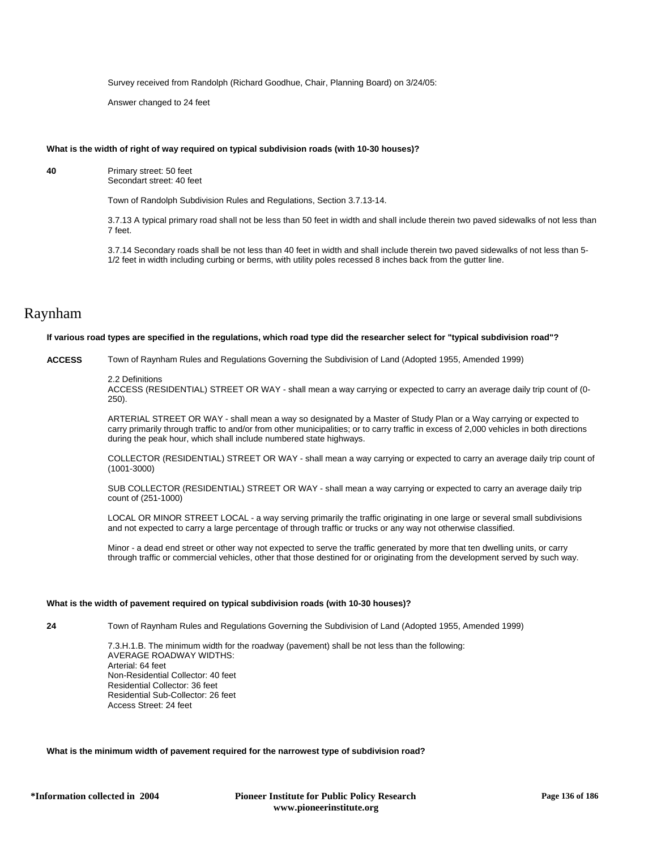Survey received from Randolph (Richard Goodhue, Chair, Planning Board) on 3/24/05:

Answer changed to 24 feet

### **What is the width of right of way required on typical subdivision roads (with 10-30 houses)?**

**40** Primary street: 50 feet Secondart street: 40 feet

Town of Randolph Subdivision Rules and Regulations, Section 3.7.13-14.

3.7.13 A typical primary road shall not be less than 50 feet in width and shall include therein two paved sidewalks of not less than 7 feet.

3.7.14 Secondary roads shall be not less than 40 feet in width and shall include therein two paved sidewalks of not less than 5- 1/2 feet in width including curbing or berms, with utility poles recessed 8 inches back from the gutter line.

## Raynham

## **If various road types are specified in the regulations, which road type did the researcher select for "typical subdivision road"?**

**ACCESS** Town of Raynham Rules and Regulations Governing the Subdivision of Land (Adopted 1955, Amended 1999)

#### 2.2 Definitions

ACCESS (RESIDENTIAL) STREET OR WAY - shall mean a way carrying or expected to carry an average daily trip count of (0- 250).

ARTERIAL STREET OR WAY - shall mean a way so designated by a Master of Study Plan or a Way carrying or expected to carry primarily through traffic to and/or from other municipalities; or to carry traffic in excess of 2,000 vehicles in both directions during the peak hour, which shall include numbered state highways.

COLLECTOR (RESIDENTIAL) STREET OR WAY - shall mean a way carrying or expected to carry an average daily trip count of (1001-3000)

SUB COLLECTOR (RESIDENTIAL) STREET OR WAY - shall mean a way carrying or expected to carry an average daily trip count of (251-1000)

LOCAL OR MINOR STREET LOCAL - a way serving primarily the traffic originating in one large or several small subdivisions and not expected to carry a large percentage of through traffic or trucks or any way not otherwise classified.

Minor - a dead end street or other way not expected to serve the traffic generated by more that ten dwelling units, or carry through traffic or commercial vehicles, other that those destined for or originating from the development served by such way.

#### **What is the width of pavement required on typical subdivision roads (with 10-30 houses)?**

**24** Town of Raynham Rules and Regulations Governing the Subdivision of Land (Adopted 1955, Amended 1999)

7.3.H.1.B. The minimum width for the roadway (pavement) shall be not less than the following: AVERAGE ROADWAY WIDTHS: Arterial: 64 feet Non-Residential Collector: 40 feet Residential Collector: 36 feet Residential Sub-Collector: 26 feet Access Street: 24 feet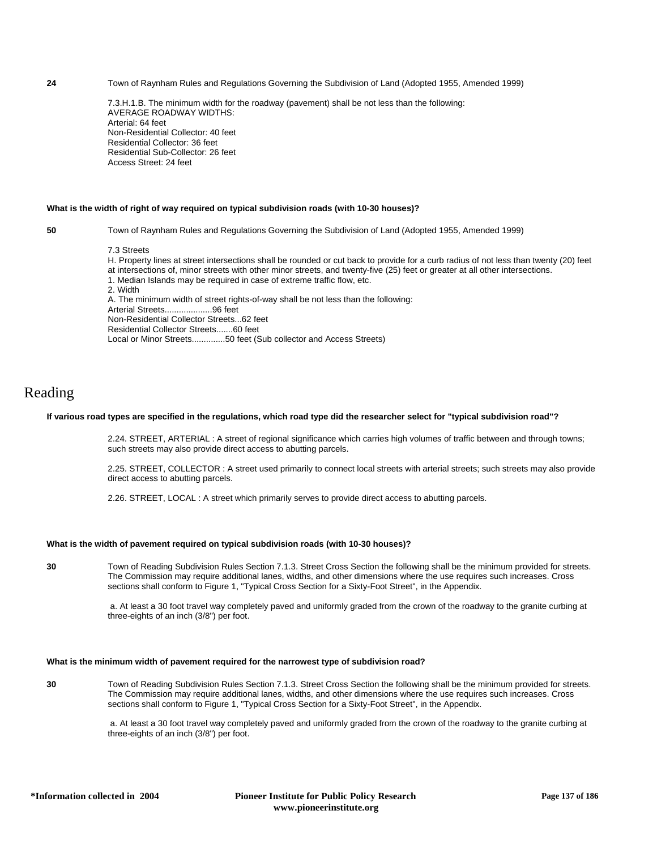**24** Town of Raynham Rules and Regulations Governing the Subdivision of Land (Adopted 1955, Amended 1999)

7.3.H.1.B. The minimum width for the roadway (pavement) shall be not less than the following: AVERAGE ROADWAY WIDTHS: Arterial: 64 feet Non-Residential Collector: 40 feet Residential Collector: 36 feet Residential Sub-Collector: 26 feet Access Street: 24 feet

#### **What is the width of right of way required on typical subdivision roads (with 10-30 houses)?**

**50** Town of Raynham Rules and Regulations Governing the Subdivision of Land (Adopted 1955, Amended 1999)

7.3 Streets

H. Property lines at street intersections shall be rounded or cut back to provide for a curb radius of not less than twenty (20) feet at intersections of, minor streets with other minor streets, and twenty-five (25) feet or greater at all other intersections. 1. Median Islands may be required in case of extreme traffic flow, etc. 2. Width A. The minimum width of street rights-of-way shall be not less than the following: Arterial Streets....................96 feet Non-Residential Collector Streets...62 feet Residential Collector Streets.......60 feet Local or Minor Streets..............50 feet (Sub collector and Access Streets)

## Reading

### **If various road types are specified in the regulations, which road type did the researcher select for "typical subdivision road"?**

2.24. STREET, ARTERIAL : A street of regional significance which carries high volumes of traffic between and through towns; such streets may also provide direct access to abutting parcels.

2.25. STREET, COLLECTOR : A street used primarily to connect local streets with arterial streets; such streets may also provide direct access to abutting parcels.

2.26. STREET, LOCAL : A street which primarily serves to provide direct access to abutting parcels.

### **What is the width of pavement required on typical subdivision roads (with 10-30 houses)?**

**30** Town of Reading Subdivision Rules Section 7.1.3. Street Cross Section the following shall be the minimum provided for streets. The Commission may require additional lanes, widths, and other dimensions where the use requires such increases. Cross sections shall conform to Figure 1, "Typical Cross Section for a Sixty-Foot Street", in the Appendix.

> a. At least a 30 foot travel way completely paved and uniformly graded from the crown of the roadway to the granite curbing at three-eights of an inch (3/8") per foot.

### **What is the minimum width of pavement required for the narrowest type of subdivision road?**

**30** Town of Reading Subdivision Rules Section 7.1.3. Street Cross Section the following shall be the minimum provided for streets. The Commission may require additional lanes, widths, and other dimensions where the use requires such increases. Cross sections shall conform to Figure 1, "Typical Cross Section for a Sixty-Foot Street", in the Appendix.

> a. At least a 30 foot travel way completely paved and uniformly graded from the crown of the roadway to the granite curbing at three-eights of an inch (3/8") per foot.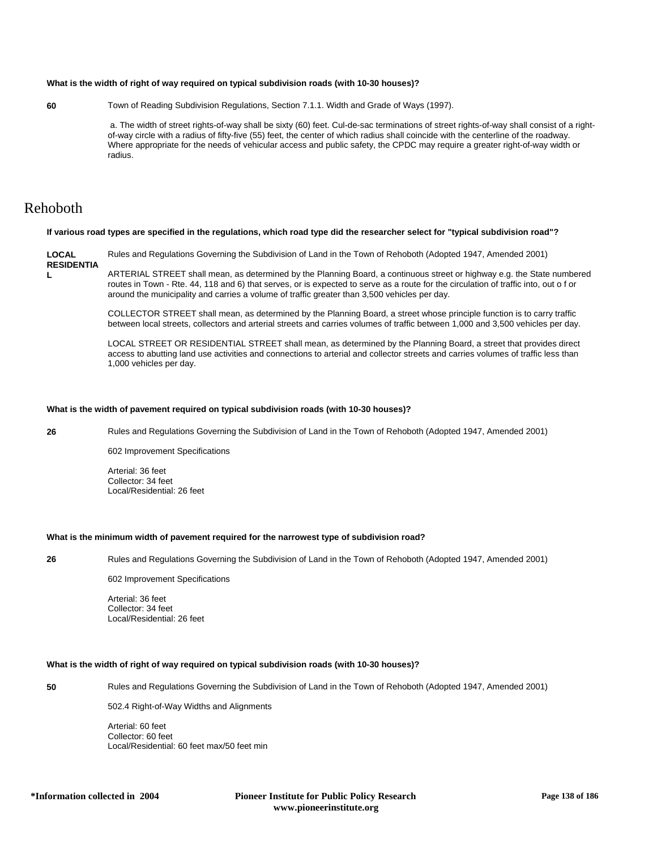### **What is the width of right of way required on typical subdivision roads (with 10-30 houses)?**

**60** Town of Reading Subdivision Regulations, Section 7.1.1. Width and Grade of Ways (1997).

 a. The width of street rights-of-way shall be sixty (60) feet. Cul-de-sac terminations of street rights-of-way shall consist of a rightof-way circle with a radius of fifty-five (55) feet, the center of which radius shall coincide with the centerline of the roadway. Where appropriate for the needs of vehicular access and public safety, the CPDC may require a greater right-of-way width or radius.

# Rehoboth

**If various road types are specified in the regulations, which road type did the researcher select for "typical subdivision road"?**

**LOCAL RESIDENTIA** Rules and Regulations Governing the Subdivision of Land in the Town of Rehoboth (Adopted 1947, Amended 2001)

**L**

ARTERIAL STREET shall mean, as determined by the Planning Board, a continuous street or highway e.g. the State numbered routes in Town - Rte. 44, 118 and 6) that serves, or is expected to serve as a route for the circulation of traffic into, out o f or around the municipality and carries a volume of traffic greater than 3,500 vehicles per day.

COLLECTOR STREET shall mean, as determined by the Planning Board, a street whose principle function is to carry traffic between local streets, collectors and arterial streets and carries volumes of traffic between 1,000 and 3,500 vehicles per day.

LOCAL STREET OR RESIDENTIAL STREET shall mean, as determined by the Planning Board, a street that provides direct access to abutting land use activities and connections to arterial and collector streets and carries volumes of traffic less than 1,000 vehicles per day.

#### **What is the width of pavement required on typical subdivision roads (with 10-30 houses)?**

**26** Rules and Regulations Governing the Subdivision of Land in the Town of Rehoboth (Adopted 1947, Amended 2001)

602 Improvement Specifications

Arterial: 36 feet Collector: 34 feet Local/Residential: 26 feet

## **What is the minimum width of pavement required for the narrowest type of subdivision road?**

**26** Rules and Regulations Governing the Subdivision of Land in the Town of Rehoboth (Adopted 1947, Amended 2001)

602 Improvement Specifications

Arterial: 36 feet Collector: 34 feet Local/Residential: 26 feet

## **What is the width of right of way required on typical subdivision roads (with 10-30 houses)?**

**50** Rules and Regulations Governing the Subdivision of Land in the Town of Rehoboth (Adopted 1947, Amended 2001)

502.4 Right-of-Way Widths and Alignments

Arterial: 60 feet Collector: 60 feet Local/Residential: 60 feet max/50 feet min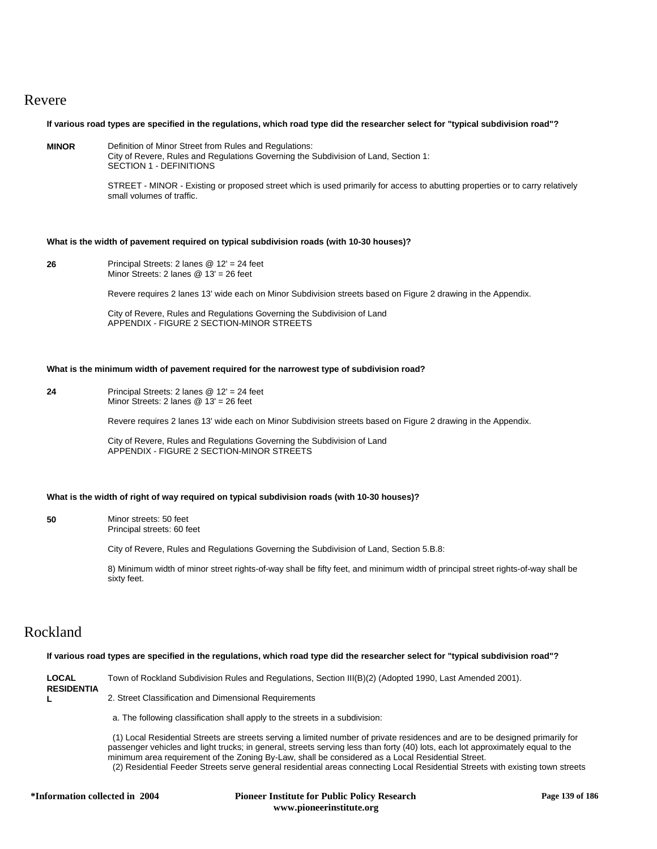## Revere

**If various road types are specified in the regulations, which road type did the researcher select for "typical subdivision road"?**

**MINOR** Definition of Minor Street from Rules and Regulations: City of Revere, Rules and Regulations Governing the Subdivision of Land, Section 1:

SECTION 1 - DEFINITIONS

STREET - MINOR - Existing or proposed street which is used primarily for access to abutting properties or to carry relatively small volumes of traffic.

### **What is the width of pavement required on typical subdivision roads (with 10-30 houses)?**

**26** Principal Streets: 2 lanes @ 12' = 24 feet Minor Streets: 2 lanes @ 13' = 26 feet

Revere requires 2 lanes 13' wide each on Minor Subdivision streets based on Figure 2 drawing in the Appendix.

City of Revere, Rules and Regulations Governing the Subdivision of Land APPENDIX - FIGURE 2 SECTION-MINOR STREETS

#### **What is the minimum width of pavement required for the narrowest type of subdivision road?**

**24** Principal Streets: 2 lanes @ 12' = 24 feet Minor Streets: 2 lanes @ 13' = 26 feet

Revere requires 2 lanes 13' wide each on Minor Subdivision streets based on Figure 2 drawing in the Appendix.

City of Revere, Rules and Regulations Governing the Subdivision of Land APPENDIX - FIGURE 2 SECTION-MINOR STREETS

## **What is the width of right of way required on typical subdivision roads (with 10-30 houses)?**

**50** Minor streets: 50 feet Principal streets: 60 feet

City of Revere, Rules and Regulations Governing the Subdivision of Land, Section 5.B.8:

8) Minimum width of minor street rights-of-way shall be fifty feet, and minimum width of principal street rights-of-way shall be sixty feet.

# Rockland

## **If various road types are specified in the regulations, which road type did the researcher select for "typical subdivision road"?**

| <b>LOCAL</b><br><b>RESIDENTIA</b> | Town of Rockland Subdivision Rules and Regulations, Section III(B)(2) (Adopted 1990, Last Amended 2001). |
|-----------------------------------|----------------------------------------------------------------------------------------------------------|
|                                   | 2. Street Classification and Dimensional Requirements                                                    |
|                                   | a. The following classification shall apply to the streets in a subdivision:                             |

 (1) Local Residential Streets are streets serving a limited number of private residences and are to be designed primarily for passenger vehicles and light trucks; in general, streets serving less than forty (40) lots, each lot approximately equal to the minimum area requirement of the Zoning By-Law, shall be considered as a Local Residential Street. (2) Residential Feeder Streets serve general residential areas connecting Local Residential Streets with existing town streets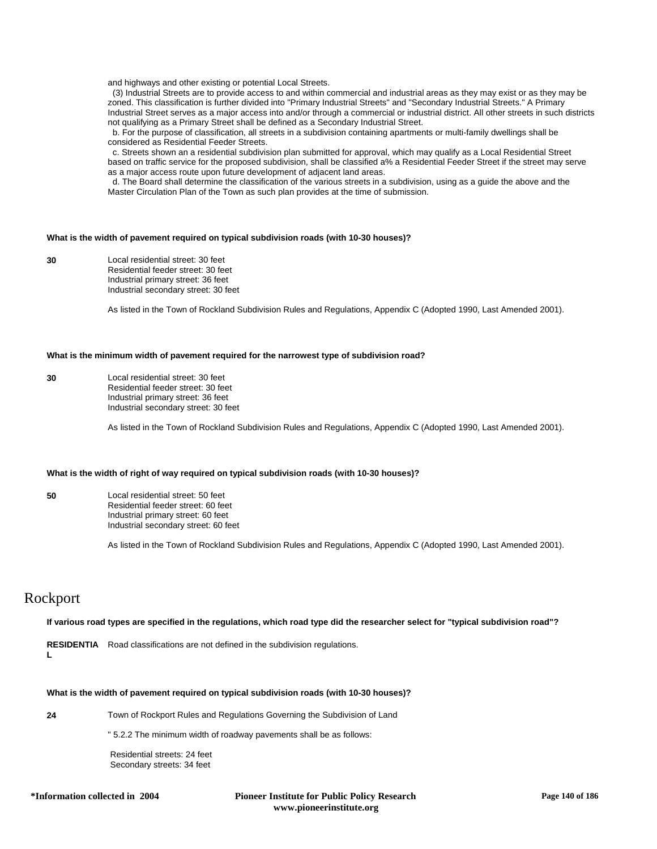and highways and other existing or potential Local Streets.

 (3) Industrial Streets are to provide access to and within commercial and industrial areas as they may exist or as they may be zoned. This classification is further divided into "Primary Industrial Streets" and "Secondary Industrial Streets." A Primary Industrial Street serves as a major access into and/or through a commercial or industrial district. All other streets in such districts not qualifying as a Primary Street shall be defined as a Secondary Industrial Street.

 b. For the purpose of classification, all streets in a subdivision containing apartments or multi-family dwellings shall be considered as Residential Feeder Streets.

 c. Streets shown an a residential subdivision plan submitted for approval, which may qualify as a Local Residential Street based on traffic service for the proposed subdivision, shall be classified a% a Residential Feeder Street if the street may serve as a major access route upon future development of adjacent land areas.

 d. The Board shall determine the classification of the various streets in a subdivision, using as a guide the above and the Master Circulation Plan of the Town as such plan provides at the time of submission.

### **What is the width of pavement required on typical subdivision roads (with 10-30 houses)?**

**30** Local residential street: 30 feet Residential feeder street: 30 feet Industrial primary street: 36 feet Industrial secondary street: 30 feet

As listed in the Town of Rockland Subdivision Rules and Regulations, Appendix C (Adopted 1990, Last Amended 2001).

#### **What is the minimum width of pavement required for the narrowest type of subdivision road?**

**30** Local residential street: 30 feet Residential feeder street: 30 feet Industrial primary street: 36 feet Industrial secondary street: 30 feet

As listed in the Town of Rockland Subdivision Rules and Regulations, Appendix C (Adopted 1990, Last Amended 2001).

## **What is the width of right of way required on typical subdivision roads (with 10-30 houses)?**

**50** Local residential street: 50 feet Residential feeder street: 60 feet Industrial primary street: 60 feet Industrial secondary street: 60 feet

As listed in the Town of Rockland Subdivision Rules and Regulations, Appendix C (Adopted 1990, Last Amended 2001).

## Rockport

### **If various road types are specified in the regulations, which road type did the researcher select for "typical subdivision road"?**

RESIDENTIA Road classifications are not defined in the subdivision regulations.

**L**

## **What is the width of pavement required on typical subdivision roads (with 10-30 houses)?**

**24** Town of Rockport Rules and Regulations Governing the Subdivision of Land

" 5.2.2 The minimum width of roadway pavements shall be as follows:

 Residential streets: 24 feet Secondary streets: 34 feet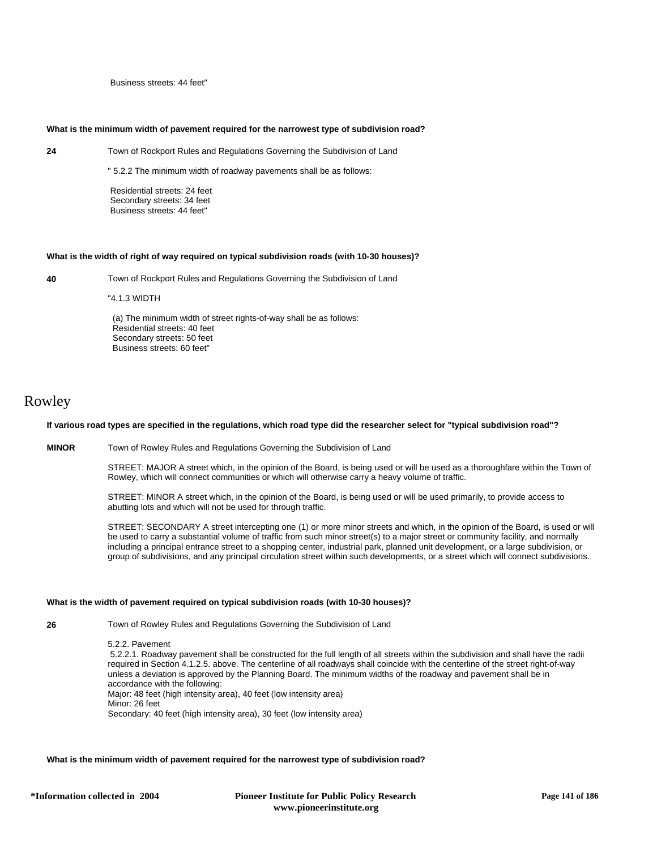Business streets: 44 feet"

### **What is the minimum width of pavement required for the narrowest type of subdivision road?**

**24** Town of Rockport Rules and Regulations Governing the Subdivision of Land

" 5.2.2 The minimum width of roadway pavements shall be as follows:

 Residential streets: 24 feet Secondary streets: 34 feet Business streets: 44 feet"

#### **What is the width of right of way required on typical subdivision roads (with 10-30 houses)?**

**40** Town of Rockport Rules and Regulations Governing the Subdivision of Land

"4.1.3 WIDTH

 (a) The minimum width of street rights-of-way shall be as follows: Residential streets: 40 feet Secondary streets: 50 feet Business streets: 60 feet"

## Rowley

## **If various road types are specified in the regulations, which road type did the researcher select for "typical subdivision road"?**

**MINOR** Town of Rowley Rules and Regulations Governing the Subdivision of Land

STREET: MAJOR A street which, in the opinion of the Board, is being used or will be used as a thoroughfare within the Town of Rowley, which will connect communities or which will otherwise carry a heavy volume of traffic.

STREET: MINOR A street which, in the opinion of the Board, is being used or will be used primarily, to provide access to abutting lots and which will not be used for through traffic.

STREET: SECONDARY A street intercepting one (1) or more minor streets and which, in the opinion of the Board, is used or will be used to carry a substantial volume of traffic from such minor street(s) to a major street or community facility, and normally including a principal entrance street to a shopping center, industrial park, planned unit development, or a large subdivision, or group of subdivisions, and any principal circulation street within such developments, or a street which will connect subdivisions.

#### **What is the width of pavement required on typical subdivision roads (with 10-30 houses)?**

**26** Town of Rowley Rules and Regulations Governing the Subdivision of Land

5.2.2. Pavement 5.2.2.1. Roadway pavement shall be constructed for the full length of all streets within the subdivision and shall have the radii required in Section 4.1.2.5. above. The centerline of all roadways shall coincide with the centerline of the street right-of-way unless a deviation is approved by the Planning Board. The minimum widths of the roadway and pavement shall be in accordance with the following: Major: 48 feet (high intensity area), 40 feet (low intensity area) Minor: 26 feet Secondary: 40 feet (high intensity area), 30 feet (low intensity area)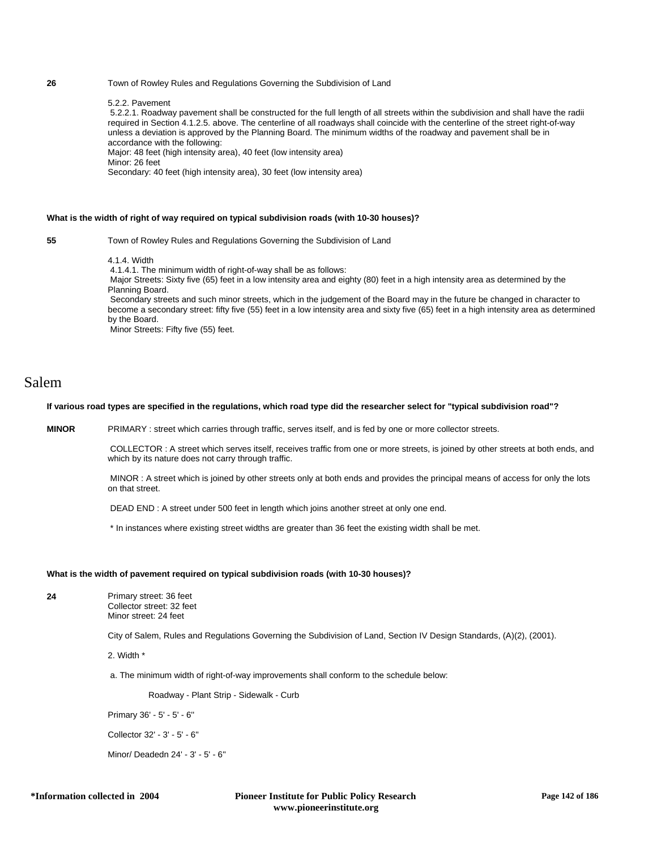## **26** Town of Rowley Rules and Regulations Governing the Subdivision of Land

### 5.2.2. Pavement

 5.2.2.1. Roadway pavement shall be constructed for the full length of all streets within the subdivision and shall have the radii required in Section 4.1.2.5. above. The centerline of all roadways shall coincide with the centerline of the street right-of-way unless a deviation is approved by the Planning Board. The minimum widths of the roadway and pavement shall be in accordance with the following:

Major: 48 feet (high intensity area), 40 feet (low intensity area)

Minor: 26 feet

Secondary: 40 feet (high intensity area), 30 feet (low intensity area)

## **What is the width of right of way required on typical subdivision roads (with 10-30 houses)?**

**55** Town of Rowley Rules and Regulations Governing the Subdivision of Land

## 4.1.4. Width

4.1.4.1. The minimum width of right-of-way shall be as follows:

 Major Streets: Sixty five (65) feet in a low intensity area and eighty (80) feet in a high intensity area as determined by the Planning Board.

 Secondary streets and such minor streets, which in the judgement of the Board may in the future be changed in character to become a secondary street: fifty five (55) feet in a low intensity area and sixty five (65) feet in a high intensity area as determined by the Board.

Minor Streets: Fifty five (55) feet.

## Salem

### **If various road types are specified in the regulations, which road type did the researcher select for "typical subdivision road"?**

**MINOR** PRIMARY : street which carries through traffic, serves itself, and is fed by one or more collector streets.

 COLLECTOR : A street which serves itself, receives traffic from one or more streets, is joined by other streets at both ends, and which by its nature does not carry through traffic.

 MINOR : A street which is joined by other streets only at both ends and provides the principal means of access for only the lots on that street.

DEAD END : A street under 500 feet in length which joins another street at only one end.

\* In instances where existing street widths are greater than 36 feet the existing width shall be met.

## **What is the width of pavement required on typical subdivision roads (with 10-30 houses)?**

**24** Primary street: 36 feet Collector street: 32 feet

Minor street: 24 feet

City of Salem, Rules and Regulations Governing the Subdivision of Land, Section IV Design Standards, (A)(2), (2001).

2. Width \*

a. The minimum width of right-of-way improvements shall conform to the schedule below:

Roadway - Plant Strip - Sidewalk - Curb

Primary 36' - 5' - 5' - 6''

Collector 32' - 3' - 5' - 6''

Minor/ Deadedn 24' - 3' - 5' - 6''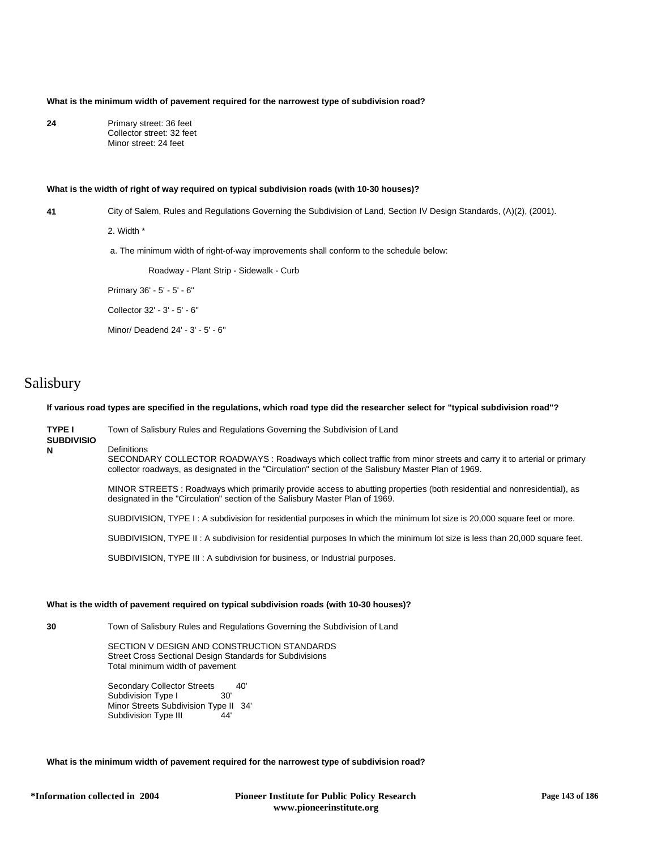**What is the minimum width of pavement required for the narrowest type of subdivision road?**

**24** Primary street: 36 feet Collector street: 32 feet Minor street: 24 feet

### **What is the width of right of way required on typical subdivision roads (with 10-30 houses)?**

**41** City of Salem, Rules and Regulations Governing the Subdivision of Land, Section IV Design Standards, (A)(2), (2001).

2. Width \*

a. The minimum width of right-of-way improvements shall conform to the schedule below:

Roadway - Plant Strip - Sidewalk - Curb

Primary 36' - 5' - 5' - 6''

Collector 32' - 3' - 5' - 6''

Minor/ Deadend 24' - 3' - 5' - 6''

# Salisbury

**TYPE I** 

**N**

**If various road types are specified in the regulations, which road type did the researcher select for "typical subdivision road"?**

**SUBDIVISIO Definitions** SECONDARY COLLECTOR ROADWAYS : Roadways which collect traffic from minor streets and carry it to arterial or primary collector roadways, as designated in the "Circulation" section of the Salisbury Master Plan of 1969.

> MINOR STREETS : Roadways which primarily provide access to abutting properties (both residential and nonresidential), as designated in the "Circulation" section of the Salisbury Master Plan of 1969.

SUBDIVISION, TYPE I : A subdivision for residential purposes in which the minimum lot size is 20,000 square feet or more.

SUBDIVISION, TYPE II : A subdivision for residential purposes In which the minimum lot size is less than 20,000 square feet.

SUBDIVISION, TYPE III : A subdivision for business, or Industrial purposes.

Town of Salisbury Rules and Regulations Governing the Subdivision of Land

## **What is the width of pavement required on typical subdivision roads (with 10-30 houses)?**

**30** Town of Salisbury Rules and Regulations Governing the Subdivision of Land

SECTION V DESIGN AND CONSTRUCTION STANDARDS Street Cross Sectional Design Standards for Subdivisions Total minimum width of pavement

Secondary Collector Streets 40' Subdivision Type I Minor Streets Subdivision Type II 34' Subdivision Type III 44'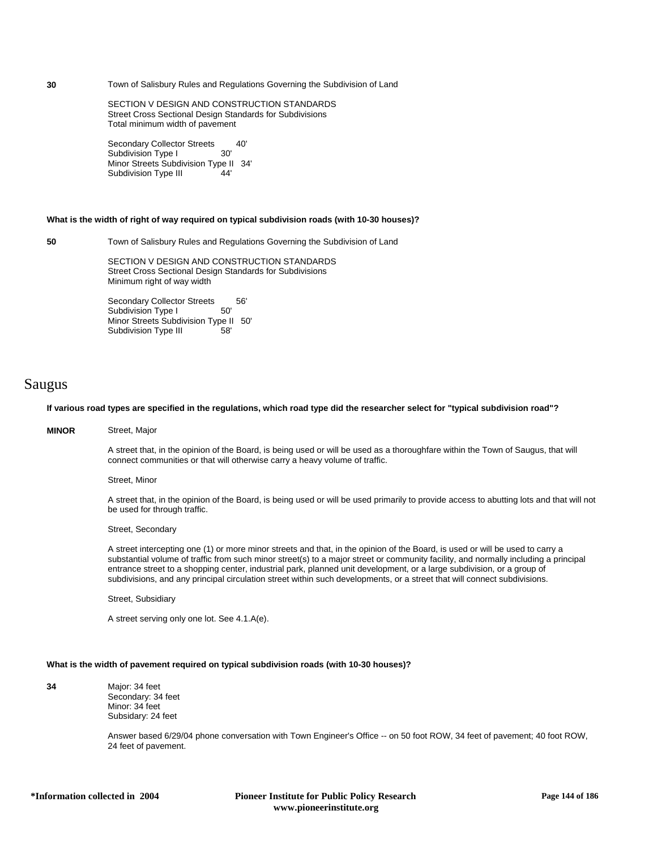**30** Town of Salisbury Rules and Regulations Governing the Subdivision of Land

SECTION V DESIGN AND CONSTRUCTION STANDARDS Street Cross Sectional Design Standards for Subdivisions Total minimum width of pavement

Secondary Collector Streets 40'<br>Subdivision Type I 30' Subdivision Type I Minor Streets Subdivision Type II 34' Subdivision Type III 44'

### **What is the width of right of way required on typical subdivision roads (with 10-30 houses)?**

**50** Town of Salisbury Rules and Regulations Governing the Subdivision of Land

SECTION V DESIGN AND CONSTRUCTION STANDARDS Street Cross Sectional Design Standards for Subdivisions Minimum right of way width

Secondary Collector Streets 56'<br>Subdivision Type I 50' Subdivision Type I Minor Streets Subdivision Type II 50' Subdivision Type III 58'

## Saugus

## **If various road types are specified in the regulations, which road type did the researcher select for "typical subdivision road"?**

## **MINOR** Street, Major

A street that, in the opinion of the Board, is being used or will be used as a thoroughfare within the Town of Saugus, that will connect communities or that will otherwise carry a heavy volume of traffic.

Street, Minor

A street that, in the opinion of the Board, is being used or will be used primarily to provide access to abutting lots and that will not be used for through traffic.

Street, Secondary

A street intercepting one (1) or more minor streets and that, in the opinion of the Board, is used or will be used to carry a substantial volume of traffic from such minor street(s) to a major street or community facility, and normally including a principal entrance street to a shopping center, industrial park, planned unit development, or a large subdivision, or a group of subdivisions, and any principal circulation street within such developments, or a street that will connect subdivisions.

Street, Subsidiary

A street serving only one lot. See 4.1.A(e).

### **What is the width of pavement required on typical subdivision roads (with 10-30 houses)?**

**34** Major: 34 feet Secondary: 34 feet Minor: 34 feet Subsidary: 24 feet

> Answer based 6/29/04 phone conversation with Town Engineer's Office -- on 50 foot ROW, 34 feet of pavement; 40 foot ROW, 24 feet of pavement.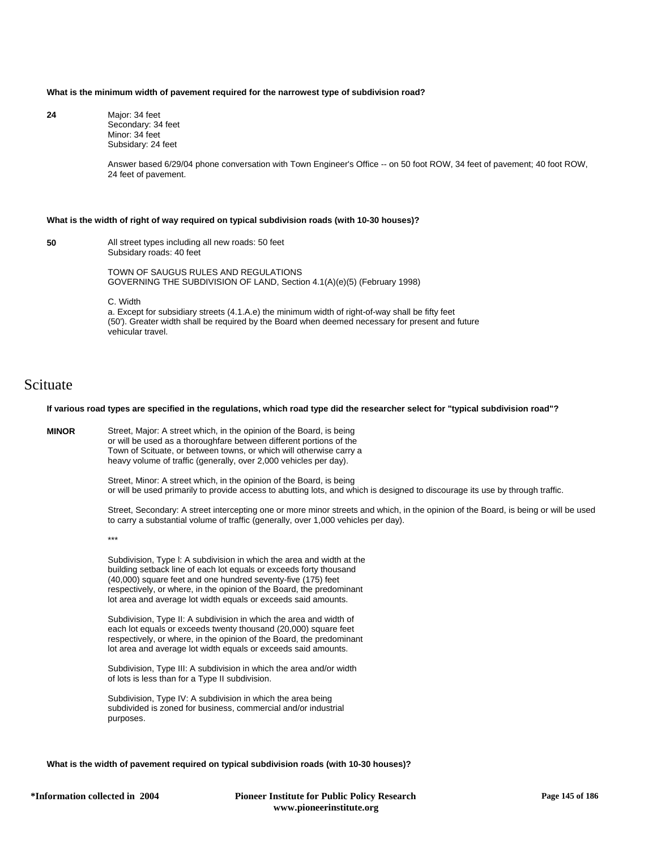#### **What is the minimum width of pavement required for the narrowest type of subdivision road?**

**24** Major: 34 feet Secondary: 34 feet Minor: 34 feet Subsidary: 24 feet

> Answer based 6/29/04 phone conversation with Town Engineer's Office -- on 50 foot ROW, 34 feet of pavement; 40 foot ROW, 24 feet of pavement.

#### **What is the width of right of way required on typical subdivision roads (with 10-30 houses)?**

**50** All street types including all new roads: 50 feet Subsidary roads: 40 feet

> TOWN OF SAUGUS RULES AND REGULATIONS GOVERNING THE SUBDIVISION OF LAND, Section 4.1(A)(e)(5) (February 1998)

C. Width

a. Except for subsidiary streets (4.1.A.e) the minimum width of right-of-way shall be fifty feet (50'). Greater width shall be required by the Board when deemed necessary for present and future vehicular travel.

## Scituate

## **If various road types are specified in the regulations, which road type did the researcher select for "typical subdivision road"?**

**MINOR** Street, Major: A street which, in the opinion of the Board, is being or will be used as a thoroughfare between different portions of the Town of Scituate, or between towns, or which will otherwise carry a heavy volume of traffic (generally, over 2,000 vehicles per day).

> Street, Minor: A street which, in the opinion of the Board, is being or will be used primarily to provide access to abutting lots, and which is designed to discourage its use by through traffic.

Street, Secondary: A street intercepting one or more minor streets and which, in the opinion of the Board, is being or will be used to carry a substantial volume of traffic (generally, over 1,000 vehicles per day).

\*\*\*

Subdivision, Type l: A subdivision in which the area and width at the building setback line of each lot equals or exceeds forty thousand (40,000) square feet and one hundred seventy-five (175) feet respectively, or where, in the opinion of the Board, the predominant lot area and average lot width equals or exceeds said amounts.

Subdivision, Type II: A subdivision in which the area and width of each lot equals or exceeds twenty thousand (20,000) square feet respectively, or where, in the opinion of the Board, the predominant lot area and average lot width equals or exceeds said amounts.

Subdivision, Type III: A subdivision in which the area and/or width of lots is less than for a Type II subdivision.

Subdivision, Type IV: A subdivision in which the area being subdivided is zoned for business, commercial and/or industrial purposes.

**What is the width of pavement required on typical subdivision roads (with 10-30 houses)?**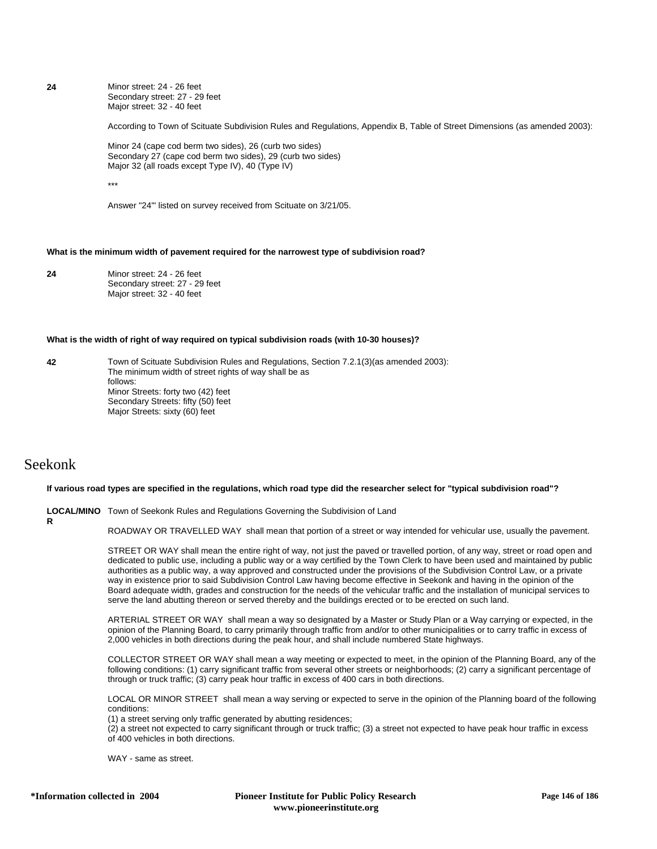**24** Minor street: 24 - 26 feet Secondary street: 27 - 29 feet Major street: 32 - 40 feet

According to Town of Scituate Subdivision Rules and Regulations, Appendix B, Table of Street Dimensions (as amended 2003):

Minor 24 (cape cod berm two sides), 26 (curb two sides) Secondary 27 (cape cod berm two sides), 29 (curb two sides) Major 32 (all roads except Type IV), 40 (Type IV)

\*\*\*

Answer "24'" listed on survey received from Scituate on 3/21/05.

### **What is the minimum width of pavement required for the narrowest type of subdivision road?**

**24** Minor street: 24 - 26 feet Secondary street: 27 - 29 feet Major street: 32 - 40 feet

#### **What is the width of right of way required on typical subdivision roads (with 10-30 houses)?**

**42** Town of Scituate Subdivision Rules and Regulations, Section 7.2.1(3)(as amended 2003): The minimum width of street rights of way shall be as follows: Minor Streets: forty two (42) feet Secondary Streets: fifty (50) feet Major Streets: sixty (60) feet

## Seekonk

**R**

#### **If various road types are specified in the regulations, which road type did the researcher select for "typical subdivision road"?**

**LOCAL/MINO** Town of Seekonk Rules and Regulations Governing the Subdivision of Land

ROADWAY OR TRAVELLED WAY shall mean that portion of a street or way intended for vehicular use, usually the pavement.

STREET OR WAY shall mean the entire right of way, not just the paved or travelled portion, of any way, street or road open and dedicated to public use, including a public way or a way certified by the Town Clerk to have been used and maintained by public authorities as a public way, a way approved and constructed under the provisions of the Subdivision Control Law, or a private way in existence prior to said Subdivision Control Law having become effective in Seekonk and having in the opinion of the Board adequate width, grades and construction for the needs of the vehicular traffic and the installation of municipal services to serve the land abutting thereon or served thereby and the buildings erected or to be erected on such land.

ARTERIAL STREET OR WAY shall mean a way so designated by a Master or Study Plan or a Way carrying or expected, in the opinion of the Planning Board, to carry primarily through traffic from and/or to other municipalities or to carry traffic in excess of 2,000 vehicles in both directions during the peak hour, and shall include numbered State highways.

COLLECTOR STREET OR WAY shall mean a way meeting or expected to meet, in the opinion of the Planning Board, any of the following conditions: (1) carry significant traffic from several other streets or neighborhoods; (2) carry a significant percentage of through or truck traffic; (3) carry peak hour traffic in excess of 400 cars in both directions.

LOCAL OR MINOR STREET shall mean a way serving or expected to serve in the opinion of the Planning board of the following conditions:

(1) a street serving only traffic generated by abutting residences;

(2) a street not expected to carry significant through or truck traffic; (3) a street not expected to have peak hour traffic in excess of 400 vehicles in both directions.

WAY - same as street.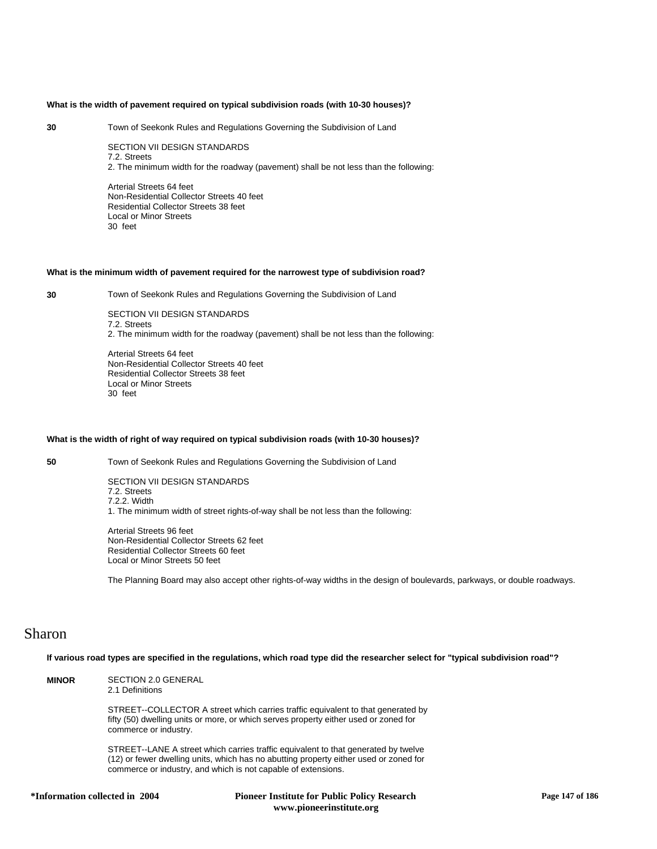#### **What is the width of pavement required on typical subdivision roads (with 10-30 houses)?**

**30** Town of Seekonk Rules and Regulations Governing the Subdivision of Land

SECTION VII DESIGN STANDARDS 7.2. Streets 2. The minimum width for the roadway (pavement) shall be not less than the following:

Arterial Streets 64 feet Non-Residential Collector Streets 40 feet Residential Collector Streets 38 feet Local or Minor Streets 30 feet

## **What is the minimum width of pavement required for the narrowest type of subdivision road?**

**30** Town of Seekonk Rules and Regulations Governing the Subdivision of Land

SECTION VII DESIGN STANDARDS 7.2. Streets 2. The minimum width for the roadway (pavement) shall be not less than the following:

Arterial Streets 64 feet Non-Residential Collector Streets 40 feet Residential Collector Streets 38 feet Local or Minor Streets 30 feet

#### **What is the width of right of way required on typical subdivision roads (with 10-30 houses)?**

**50** Town of Seekonk Rules and Regulations Governing the Subdivision of Land

SECTION VII DESIGN STANDARDS 7.2. Streets 7.2.2. Width 1. The minimum width of street rights-of-way shall be not less than the following:

Arterial Streets 96 feet Non-Residential Collector Streets 62 feet Residential Collector Streets 60 feet Local or Minor Streets 50 feet

The Planning Board may also accept other rights-of-way widths in the design of boulevards, parkways, or double roadways.

## Sharon

**If various road types are specified in the regulations, which road type did the researcher select for "typical subdivision road"?**

**MINOR** SECTION 2.0 GENERAL 2.1 Definitions STREET--COLLECTOR A street which carries traffic equivalent to that generated by fifty (50) dwelling units or more, or which serves property either used or zoned for commerce or industry. STREET--LANE A street which carries traffic equivalent to that generated by twelve (12) or fewer dwelling units, which has no abutting property either used or zoned for commerce or industry, and which is not capable of extensions.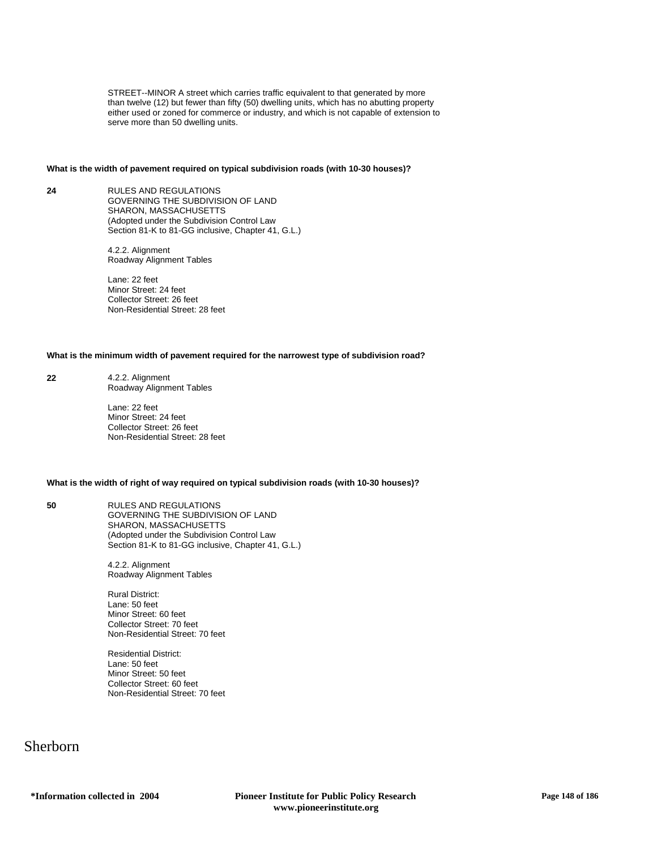STREET--MINOR A street which carries traffic equivalent to that generated by more than twelve (12) but fewer than fifty (50) dwelling units, which has no abutting property either used or zoned for commerce or industry, and which is not capable of extension to serve more than 50 dwelling units.

## **What is the width of pavement required on typical subdivision roads (with 10-30 houses)?**

**24** RULES AND REGULATIONS GOVERNING THE SUBDIVISION OF LAND SHARON, MASSACHUSETTS (Adopted under the Subdivision Control Law Section 81-K to 81-GG inclusive, Chapter 41, G.L.)

> 4.2.2. Alignment Roadway Alignment Tables

Lane: 22 feet Minor Street: 24 feet Collector Street: 26 feet Non-Residential Street: 28 feet

## **What is the minimum width of pavement required for the narrowest type of subdivision road?**

**22** 4.2.2. Alignment Roadway Alignment Tables

> Lane: 22 feet Minor Street: 24 feet Collector Street: 26 feet Non-Residential Street: 28 feet

## **What is the width of right of way required on typical subdivision roads (with 10-30 houses)?**

**50** RULES AND REGULATIONS GOVERNING THE SUBDIVISION OF LAND SHARON, MASSACHUSETTS (Adopted under the Subdivision Control Law Section 81-K to 81-GG inclusive, Chapter 41, G.L.)

> 4.2.2. Alignment Roadway Alignment Tables

Rural District: Lane: 50 feet Minor Street: 60 feet Collector Street: 70 feet Non-Residential Street: 70 feet

Residential District: Lane: 50 feet Minor Street: 50 feet Collector Street: 60 feet Non-Residential Street: 70 feet

# Sherborn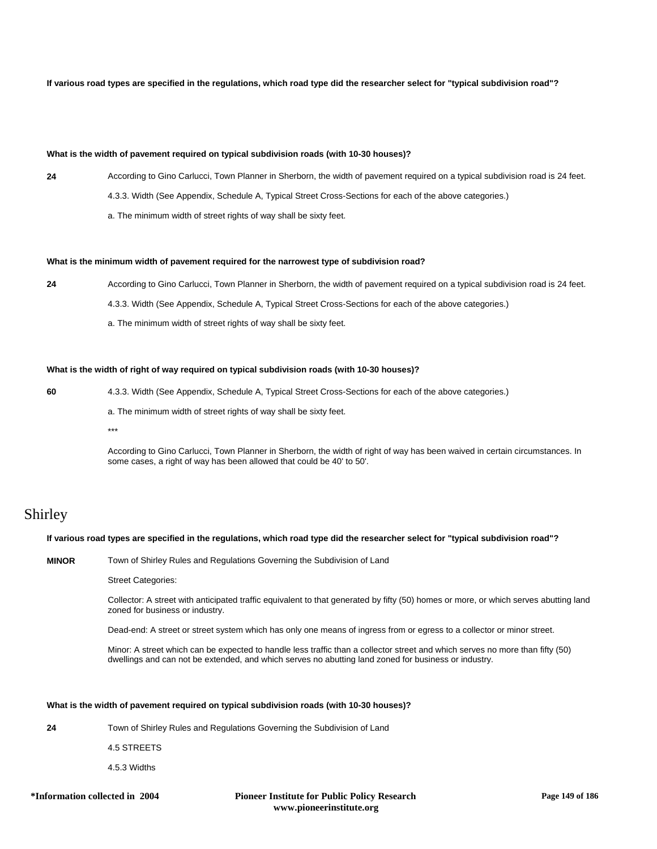## **If various road types are specified in the regulations, which road type did the researcher select for "typical subdivision road"?**

## **What is the width of pavement required on typical subdivision roads (with 10-30 houses)?**

- **24** According to Gino Carlucci, Town Planner in Sherborn, the width of pavement required on a typical subdivision road is 24 feet.
	- 4.3.3. Width (See Appendix, Schedule A, Typical Street Cross-Sections for each of the above categories.)
	- a. The minimum width of street rights of way shall be sixty feet.

#### **What is the minimum width of pavement required for the narrowest type of subdivision road?**

- **24** According to Gino Carlucci, Town Planner in Sherborn, the width of pavement required on a typical subdivision road is 24 feet.
	- 4.3.3. Width (See Appendix, Schedule A, Typical Street Cross-Sections for each of the above categories.)
	- a. The minimum width of street rights of way shall be sixty feet.

#### **What is the width of right of way required on typical subdivision roads (with 10-30 houses)?**

- **60** 4.3.3. Width (See Appendix, Schedule A, Typical Street Cross-Sections for each of the above categories.)
	- a. The minimum width of street rights of way shall be sixty feet.
	- \*\*\*

According to Gino Carlucci, Town Planner in Sherborn, the width of right of way has been waived in certain circumstances. In some cases, a right of way has been allowed that could be 40' to 50'.

## Shirley

## **If various road types are specified in the regulations, which road type did the researcher select for "typical subdivision road"?**

**MINOR** Town of Shirley Rules and Regulations Governing the Subdivision of Land

Street Categories:

Collector: A street with anticipated traffic equivalent to that generated by fifty (50) homes or more, or which serves abutting land zoned for business or industry.

Dead-end: A street or street system which has only one means of ingress from or egress to a collector or minor street.

Minor: A street which can be expected to handle less traffic than a collector street and which serves no more than fifty (50) dwellings and can not be extended, and which serves no abutting land zoned for business or industry.

#### **What is the width of pavement required on typical subdivision roads (with 10-30 houses)?**

**24** Town of Shirley Rules and Regulations Governing the Subdivision of Land

4.5 STREETS

4.5.3 Widths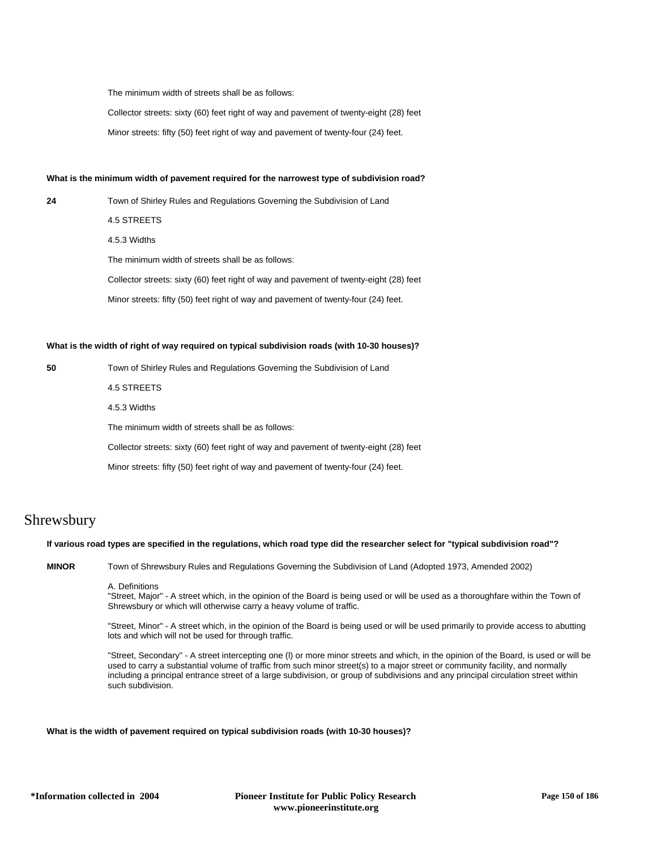The minimum width of streets shall be as follows:

Collector streets: sixty (60) feet right of way and pavement of twenty-eight (28) feet

Minor streets: fifty (50) feet right of way and pavement of twenty-four (24) feet.

## **What is the minimum width of pavement required for the narrowest type of subdivision road?**

**24** Town of Shirley Rules and Regulations Governing the Subdivision of Land

4.5 STREETS

4.5.3 Widths

The minimum width of streets shall be as follows:

Collector streets: sixty (60) feet right of way and pavement of twenty-eight (28) feet

Minor streets: fifty (50) feet right of way and pavement of twenty-four (24) feet.

## **What is the width of right of way required on typical subdivision roads (with 10-30 houses)?**

**50** Town of Shirley Rules and Regulations Governing the Subdivision of Land

4.5 STREETS

4.5.3 Widths

The minimum width of streets shall be as follows:

Collector streets: sixty (60) feet right of way and pavement of twenty-eight (28) feet

Minor streets: fifty (50) feet right of way and pavement of twenty-four (24) feet.

# Shrewsbury

#### **If various road types are specified in the regulations, which road type did the researcher select for "typical subdivision road"?**

**MINOR** Town of Shrewsbury Rules and Regulations Governing the Subdivision of Land (Adopted 1973, Amended 2002)

A. Definitions

"Street, Major" - A street which, in the opinion of the Board is being used or will be used as a thoroughfare within the Town of Shrewsbury or which will otherwise carry a heavy volume of traffic.

"Street, Minor" - A street which, in the opinion of the Board is being used or will be used primarily to provide access to abutting lots and which will not be used for through traffic.

"Street, Secondary" - A street intercepting one (l) or more minor streets and which, in the opinion of the Board, is used or will be used to carry a substantial volume of traffic from such minor street(s) to a major street or community facility, and normally including a principal entrance street of a large subdivision, or group of subdivisions and any principal circulation street within such subdivision.

## **What is the width of pavement required on typical subdivision roads (with 10-30 houses)?**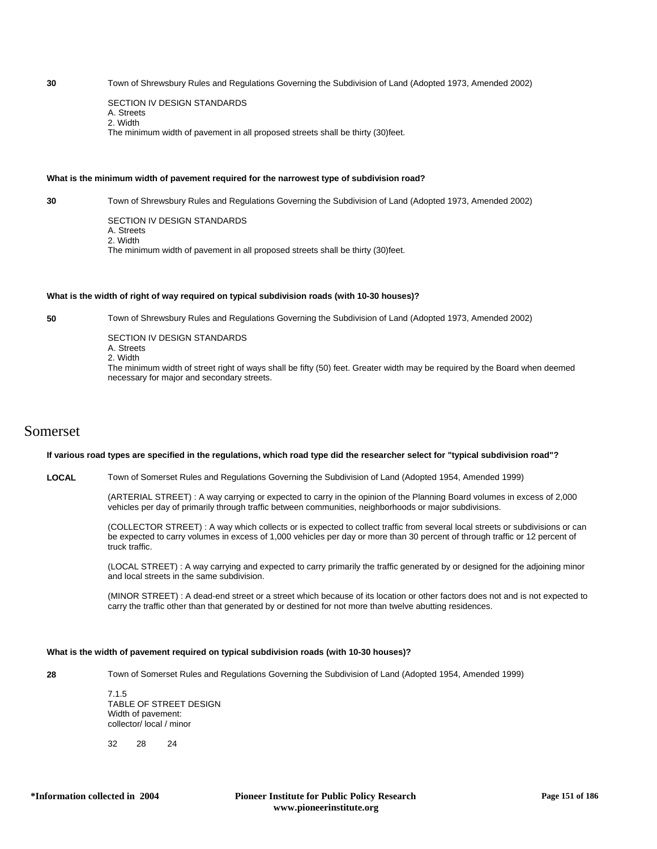**30** Town of Shrewsbury Rules and Regulations Governing the Subdivision of Land (Adopted 1973, Amended 2002)

SECTION IV DESIGN STANDARDS A. Streets 2. Width The minimum width of pavement in all proposed streets shall be thirty (30)feet.

## **What is the minimum width of pavement required for the narrowest type of subdivision road?**

**30** Town of Shrewsbury Rules and Regulations Governing the Subdivision of Land (Adopted 1973, Amended 2002)

SECTION IV DESIGN STANDARDS A. Streets 2. Width The minimum width of pavement in all proposed streets shall be thirty (30)feet.

#### **What is the width of right of way required on typical subdivision roads (with 10-30 houses)?**

**50** Town of Shrewsbury Rules and Regulations Governing the Subdivision of Land (Adopted 1973, Amended 2002)

SECTION IV DESIGN STANDARDS A. Streets 2. Width The minimum width of street right of ways shall be fifty (50) feet. Greater width may be required by the Board when deemed necessary for major and secondary streets.

## Somerset

#### **If various road types are specified in the regulations, which road type did the researcher select for "typical subdivision road"?**

**LOCAL** Town of Somerset Rules and Regulations Governing the Subdivision of Land (Adopted 1954, Amended 1999)

(ARTERIAL STREET) : A way carrying or expected to carry in the opinion of the Planning Board volumes in excess of 2,000 vehicles per day of primarily through traffic between communities, neighborhoods or major subdivisions.

(COLLECTOR STREET) : A way which collects or is expected to collect traffic from several local streets or subdivisions or can be expected to carry volumes in excess of 1,000 vehicles per day or more than 30 percent of through traffic or 12 percent of truck traffic.

(LOCAL STREET) : A way carrying and expected to carry primarily the traffic generated by or designed for the adjoining minor and local streets in the same subdivision.

(MINOR STREET) : A dead-end street or a street which because of its location or other factors does not and is not expected to carry the traffic other than that generated by or destined for not more than twelve abutting residences.

#### **What is the width of pavement required on typical subdivision roads (with 10-30 houses)?**

**28** Town of Somerset Rules and Regulations Governing the Subdivision of Land (Adopted 1954, Amended 1999)

7.1.5 TABLE OF STREET DESIGN Width of pavement: collector/ local / minor

32 28 24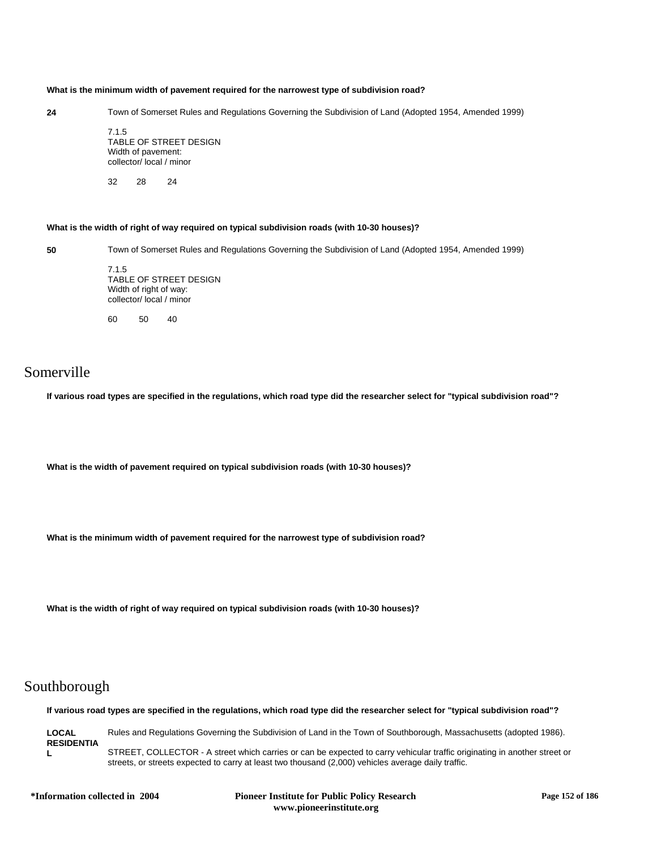#### **What is the minimum width of pavement required for the narrowest type of subdivision road?**

**24** Town of Somerset Rules and Regulations Governing the Subdivision of Land (Adopted 1954, Amended 1999)

7.1.5 TABLE OF STREET DESIGN Width of pavement: collector/ local / minor

32 28 24

## **What is the width of right of way required on typical subdivision roads (with 10-30 houses)?**

**50** Town of Somerset Rules and Regulations Governing the Subdivision of Land (Adopted 1954, Amended 1999)

7.1.5 TABLE OF STREET DESIGN Width of right of way: collector/ local / minor

60 50 40

# Somerville

**If various road types are specified in the regulations, which road type did the researcher select for "typical subdivision road"?**

**What is the width of pavement required on typical subdivision roads (with 10-30 houses)?**

**What is the minimum width of pavement required for the narrowest type of subdivision road?**

**What is the width of right of way required on typical subdivision roads (with 10-30 houses)?**

# Southborough

**If various road types are specified in the regulations, which road type did the researcher select for "typical subdivision road"?**

**LOCAL RESIDENTIA L** Rules and Regulations Governing the Subdivision of Land in the Town of Southborough, Massachusetts (adopted 1986). STREET, COLLECTOR - A street which carries or can be expected to carry vehicular traffic originating in another street or streets, or streets expected to carry at least two thousand (2,000) vehicles average daily traffic.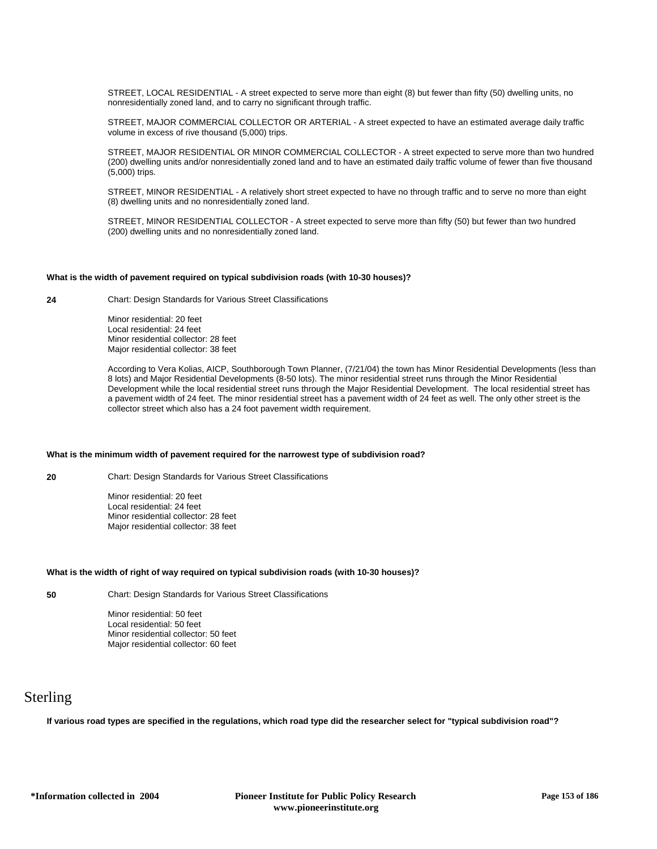STREET, LOCAL RESIDENTIAL - A street expected to serve more than eight (8) but fewer than fifty (50) dwelling units, no nonresidentially zoned land, and to carry no significant through traffic.

STREET, MAJOR COMMERCIAL COLLECTOR OR ARTERIAL - A street expected to have an estimated average daily traffic volume in excess of rive thousand (5,000) trips.

STREET, MAJOR RESIDENTIAL OR MINOR COMMERCIAL COLLECTOR - A street expected to serve more than two hundred (200) dwelling units and/or nonresidentially zoned land and to have an estimated daily traffic volume of fewer than five thousand (5,000) trips.

STREET, MINOR RESIDENTIAL - A relatively short street expected to have no through traffic and to serve no more than eight (8) dwelling units and no nonresidentially zoned land.

STREET, MINOR RESIDENTIAL COLLECTOR - A street expected to serve more than fifty (50) but fewer than two hundred (200) dwelling units and no nonresidentially zoned land.

### **What is the width of pavement required on typical subdivision roads (with 10-30 houses)?**

**24** Chart: Design Standards for Various Street Classifications

Minor residential: 20 feet Local residential: 24 feet Minor residential collector: 28 feet Major residential collector: 38 feet

According to Vera Kolias, AICP, Southborough Town Planner, (7/21/04) the town has Minor Residential Developments (less than 8 lots) and Major Residential Developments (8-50 lots). The minor residential street runs through the Minor Residential Development while the local residential street runs through the Major Residential Development. The local residential street has a pavement width of 24 feet. The minor residential street has a pavement width of 24 feet as well. The only other street is the collector street which also has a 24 foot pavement width requirement.

## **What is the minimum width of pavement required for the narrowest type of subdivision road?**

**20** Chart: Design Standards for Various Street Classifications

Minor residential: 20 feet Local residential: 24 feet Minor residential collector: 28 feet Major residential collector: 38 feet

## **What is the width of right of way required on typical subdivision roads (with 10-30 houses)?**

**50** Chart: Design Standards for Various Street Classifications

Minor residential: 50 feet Local residential: 50 feet Minor residential collector: 50 feet Major residential collector: 60 feet

# Sterling

**If various road types are specified in the regulations, which road type did the researcher select for "typical subdivision road"?**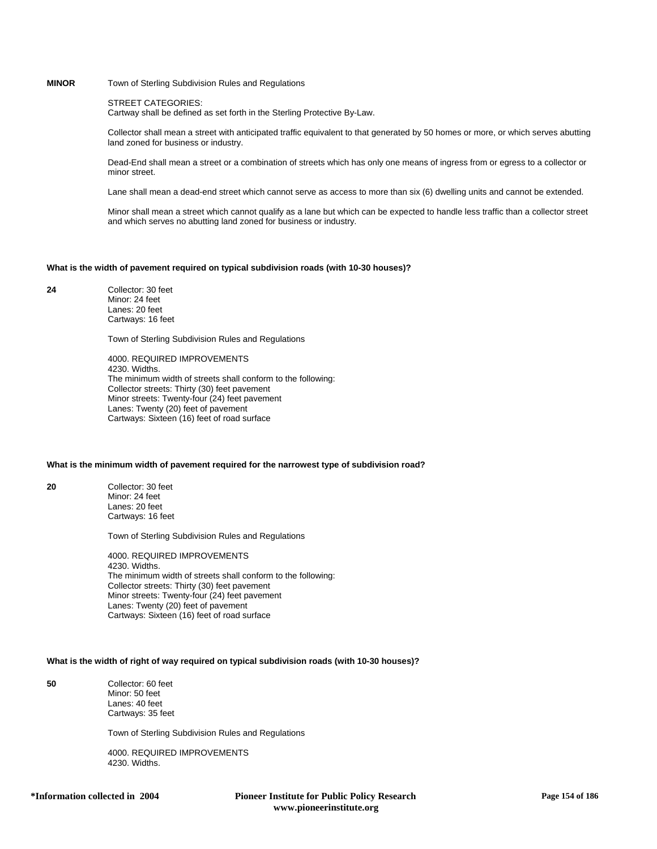## **MINOR** Town of Sterling Subdivision Rules and Regulations

## STREET CATEGORIES:

Cartway shall be defined as set forth in the Sterling Protective By-Law.

Collector shall mean a street with anticipated traffic equivalent to that generated by 50 homes or more, or which serves abutting land zoned for business or industry.

Dead-End shall mean a street or a combination of streets which has only one means of ingress from or egress to a collector or minor street.

Lane shall mean a dead-end street which cannot serve as access to more than six (6) dwelling units and cannot be extended.

Minor shall mean a street which cannot qualify as a lane but which can be expected to handle less traffic than a collector street and which serves no abutting land zoned for business or industry.

#### **What is the width of pavement required on typical subdivision roads (with 10-30 houses)?**

**24** Collector: 30 feet Minor: 24 feet Lanes: 20 feet Cartways: 16 feet

Town of Sterling Subdivision Rules and Regulations

4000. REQUIRED IMPROVEMENTS 4230. Widths. The minimum width of streets shall conform to the following: Collector streets: Thirty (30) feet pavement Minor streets: Twenty-four (24) feet pavement Lanes: Twenty (20) feet of pavement Cartways: Sixteen (16) feet of road surface

### **What is the minimum width of pavement required for the narrowest type of subdivision road?**

**20** Collector: 30 feet Minor: 24 feet Lanes: 20 feet Cartways: 16 feet

Town of Sterling Subdivision Rules and Regulations

4000. REQUIRED IMPROVEMENTS 4230. Widths. The minimum width of streets shall conform to the following: Collector streets: Thirty (30) feet pavement Minor streets: Twenty-four (24) feet pavement Lanes: Twenty (20) feet of pavement Cartways: Sixteen (16) feet of road surface

#### **What is the width of right of way required on typical subdivision roads (with 10-30 houses)?**

**50** Collector: 60 feet Minor: 50 feet Lanes: 40 feet Cartways: 35 feet

Town of Sterling Subdivision Rules and Regulations

4000. REQUIRED IMPROVEMENTS 4230. Widths.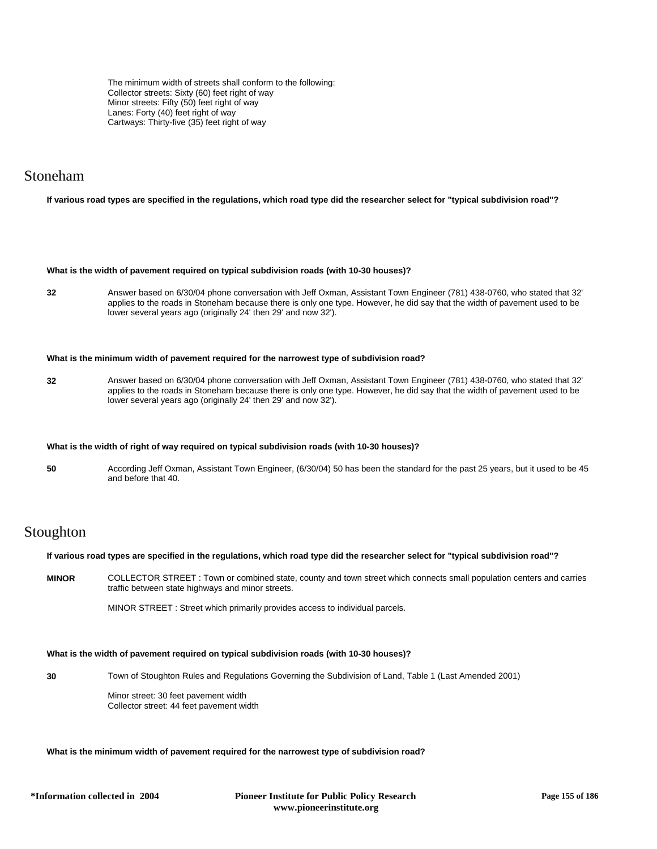The minimum width of streets shall conform to the following: Collector streets: Sixty (60) feet right of way Minor streets: Fifty (50) feet right of way Lanes: Forty (40) feet right of way Cartways: Thirty-five (35) feet right of way

## Stoneham

## **If various road types are specified in the regulations, which road type did the researcher select for "typical subdivision road"?**

#### **What is the width of pavement required on typical subdivision roads (with 10-30 houses)?**

**32** Answer based on 6/30/04 phone conversation with Jeff Oxman, Assistant Town Engineer (781) 438-0760, who stated that 32' applies to the roads in Stoneham because there is only one type. However, he did say that the width of pavement used to be lower several years ago (originally 24' then 29' and now 32').

#### **What is the minimum width of pavement required for the narrowest type of subdivision road?**

**32** Answer based on 6/30/04 phone conversation with Jeff Oxman, Assistant Town Engineer (781) 438-0760, who stated that 32' applies to the roads in Stoneham because there is only one type. However, he did say that the width of pavement used to be lower several years ago (originally 24' then 29' and now 32').

#### **What is the width of right of way required on typical subdivision roads (with 10-30 houses)?**

**50** According Jeff Oxman, Assistant Town Engineer, (6/30/04) 50 has been the standard for the past 25 years, but it used to be 45 and before that 40.

# Stoughton

#### **If various road types are specified in the regulations, which road type did the researcher select for "typical subdivision road"?**

**MINOR** COLLECTOR STREET : Town or combined state, county and town street which connects small population centers and carries traffic between state highways and minor streets.

MINOR STREET : Street which primarily provides access to individual parcels.

## **What is the width of pavement required on typical subdivision roads (with 10-30 houses)?**

**30** Town of Stoughton Rules and Regulations Governing the Subdivision of Land, Table 1 (Last Amended 2001)

Minor street: 30 feet pavement width Collector street: 44 feet pavement width

## **What is the minimum width of pavement required for the narrowest type of subdivision road?**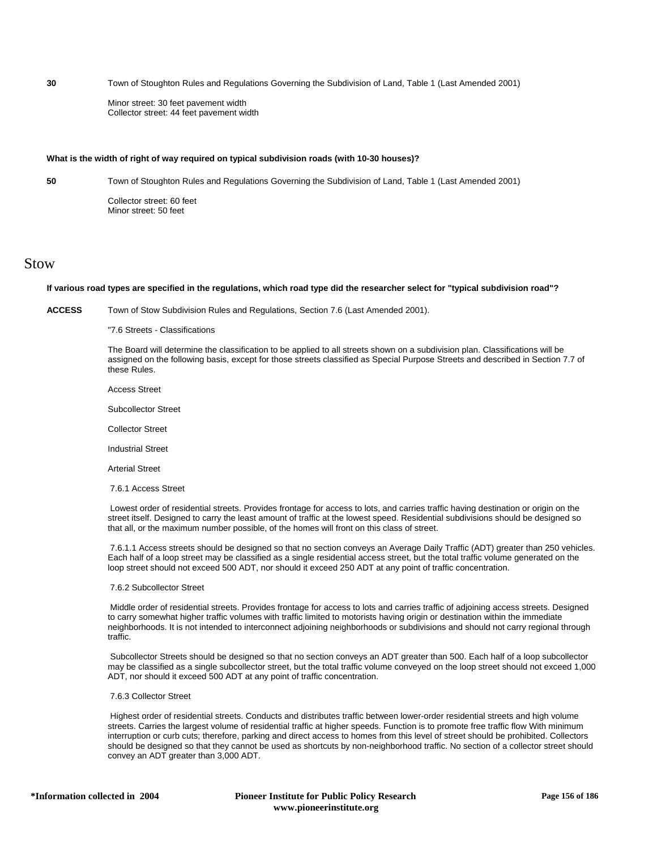**30** Town of Stoughton Rules and Regulations Governing the Subdivision of Land, Table 1 (Last Amended 2001)

Minor street: 30 feet pavement width Collector street: 44 feet pavement width

## **What is the width of right of way required on typical subdivision roads (with 10-30 houses)?**

**50** Town of Stoughton Rules and Regulations Governing the Subdivision of Land, Table 1 (Last Amended 2001)

Collector street: 60 feet Minor street: 50 feet

## Stow

#### **If various road types are specified in the regulations, which road type did the researcher select for "typical subdivision road"?**

**ACCESS** Town of Stow Subdivision Rules and Regulations, Section 7.6 (Last Amended 2001).

"7.6 Streets - Classifications

The Board will determine the classification to be applied to all streets shown on a subdivision plan. Classifications will be assigned on the following basis, except for those streets classified as Special Purpose Streets and described in Section 7.7 of these Rules.

Access Street

Subcollector Street

Collector Street

Industrial Street

Arterial Street

7.6.1 Access Street

 Lowest order of residential streets. Provides frontage for access to lots, and carries traffic having destination or origin on the street itself. Designed to carry the least amount of traffic at the lowest speed. Residential subdivisions should be designed so that all, or the maximum number possible, of the homes will front on this class of street.

 7.6.1.1 Access streets should be designed so that no section conveys an Average Daily Traffic (ADT) greater than 250 vehicles. Each half of a loop street may be classified as a single residential access street, but the total traffic volume generated on the loop street should not exceed 500 ADT, nor should it exceed 250 ADT at any point of traffic concentration.

#### 7.6.2 Subcollector Street

 Middle order of residential streets. Provides frontage for access to lots and carries traffic of adjoining access streets. Designed to carry somewhat higher traffic volumes with traffic limited to motorists having origin or destination within the immediate neighborhoods. It is not intended to interconnect adjoining neighborhoods or subdivisions and should not carry regional through traffic.

 Subcollector Streets should be designed so that no section conveys an ADT greater than 500. Each half of a loop subcollector may be classified as a single subcollector street, but the total traffic volume conveyed on the loop street should not exceed 1,000 ADT, nor should it exceed 500 ADT at any point of traffic concentration.

#### 7.6.3 Collector Street

 Highest order of residential streets. Conducts and distributes traffic between lower-order residential streets and high volume streets. Carries the largest volume of residential traffic at higher speeds. Function is to promote free traffic flow With minimum interruption or curb cuts; therefore, parking and direct access to homes from this level of street should be prohibited. Collectors should be designed so that they cannot be used as shortcuts by non-neighborhood traffic. No section of a collector street should convey an ADT greater than 3,000 ADT.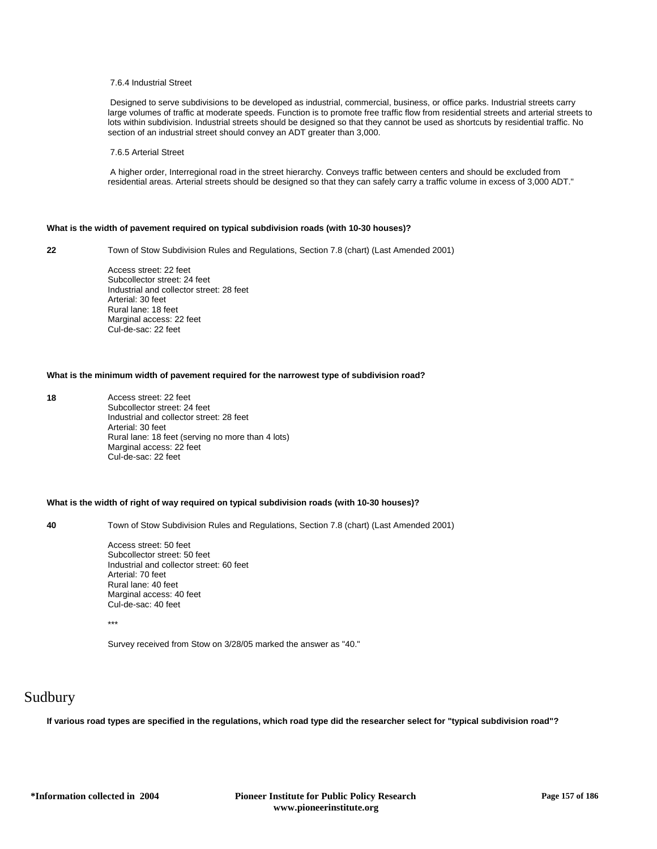## 7.6.4 Industrial Street

 Designed to serve subdivisions to be developed as industrial, commercial, business, or office parks. Industrial streets carry large volumes of traffic at moderate speeds. Function is to promote free traffic flow from residential streets and arterial streets to lots within subdivision. Industrial streets should be designed so that they cannot be used as shortcuts by residential traffic. No section of an industrial street should convey an ADT greater than 3,000.

#### 7.6.5 Arterial Street

 A higher order, Interregional road in the street hierarchy. Conveys traffic between centers and should be excluded from residential areas. Arterial streets should be designed so that they can safely carry a traffic volume in excess of 3,000 ADT."

#### **What is the width of pavement required on typical subdivision roads (with 10-30 houses)?**

**22** Town of Stow Subdivision Rules and Regulations, Section 7.8 (chart) (Last Amended 2001)

Access street: 22 feet Subcollector street: 24 feet Industrial and collector street: 28 feet Arterial: 30 feet Rural lane: 18 feet Marginal access: 22 feet Cul-de-sac: 22 feet

## **What is the minimum width of pavement required for the narrowest type of subdivision road?**

**18** Access street: 22 feet Subcollector street: 24 feet Industrial and collector street: 28 feet Arterial: 30 feet Rural lane: 18 feet (serving no more than 4 lots) Marginal access: 22 feet Cul-de-sac: 22 feet

#### **What is the width of right of way required on typical subdivision roads (with 10-30 houses)?**

**40** Town of Stow Subdivision Rules and Regulations, Section 7.8 (chart) (Last Amended 2001)

Access street: 50 feet Subcollector street: 50 feet Industrial and collector street: 60 feet Arterial: 70 feet Rural lane: 40 feet Marginal access: 40 feet Cul-de-sac: 40 feet

\*\*\*

Survey received from Stow on 3/28/05 marked the answer as "40."

# Sudbury

**If various road types are specified in the regulations, which road type did the researcher select for "typical subdivision road"?**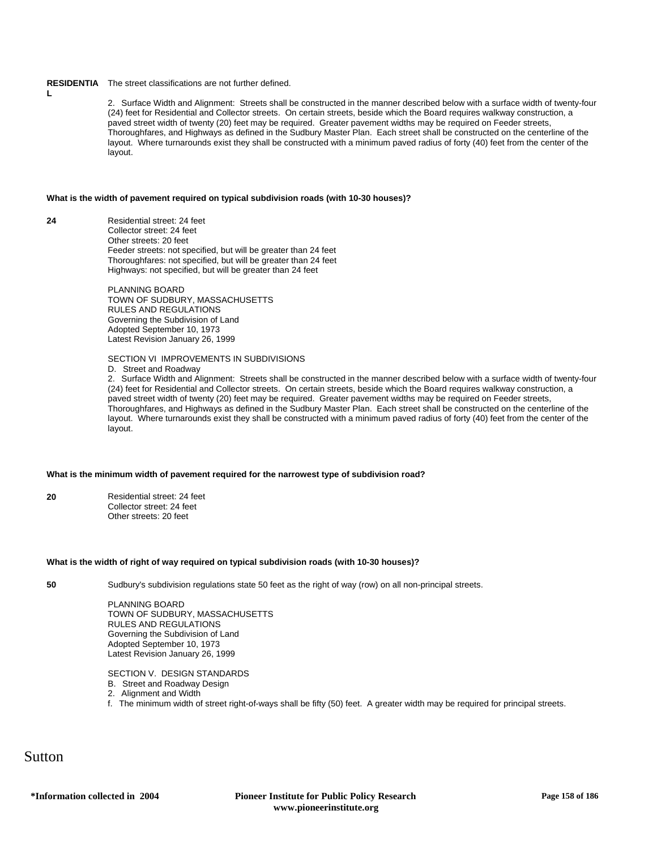### **RESIDENTIA** The street classifications are not further defined.

2.Surface Width and Alignment: Streets shall be constructed in the manner described below with a surface width of twenty-four (24) feet for Residential and Collector streets. On certain streets, beside which the Board requires walkway construction, a paved street width of twenty (20) feet may be required. Greater pavement widths may be required on Feeder streets, Thoroughfares, and Highways as defined in the Sudbury Master Plan. Each street shall be constructed on the centerline of the layout. Where turnarounds exist they shall be constructed with a minimum paved radius of forty (40) feet from the center of the layout.

### **What is the width of pavement required on typical subdivision roads (with 10-30 houses)?**

**24** Residential street: 24 feet Collector street: 24 feet Other streets: 20 feet Feeder streets: not specified, but will be greater than 24 feet Thoroughfares: not specified, but will be greater than 24 feet Highways: not specified, but will be greater than 24 feet

> PLANNING BOARD TOWN OF SUDBURY, MASSACHUSETTS RULES AND REGULATIONS Governing the Subdivision of Land Adopted September 10, 1973 Latest Revision January 26, 1999

### SECTION VI IMPROVEMENTS IN SUBDIVISIONS

D. Street and Roadway

2.Surface Width and Alignment: Streets shall be constructed in the manner described below with a surface width of twenty-four (24) feet for Residential and Collector streets. On certain streets, beside which the Board requires walkway construction, a paved street width of twenty (20) feet may be required. Greater pavement widths may be required on Feeder streets, Thoroughfares, and Highways as defined in the Sudbury Master Plan. Each street shall be constructed on the centerline of the layout. Where turnarounds exist they shall be constructed with a minimum paved radius of forty (40) feet from the center of the layout.

## **What is the minimum width of pavement required for the narrowest type of subdivision road?**

**20** Residential street: 24 feet Collector street: 24 feet Other streets: 20 feet

#### **What is the width of right of way required on typical subdivision roads (with 10-30 houses)?**

**L**

**50** Sudbury's subdivision regulations state 50 feet as the right of way (row) on all non-principal streets.

PLANNING BOARD TOWN OF SUDBURY, MASSACHUSETTS RULES AND REGULATIONS Governing the Subdivision of Land Adopted September 10, 1973 Latest Revision January 26, 1999

SECTION V. DESIGN STANDARDS

- B. Street and Roadway Design
- 2.Alignment and Width
- f.The minimum width of street right-of-ways shall be fifty (50) feet. A greater width may be required for principal streets.

Sutton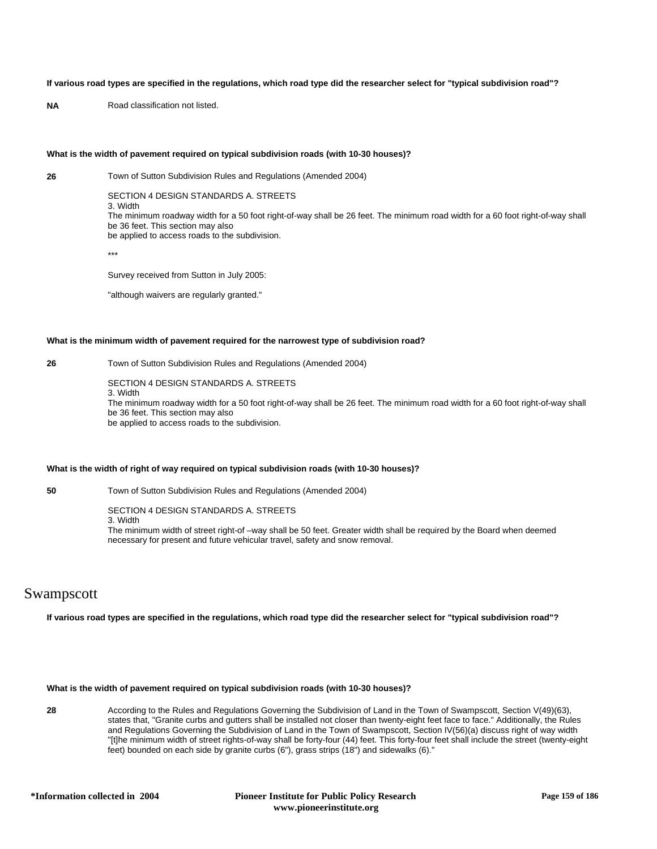## **If various road types are specified in the regulations, which road type did the researcher select for "typical subdivision road"?**

**NA** Road classification not listed.

## **What is the width of pavement required on typical subdivision roads (with 10-30 houses)?**

**26** Town of Sutton Subdivision Rules and Regulations (Amended 2004)

SECTION 4 DESIGN STANDARDS A. STREETS

3. Width The minimum roadway width for a 50 foot right-of-way shall be 26 feet. The minimum road width for a 60 foot right-of-way shall be 36 feet. This section may also be applied to access roads to the subdivision.

\*\*\*

Survey received from Sutton in July 2005:

"although waivers are regularly granted."

## **What is the minimum width of pavement required for the narrowest type of subdivision road?**

**26** Town of Sutton Subdivision Rules and Regulations (Amended 2004)

SECTION 4 DESIGN STANDARDS A. STREETS

3. Width The minimum roadway width for a 50 foot right-of-way shall be 26 feet. The minimum road width for a 60 foot right-of-way shall be 36 feet. This section may also be applied to access roads to the subdivision.

## **What is the width of right of way required on typical subdivision roads (with 10-30 houses)?**

**50** Town of Sutton Subdivision Rules and Regulations (Amended 2004)

SECTION 4 DESIGN STANDARDS A. STREETS 3. Width The minimum width of street right-of –way shall be 50 feet. Greater width shall be required by the Board when deemed necessary for present and future vehicular travel, safety and snow removal.

## Swampscott

**If various road types are specified in the regulations, which road type did the researcher select for "typical subdivision road"?**

## **What is the width of pavement required on typical subdivision roads (with 10-30 houses)?**

**28** According to the Rules and Regulations Governing the Subdivision of Land in the Town of Swampscott, Section V(49)(63), states that, "Granite curbs and gutters shall be installed not closer than twenty-eight feet face to face." Additionally, the Rules and Regulations Governing the Subdivision of Land in the Town of Swampscott, Section IV(56)(a) discuss right of way width "[t]he minimum width of street rights-of-way shall be forty-four (44) feet. This forty-four feet shall include the street (twenty-eight feet) bounded on each side by granite curbs (6"), grass strips (18") and sidewalks (6)."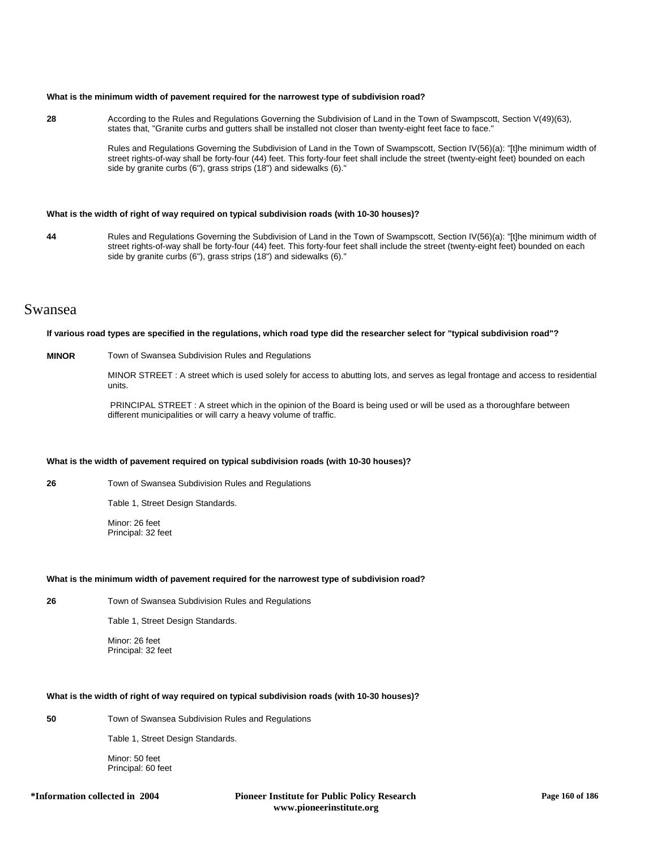#### **What is the minimum width of pavement required for the narrowest type of subdivision road?**

**28** According to the Rules and Regulations Governing the Subdivision of Land in the Town of Swampscott, Section V(49)(63), states that, "Granite curbs and gutters shall be installed not closer than twenty-eight feet face to face."

> Rules and Regulations Governing the Subdivision of Land in the Town of Swampscott, Section IV(56)(a): "[t]he minimum width of street rights-of-way shall be forty-four (44) feet. This forty-four feet shall include the street (twenty-eight feet) bounded on each side by granite curbs (6"), grass strips (18") and sidewalks (6)."

#### **What is the width of right of way required on typical subdivision roads (with 10-30 houses)?**

**44** Rules and Regulations Governing the Subdivision of Land in the Town of Swampscott, Section IV(56)(a): "[t]he minimum width of street rights-of-way shall be forty-four (44) feet. This forty-four feet shall include the street (twenty-eight feet) bounded on each side by granite curbs (6"), grass strips (18") and sidewalks (6)."

## Swansea

#### **If various road types are specified in the regulations, which road type did the researcher select for "typical subdivision road"?**

### **MINOR** Town of Swansea Subdivision Rules and Regulations

MINOR STREET : A street which is used solely for access to abutting lots, and serves as legal frontage and access to residential units.

 PRINCIPAL STREET : A street which in the opinion of the Board is being used or will be used as a thoroughfare between different municipalities or will carry a heavy volume of traffic.

### **What is the width of pavement required on typical subdivision roads (with 10-30 houses)?**

**26** Town of Swansea Subdivision Rules and Regulations

Table 1, Street Design Standards.

Minor: 26 feet Principal: 32 feet

#### **What is the minimum width of pavement required for the narrowest type of subdivision road?**

**26** Town of Swansea Subdivision Rules and Regulations

Table 1, Street Design Standards.

Minor: 26 feet Principal: 32 feet

## **What is the width of right of way required on typical subdivision roads (with 10-30 houses)?**

**50** Town of Swansea Subdivision Rules and Regulations

Table 1, Street Design Standards.

Minor: 50 feet Principal: 60 feet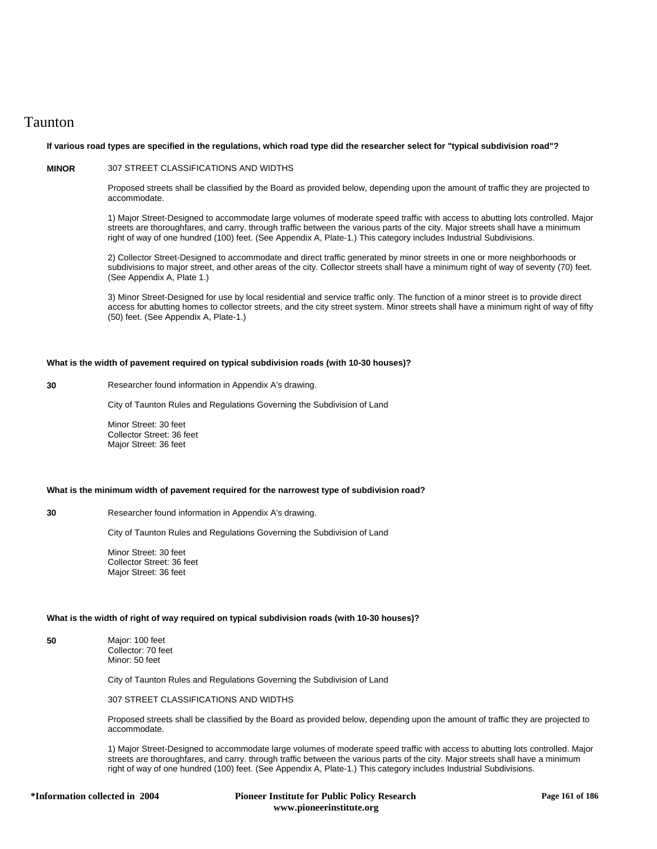## Taunton

## **If various road types are specified in the regulations, which road type did the researcher select for "typical subdivision road"?**

## **MINOR** 307 STREET CLASSIFICATIONS AND WIDTHS

Proposed streets shall be classified by the Board as provided below, depending upon the amount of traffic they are projected to accommodate.

1) Major Street-Designed to accommodate large volumes of moderate speed traffic with access to abutting lots controlled. Major streets are thoroughfares, and carry. through traffic between the various parts of the city. Major streets shall have a minimum right of way of one hundred (100) feet. (See Appendix A, Plate-1.) This category includes Industrial Subdivisions.

2) Collector Street-Designed to accommodate and direct traffic generated by minor streets in one or more neighborhoods or subdivisions to major street, and other areas of the city. Collector streets shall have a minimum right of way of seventy (70) feet. (See Appendix A, Plate 1.)

3) Minor Street-Designed for use by local residential and service traffic only. The function of a minor street is to provide direct access for abutting homes to collector streets, and the city street system. Minor streets shall have a minimum right of way of fifty (50) feet. (See Appendix A, Plate-1.)

#### **What is the width of pavement required on typical subdivision roads (with 10-30 houses)?**

**30** Researcher found information in Appendix A's drawing.

City of Taunton Rules and Regulations Governing the Subdivision of Land

Minor Street: 30 feet Collector Street: 36 feet Major Street: 36 feet

#### **What is the minimum width of pavement required for the narrowest type of subdivision road?**

**30** Researcher found information in Appendix A's drawing.

City of Taunton Rules and Regulations Governing the Subdivision of Land

Minor Street: 30 feet Collector Street: 36 feet Major Street: 36 feet

## **What is the width of right of way required on typical subdivision roads (with 10-30 houses)?**

**50** Major: 100 feet Collector: 70 feet Minor: 50 feet

City of Taunton Rules and Regulations Governing the Subdivision of Land

307 STREET CLASSIFICATIONS AND WIDTHS

Proposed streets shall be classified by the Board as provided below, depending upon the amount of traffic they are projected to accommodate.

1) Major Street-Designed to accommodate large volumes of moderate speed traffic with access to abutting lots controlled. Major streets are thoroughfares, and carry. through traffic between the various parts of the city. Major streets shall have a minimum right of way of one hundred (100) feet. (See Appendix A, Plate-1.) This category includes Industrial Subdivisions.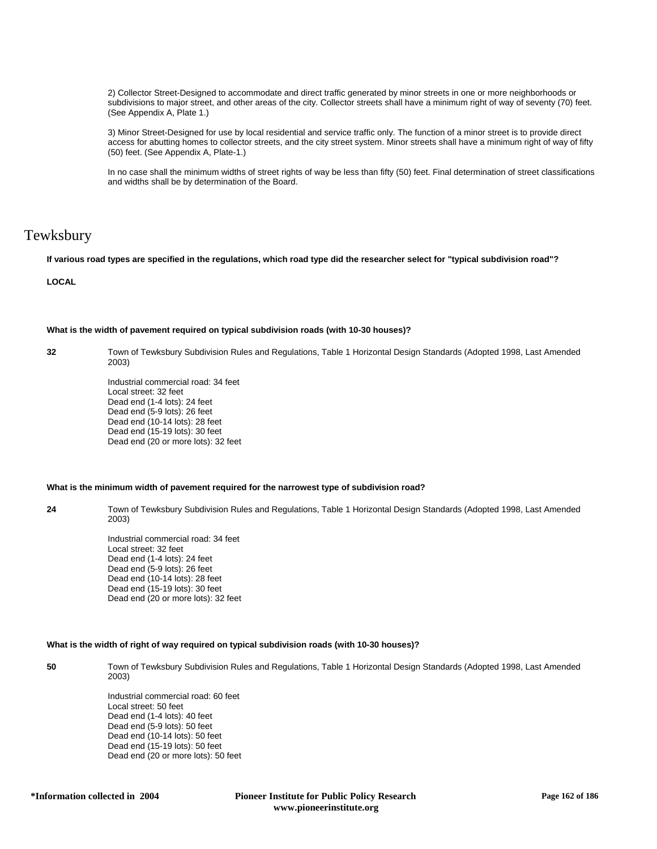2) Collector Street-Designed to accommodate and direct traffic generated by minor streets in one or more neighborhoods or subdivisions to major street, and other areas of the city. Collector streets shall have a minimum right of way of seventy (70) feet. (See Appendix A, Plate 1.)

3) Minor Street-Designed for use by local residential and service traffic only. The function of a minor street is to provide direct access for abutting homes to collector streets, and the city street system. Minor streets shall have a minimum right of way of fifty (50) feet. (See Appendix A, Plate-1.)

In no case shall the minimum widths of street rights of way be less than fifty (50) feet. Final determination of street classifications and widths shall be by determination of the Board.

# Tewksbury

**If various road types are specified in the regulations, which road type did the researcher select for "typical subdivision road"?**

**LOCAL**

## **What is the width of pavement required on typical subdivision roads (with 10-30 houses)?**

**32** Town of Tewksbury Subdivision Rules and Regulations, Table 1 Horizontal Design Standards (Adopted 1998, Last Amended 2003)

> Industrial commercial road: 34 feet Local street: 32 feet Dead end (1-4 lots): 24 feet Dead end (5-9 lots): 26 feet Dead end (10-14 lots): 28 feet Dead end (15-19 lots): 30 feet Dead end (20 or more lots): 32 feet

#### **What is the minimum width of pavement required for the narrowest type of subdivision road?**

**24** Town of Tewksbury Subdivision Rules and Regulations, Table 1 Horizontal Design Standards (Adopted 1998, Last Amended 2003)

> Industrial commercial road: 34 feet Local street: 32 feet Dead end (1-4 lots): 24 feet Dead end (5-9 lots): 26 feet Dead end (10-14 lots): 28 feet Dead end (15-19 lots): 30 feet Dead end (20 or more lots): 32 feet

## **What is the width of right of way required on typical subdivision roads (with 10-30 houses)?**

**50** Town of Tewksbury Subdivision Rules and Regulations, Table 1 Horizontal Design Standards (Adopted 1998, Last Amended 2003)

> Industrial commercial road: 60 feet Local street: 50 feet Dead end (1-4 lots): 40 feet Dead end (5-9 lots): 50 feet Dead end (10-14 lots): 50 feet Dead end (15-19 lots): 50 feet Dead end (20 or more lots): 50 feet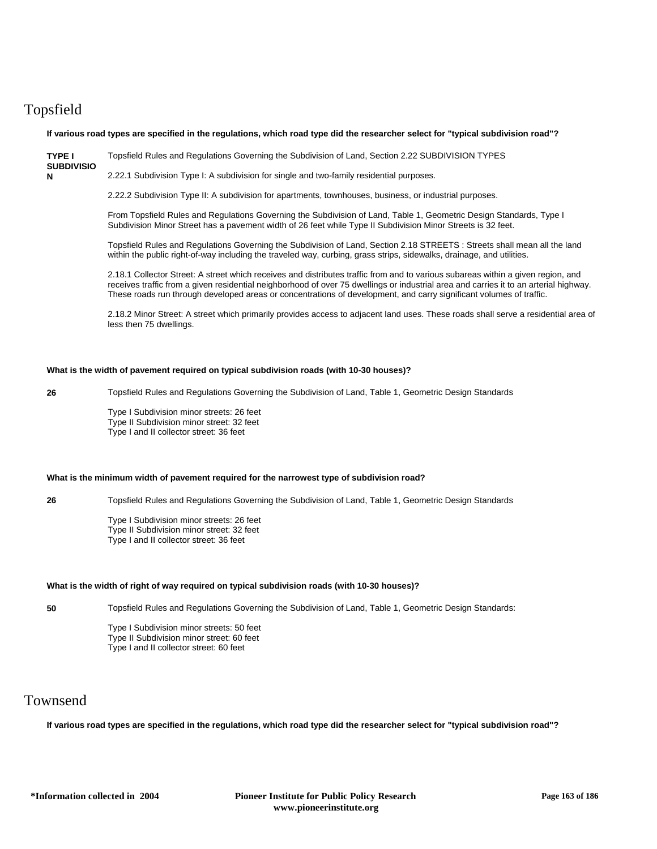# Topsfield

**N**

**If various road types are specified in the regulations, which road type did the researcher select for "typical subdivision road"?**

**TYPE I**  Topsfield Rules and Regulations Governing the Subdivision of Land, Section 2.22 SUBDIVISION TYPES

**SUBDIVISIO** 2.22.1 Subdivision Type I: A subdivision for single and two-family residential purposes.

2.22.2 Subdivision Type II: A subdivision for apartments, townhouses, business, or industrial purposes.

From Topsfield Rules and Regulations Governing the Subdivision of Land, Table 1, Geometric Design Standards, Type I Subdivision Minor Street has a pavement width of 26 feet while Type II Subdivision Minor Streets is 32 feet.

Topsfield Rules and Regulations Governing the Subdivision of Land, Section 2.18 STREETS : Streets shall mean all the land within the public right-of-way including the traveled way, curbing, grass strips, sidewalks, drainage, and utilities.

2.18.1 Collector Street: A street which receives and distributes traffic from and to various subareas within a given region, and receives traffic from a given residential neighborhood of over 75 dwellings or industrial area and carries it to an arterial highway. These roads run through developed areas or concentrations of development, and carry significant volumes of traffic.

2.18.2 Minor Street: A street which primarily provides access to adjacent land uses. These roads shall serve a residential area of less then 75 dwellings.

#### **What is the width of pavement required on typical subdivision roads (with 10-30 houses)?**

**26** Topsfield Rules and Regulations Governing the Subdivision of Land, Table 1, Geometric Design Standards

Type I Subdivision minor streets: 26 feet Type II Subdivision minor street: 32 feet Type I and II collector street: 36 feet

### **What is the minimum width of pavement required for the narrowest type of subdivision road?**

**26** Topsfield Rules and Regulations Governing the Subdivision of Land, Table 1, Geometric Design Standards

Type I Subdivision minor streets: 26 feet Type II Subdivision minor street: 32 feet Type I and II collector street: 36 feet

#### **What is the width of right of way required on typical subdivision roads (with 10-30 houses)?**

**50** Topsfield Rules and Regulations Governing the Subdivision of Land, Table 1, Geometric Design Standards:

Type I Subdivision minor streets: 50 feet Type II Subdivision minor street: 60 feet Type I and II collector street: 60 feet

## Townsend

**If various road types are specified in the regulations, which road type did the researcher select for "typical subdivision road"?**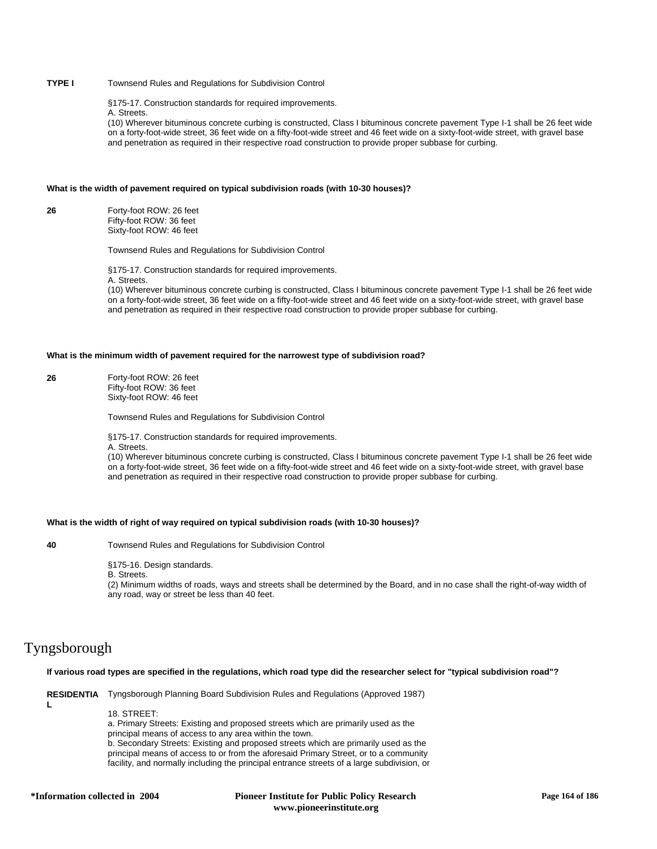## **TYPE I** Townsend Rules and Regulations for Subdivision Control

§175-17. Construction standards for required improvements.

A. Streets.

(10) Wherever bituminous concrete curbing is constructed, Class I bituminous concrete pavement Type I-1 shall be 26 feet wide on a forty-foot-wide street, 36 feet wide on a fifty-foot-wide street and 46 feet wide on a sixty-foot-wide street, with gravel base and penetration as required in their respective road construction to provide proper subbase for curbing.

#### **What is the width of pavement required on typical subdivision roads (with 10-30 houses)?**

**26** Forty-foot ROW: 26 feet Fifty-foot ROW: 36 feet Sixty-foot ROW: 46 feet

Townsend Rules and Regulations for Subdivision Control

§175-17. Construction standards for required improvements.

A. Streets.

(10) Wherever bituminous concrete curbing is constructed, Class I bituminous concrete pavement Type I-1 shall be 26 feet wide on a forty-foot-wide street, 36 feet wide on a fifty-foot-wide street and 46 feet wide on a sixty-foot-wide street, with gravel base and penetration as required in their respective road construction to provide proper subbase for curbing.

#### **What is the minimum width of pavement required for the narrowest type of subdivision road?**

**26** Forty-foot ROW: 26 feet Fifty-foot ROW: 36 feet Sixty-foot ROW: 46 feet

Townsend Rules and Regulations for Subdivision Control

§175-17. Construction standards for required improvements.

A. Streets.

(10) Wherever bituminous concrete curbing is constructed, Class I bituminous concrete pavement Type I-1 shall be 26 feet wide on a forty-foot-wide street, 36 feet wide on a fifty-foot-wide street and 46 feet wide on a sixty-foot-wide street, with gravel base and penetration as required in their respective road construction to provide proper subbase for curbing.

#### **What is the width of right of way required on typical subdivision roads (with 10-30 houses)?**

**40** Townsend Rules and Regulations for Subdivision Control

§175-16. Design standards.

B. Streets.

(2) Minimum widths of roads, ways and streets shall be determined by the Board, and in no case shall the right-of-way width of any road, way or street be less than 40 feet.

## Tyngsborough

**L**

## **If various road types are specified in the regulations, which road type did the researcher select for "typical subdivision road"?**

**RESIDENTIA** Tyngsborough Planning Board Subdivision Rules and Regulations (Approved 1987)

18. STREET:

a. Primary Streets: Existing and proposed streets which are primarily used as the principal means of access to any area within the town.

b. Secondary Streets: Existing and proposed streets which are primarily used as the principal means of access to or from the aforesaid Primary Street, or to a community facility, and normally including the principal entrance streets of a large subdivision, or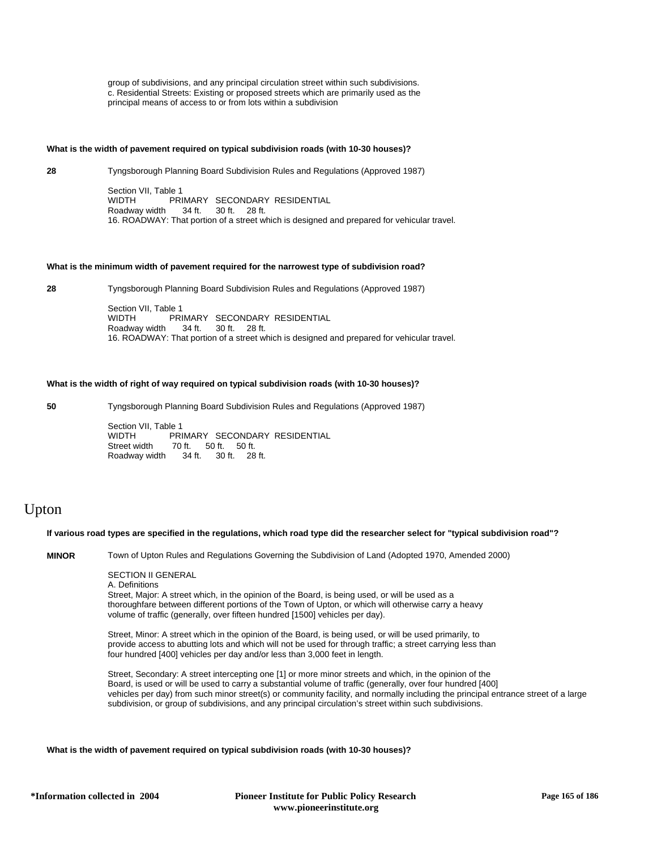group of subdivisions, and any principal circulation street within such subdivisions. c. Residential Streets: Existing or proposed streets which are primarily used as the principal means of access to or from lots within a subdivision

#### **What is the width of pavement required on typical subdivision roads (with 10-30 houses)?**

**28** Tyngsborough Planning Board Subdivision Rules and Regulations (Approved 1987) Section VII, Table 1<br>WIDTH PRI WIDTH PRIMARY SECONDARY RESIDENTIAL<br>Roadway width 34 ft. 30 ft. 28 ft. 30 ft. 28 ft. 16. ROADWAY: That portion of a street which is designed and prepared for vehicular travel.

### **What is the minimum width of pavement required for the narrowest type of subdivision road?**

**28** Tyngsborough Planning Board Subdivision Rules and Regulations (Approved 1987)

Section VII, Table 1<br>
WIDTH PRI PRIMARY SECONDARY RESIDENTIAL Roadway width 34 ft. 30 ft. 28 ft. 16. ROADWAY: That portion of a street which is designed and prepared for vehicular travel.

## **What is the width of right of way required on typical subdivision roads (with 10-30 houses)?**

**50** Tyngsborough Planning Board Subdivision Rules and Regulations (Approved 1987)

Section VII, Table 1<br>WIDTH PRI WIDTH PRIMARY SECONDARY RESIDENTIAL<br>Street width 70 ft. 50 ft. 50 ft. 70 ft. 50 ft. 50 ft. Roadway width 34 ft. 30 ft. 28 ft.

# Upton

**If various road types are specified in the regulations, which road type did the researcher select for "typical subdivision road"?**

**MINOR** Town of Upton Rules and Regulations Governing the Subdivision of Land (Adopted 1970, Amended 2000)

SECTION II GENERAL

A. Definitions

Street, Major: A street which, in the opinion of the Board, is being used, or will be used as a thoroughfare between different portions of the Town of Upton, or which will otherwise carry a heavy volume of traffic (generally, over fifteen hundred [1500] vehicles per day).

Street, Minor: A street which in the opinion of the Board, is being used, or will be used primarily, to provide access to abutting lots and which will not be used for through traffic; a street carrying less than four hundred [400] vehicles per day and/or less than 3,000 feet in length.

Street, Secondary: A street intercepting one [1] or more minor streets and which, in the opinion of the Board, is used or will be used to carry a substantial volume of traffic (generally, over four hundred [400] vehicles per day) from such minor street(s) or community facility, and normally including the principal entrance street of a large subdivision, or group of subdivisions, and any principal circulation's street within such subdivisions.

#### **What is the width of pavement required on typical subdivision roads (with 10-30 houses)?**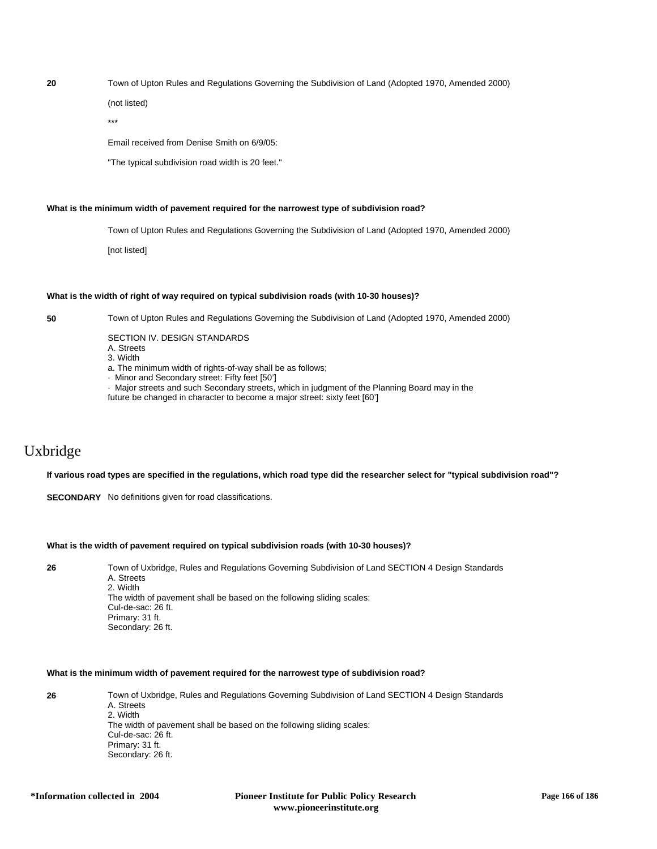**20** Town of Upton Rules and Regulations Governing the Subdivision of Land (Adopted 1970, Amended 2000)

(not listed)

\*\*\*

Email received from Denise Smith on 6/9/05:

"The typical subdivision road width is 20 feet."

### **What is the minimum width of pavement required for the narrowest type of subdivision road?**

Town of Upton Rules and Regulations Governing the Subdivision of Land (Adopted 1970, Amended 2000)

[not listed]

#### **What is the width of right of way required on typical subdivision roads (with 10-30 houses)?**

**50** Town of Upton Rules and Regulations Governing the Subdivision of Land (Adopted 1970, Amended 2000)

SECTION IV. DESIGN STANDARDS

- A. Streets
- 3. Width
- a. The minimum width of rights-of-way shall be as follows;
- · Minor and Secondary street: Fifty feet [50']
- · Major streets and such Secondary streets, which in judgment of the Planning Board may in the

future be changed in character to become a major street: sixty feet [60']

# Uxbridge

### **If various road types are specified in the regulations, which road type did the researcher select for "typical subdivision road"?**

**SECONDARY** No definitions given for road classifications.

## **What is the width of pavement required on typical subdivision roads (with 10-30 houses)?**

**26** Town of Uxbridge, Rules and Regulations Governing Subdivision of Land SECTION 4 Design Standards A. Streets 2. Width The width of pavement shall be based on the following sliding scales: Cul-de-sac: 26 ft. Primary: 31 ft. Secondary: 26 ft.

## **What is the minimum width of pavement required for the narrowest type of subdivision road?**

**26** Town of Uxbridge, Rules and Regulations Governing Subdivision of Land SECTION 4 Design Standards A. Streets 2. Width The width of pavement shall be based on the following sliding scales: Cul-de-sac: 26 ft. Primary: 31 ft. Secondary: 26 ft.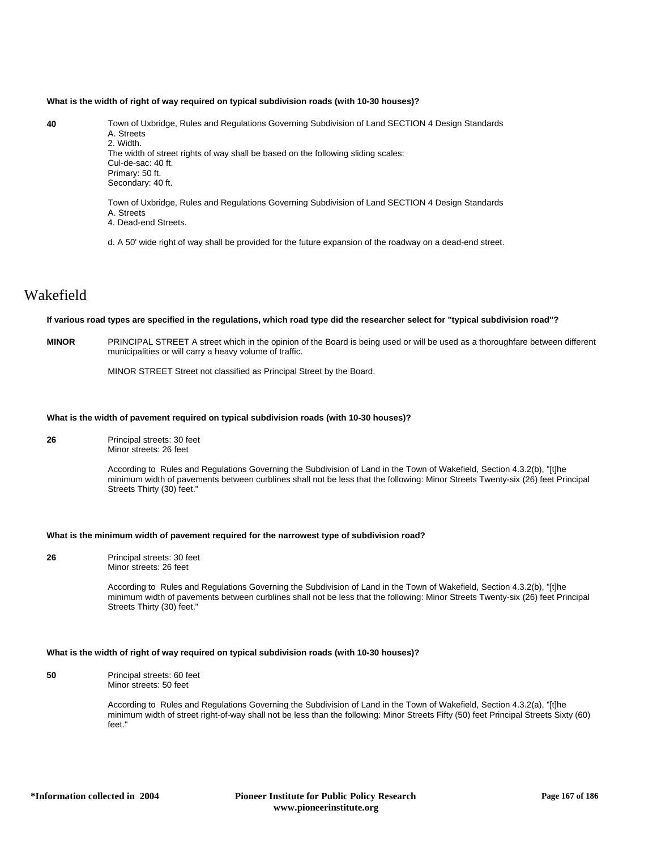#### **What is the width of right of way required on typical subdivision roads (with 10-30 houses)?**

**40** Town of Uxbridge, Rules and Regulations Governing Subdivision of Land SECTION 4 Design Standards A. Streets 2. Width. The width of street rights of way shall be based on the following sliding scales: Cul-de-sac: 40 ft. Primary: 50 ft. Secondary: 40 ft.

> Town of Uxbridge, Rules and Regulations Governing Subdivision of Land SECTION 4 Design Standards A. Streets

4. Dead-end Streets.

d. A 50' wide right of way shall be provided for the future expansion of the roadway on a dead-end street.

## Wakefield

### **If various road types are specified in the regulations, which road type did the researcher select for "typical subdivision road"?**

**MINOR** PRINCIPAL STREET A street which in the opinion of the Board is being used or will be used as a thoroughfare between different municipalities or will carry a heavy volume of traffic.

MINOR STREET Street not classified as Principal Street by the Board.

#### **What is the width of pavement required on typical subdivision roads (with 10-30 houses)?**

**26** Principal streets: 30 feet Minor streets: 26 feet

> According to Rules and Regulations Governing the Subdivision of Land in the Town of Wakefield, Section 4.3.2(b), "[t]he minimum width of pavements between curblines shall not be less that the following: Minor Streets Twenty-six (26) feet Principal Streets Thirty (30) feet."

## **What is the minimum width of pavement required for the narrowest type of subdivision road?**

**26** Principal streets: 30 feet Minor streets: 26 feet

> According to Rules and Regulations Governing the Subdivision of Land in the Town of Wakefield, Section 4.3.2(b), "[t]he minimum width of pavements between curblines shall not be less that the following: Minor Streets Twenty-six (26) feet Principal Streets Thirty (30) feet."

#### **What is the width of right of way required on typical subdivision roads (with 10-30 houses)?**

**50** Principal streets: 60 feet Minor streets: 50 feet

> According to Rules and Regulations Governing the Subdivision of Land in the Town of Wakefield, Section 4.3.2(a), "[t]he minimum width of street right-of-way shall not be less than the following: Minor Streets Fifty (50) feet Principal Streets Sixty (60) feet."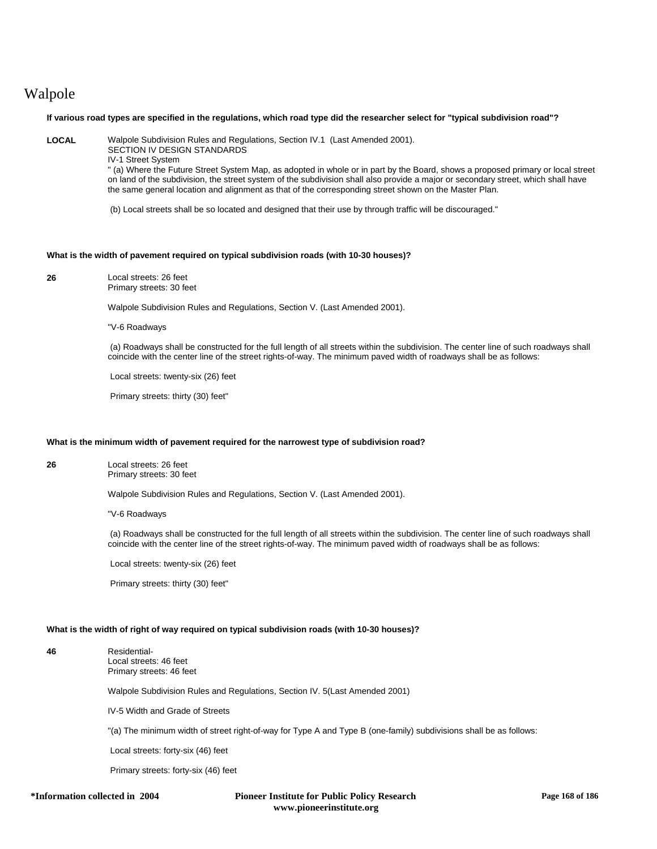# Walpole

## **If various road types are specified in the regulations, which road type did the researcher select for "typical subdivision road"?**

**LOCAL** Walpole Subdivision Rules and Regulations, Section IV.1 (Last Amended 2001).

SECTION IV DESIGN STANDARDS

IV-1 Street System

" (a) Where the Future Street System Map, as adopted in whole or in part by the Board, shows a proposed primary or local street on land of the subdivision, the street system of the subdivision shall also provide a major or secondary street, which shall have the same general location and alignment as that of the corresponding street shown on the Master Plan.

(b) Local streets shall be so located and designed that their use by through traffic will be discouraged."

## **What is the width of pavement required on typical subdivision roads (with 10-30 houses)?**

**26** Local streets: 26 feet Primary streets: 30 feet

Walpole Subdivision Rules and Regulations, Section V. (Last Amended 2001).

"V-6 Roadways

 (a) Roadways shall be constructed for the full length of all streets within the subdivision. The center line of such roadways shall coincide with the center line of the street rights-of-way. The minimum paved width of roadways shall be as follows:

Local streets: twenty-six (26) feet

Primary streets: thirty (30) feet"

## **What is the minimum width of pavement required for the narrowest type of subdivision road?**

**26** Local streets: 26 feet Primary streets: 30 feet

Walpole Subdivision Rules and Regulations, Section V. (Last Amended 2001).

"V-6 Roadways

 (a) Roadways shall be constructed for the full length of all streets within the subdivision. The center line of such roadways shall coincide with the center line of the street rights-of-way. The minimum paved width of roadways shall be as follows:

Local streets: twenty-six (26) feet

Primary streets: thirty (30) feet"

## **What is the width of right of way required on typical subdivision roads (with 10-30 houses)?**

**46** Residential-Local streets: 46 feet Primary streets: 46 feet

Walpole Subdivision Rules and Regulations, Section IV. 5(Last Amended 2001)

IV-5 Width and Grade of Streets

"(a) The minimum width of street right-of-way for Type A and Type B (one-family) subdivisions shall be as follows:

Local streets: forty-six (46) feet

Primary streets: forty-six (46) feet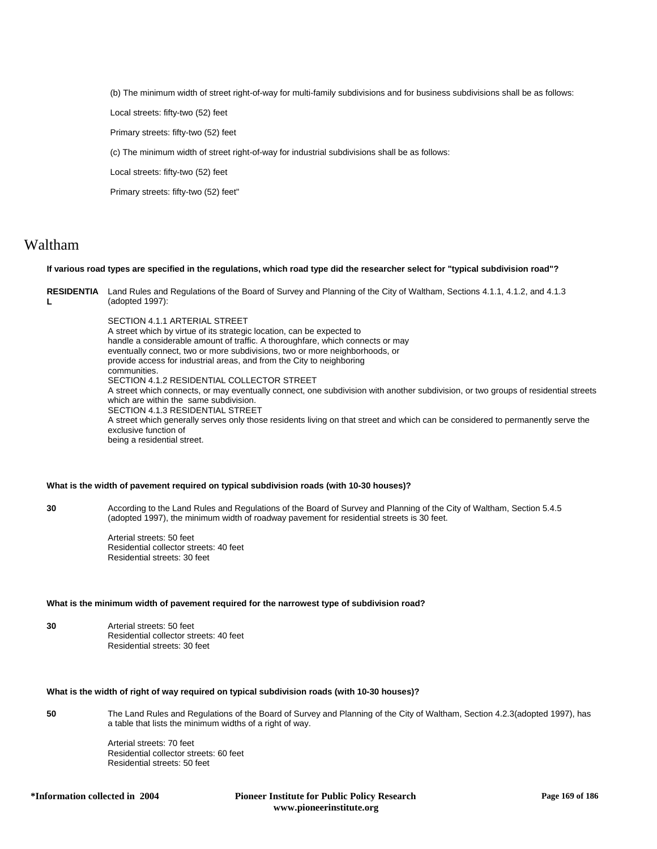(b) The minimum width of street right-of-way for multi-family subdivisions and for business subdivisions shall be as follows:

Local streets: fifty-two (52) feet

Primary streets: fifty-two (52) feet

(c) The minimum width of street right-of-way for industrial subdivisions shall be as follows:

Local streets: fifty-two (52) feet

Primary streets: fifty-two (52) feet"

## Waltham

## **If various road types are specified in the regulations, which road type did the researcher select for "typical subdivision road"?**

**RESIDENTIA** Land Rules and Regulations of the Board of Survey and Planning of the City of Waltham, Sections 4.1.1, 4.1.2, and 4.1.3 **L** (adopted 1997):

> SECTION 4.1.1 ARTERIAL STREET A street which by virtue of its strategic location, can be expected to handle a considerable amount of traffic. A thoroughfare, which connects or may eventually connect, two or more subdivisions, two or more neighborhoods, or provide access for industrial areas, and from the City to neighboring communities. SECTION 4.1.2 RESIDENTIAL COLLECTOR STREET A street which connects, or may eventually connect, one subdivision with another subdivision, or two groups of residential streets which are within the same subdivision. SECTION 4.1.3 RESIDENTIAL STREET A street which generally serves only those residents living on that street and which can be considered to permanently serve the exclusive function of being a residential street.

#### **What is the width of pavement required on typical subdivision roads (with 10-30 houses)?**

**30** According to the Land Rules and Regulations of the Board of Survey and Planning of the City of Waltham, Section 5.4.5 (adopted 1997), the minimum width of roadway pavement for residential streets is 30 feet.

> Arterial streets: 50 feet Residential collector streets: 40 feet Residential streets: 30 feet

#### **What is the minimum width of pavement required for the narrowest type of subdivision road?**

**30** Arterial streets: 50 feet Residential collector streets: 40 feet Residential streets: 30 feet

### **What is the width of right of way required on typical subdivision roads (with 10-30 houses)?**

**50** The Land Rules and Regulations of the Board of Survey and Planning of the City of Waltham, Section 4.2.3(adopted 1997), has a table that lists the minimum widths of a right of way.

> Arterial streets: 70 feet Residential collector streets: 60 feet Residential streets: 50 feet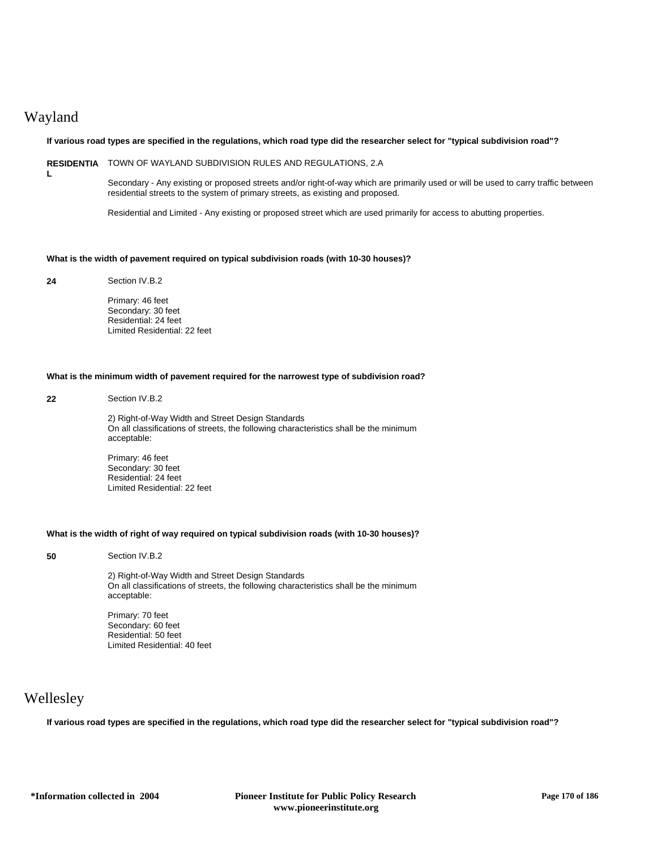# Wayland

**L**

## **If various road types are specified in the regulations, which road type did the researcher select for "typical subdivision road"?**

**RESIDENTIA** TOWN OF WAYLAND SUBDIVISION RULES AND REGULATIONS, 2.A

Secondary - Any existing or proposed streets and/or right-of-way which are primarily used or will be used to carry traffic between residential streets to the system of primary streets, as existing and proposed.

Residential and Limited - Any existing or proposed street which are used primarily for access to abutting properties.

## **What is the width of pavement required on typical subdivision roads (with 10-30 houses)?**

**24** Section IV.B.2

Primary: 46 feet Secondary: 30 feet Residential: 24 feet Limited Residential: 22 feet

## **What is the minimum width of pavement required for the narrowest type of subdivision road?**

#### **22** Section IV.B.2

2) Right-of-Way Width and Street Design Standards On all classifications of streets, the following characteristics shall be the minimum acceptable:

Primary: 46 feet Secondary: 30 feet Residential: 24 feet Limited Residential: 22 feet

#### **What is the width of right of way required on typical subdivision roads (with 10-30 houses)?**

**50** Section IV.B.2

2) Right-of-Way Width and Street Design Standards On all classifications of streets, the following characteristics shall be the minimum acceptable:

Primary: 70 feet Secondary: 60 feet Residential: 50 feet Limited Residential: 40 feet

# Wellesley

**If various road types are specified in the regulations, which road type did the researcher select for "typical subdivision road"?**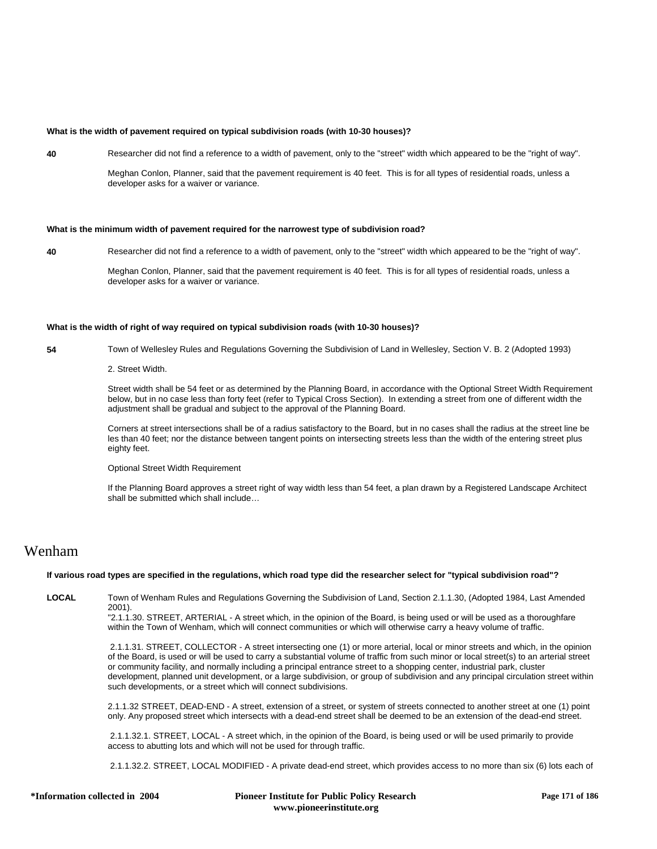## **What is the width of pavement required on typical subdivision roads (with 10-30 houses)?**

**40** Researcher did not find a reference to a width of pavement, only to the "street" width which appeared to be the "right of way".

Meghan Conlon, Planner, said that the pavement requirement is 40 feet. This is for all types of residential roads, unless a developer asks for a waiver or variance.

## **What is the minimum width of pavement required for the narrowest type of subdivision road?**

**40** Researcher did not find a reference to a width of pavement, only to the "street" width which appeared to be the "right of way".

Meghan Conlon, Planner, said that the pavement requirement is 40 feet. This is for all types of residential roads, unless a developer asks for a waiver or variance.

#### **What is the width of right of way required on typical subdivision roads (with 10-30 houses)?**

- **54** Town of Wellesley Rules and Regulations Governing the Subdivision of Land in Wellesley, Section V. B. 2 (Adopted 1993)
	- 2. Street Width.

Street width shall be 54 feet or as determined by the Planning Board, in accordance with the Optional Street Width Requirement below, but in no case less than forty feet (refer to Typical Cross Section). In extending a street from one of different width the adjustment shall be gradual and subject to the approval of the Planning Board.

Corners at street intersections shall be of a radius satisfactory to the Board, but in no cases shall the radius at the street line be les than 40 feet; nor the distance between tangent points on intersecting streets less than the width of the entering street plus eighty feet.

Optional Street Width Requirement

If the Planning Board approves a street right of way width less than 54 feet, a plan drawn by a Registered Landscape Architect shall be submitted which shall include…

## Wenham

#### **If various road types are specified in the regulations, which road type did the researcher select for "typical subdivision road"?**

**LOCAL** Town of Wenham Rules and Regulations Governing the Subdivision of Land, Section 2.1.1.30, (Adopted 1984, Last Amended 2001).

"2.1.1.30. STREET, ARTERIAL - A street which, in the opinion of the Board, is being used or will be used as a thoroughfare within the Town of Wenham, which will connect communities or which will otherwise carry a heavy volume of traffic.

 2.1.1.31. STREET, COLLECTOR - A street intersecting one (1) or more arterial, local or minor streets and which, in the opinion of the Board, is used or will be used to carry a substantial volume of traffic from such minor or local street(s) to an arterial street or community facility, and normally including a principal entrance street to a shopping center, industrial park, cluster development, planned unit development, or a large subdivision, or group of subdivision and any principal circulation street within such developments, or a street which will connect subdivisions.

2.1.1.32 STREET, DEAD-END - A street, extension of a street, or system of streets connected to another street at one (1) point only. Any proposed street which intersects with a dead-end street shall be deemed to be an extension of the dead-end street.

 2.1.1.32.1. STREET, LOCAL - A street which, in the opinion of the Board, is being used or will be used primarily to provide access to abutting lots and which will not be used for through traffic.

2.1.1.32.2. STREET, LOCAL MODIFIED - A private dead-end street, which provides access to no more than six (6) lots each of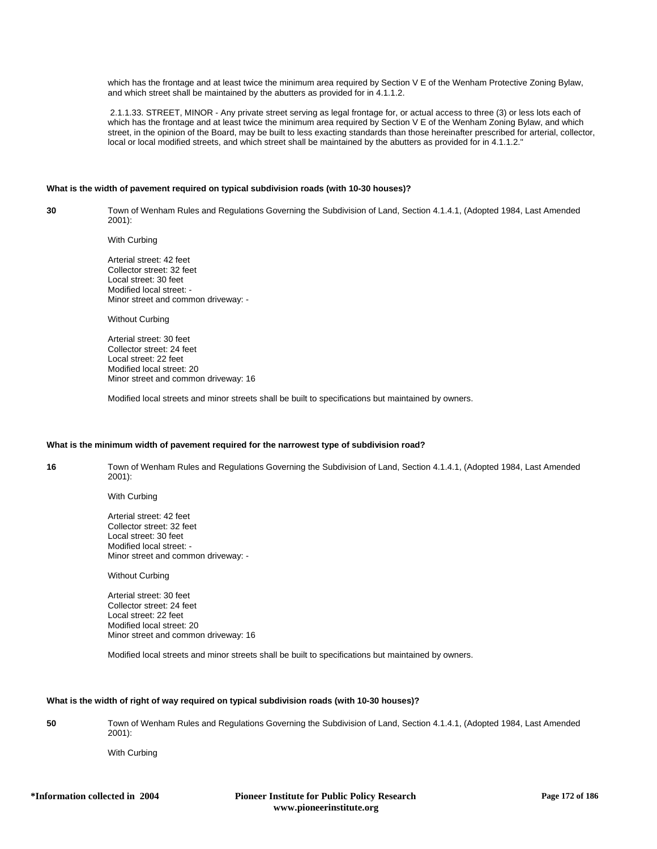which has the frontage and at least twice the minimum area required by Section V E of the Wenham Protective Zoning Bylaw, and which street shall be maintained by the abutters as provided for in 4.1.1.2.

 2.1.1.33. STREET, MINOR - Any private street serving as legal frontage for, or actual access to three (3) or less lots each of which has the frontage and at least twice the minimum area required by Section V E of the Wenham Zoning Bylaw, and which street, in the opinion of the Board, may be built to less exacting standards than those hereinafter prescribed for arterial, collector, local or local modified streets, and which street shall be maintained by the abutters as provided for in 4.1.1.2."

#### **What is the width of pavement required on typical subdivision roads (with 10-30 houses)?**

**30** Town of Wenham Rules and Regulations Governing the Subdivision of Land, Section 4.1.4.1, (Adopted 1984, Last Amended 2001):

With Curbing

Arterial street: 42 feet Collector street: 32 feet Local street: 30 feet Modified local street: - Minor street and common driveway: -

Without Curbing

Arterial street: 30 feet Collector street: 24 feet Local street: 22 feet Modified local street: 20 Minor street and common driveway: 16

Modified local streets and minor streets shall be built to specifications but maintained by owners.

#### **What is the minimum width of pavement required for the narrowest type of subdivision road?**

**16** Town of Wenham Rules and Regulations Governing the Subdivision of Land, Section 4.1.4.1, (Adopted 1984, Last Amended 2001):

With Curbing

Arterial street: 42 feet Collector street: 32 feet Local street: 30 feet Modified local street: - Minor street and common driveway: -

Without Curbing

Arterial street: 30 feet Collector street: 24 feet Local street: 22 feet Modified local street: 20 Minor street and common driveway: 16

Modified local streets and minor streets shall be built to specifications but maintained by owners.

#### **What is the width of right of way required on typical subdivision roads (with 10-30 houses)?**

**50** Town of Wenham Rules and Regulations Governing the Subdivision of Land, Section 4.1.4.1, (Adopted 1984, Last Amended 2001):

With Curbing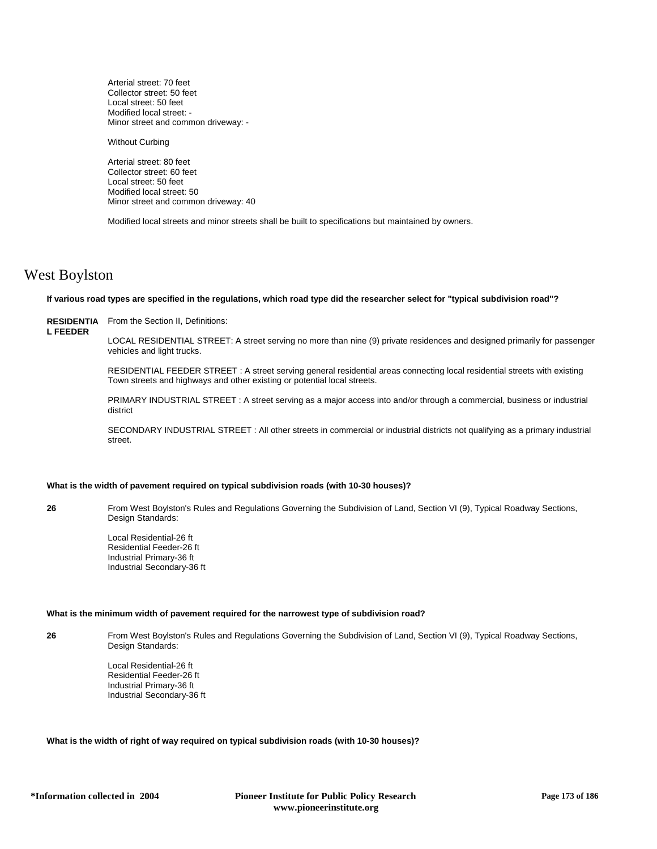Arterial street: 70 feet Collector street: 50 feet Local street: 50 feet Modified local street: - Minor street and common driveway: -

Without Curbing

Arterial street: 80 feet Collector street: 60 feet Local street: 50 feet Modified local street: 50 Minor street and common driveway: 40

Modified local streets and minor streets shall be built to specifications but maintained by owners.

## West Boylston

#### **If various road types are specified in the regulations, which road type did the researcher select for "typical subdivision road"?**

**RESIDENTIA** From the Section II, Definitions: **L FEEDER**

LOCAL RESIDENTIAL STREET: A street serving no more than nine (9) private residences and designed primarily for passenger vehicles and light trucks.

RESIDENTIAL FEEDER STREET : A street serving general residential areas connecting local residential streets with existing Town streets and highways and other existing or potential local streets.

PRIMARY INDUSTRIAL STREET : A street serving as a major access into and/or through a commercial, business or industrial district

SECONDARY INDUSTRIAL STREET : All other streets in commercial or industrial districts not qualifying as a primary industrial street.

#### **What is the width of pavement required on typical subdivision roads (with 10-30 houses)?**

**26** From West Boylston's Rules and Regulations Governing the Subdivision of Land, Section VI (9), Typical Roadway Sections, Design Standards:

> Local Residential-26 ft Residential Feeder-26 ft Industrial Primary-36 ft Industrial Secondary-36 ft

## **What is the minimum width of pavement required for the narrowest type of subdivision road?**

**26** From West Boylston's Rules and Regulations Governing the Subdivision of Land, Section VI (9), Typical Roadway Sections, Design Standards:

> Local Residential-26 ft Residential Feeder-26 ft Industrial Primary-36 ft Industrial Secondary-36 ft

**What is the width of right of way required on typical subdivision roads (with 10-30 houses)?**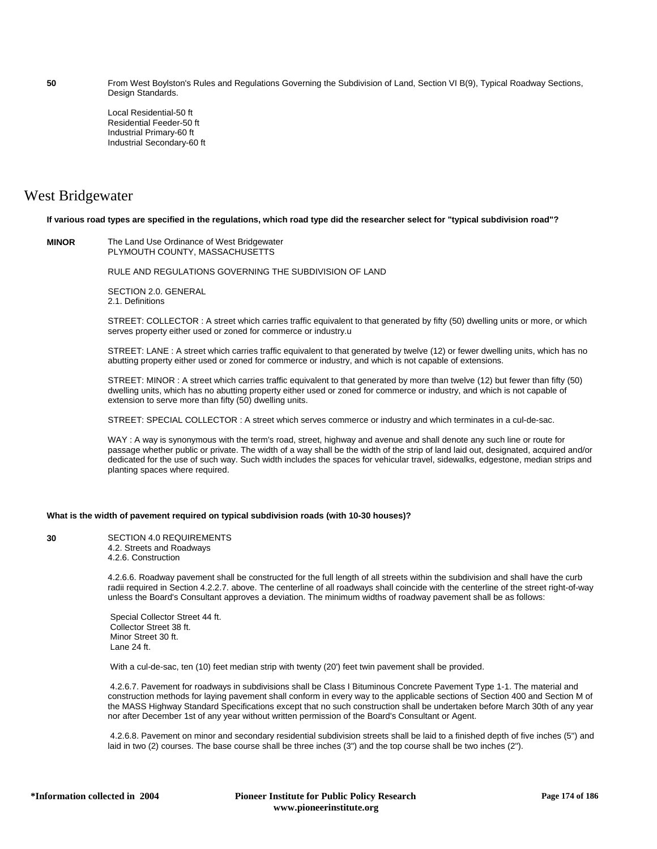**50** From West Boylston's Rules and Regulations Governing the Subdivision of Land, Section VI B(9), Typical Roadway Sections, Design Standards.

> Local Residential-50 ft Residential Feeder-50 ft Industrial Primary-60 ft Industrial Secondary-60 ft

## West Bridgewater

**If various road types are specified in the regulations, which road type did the researcher select for "typical subdivision road"?**

**MINOR** The Land Use Ordinance of West Bridgewater PLYMOUTH COUNTY, MASSACHUSETTS

RULE AND REGULATIONS GOVERNING THE SUBDIVISION OF LAND

SECTION 2.0. GENERAL 2.1. Definitions

STREET: COLLECTOR : A street which carries traffic equivalent to that generated by fifty (50) dwelling units or more, or which serves property either used or zoned for commerce or industry.u

STREET: LANE : A street which carries traffic equivalent to that generated by twelve (12) or fewer dwelling units, which has no abutting property either used or zoned for commerce or industry, and which is not capable of extensions.

STREET: MINOR : A street which carries traffic equivalent to that generated by more than twelve (12) but fewer than fifty (50) dwelling units, which has no abutting property either used or zoned for commerce or industry, and which is not capable of extension to serve more than fifty (50) dwelling units.

STREET: SPECIAL COLLECTOR : A street which serves commerce or industry and which terminates in a cul-de-sac.

WAY : A way is synonymous with the term's road, street, highway and avenue and shall denote any such line or route for passage whether public or private. The width of a way shall be the width of the strip of land laid out, designated, acquired and/or dedicated for the use of such way. Such width includes the spaces for vehicular travel, sidewalks, edgestone, median strips and planting spaces where required.

### **What is the width of pavement required on typical subdivision roads (with 10-30 houses)?**

**30** SECTION 4.0 REQUIREMENTS 4.2. Streets and Roadways 4.2.6. Construction

> 4.2.6.6. Roadway pavement shall be constructed for the full length of all streets within the subdivision and shall have the curb radii required in Section 4.2.2.7. above. The centerline of all roadways shall coincide with the centerline of the street right-of-way unless the Board's Consultant approves a deviation. The minimum widths of roadway pavement shall be as follows:

 Special Collector Street 44 ft. Collector Street 38 ft. Minor Street 30 ft. Lane 24 ft.

With a cul-de-sac, ten (10) feet median strip with twenty (20') feet twin pavement shall be provided.

 4.2.6.7. Pavement for roadways in subdivisions shall be Class I Bituminous Concrete Pavement Type 1-1. The material and construction methods for laying pavement shall conform in every way to the applicable sections of Section 400 and Section M of the MASS Highway Standard Specifications except that no such construction shall be undertaken before March 30th of any year nor after December 1st of any year without written permission of the Board's Consultant or Agent.

 4.2.6.8. Pavement on minor and secondary residential subdivision streets shall be laid to a finished depth of five inches (5") and laid in two (2) courses. The base course shall be three inches (3") and the top course shall be two inches (2").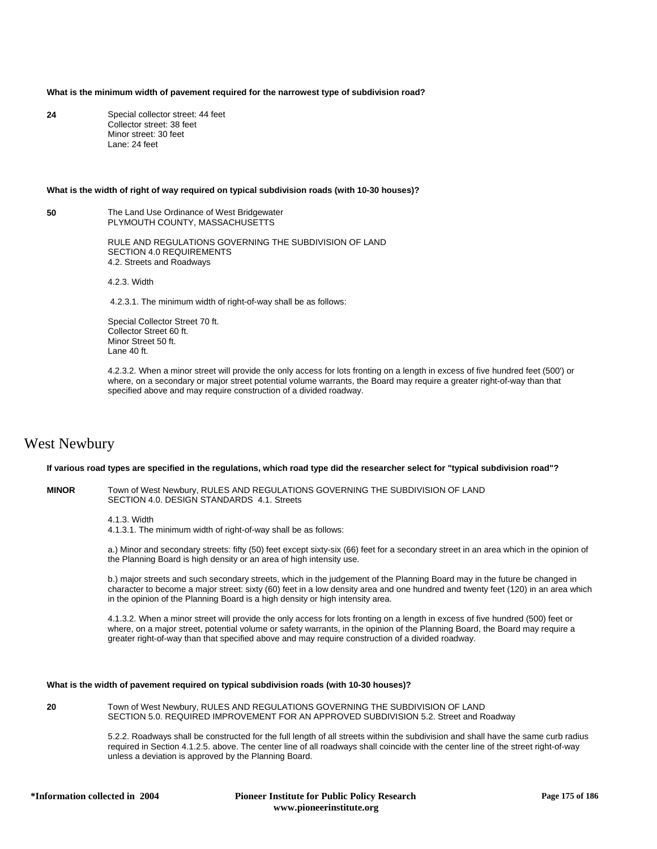#### **What is the minimum width of pavement required for the narrowest type of subdivision road?**

**24** Special collector street: 44 feet Collector street: 38 feet Minor street: 30 feet Lane: 24 feet

#### **What is the width of right of way required on typical subdivision roads (with 10-30 houses)?**

**50** The Land Use Ordinance of West Bridgewater PLYMOUTH COUNTY, MASSACHUSETTS

> RULE AND REGULATIONS GOVERNING THE SUBDIVISION OF LAND SECTION 4.0 REQUIREMENTS 4.2. Streets and Roadways

4.2.3. Width

4.2.3.1. The minimum width of right-of-way shall be as follows:

Special Collector Street 70 ft. Collector Street 60 ft. Minor Street 50 ft. Lane 40 ft.

4.2.3.2. When a minor street will provide the only access for lots fronting on a length in excess of five hundred feet (500') or where, on a secondary or major street potential volume warrants, the Board may require a greater right-of-way than that specified above and may require construction of a divided roadway.

## West Newbury

#### **If various road types are specified in the regulations, which road type did the researcher select for "typical subdivision road"?**

**MINOR** Town of West Newbury, RULES AND REGULATIONS GOVERNING THE SUBDIVISION OF LAND SECTION 4.0. DESIGN STANDARDS 4.1. Streets

4.1.3. Width

4.1.3.1. The minimum width of right-of-way shall be as follows:

a.) Minor and secondary streets: fifty (50) feet except sixty-six (66) feet for a secondary street in an area which in the opinion of the Planning Board is high density or an area of high intensity use.

b.) major streets and such secondary streets, which in the judgement of the Planning Board may in the future be changed in character to become a major street: sixty (60) feet in a low density area and one hundred and twenty feet (120) in an area which in the opinion of the Planning Board is a high density or high intensity area.

4.1.3.2. When a minor street will provide the only access for lots fronting on a length in excess of five hundred (500) feet or where, on a major street, potential volume or safety warrants, in the opinion of the Planning Board, the Board may require a greater right-of-way than that specified above and may require construction of a divided roadway.

#### **What is the width of pavement required on typical subdivision roads (with 10-30 houses)?**

**20** Town of West Newbury, RULES AND REGULATIONS GOVERNING THE SUBDIVISION OF LAND SECTION 5.0. REQUIRED IMPROVEMENT FOR AN APPROVED SUBDIVISION 5.2. Street and Roadway

> 5.2.2. Roadways shall be constructed for the full length of all streets within the subdivision and shall have the same curb radius required in Section 4.1.2.5. above. The center line of all roadways shall coincide with the center line of the street right-of-way unless a deviation is approved by the Planning Board.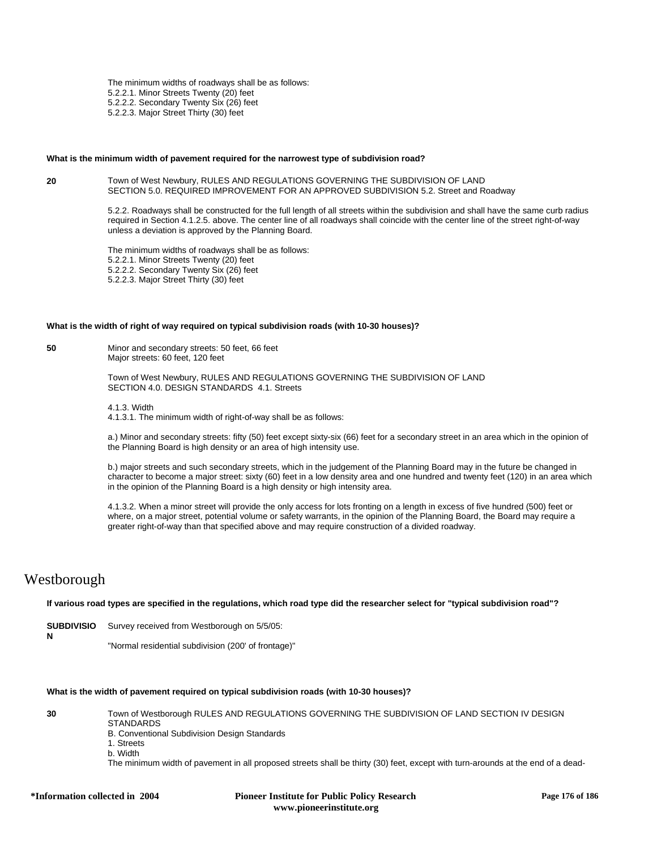The minimum widths of roadways shall be as follows: 5.2.2.1. Minor Streets Twenty (20) feet 5.2.2.2. Secondary Twenty Six (26) feet 5.2.2.3. Major Street Thirty (30) feet

#### **What is the minimum width of pavement required for the narrowest type of subdivision road?**

#### **20** Town of West Newbury, RULES AND REGULATIONS GOVERNING THE SUBDIVISION OF LAND SECTION 5.0. REQUIRED IMPROVEMENT FOR AN APPROVED SUBDIVISION 5.2. Street and Roadway

5.2.2. Roadways shall be constructed for the full length of all streets within the subdivision and shall have the same curb radius required in Section 4.1.2.5. above. The center line of all roadways shall coincide with the center line of the street right-of-way unless a deviation is approved by the Planning Board.

The minimum widths of roadways shall be as follows: 5.2.2.1. Minor Streets Twenty (20) feet 5.2.2.2. Secondary Twenty Six (26) feet 5.2.2.3. Major Street Thirty (30) feet

#### **What is the width of right of way required on typical subdivision roads (with 10-30 houses)?**

**50** Minor and secondary streets: 50 feet, 66 feet Major streets: 60 feet, 120 feet

> Town of West Newbury, RULES AND REGULATIONS GOVERNING THE SUBDIVISION OF LAND SECTION 4.0. DESIGN STANDARDS 4.1. Streets

4.1.3. Width

4.1.3.1. The minimum width of right-of-way shall be as follows:

a.) Minor and secondary streets: fifty (50) feet except sixty-six (66) feet for a secondary street in an area which in the opinion of the Planning Board is high density or an area of high intensity use.

b.) major streets and such secondary streets, which in the judgement of the Planning Board may in the future be changed in character to become a major street: sixty (60) feet in a low density area and one hundred and twenty feet (120) in an area which in the opinion of the Planning Board is a high density or high intensity area.

4.1.3.2. When a minor street will provide the only access for lots fronting on a length in excess of five hundred (500) feet or where, on a major street, potential volume or safety warrants, in the opinion of the Planning Board, the Board may require a greater right-of-way than that specified above and may require construction of a divided roadway.

# Westborough

**If various road types are specified in the regulations, which road type did the researcher select for "typical subdivision road"?**

**SUBDIVISIO** Survey received from Westborough on 5/5/05: **N** "Normal residential subdivision (200' of frontage)"

### **What is the width of pavement required on typical subdivision roads (with 10-30 houses)?**

**30** Town of Westborough RULES AND REGULATIONS GOVERNING THE SUBDIVISION OF LAND SECTION IV DESIGN **STANDARDS** 

- B. Conventional Subdivision Design Standards
- 1. Streets
- b. Width

The minimum width of pavement in all proposed streets shall be thirty (30) feet, except with turn-arounds at the end of a dead-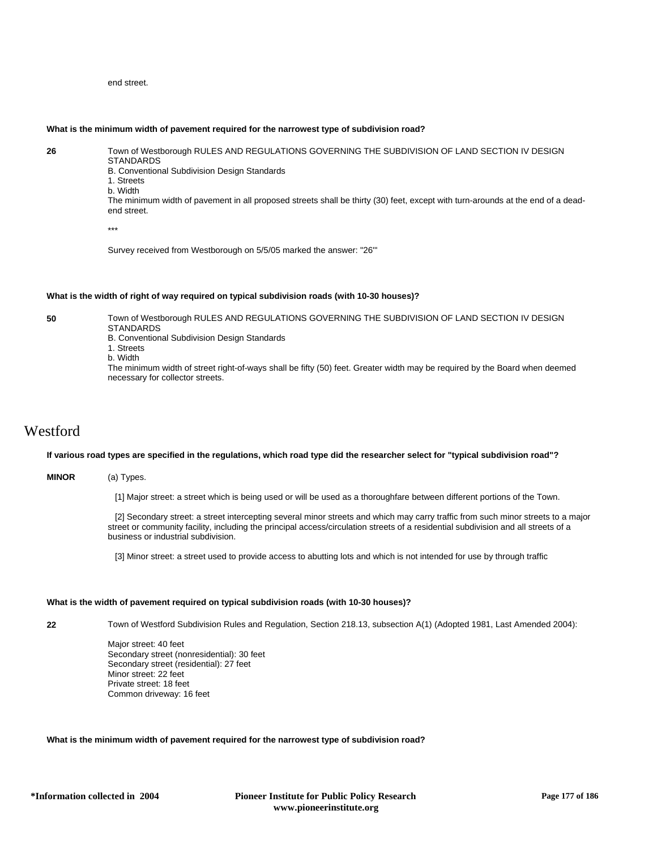## end street.

## **What is the minimum width of pavement required for the narrowest type of subdivision road?**

**26** Town of Westborough RULES AND REGULATIONS GOVERNING THE SUBDIVISION OF LAND SECTION IV DESIGN STANDARDS

B. Conventional Subdivision Design Standards

1. Streets b. Width

The minimum width of pavement in all proposed streets shall be thirty (30) feet, except with turn-arounds at the end of a deadend street.

\*\*\*

Survey received from Westborough on 5/5/05 marked the answer: "26'"

#### **What is the width of right of way required on typical subdivision roads (with 10-30 houses)?**

**50** Town of Westborough RULES AND REGULATIONS GOVERNING THE SUBDIVISION OF LAND SECTION IV DESIGN **STANDARDS** 

B. Conventional Subdivision Design Standards

- 1. Streets
- b. Width

The minimum width of street right-of-ways shall be fifty (50) feet. Greater width may be required by the Board when deemed necessary for collector streets.

# Westford

#### **If various road types are specified in the regulations, which road type did the researcher select for "typical subdivision road"?**

## **MINOR** (a) Types.

[1] Major street: a street which is being used or will be used as a thoroughfare between different portions of the Town.

 [2] Secondary street: a street intercepting several minor streets and which may carry traffic from such minor streets to a major street or community facility, including the principal access/circulation streets of a residential subdivision and all streets of a business or industrial subdivision.

[3] Minor street: a street used to provide access to abutting lots and which is not intended for use by through traffic

#### **What is the width of pavement required on typical subdivision roads (with 10-30 houses)?**

**22** Town of Westford Subdivision Rules and Regulation, Section 218.13, subsection A(1) (Adopted 1981, Last Amended 2004):

Major street: 40 feet Secondary street (nonresidential): 30 feet Secondary street (residential): 27 feet Minor street: 22 feet Private street: 18 feet Common driveway: 16 feet

### **What is the minimum width of pavement required for the narrowest type of subdivision road?**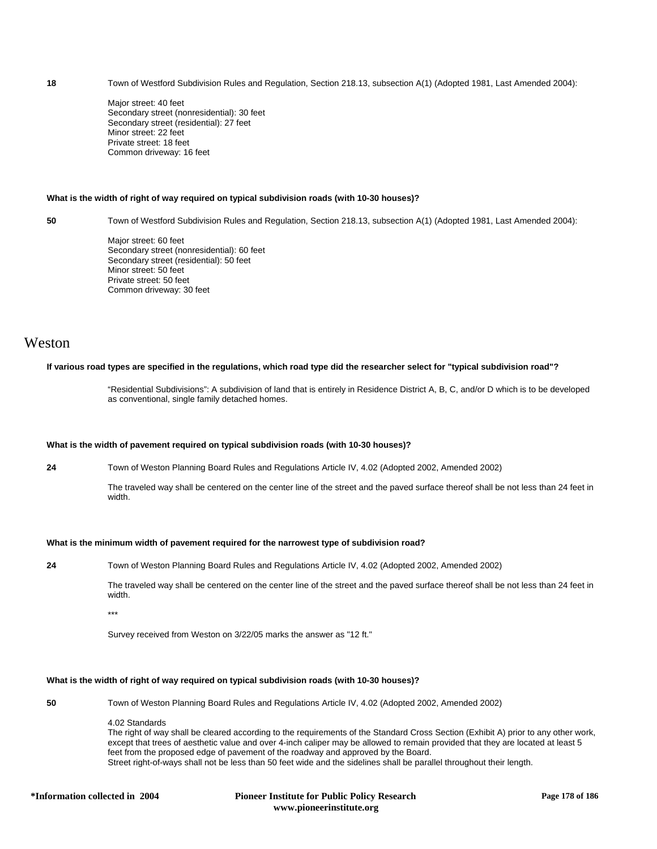**18** Town of Westford Subdivision Rules and Regulation, Section 218.13, subsection A(1) (Adopted 1981, Last Amended 2004):

Major street: 40 feet Secondary street (nonresidential): 30 feet Secondary street (residential): 27 feet Minor street: 22 feet Private street: 18 feet Common driveway: 16 feet

## **What is the width of right of way required on typical subdivision roads (with 10-30 houses)?**

**50** Town of Westford Subdivision Rules and Regulation, Section 218.13, subsection A(1) (Adopted 1981, Last Amended 2004):

Major street: 60 feet Secondary street (nonresidential): 60 feet Secondary street (residential): 50 feet Minor street: 50 feet Private street: 50 feet Common driveway: 30 feet

## Weston

## **If various road types are specified in the regulations, which road type did the researcher select for "typical subdivision road"?**

"Residential Subdivisions": A subdivision of land that is entirely in Residence District A, B, C, and/or D which is to be developed as conventional, single family detached homes.

#### **What is the width of pavement required on typical subdivision roads (with 10-30 houses)?**

**24** Town of Weston Planning Board Rules and Regulations Article IV, 4.02 (Adopted 2002, Amended 2002)

The traveled way shall be centered on the center line of the street and the paved surface thereof shall be not less than 24 feet in width.

### **What is the minimum width of pavement required for the narrowest type of subdivision road?**

**24** Town of Weston Planning Board Rules and Regulations Article IV, 4.02 (Adopted 2002, Amended 2002)

The traveled way shall be centered on the center line of the street and the paved surface thereof shall be not less than 24 feet in width.

\*\*\*

Survey received from Weston on 3/22/05 marks the answer as "12 ft."

#### **What is the width of right of way required on typical subdivision roads (with 10-30 houses)?**

**50** Town of Weston Planning Board Rules and Regulations Article IV, 4.02 (Adopted 2002, Amended 2002)

4.02 Standards

The right of way shall be cleared according to the requirements of the Standard Cross Section (Exhibit A) prior to any other work, except that trees of aesthetic value and over 4-inch caliper may be allowed to remain provided that they are located at least 5 feet from the proposed edge of pavement of the roadway and approved by the Board. Street right-of-ways shall not be less than 50 feet wide and the sidelines shall be parallel throughout their length.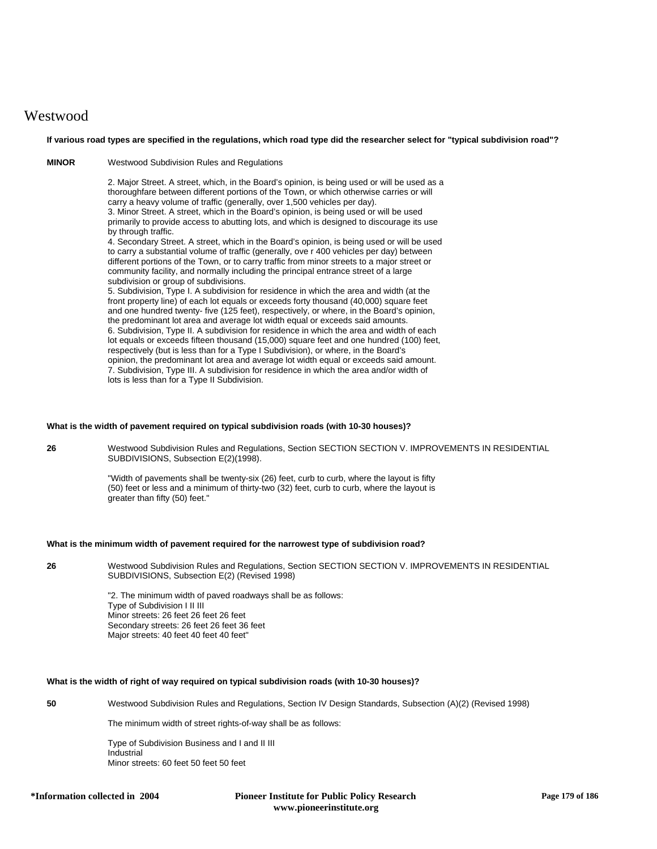# **Westwood**

**If various road types are specified in the regulations, which road type did the researcher select for "typical subdivision road"?**

**MINOR** Westwood Subdivision Rules and Regulations

2. Major Street. A street, which, in the Board's opinion, is being used or will be used as a thoroughfare between different portions of the Town, or which otherwise carries or will carry a heavy volume of traffic (generally, over 1,500 vehicles per day). 3. Minor Street. A street, which in the Board's opinion, is being used or will be used primarily to provide access to abutting lots, and which is designed to discourage its use by through traffic.

4. Secondary Street. A street, which in the Board's opinion, is being used or will be used to carry a substantial volume of traffic (generally, ove r 400 vehicles per day) between different portions of the Town, or to carry traffic from minor streets to a major street or community facility, and normally including the principal entrance street of a large subdivision or group of subdivisions.

5. Subdivision, Type I. A subdivision for residence in which the area and width (at the front property line) of each lot equals or exceeds forty thousand (40,000) square feet and one hundred twenty- five (125 feet), respectively, or where, in the Board's opinion, the predominant lot area and average lot width equal or exceeds said amounts. 6. Subdivision, Type II. A subdivision for residence in which the area and width of each lot equals or exceeds fifteen thousand (15,000) square feet and one hundred (100) feet, respectively (but is less than for a Type I Subdivision), or where, in the Board's opinion, the predominant lot area and average lot width equal or exceeds said amount. 7. Subdivision, Type III. A subdivision for residence in which the area and/or width of lots is less than for a Type II Subdivision.

#### **What is the width of pavement required on typical subdivision roads (with 10-30 houses)?**

**26** Westwood Subdivision Rules and Regulations, Section SECTION SECTION V. IMPROVEMENTS IN RESIDENTIAL SUBDIVISIONS, Subsection E(2)(1998).

> "Width of pavements shall be twenty-six (26) feet, curb to curb, where the layout is fifty (50) feet or less and a minimum of thirty-two (32) feet, curb to curb, where the layout is greater than fifty (50) feet."

## **What is the minimum width of pavement required for the narrowest type of subdivision road?**

**26** Westwood Subdivision Rules and Regulations, Section SECTION SECTION V. IMPROVEMENTS IN RESIDENTIAL SUBDIVISIONS, Subsection E(2) (Revised 1998)

> "2. The minimum width of paved roadways shall be as follows: Type of Subdivision I II III Minor streets: 26 feet 26 feet 26 feet Secondary streets: 26 feet 26 feet 36 feet Major streets: 40 feet 40 feet 40 feet"

## **What is the width of right of way required on typical subdivision roads (with 10-30 houses)?**

**50** Westwood Subdivision Rules and Regulations, Section IV Design Standards, Subsection (A)(2) (Revised 1998)

The minimum width of street rights-of-way shall be as follows:

Type of Subdivision Business and I and II III Industrial Minor streets: 60 feet 50 feet 50 feet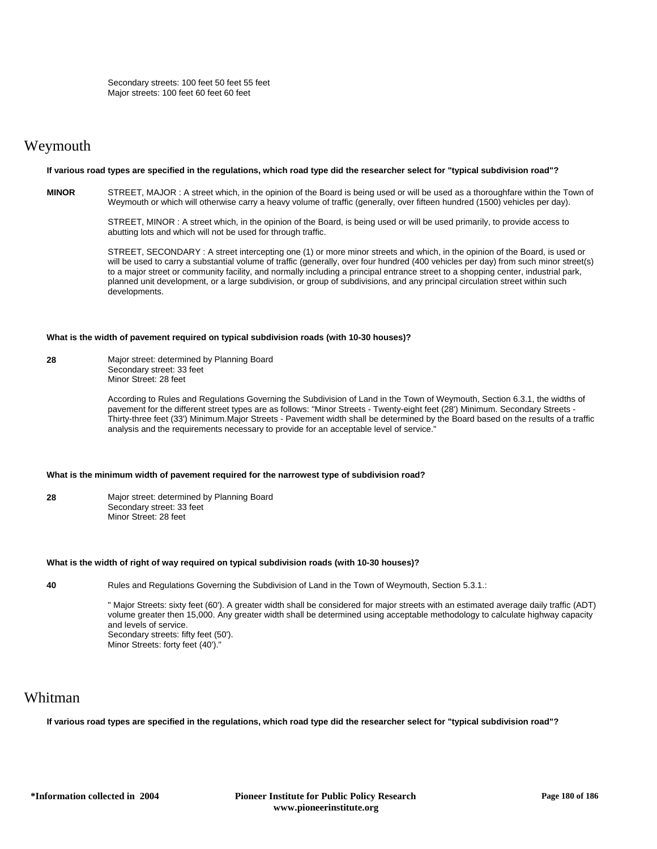# Weymouth

### **If various road types are specified in the regulations, which road type did the researcher select for "typical subdivision road"?**

**MINOR** STREET, MAJOR : A street which, in the opinion of the Board is being used or will be used as a thoroughfare within the Town of Weymouth or which will otherwise carry a heavy volume of traffic (generally, over fifteen hundred (1500) vehicles per day).

> STREET, MINOR : A street which, in the opinion of the Board, is being used or will be used primarily, to provide access to abutting lots and which will not be used for through traffic.

STREET, SECONDARY : A street intercepting one (1) or more minor streets and which, in the opinion of the Board, is used or will be used to carry a substantial volume of traffic (generally, over four hundred (400 vehicles per day) from such minor street(s) to a major street or community facility, and normally including a principal entrance street to a shopping center, industrial park, planned unit development, or a large subdivision, or group of subdivisions, and any principal circulation street within such developments.

#### **What is the width of pavement required on typical subdivision roads (with 10-30 houses)?**

**28** Major street: determined by Planning Board Secondary street: 33 feet Minor Street: 28 feet

> According to Rules and Regulations Governing the Subdivision of Land in the Town of Weymouth, Section 6.3.1, the widths of pavement for the different street types are as follows: "Minor Streets - Twenty-eight feet (28') Minimum. Secondary Streets - Thirty-three feet (33') Minimum.Major Streets - Pavement width shall be determined by the Board based on the results of a traffic analysis and the requirements necessary to provide for an acceptable level of service."

#### **What is the minimum width of pavement required for the narrowest type of subdivision road?**

**28** Major street: determined by Planning Board Secondary street: 33 feet Minor Street: 28 feet

#### **What is the width of right of way required on typical subdivision roads (with 10-30 houses)?**

**40** Rules and Regulations Governing the Subdivision of Land in the Town of Weymouth, Section 5.3.1.:

" Major Streets: sixty feet (60'). A greater width shall be considered for major streets with an estimated average daily traffic (ADT) volume greater then 15,000. Any greater width shall be determined using acceptable methodology to calculate highway capacity and levels of service. Secondary streets: fifty feet (50'). Minor Streets: forty feet (40')."

# Whitman

**If various road types are specified in the regulations, which road type did the researcher select for "typical subdivision road"?**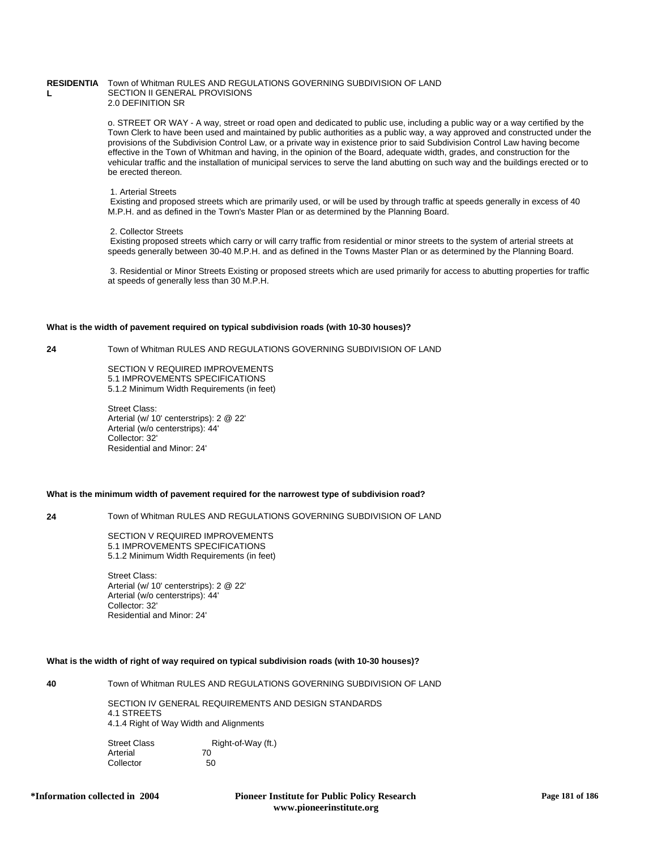#### **RESIDENTIA** Town of Whitman RULES AND REGULATIONS GOVERNING SUBDIVISION OF LAND **L** SECTION II GENERAL PROVISIONS 2.0 DEFINITION SR

o. STREET OR WAY - A way, street or road open and dedicated to public use, including a public way or a way certified by the Town Clerk to have been used and maintained by public authorities as a public way, a way approved and constructed under the provisions of the Subdivision Control Law, or a private way in existence prior to said Subdivision Control Law having become effective in the Town of Whitman and having, in the opinion of the Board, adequate width, grades, and construction for the vehicular traffic and the installation of municipal services to serve the land abutting on such way and the buildings erected or to be erected thereon.

#### 1. Arterial Streets

 Existing and proposed streets which are primarily used, or will be used by through traffic at speeds generally in excess of 40 M.P.H. and as defined in the Town's Master Plan or as determined by the Planning Board.

#### 2. Collector Streets

 Existing proposed streets which carry or will carry traffic from residential or minor streets to the system of arterial streets at speeds generally between 30-40 M.P.H. and as defined in the Towns Master Plan or as determined by the Planning Board.

 3. Residential or Minor Streets Existing or proposed streets which are used primarily for access to abutting properties for traffic at speeds of generally less than 30 M.P.H.

### **What is the width of pavement required on typical subdivision roads (with 10-30 houses)?**

**24** Town of Whitman RULES AND REGULATIONS GOVERNING SUBDIVISION OF LAND

SECTION V REQUIRED IMPROVEMENTS 5.1 IMPROVEMENTS SPECIFICATIONS 5.1.2 Minimum Width Requirements (in feet)

Street Class: Arterial (w/ 10' centerstrips): 2 @ 22' Arterial (w/o centerstrips): 44' Collector: 32' Residential and Minor: 24'

# **What is the minimum width of pavement required for the narrowest type of subdivision road?**

**24** Town of Whitman RULES AND REGULATIONS GOVERNING SUBDIVISION OF LAND

SECTION V REQUIRED IMPROVEMENTS 5.1 IMPROVEMENTS SPECIFICATIONS 5.1.2 Minimum Width Requirements (in feet)

Street Class: Arterial (w/ 10' centerstrips): 2 @ 22' Arterial (w/o centerstrips): 44' Collector: 32' Residential and Minor: 24'

# **What is the width of right of way required on typical subdivision roads (with 10-30 houses)?**

**40** Town of Whitman RULES AND REGULATIONS GOVERNING SUBDIVISION OF LAND

SECTION IV GENERAL REQUIREMENTS AND DESIGN STANDARDS 4.1 STREETS 4.1.4 Right of Way Width and Alignments

Street Class Right-of-Way (ft.)<br>Arterial 70 **Arterial** Collector 50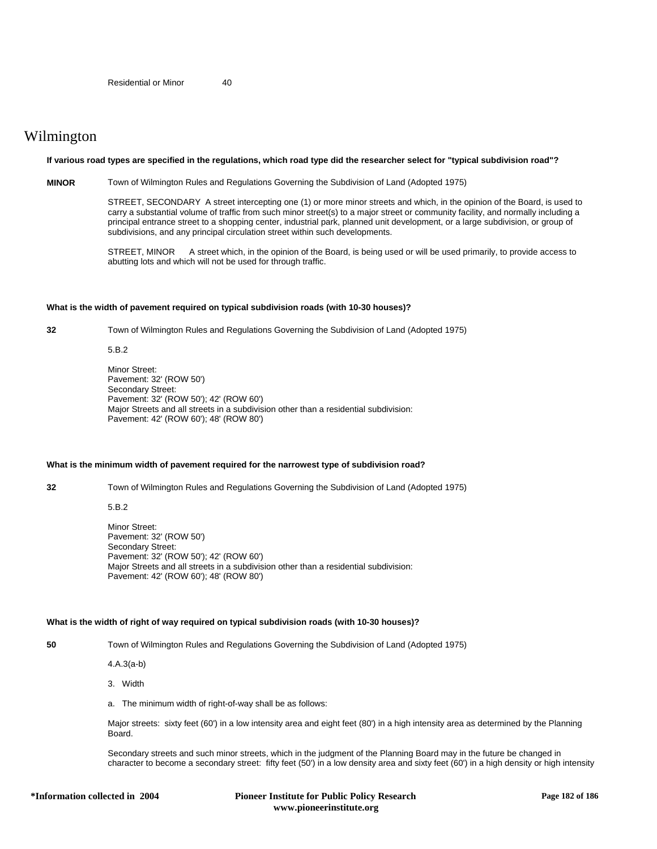# Wilmington

### **If various road types are specified in the regulations, which road type did the researcher select for "typical subdivision road"?**

**MINOR** Town of Wilmington Rules and Regulations Governing the Subdivision of Land (Adopted 1975)

STREET, SECONDARY A street intercepting one (1) or more minor streets and which, in the opinion of the Board, is used to carry a substantial volume of traffic from such minor street(s) to a major street or community facility, and normally including a principal entrance street to a shopping center, industrial park, planned unit development, or a large subdivision, or group of subdivisions, and any principal circulation street within such developments.

STREET, MINOR A street which, in the opinion of the Board, is being used or will be used primarily, to provide access to abutting lots and which will not be used for through traffic.

#### **What is the width of pavement required on typical subdivision roads (with 10-30 houses)?**

**32** Town of Wilmington Rules and Regulations Governing the Subdivision of Land (Adopted 1975)

5.B.2

Minor Street: Pavement: 32' (ROW 50') Secondary Street: Pavement: 32' (ROW 50'); 42' (ROW 60') Major Streets and all streets in a subdivision other than a residential subdivision: Pavement: 42' (ROW 60'); 48' (ROW 80')

# **What is the minimum width of pavement required for the narrowest type of subdivision road?**

**32** Town of Wilmington Rules and Regulations Governing the Subdivision of Land (Adopted 1975)

5.B.2

Minor Street: Pavement: 32' (ROW 50') Secondary Street: Pavement: 32' (ROW 50'); 42' (ROW 60') Major Streets and all streets in a subdivision other than a residential subdivision: Pavement: 42' (ROW 60'); 48' (ROW 80')

# **What is the width of right of way required on typical subdivision roads (with 10-30 houses)?**

**50** Town of Wilmington Rules and Regulations Governing the Subdivision of Land (Adopted 1975)

4.A.3(a-b)

3. Width

a. The minimum width of right-of-way shall be as follows:

Major streets: sixty feet (60') in a low intensity area and eight feet (80') in a high intensity area as determined by the Planning Board.

Secondary streets and such minor streets, which in the judgment of the Planning Board may in the future be changed in character to become a secondary street: fifty feet (50') in a low density area and sixty feet (60') in a high density or high intensity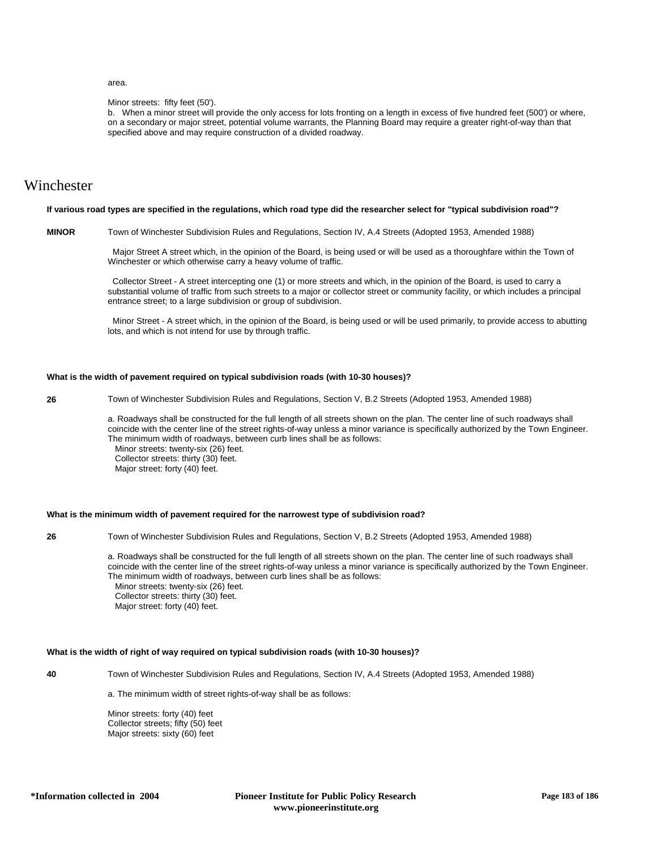# area.

#### Minor streets: fifty feet (50').

b. When a minor street will provide the only access for lots fronting on a length in excess of five hundred feet (500') or where, on a secondary or major street, potential volume warrants, the Planning Board may require a greater right-of-way than that specified above and may require construction of a divided roadway.

# Winchester

#### **If various road types are specified in the regulations, which road type did the researcher select for "typical subdivision road"?**

**MINOR** Town of Winchester Subdivision Rules and Regulations, Section IV, A.4 Streets (Adopted 1953, Amended 1988)

 Major Street A street which, in the opinion of the Board, is being used or will be used as a thoroughfare within the Town of Winchester or which otherwise carry a heavy volume of traffic.

 Collector Street - A street intercepting one (1) or more streets and which, in the opinion of the Board, is used to carry a substantial volume of traffic from such streets to a major or collector street or community facility, or which includes a principal entrance street; to a large subdivision or group of subdivision.

 Minor Street - A street which, in the opinion of the Board, is being used or will be used primarily, to provide access to abutting lots, and which is not intend for use by through traffic.

# **What is the width of pavement required on typical subdivision roads (with 10-30 houses)?**

**26** Town of Winchester Subdivision Rules and Regulations, Section V, B.2 Streets (Adopted 1953, Amended 1988)

a. Roadways shall be constructed for the full length of all streets shown on the plan. The center line of such roadways shall coincide with the center line of the street rights-of-way unless a minor variance is specifically authorized by the Town Engineer. The minimum width of roadways, between curb lines shall be as follows: Minor streets: twenty-six (26) feet. Collector streets: thirty (30) feet. Major street: forty (40) feet.

### **What is the minimum width of pavement required for the narrowest type of subdivision road?**

**26** Town of Winchester Subdivision Rules and Regulations, Section V, B.2 Streets (Adopted 1953, Amended 1988)

a. Roadways shall be constructed for the full length of all streets shown on the plan. The center line of such roadways shall coincide with the center line of the street rights-of-way unless a minor variance is specifically authorized by the Town Engineer. The minimum width of roadways, between curb lines shall be as follows: Minor streets: twenty-six (26) feet. Collector streets: thirty (30) feet.

Major street: forty (40) feet.

# **What is the width of right of way required on typical subdivision roads (with 10-30 houses)?**

**40** Town of Winchester Subdivision Rules and Regulations, Section IV, A.4 Streets (Adopted 1953, Amended 1988)

a. The minimum width of street rights-of-way shall be as follows:

Minor streets: forty (40) feet Collector streets; fifty (50) feet Major streets: sixty (60) feet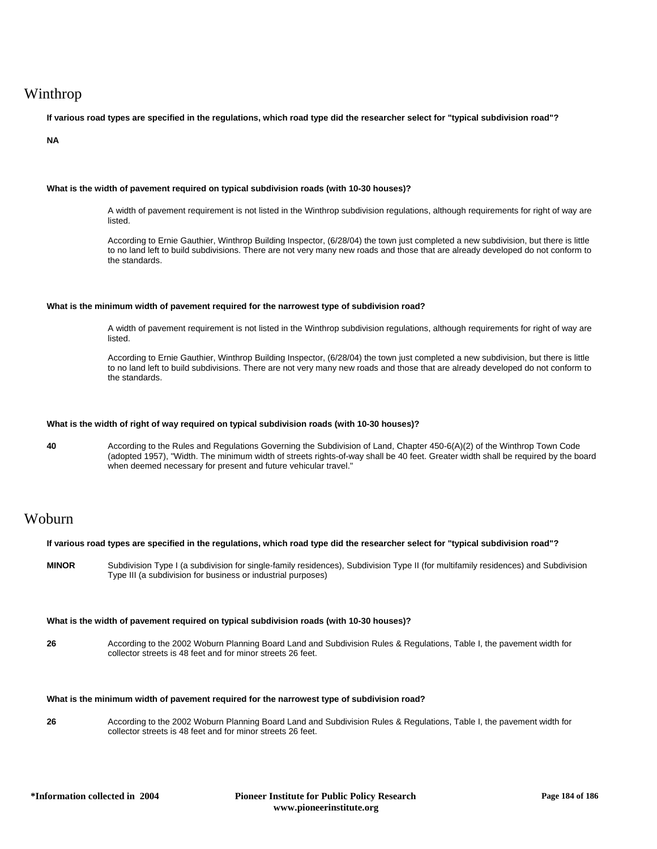# Winthrop

**If various road types are specified in the regulations, which road type did the researcher select for "typical subdivision road"?**

**NA**

# **What is the width of pavement required on typical subdivision roads (with 10-30 houses)?**

A width of pavement requirement is not listed in the Winthrop subdivision regulations, although requirements for right of way are listed.

According to Ernie Gauthier, Winthrop Building Inspector, (6/28/04) the town just completed a new subdivision, but there is little to no land left to build subdivisions. There are not very many new roads and those that are already developed do not conform to the standards.

# **What is the minimum width of pavement required for the narrowest type of subdivision road?**

A width of pavement requirement is not listed in the Winthrop subdivision regulations, although requirements for right of way are listed.

According to Ernie Gauthier, Winthrop Building Inspector, (6/28/04) the town just completed a new subdivision, but there is little to no land left to build subdivisions. There are not very many new roads and those that are already developed do not conform to the standards.

### **What is the width of right of way required on typical subdivision roads (with 10-30 houses)?**

**40** According to the Rules and Regulations Governing the Subdivision of Land, Chapter 450-6(A)(2) of the Winthrop Town Code (adopted 1957), "Width. The minimum width of streets rights-of-way shall be 40 feet. Greater width shall be required by the board when deemed necessary for present and future vehicular travel."

# Woburn

| If various road types are specified in the regulations, which road type did the researcher select for "typical subdivision road"? |                                                                                                                                                                                                   |
|-----------------------------------------------------------------------------------------------------------------------------------|---------------------------------------------------------------------------------------------------------------------------------------------------------------------------------------------------|
| <b>MINOR</b>                                                                                                                      | Subdivision Type I (a subdivision for single-family residences), Subdivision Type II (for multifamily residences) and Subdivision<br>Type III (a subdivision for business or industrial purposes) |

# **What is the width of pavement required on typical subdivision roads (with 10-30 houses)?**

**26** According to the 2002 Woburn Planning Board Land and Subdivision Rules & Regulations, Table I, the pavement width for collector streets is 48 feet and for minor streets 26 feet.

## **What is the minimum width of pavement required for the narrowest type of subdivision road?**

**26** According to the 2002 Woburn Planning Board Land and Subdivision Rules & Regulations, Table I, the pavement width for collector streets is 48 feet and for minor streets 26 feet.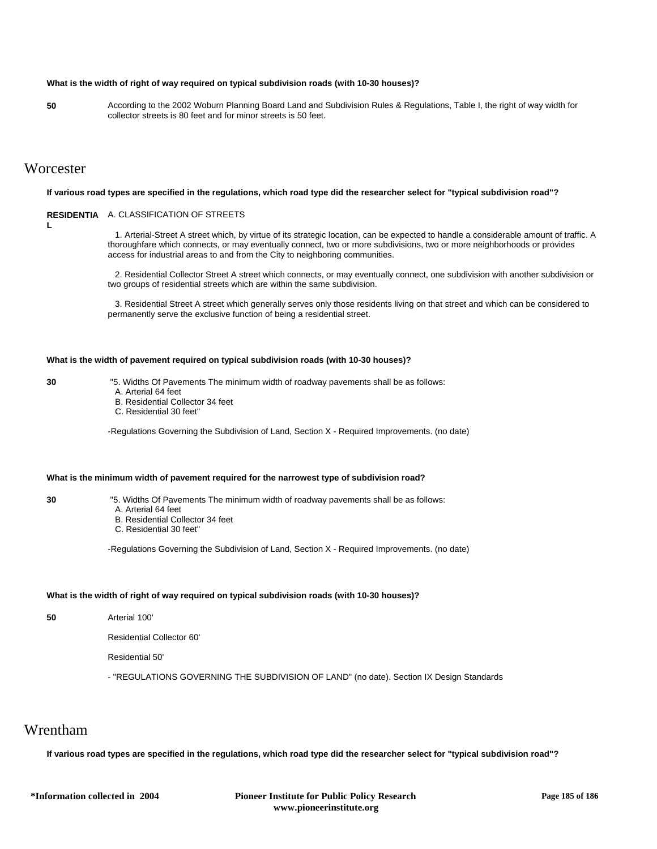# **What is the width of right of way required on typical subdivision roads (with 10-30 houses)?**

**50** According to the 2002 Woburn Planning Board Land and Subdivision Rules & Regulations, Table I, the right of way width for collector streets is 80 feet and for minor streets is 50 feet.

# **Worcester**

#### **If various road types are specified in the regulations, which road type did the researcher select for "typical subdivision road"?**

### **RESIDENTIA** A. CLASSIFICATION OF STREETS

**L**

 1. Arterial-Street A street which, by virtue of its strategic location, can be expected to handle a considerable amount of traffic. A thoroughfare which connects, or may eventually connect, two or more subdivisions, two or more neighborhoods or provides

 2. Residential Collector Street A street which connects, or may eventually connect, one subdivision with another subdivision or two groups of residential streets which are within the same subdivision.

 3. Residential Street A street which generally serves only those residents living on that street and which can be considered to permanently serve the exclusive function of being a residential street.

# **What is the width of pavement required on typical subdivision roads (with 10-30 houses)?**

access for industrial areas to and from the City to neighboring communities.

**30** "5. Widths Of Pavements The minimum width of roadway pavements shall be as follows:

- A. Arterial 64 feet
- B. Residential Collector 34 feet
- C. Residential 30 feet"

-Regulations Governing the Subdivision of Land, Section X - Required Improvements. (no date)

# **What is the minimum width of pavement required for the narrowest type of subdivision road?**

- **30** "5. Widths Of Pavements The minimum width of roadway pavements shall be as follows:
	- A. Arterial 64 feet
	- B. Residential Collector 34 feet
	- C. Residential 30 feet"

-Regulations Governing the Subdivision of Land, Section X - Required Improvements. (no date)

# **What is the width of right of way required on typical subdivision roads (with 10-30 houses)?**

**50** Arterial 100'

Residential Collector 60'

Residential 50'

- "REGULATIONS GOVERNING THE SUBDIVISION OF LAND" (no date). Section IX Design Standards

# Wrentham

**If various road types are specified in the regulations, which road type did the researcher select for "typical subdivision road"?**